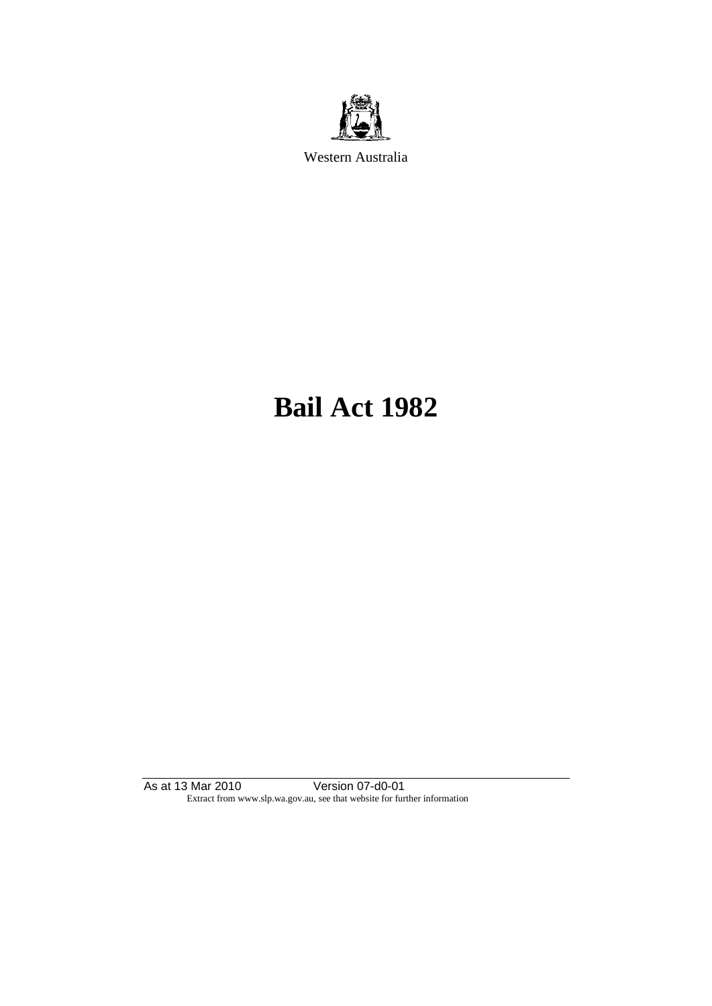

Western Australia

# **Bail Act 1982**

As at 13 Mar 2010 Version 07-d0-01 Extract from www.slp.wa.gov.au, see that website for further information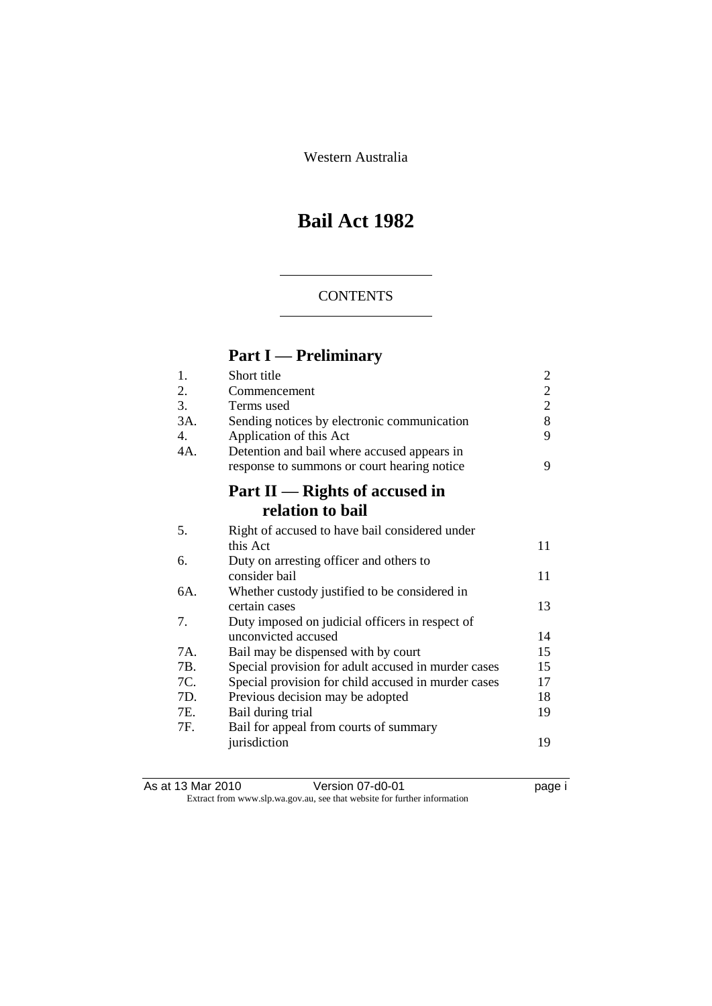Western Australia

## **Bail Act 1982**

#### **CONTENTS**

## **Part I — Preliminary**

| 1.             | Short title                                         | $\overline{2}$ |
|----------------|-----------------------------------------------------|----------------|
| 2.             | Commencement                                        | $\overline{c}$ |
| 3.             | Terms used                                          | $\overline{2}$ |
| 3A.            | Sending notices by electronic communication         | 8              |
| $\mathbf{4}$ . | Application of this Act                             | 9              |
| 4A.            | Detention and bail where accused appears in         |                |
|                | response to summons or court hearing notice         | 9              |
|                | Part II — Rights of accused in                      |                |
|                | relation to bail                                    |                |
| 5.             | Right of accused to have bail considered under      |                |
|                | this Act                                            | 11             |
| 6.             | Duty on arresting officer and others to             |                |
|                | consider bail                                       | 11             |
| 6A.            | Whether custody justified to be considered in       |                |
|                | certain cases                                       | 13             |
| 7.             | Duty imposed on judicial officers in respect of     |                |
|                | unconvicted accused                                 | 14             |
| 7A.            | Bail may be dispensed with by court                 | 15             |
| 7B.            | Special provision for adult accused in murder cases | 15             |
| 7C.            | Special provision for child accused in murder cases | 17             |
| 7D.            | Previous decision may be adopted                    | 18             |
| 7E.            | Bail during trial                                   | 19             |
| 7F.            | Bail for appeal from courts of summary              |                |
|                | jurisdiction                                        | 19             |
|                |                                                     |                |

As at 13 Mar 2010 **Version 07-d0-01 Democration** page i Extract from www.slp.wa.gov.au, see that website for further information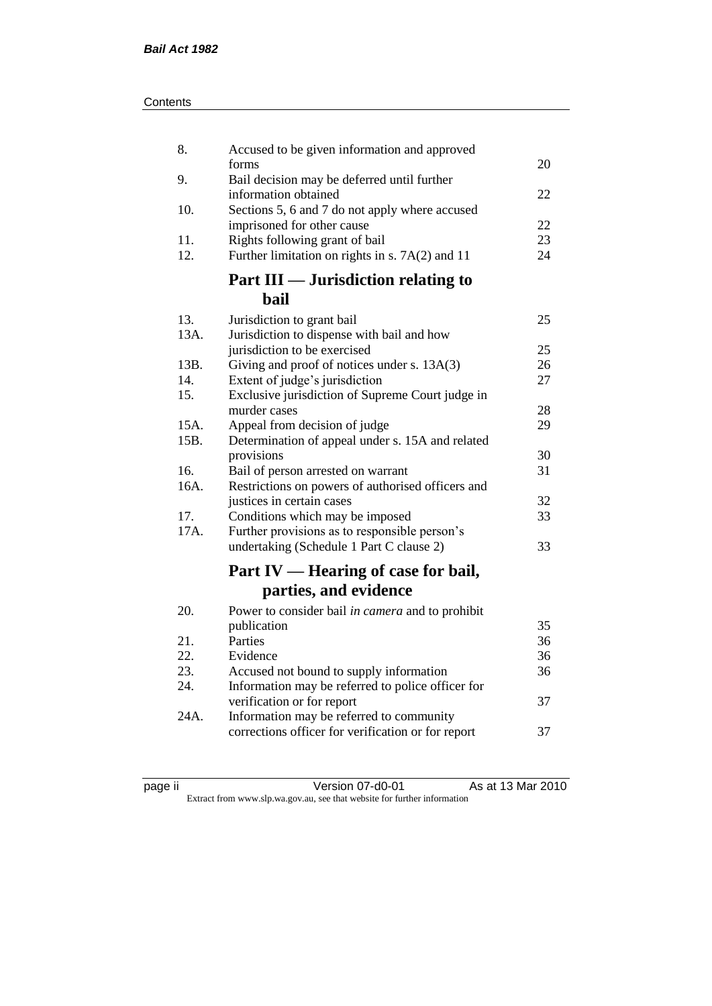| Contents |
|----------|
|----------|

| 8.<br>Accused to be given information and approved                                                |          |
|---------------------------------------------------------------------------------------------------|----------|
| forms<br>9.<br>Bail decision may be deferred until further                                        | 20       |
| information obtained                                                                              | 22       |
| 10.<br>Sections 5, 6 and 7 do not apply where accused                                             |          |
| imprisoned for other cause                                                                        | 22       |
| 11.<br>Rights following grant of bail<br>12.<br>Further limitation on rights in s. 7A(2) and 11   | 23<br>24 |
| <b>Part III — Jurisdiction relating to</b>                                                        |          |
| bail                                                                                              |          |
| 13.<br>Jurisdiction to grant bail                                                                 | 25       |
| 13A.<br>Jurisdiction to dispense with bail and how                                                |          |
| jurisdiction to be exercised                                                                      | 25       |
| Giving and proof of notices under s. 13A(3)<br>13B.                                               | 26       |
| 14.<br>Extent of judge's jurisdiction                                                             | 27       |
| Exclusive jurisdiction of Supreme Court judge in<br>15.                                           |          |
| murder cases                                                                                      | 28       |
| 15A.<br>Appeal from decision of judge<br>Determination of appeal under s. 15A and related<br>15B. | 29       |
| provisions                                                                                        | 30       |
| 16.<br>Bail of person arrested on warrant                                                         | 31       |
| 16A.<br>Restrictions on powers of authorised officers and                                         |          |
| justices in certain cases                                                                         | 32       |
| Conditions which may be imposed<br>17.                                                            | 33       |
| 17A.<br>Further provisions as to responsible person's                                             |          |
| undertaking (Schedule 1 Part C clause 2)                                                          | 33       |
| Part IV — Hearing of case for bail,                                                               |          |
| parties, and evidence                                                                             |          |
| 20.<br>Power to consider bail in camera and to prohibit                                           |          |
| publication                                                                                       | 35       |
| Parties<br>21.                                                                                    | 36       |
| 22.<br>Evidence                                                                                   | 36       |
| 23.<br>Accused not bound to supply information                                                    | 36       |
| 24.<br>Information may be referred to police officer for                                          |          |
| verification or for report                                                                        | 37       |
| 24A.<br>Information may be referred to community                                                  |          |
| corrections officer for verification or for report                                                | 37       |

| ıC<br>ı<br>и |  |
|--------------|--|
|              |  |

page ii Version 07-d0-01 As at 13 Mar 2010 Extract from www.slp.wa.gov.au, see that website for further information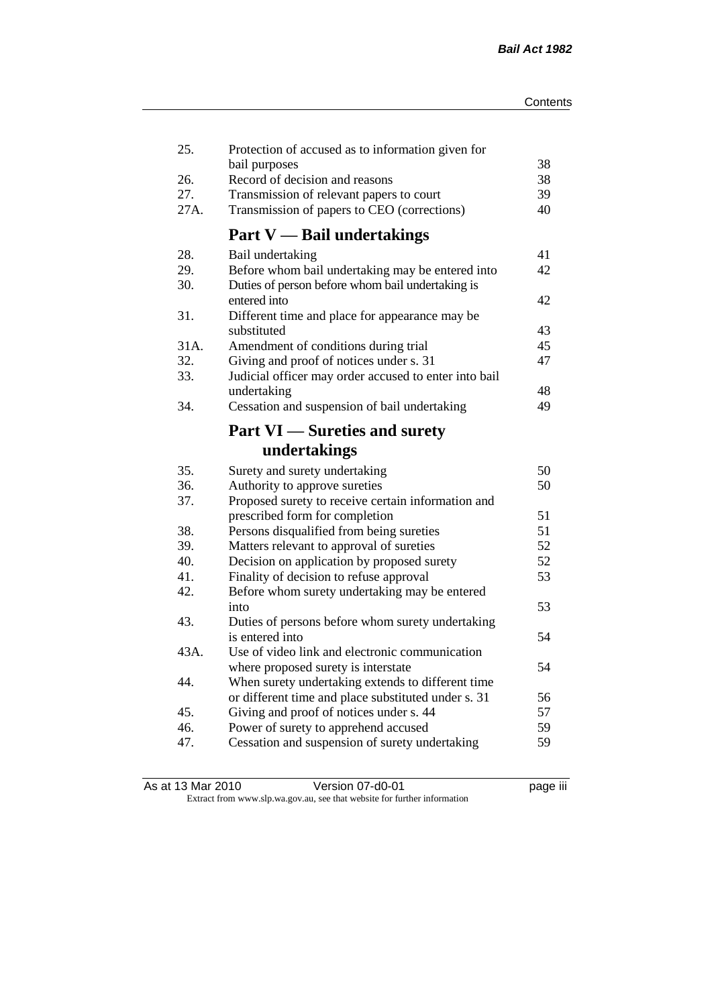| 25.  | Protection of accused as to information given for     |    |
|------|-------------------------------------------------------|----|
|      | bail purposes                                         | 38 |
| 26.  | Record of decision and reasons                        | 38 |
| 27.  | Transmission of relevant papers to court              | 39 |
| 27A. | Transmission of papers to CEO (corrections)           | 40 |
|      | <b>Part V</b> - Bail undertakings                     |    |
| 28.  | Bail undertaking                                      | 41 |
| 29.  | Before whom bail undertaking may be entered into      | 42 |
| 30.  | Duties of person before whom bail undertaking is      |    |
|      | entered into                                          | 42 |
| 31.  | Different time and place for appearance may be        |    |
|      | substituted                                           | 43 |
| 31A. | Amendment of conditions during trial                  | 45 |
| 32.  | Giving and proof of notices under s. 31               | 47 |
| 33.  | Judicial officer may order accused to enter into bail |    |
|      | undertaking                                           | 48 |
| 34.  | Cessation and suspension of bail undertaking          | 49 |
|      | <b>Part VI</b> — Sureties and surety                  |    |
|      | undertakings                                          |    |
| 35.  | Surety and surety undertaking                         | 50 |
| 36.  | Authority to approve sureties                         | 50 |
| 37.  | Proposed surety to receive certain information and    |    |
|      | prescribed form for completion                        | 51 |
| 38.  | Persons disqualified from being sureties              | 51 |
| 39.  | Matters relevant to approval of sureties              | 52 |
| 40.  | Decision on application by proposed surety            | 52 |
| 41.  | Finality of decision to refuse approval               | 53 |
| 42.  | Before whom surety undertaking may be entered         |    |
|      | into                                                  | 53 |
| 43.  | Duties of persons before whom surety undertaking      |    |
|      | is entered into                                       | 54 |
| 43A. | Use of video link and electronic communication        |    |
|      | where proposed surety is interstate                   | 54 |
| 44.  | When surety undertaking extends to different time     |    |
|      | or different time and place substituted under s. 31   | 56 |
| 45.  | Giving and proof of notices under s. 44               | 57 |
| 46.  | Power of surety to apprehend accused                  | 59 |
| 47.  | Cessation and suspension of surety undertaking        | 59 |
|      |                                                       |    |

| As at 13 Mar 2010 | Version 07-d0-01                                                         | <br>page III |
|-------------------|--------------------------------------------------------------------------|--------------|
|                   | Extract from www.slp.wa.gov.au, see that website for further information |              |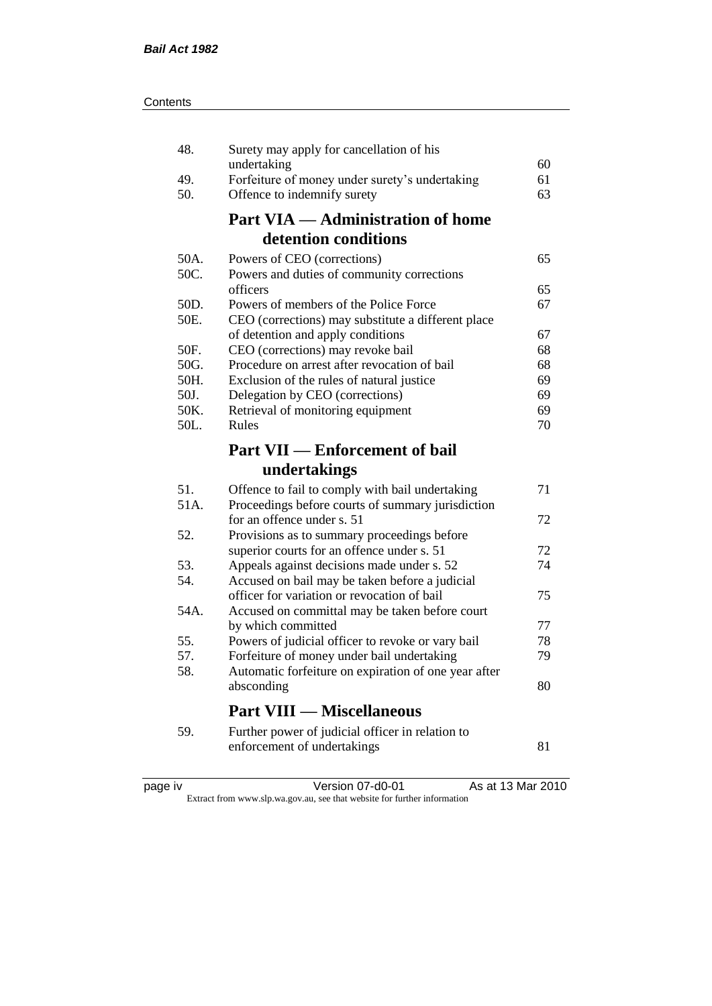| 48.  | Surety may apply for cancellation of his             |    |
|------|------------------------------------------------------|----|
|      | undertaking                                          | 60 |
| 49.  | Forfeiture of money under surety's undertaking       | 61 |
| 50.  | Offence to indemnify surety                          | 63 |
|      | <b>Part VIA — Administration of home</b>             |    |
|      | detention conditions                                 |    |
| 50A. | Powers of CEO (corrections)                          | 65 |
| 50C. | Powers and duties of community corrections           |    |
|      | officers                                             | 65 |
| 50D. | Powers of members of the Police Force                | 67 |
| 50E. | CEO (corrections) may substitute a different place   |    |
|      | of detention and apply conditions                    | 67 |
| 50F. | CEO (corrections) may revoke bail                    | 68 |
| 50G. | Procedure on arrest after revocation of bail         | 68 |
| 50H. | Exclusion of the rules of natural justice            | 69 |
| 50J. | Delegation by CEO (corrections)                      | 69 |
| 50K. | Retrieval of monitoring equipment                    | 69 |
| 50L. | Rules                                                | 70 |
|      | <b>Part VII — Enforcement of bail</b>                |    |
|      | undertakings                                         |    |
| 51.  | Offence to fail to comply with bail undertaking      | 71 |
| 51A. | Proceedings before courts of summary jurisdiction    |    |
|      | for an offence under s. 51                           | 72 |
| 52.  | Provisions as to summary proceedings before          |    |
|      | superior courts for an offence under s. 51           | 72 |
| 53.  | Appeals against decisions made under s. 52           | 74 |
| 54.  | Accused on bail may be taken before a judicial       |    |
|      | officer for variation or revocation of bail          | 75 |
| 54A. | Accused on committal may be taken before court       |    |
|      | by which committed                                   | 77 |
| 55.  | Powers of judicial officer to revoke or vary bail    | 78 |
| 57.  | Forfeiture of money under bail undertaking           | 79 |
| 58.  | Automatic forfeiture on expiration of one year after |    |
|      | absconding                                           | 80 |
|      | <b>Part VIII — Miscellaneous</b>                     |    |
| 59.  | Further power of judicial officer in relation to     |    |
|      | enforcement of undertakings                          | 81 |
|      |                                                      |    |

| د،    |  |
|-------|--|
| ); 10 |  |
|       |  |
|       |  |
|       |  |

page iv Version 07-d0-01 As at 13 Mar 2010 Extract from www.slp.wa.gov.au, see that website for further information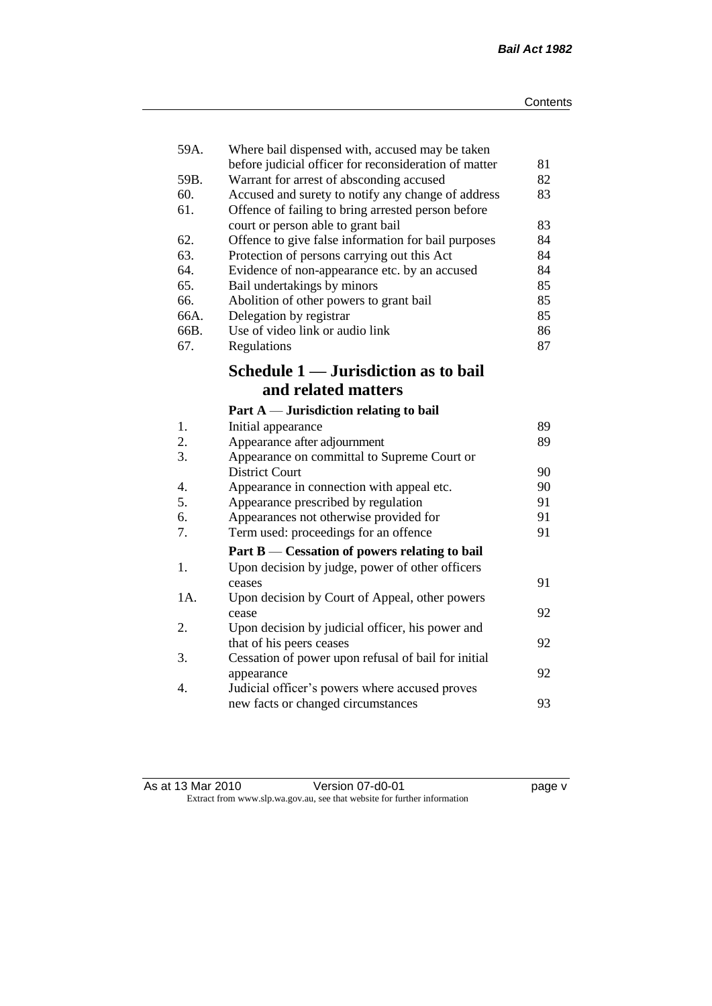| 59A. | Where bail dispensed with, accused may be taken                                                   | 81 |
|------|---------------------------------------------------------------------------------------------------|----|
| 59B. | before judicial officer for reconsideration of matter<br>Warrant for arrest of absconding accused | 82 |
| 60.  | Accused and surety to notify any change of address                                                | 83 |
| 61.  | Offence of failing to bring arrested person before                                                |    |
|      | court or person able to grant bail                                                                | 83 |
| 62.  | Offence to give false information for bail purposes                                               | 84 |
| 63.  | Protection of persons carrying out this Act                                                       | 84 |
| 64.  | Evidence of non-appearance etc. by an accused                                                     | 84 |
| 65.  | Bail undertakings by minors                                                                       | 85 |
| 66.  | Abolition of other powers to grant bail                                                           | 85 |
| 66A. | Delegation by registrar                                                                           | 85 |
| 66B. | Use of video link or audio link                                                                   | 86 |
| 67.  | Regulations                                                                                       | 87 |
|      | Schedule 1 — Jurisdiction as to bail                                                              |    |
|      | and related matters                                                                               |    |
|      | Part $A$ — Jurisdiction relating to bail                                                          |    |
| 1.   | Initial appearance                                                                                | 89 |
| 2.   | Appearance after adjournment                                                                      | 89 |
| 3.   | Appearance on committal to Supreme Court or                                                       |    |
|      | <b>District Court</b>                                                                             | 90 |
| 4.   | Appearance in connection with appeal etc.                                                         | 90 |
| 5.   | Appearance prescribed by regulation                                                               | 91 |
| 6.   | Appearances not otherwise provided for                                                            | 91 |
| 7.   | Term used: proceedings for an offence                                                             | 91 |
|      | Part B — Cessation of powers relating to bail                                                     |    |
| 1.   | Upon decision by judge, power of other officers                                                   |    |
|      | ceases                                                                                            | 91 |
| 1A.  | Upon decision by Court of Appeal, other powers                                                    |    |
|      | cease                                                                                             | 92 |
| 2.   | Upon decision by judicial officer, his power and                                                  |    |
|      | that of his peers ceases                                                                          | 92 |
| 3.   | Cessation of power upon refusal of bail for initial                                               |    |
|      | appearance                                                                                        | 92 |
| 4.   | Judicial officer's powers where accused proves                                                    |    |
|      | new facts or changed circumstances                                                                | 93 |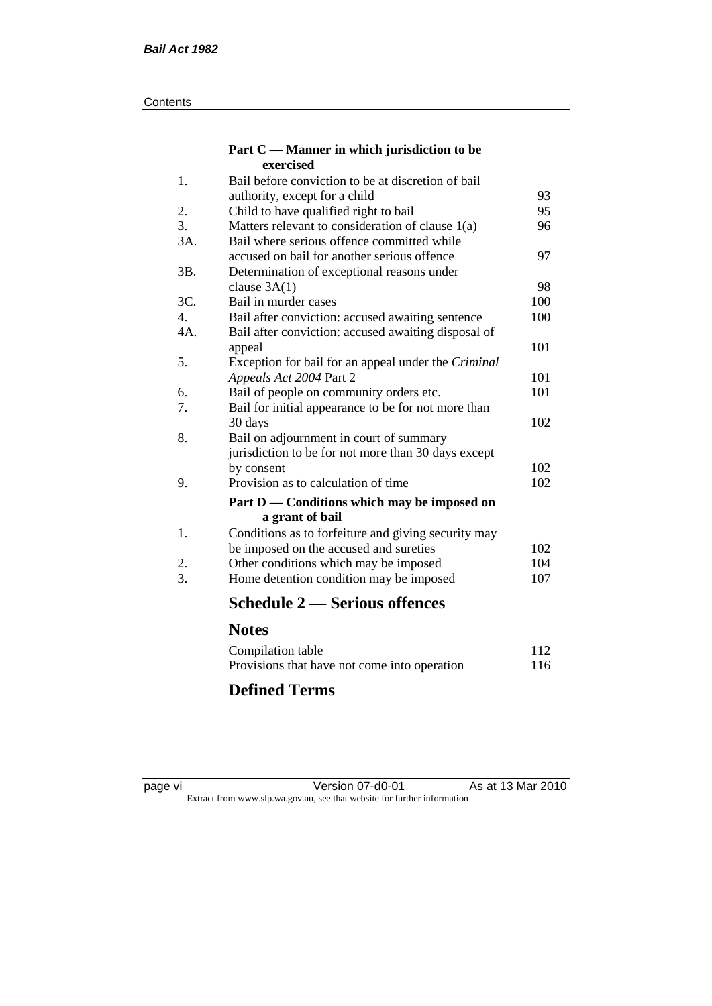#### **Contents**

#### **Part C — Manner in which jurisdiction to be exercised**

| 1.  | Bail before conviction to be at discretion of bail         |     |
|-----|------------------------------------------------------------|-----|
|     | authority, except for a child                              | 93  |
| 2.  | Child to have qualified right to bail                      | 95  |
| 3.  | Matters relevant to consideration of clause $1(a)$         | 96  |
| 3A. | Bail where serious offence committed while                 |     |
|     | accused on bail for another serious offence                | 97  |
| 3B. | Determination of exceptional reasons under                 |     |
|     | clause $3A(1)$                                             | 98  |
| 3C. | Bail in murder cases                                       | 100 |
| 4.  | Bail after conviction: accused awaiting sentence           | 100 |
| 4A. | Bail after conviction: accused awaiting disposal of        |     |
|     | appeal                                                     | 101 |
| 5.  | Exception for bail for an appeal under the <i>Criminal</i> |     |
|     | Appeals Act 2004 Part 2                                    | 101 |
| 6.  | Bail of people on community orders etc.                    | 101 |
| 7.  | Bail for initial appearance to be for not more than        |     |
|     | 30 days                                                    | 102 |
| 8.  | Bail on adjournment in court of summary                    |     |
|     | jurisdiction to be for not more than 30 days except        |     |
|     | by consent                                                 | 102 |
| 9.  | Provision as to calculation of time                        | 102 |
|     | Part D — Conditions which may be imposed on                |     |
|     | a grant of bail                                            |     |
| 1.  | Conditions as to forfeiture and giving security may        |     |
|     | be imposed on the accused and sureties                     | 102 |
| 2.  | Other conditions which may be imposed                      | 104 |
| 3.  | Home detention condition may be imposed                    | 107 |
|     | <b>Schedule 2 — Serious offences</b>                       |     |
|     | <b>Notes</b>                                               |     |
|     | Compilation table                                          | 112 |
|     |                                                            |     |

#### Provisions that have not come into operation 116 **Defined Terms**

page vi Version 07-d0-01 As at 13 Mar 2010 Extract from www.slp.wa.gov.au, see that website for further information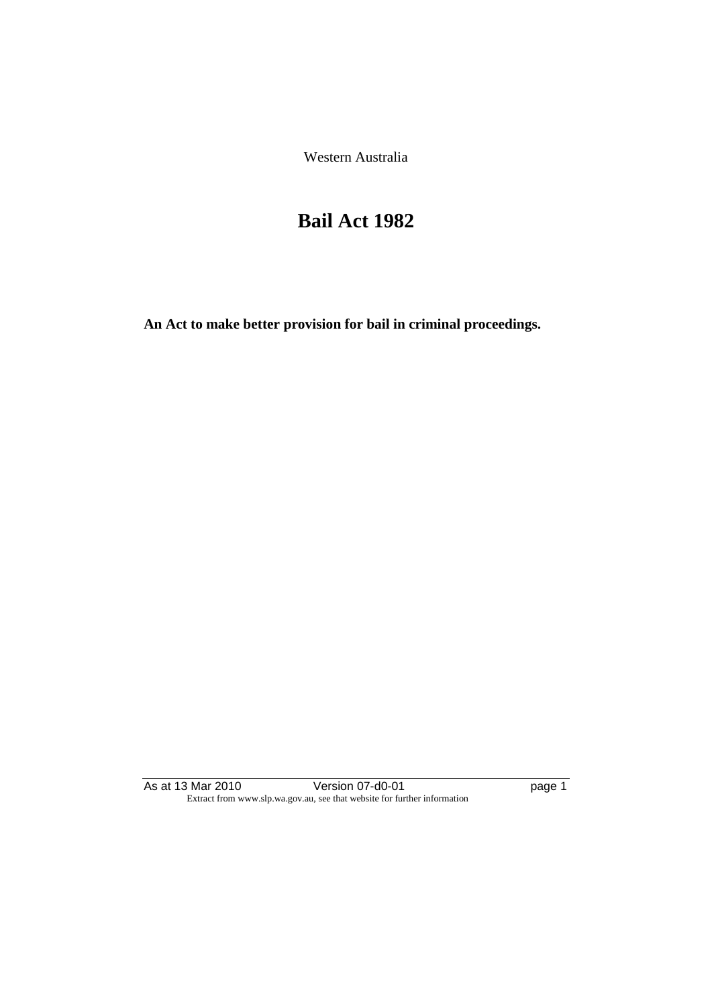Western Australia

## **Bail Act 1982**

**An Act to make better provision for bail in criminal proceedings.** 

As at 13 Mar 2010 **Decime 12 Version 07-d0-01** Page 1 Extract from www.slp.wa.gov.au, see that website for further information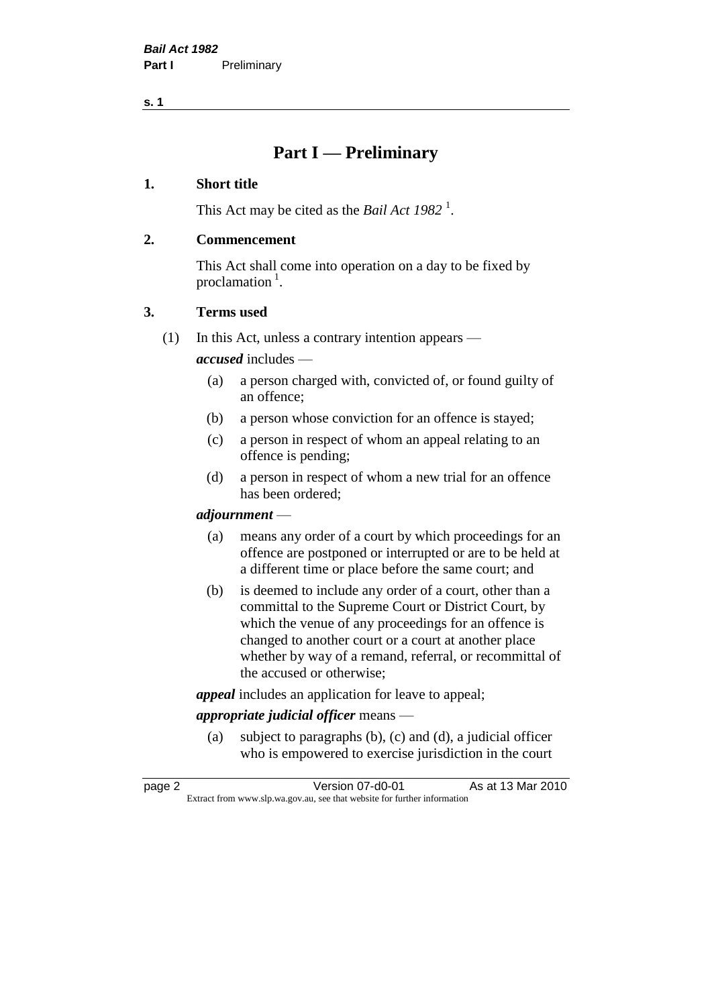**s. 1**

## **Part I — Preliminary**

#### **1. Short title**

This Act may be cited as the *Bail Act* 1982<sup>1</sup>.

#### **2. Commencement**

This Act shall come into operation on a day to be fixed by proclamation  $<sup>1</sup>$ .</sup>

#### **3. Terms used**

(1) In this Act, unless a contrary intention appears —

*accused* includes —

- (a) a person charged with, convicted of, or found guilty of an offence;
- (b) a person whose conviction for an offence is stayed;
- (c) a person in respect of whom an appeal relating to an offence is pending;
- (d) a person in respect of whom a new trial for an offence has been ordered;

#### *adjournment* —

- (a) means any order of a court by which proceedings for an offence are postponed or interrupted or are to be held at a different time or place before the same court; and
- (b) is deemed to include any order of a court, other than a committal to the Supreme Court or District Court, by which the venue of any proceedings for an offence is changed to another court or a court at another place whether by way of a remand, referral, or recommittal of the accused or otherwise;

*appeal* includes an application for leave to appeal;

#### *appropriate judicial officer* means —

(a) subject to paragraphs (b), (c) and (d), a judicial officer who is empowered to exercise jurisdiction in the court

| page 2 | Version 07-d0-01                                                         | As at 13 Mar 2010 |
|--------|--------------------------------------------------------------------------|-------------------|
|        | Extract from www.slp.wa.gov.au, see that website for further information |                   |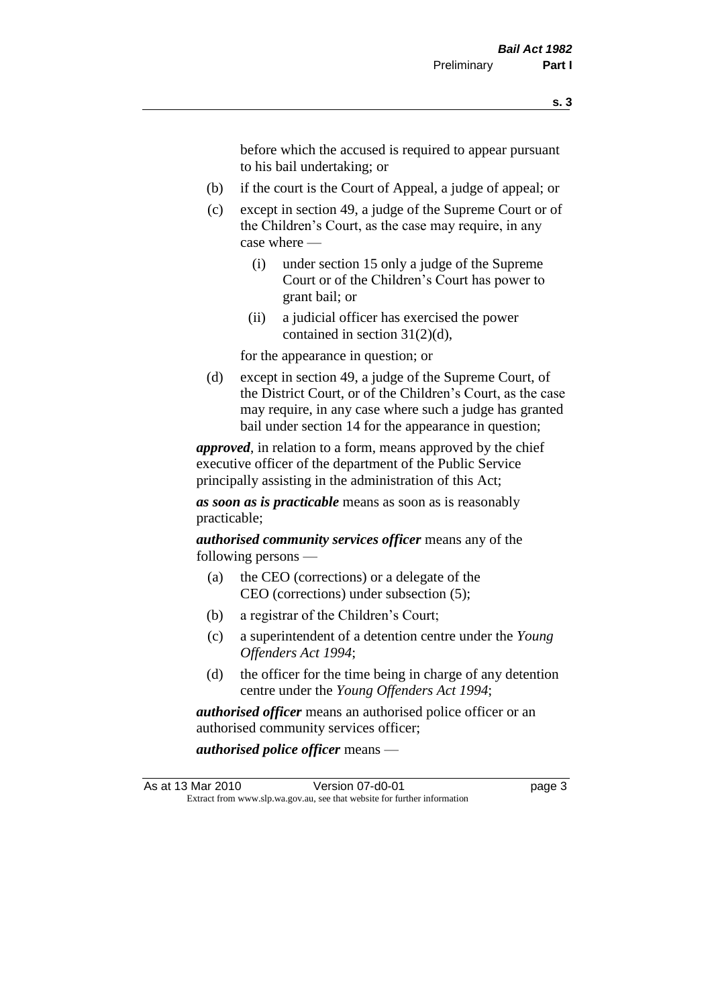before which the accused is required to appear pursuant to his bail undertaking; or

- (b) if the court is the Court of Appeal, a judge of appeal; or
- (c) except in section 49, a judge of the Supreme Court or of the Children's Court, as the case may require, in any case where —
	- (i) under section 15 only a judge of the Supreme Court or of the Children's Court has power to grant bail; or
	- (ii) a judicial officer has exercised the power contained in section 31(2)(d),

for the appearance in question; or

(d) except in section 49, a judge of the Supreme Court, of the District Court, or of the Children's Court, as the case may require, in any case where such a judge has granted bail under section 14 for the appearance in question;

*approved*, in relation to a form, means approved by the chief executive officer of the department of the Public Service principally assisting in the administration of this Act;

*as soon as is practicable* means as soon as is reasonably practicable;

*authorised community services officer* means any of the following persons —

- (a) the CEO (corrections) or a delegate of the CEO (corrections) under subsection (5);
- (b) a registrar of the Children's Court;
- (c) a superintendent of a detention centre under the *Young Offenders Act 1994*;
- (d) the officer for the time being in charge of any detention centre under the *Young Offenders Act 1994*;

*authorised officer* means an authorised police officer or an authorised community services officer;

*authorised police officer* means —

As at 13 Mar 2010 **Version 07-d0-01 Dage 3** Extract from www.slp.wa.gov.au, see that website for further information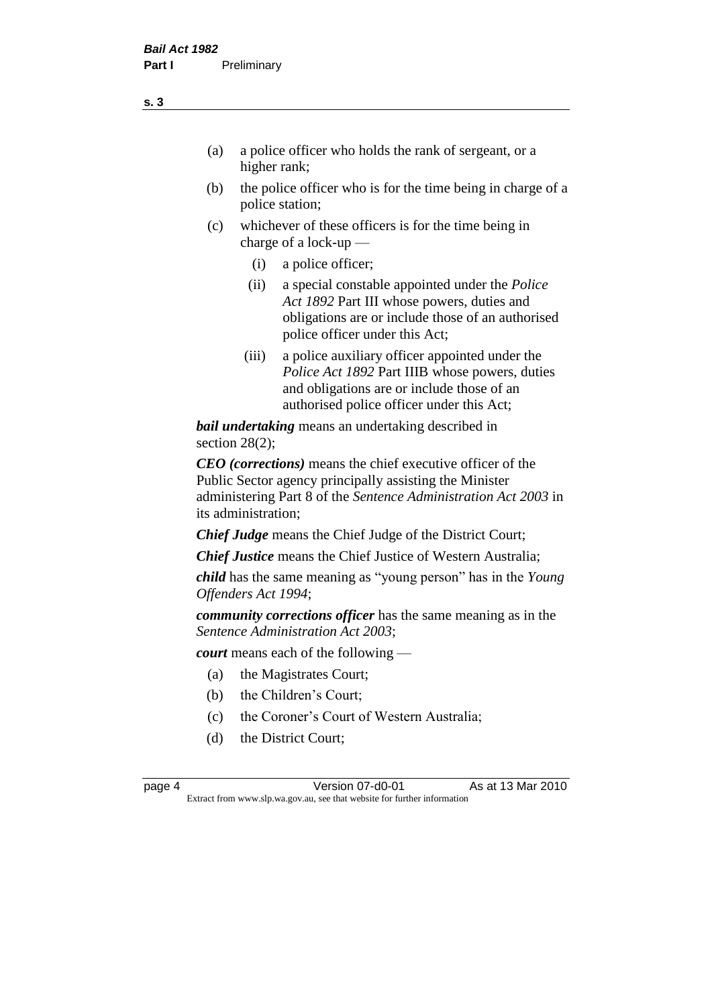- (a) a police officer who holds the rank of sergeant, or a higher rank;
- (b) the police officer who is for the time being in charge of a police station;
- (c) whichever of these officers is for the time being in charge of a lock-up —
	- (i) a police officer;
	- (ii) a special constable appointed under the *Police Act 1892* Part III whose powers, duties and obligations are or include those of an authorised police officer under this Act;
	- (iii) a police auxiliary officer appointed under the *Police Act 1892* Part IIIB whose powers, duties and obligations are or include those of an authorised police officer under this Act;

*bail undertaking* means an undertaking described in section 28(2);

*CEO (corrections)* means the chief executive officer of the Public Sector agency principally assisting the Minister administering Part 8 of the *Sentence Administration Act 2003* in its administration;

*Chief Judge* means the Chief Judge of the District Court;

*Chief Justice* means the Chief Justice of Western Australia;

*child* has the same meaning as "young person" has in the *Young Offenders Act 1994*;

*community corrections officer* has the same meaning as in the *Sentence Administration Act 2003*;

*court* means each of the following —

- (a) the Magistrates Court;
- (b) the Children's Court;
- (c) the Coroner's Court of Western Australia;
- (d) the District Court;

page 4 Version 07-d0-01 As at 13 Mar 2010 Extract from www.slp.wa.gov.au, see that website for further information

**s. 3**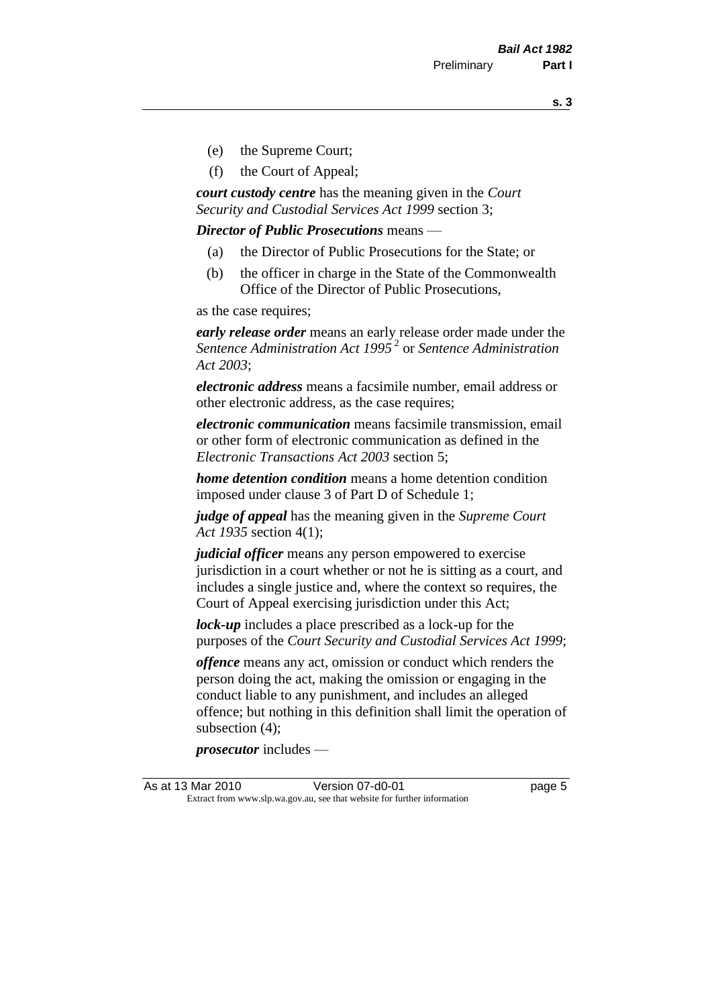**s. 3**

- (e) the Supreme Court;
- (f) the Court of Appeal;

*court custody centre* has the meaning given in the *Court Security and Custodial Services Act 1999* section 3;

*Director of Public Prosecutions* means —

- (a) the Director of Public Prosecutions for the State; or
- (b) the officer in charge in the State of the Commonwealth Office of the Director of Public Prosecutions,

as the case requires;

*early release order* means an early release order made under the *Sentence Administration Act 1995* <sup>2</sup> or *Sentence Administration Act 2003*;

*electronic address* means a facsimile number, email address or other electronic address, as the case requires;

*electronic communication* means facsimile transmission, email or other form of electronic communication as defined in the *Electronic Transactions Act 2003* section 5;

*home detention condition* means a home detention condition imposed under clause 3 of Part D of Schedule 1;

*judge of appeal* has the meaning given in the *Supreme Court Act 1935* section 4(1);

*judicial officer* means any person empowered to exercise jurisdiction in a court whether or not he is sitting as a court, and includes a single justice and, where the context so requires, the Court of Appeal exercising jurisdiction under this Act;

*lock-up* includes a place prescribed as a lock-up for the purposes of the *Court Security and Custodial Services Act 1999*;

*offence* means any act, omission or conduct which renders the person doing the act, making the omission or engaging in the conduct liable to any punishment, and includes an alleged offence; but nothing in this definition shall limit the operation of subsection (4);

*prosecutor* includes —

As at 13 Mar 2010 **Version 07-d0-01 Dage 5** Extract from www.slp.wa.gov.au, see that website for further information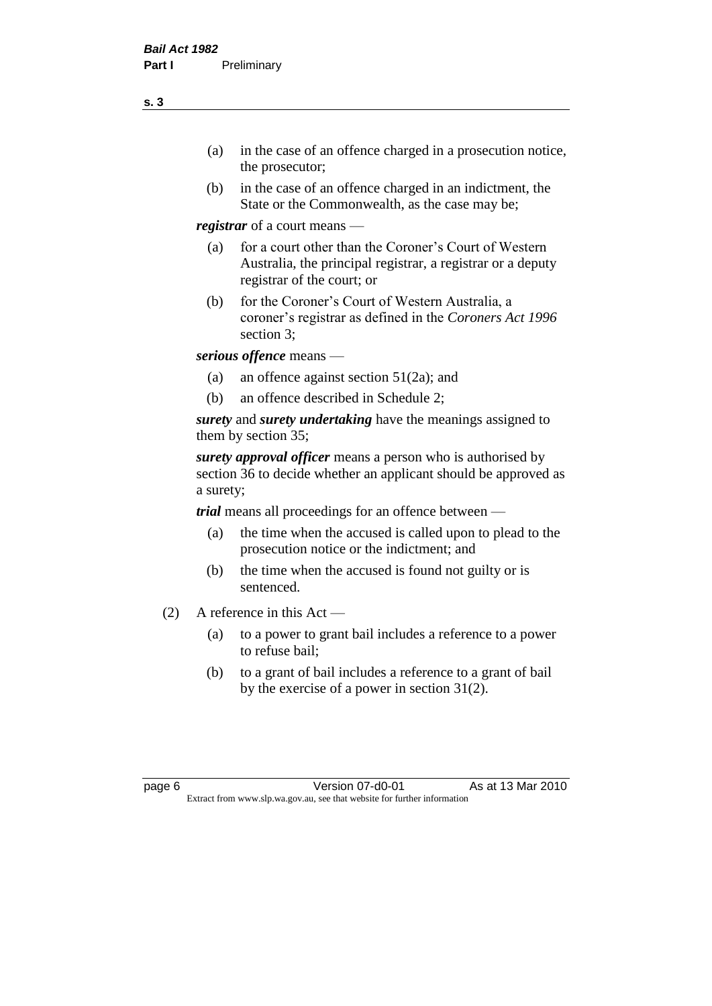- (a) in the case of an offence charged in a prosecution notice, the prosecutor;
- (b) in the case of an offence charged in an indictment, the State or the Commonwealth, as the case may be;

*registrar* of a court means —

- (a) for a court other than the Coroner's Court of Western Australia, the principal registrar, a registrar or a deputy registrar of the court; or
- (b) for the Coroner's Court of Western Australia, a coroner's registrar as defined in the *Coroners Act 1996* section 3;

*serious offence* means —

- (a) an offence against section 51(2a); and
- (b) an offence described in Schedule 2;

*surety* and *surety undertaking* have the meanings assigned to them by section 35;

*surety approval officer* means a person who is authorised by section 36 to decide whether an applicant should be approved as a surety;

*trial* means all proceedings for an offence between —

- (a) the time when the accused is called upon to plead to the prosecution notice or the indictment; and
- (b) the time when the accused is found not guilty or is sentenced.
- (2) A reference in this Act
	- (a) to a power to grant bail includes a reference to a power to refuse bail;
	- (b) to a grant of bail includes a reference to a grant of bail by the exercise of a power in section 31(2).

page 6 Version 07-d0-01 As at 13 Mar 2010 Extract from www.slp.wa.gov.au, see that website for further information

**s. 3**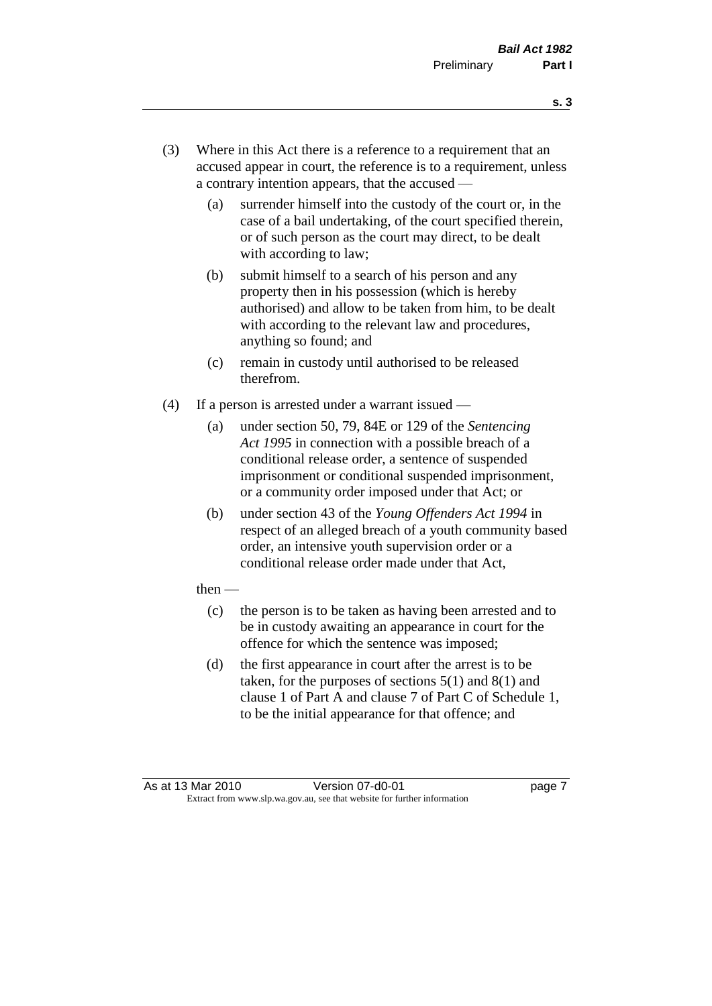- **s. 3**
- (3) Where in this Act there is a reference to a requirement that an accused appear in court, the reference is to a requirement, unless a contrary intention appears, that the accused —
	- (a) surrender himself into the custody of the court or, in the case of a bail undertaking, of the court specified therein, or of such person as the court may direct, to be dealt with according to law;
	- (b) submit himself to a search of his person and any property then in his possession (which is hereby authorised) and allow to be taken from him, to be dealt with according to the relevant law and procedures, anything so found; and
	- (c) remain in custody until authorised to be released therefrom.
- (4) If a person is arrested under a warrant issued
	- (a) under section 50, 79, 84E or 129 of the *Sentencing Act 1995* in connection with a possible breach of a conditional release order, a sentence of suspended imprisonment or conditional suspended imprisonment, or a community order imposed under that Act; or
	- (b) under section 43 of the *Young Offenders Act 1994* in respect of an alleged breach of a youth community based order, an intensive youth supervision order or a conditional release order made under that Act,
	- then
		- (c) the person is to be taken as having been arrested and to be in custody awaiting an appearance in court for the offence for which the sentence was imposed;
		- (d) the first appearance in court after the arrest is to be taken, for the purposes of sections  $5(1)$  and  $8(1)$  and clause 1 of Part A and clause 7 of Part C of Schedule 1, to be the initial appearance for that offence; and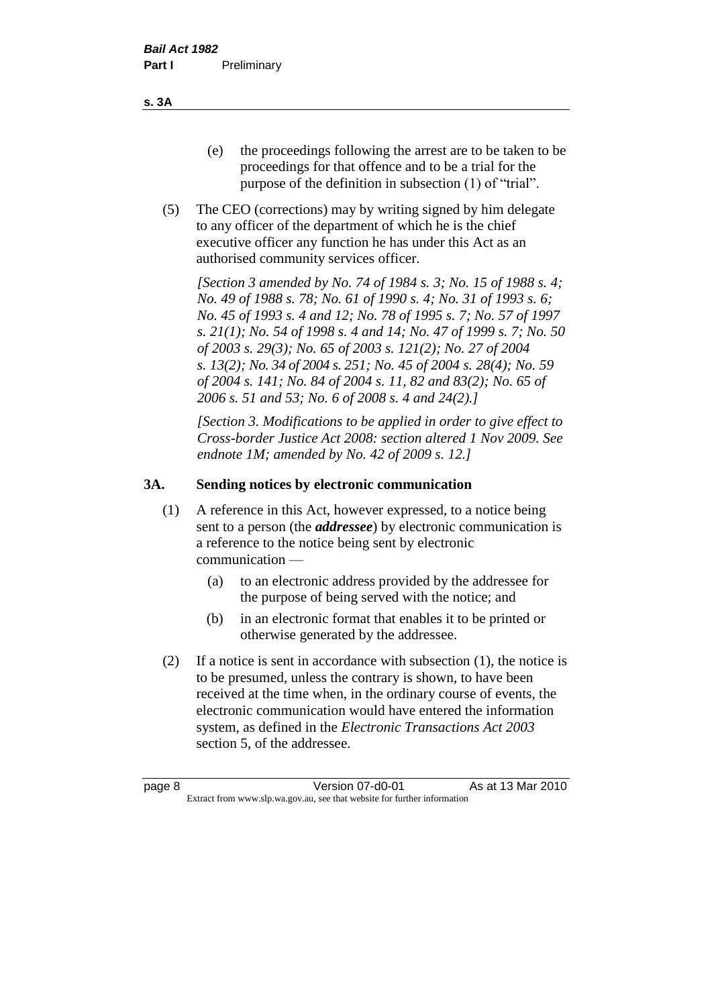- (e) the proceedings following the arrest are to be taken to be proceedings for that offence and to be a trial for the purpose of the definition in subsection (1) of "trial".
- (5) The CEO (corrections) may by writing signed by him delegate to any officer of the department of which he is the chief executive officer any function he has under this Act as an authorised community services officer.

*[Section 3 amended by No. 74 of 1984 s. 3; No. 15 of 1988 s. 4; No. 49 of 1988 s. 78; No. 61 of 1990 s. 4; No. 31 of 1993 s. 6; No. 45 of 1993 s. 4 and 12; No. 78 of 1995 s. 7; No. 57 of 1997 s. 21(1); No. 54 of 1998 s. 4 and 14; No. 47 of 1999 s. 7; No. 50 of 2003 s. 29(3); No. 65 of 2003 s. 121(2); No. 27 of 2004 s. 13(2); No. 34 of 2004 s. 251; No. 45 of 2004 s. 28(4); No. 59 of 2004 s. 141; No. 84 of 2004 s. 11, 82 and 83(2); No. 65 of 2006 s. 51 and 53; No. 6 of 2008 s. 4 and 24(2).]* 

*[Section 3. Modifications to be applied in order to give effect to Cross-border Justice Act 2008: section altered 1 Nov 2009. See endnote 1M; amended by No. 42 of 2009 s. 12.]*

#### **3A. Sending notices by electronic communication**

- (1) A reference in this Act, however expressed, to a notice being sent to a person (the *addressee*) by electronic communication is a reference to the notice being sent by electronic communication —
	- (a) to an electronic address provided by the addressee for the purpose of being served with the notice; and
	- (b) in an electronic format that enables it to be printed or otherwise generated by the addressee.
- (2) If a notice is sent in accordance with subsection (1), the notice is to be presumed, unless the contrary is shown, to have been received at the time when, in the ordinary course of events, the electronic communication would have entered the information system, as defined in the *Electronic Transactions Act 2003* section 5, of the addressee.

**s. 3A**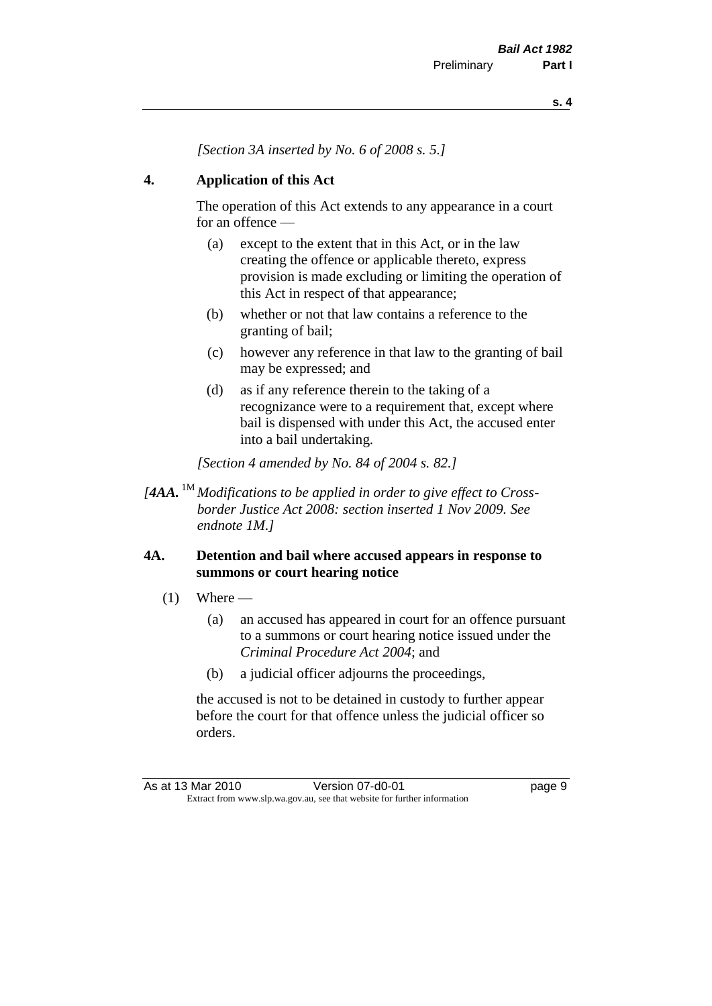*[Section 3A inserted by No. 6 of 2008 s. 5.]*

#### **4. Application of this Act**

The operation of this Act extends to any appearance in a court for an offence —

- (a) except to the extent that in this Act, or in the law creating the offence or applicable thereto, express provision is made excluding or limiting the operation of this Act in respect of that appearance;
- (b) whether or not that law contains a reference to the granting of bail;
- (c) however any reference in that law to the granting of bail may be expressed; and
- (d) as if any reference therein to the taking of a recognizance were to a requirement that, except where bail is dispensed with under this Act, the accused enter into a bail undertaking.

*[Section 4 amended by No. 84 of 2004 s. 82.]*

*[4AA.* 1M *Modifications to be applied in order to give effect to Crossborder Justice Act 2008: section inserted 1 Nov 2009. See endnote 1M.]*

#### **4A. Detention and bail where accused appears in response to summons or court hearing notice**

- $(1)$  Where
	- (a) an accused has appeared in court for an offence pursuant to a summons or court hearing notice issued under the *Criminal Procedure Act 2004*; and
	- (b) a judicial officer adjourns the proceedings,

the accused is not to be detained in custody to further appear before the court for that offence unless the judicial officer so orders.

As at 13 Mar 2010 Version 07-d0-01 Page 9 Extract from www.slp.wa.gov.au, see that website for further information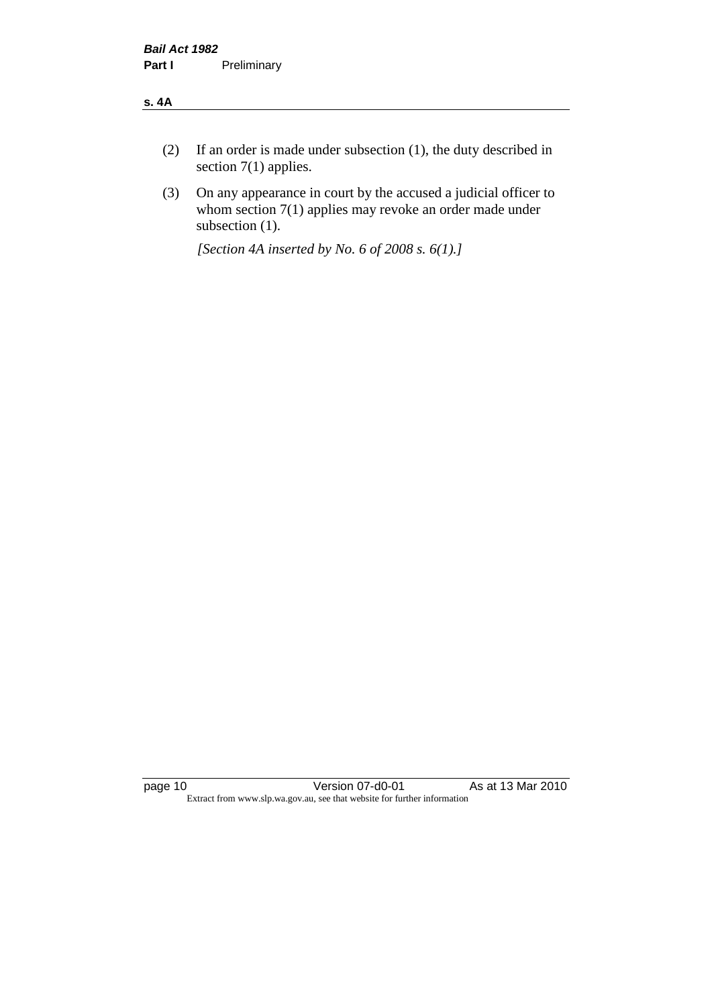#### **s. 4A**

- (2) If an order is made under subsection (1), the duty described in section 7(1) applies.
- (3) On any appearance in court by the accused a judicial officer to whom section 7(1) applies may revoke an order made under subsection (1).

*[Section 4A inserted by No. 6 of 2008 s. 6(1).]*

page 10 Version 07-d0-01 As at 13 Mar 2010 Extract from www.slp.wa.gov.au, see that website for further information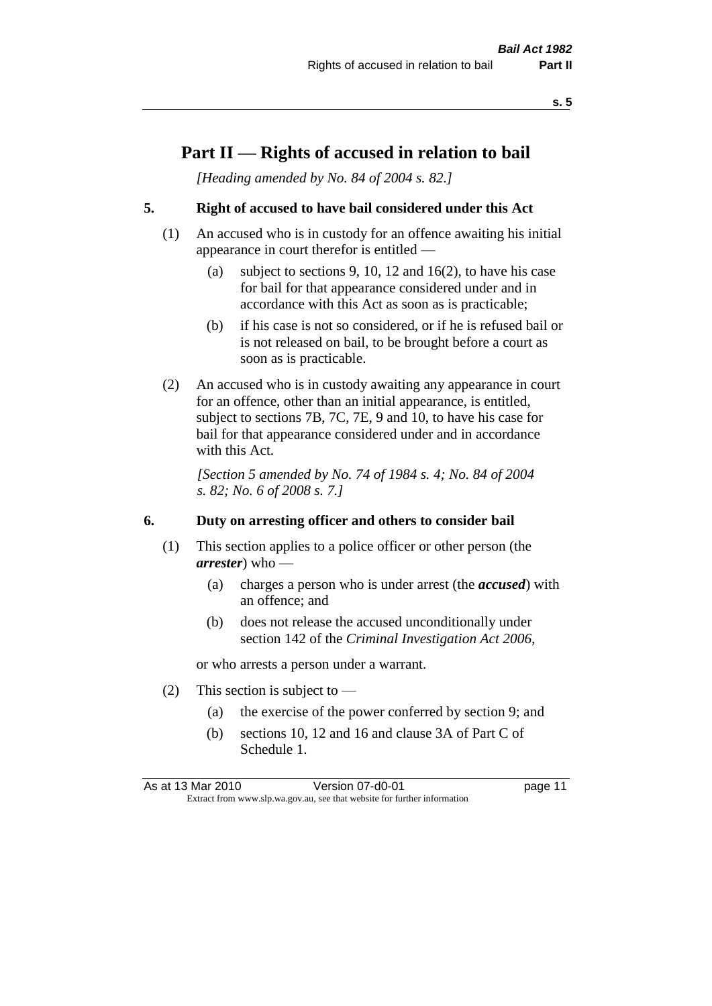### **Part II — Rights of accused in relation to bail**

*[Heading amended by No. 84 of 2004 s. 82.]* 

#### **5. Right of accused to have bail considered under this Act**

- (1) An accused who is in custody for an offence awaiting his initial appearance in court therefor is entitled —
	- (a) subject to sections 9, 10, 12 and 16(2), to have his case for bail for that appearance considered under and in accordance with this Act as soon as is practicable;
	- (b) if his case is not so considered, or if he is refused bail or is not released on bail, to be brought before a court as soon as is practicable.
- (2) An accused who is in custody awaiting any appearance in court for an offence, other than an initial appearance, is entitled, subject to sections 7B, 7C, 7E, 9 and 10, to have his case for bail for that appearance considered under and in accordance with this Act.

*[Section 5 amended by No. 74 of 1984 s. 4; No. 84 of 2004 s. 82; No. 6 of 2008 s. 7.]* 

#### **6. Duty on arresting officer and others to consider bail**

- (1) This section applies to a police officer or other person (the *arrester*) who —
	- (a) charges a person who is under arrest (the *accused*) with an offence; and
	- (b) does not release the accused unconditionally under section 142 of the *Criminal Investigation Act 2006*,

or who arrests a person under a warrant.

- (2) This section is subject to  $-$ 
	- (a) the exercise of the power conferred by section 9; and
	- (b) sections 10, 12 and 16 and clause 3A of Part C of Schedule 1.

As at 13 Mar 2010 **Version 07-d0-01 Dage 11** Extract from www.slp.wa.gov.au, see that website for further information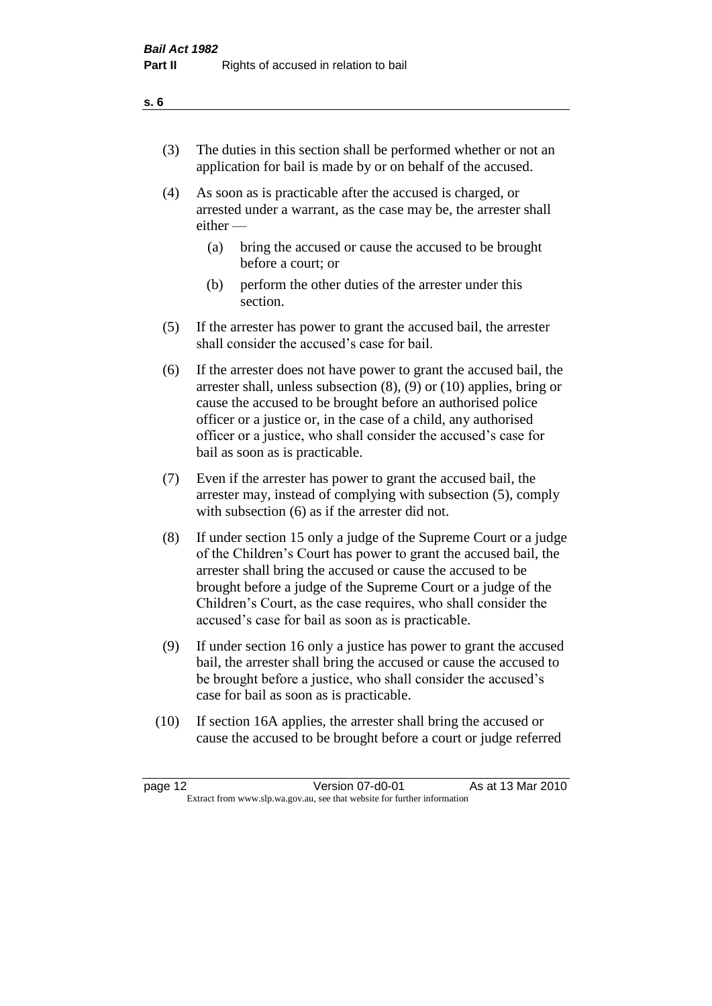- (3) The duties in this section shall be performed whether or not an application for bail is made by or on behalf of the accused.
- (4) As soon as is practicable after the accused is charged, or arrested under a warrant, as the case may be, the arrester shall either —
	- (a) bring the accused or cause the accused to be brought before a court; or
	- (b) perform the other duties of the arrester under this section.
- (5) If the arrester has power to grant the accused bail, the arrester shall consider the accused's case for bail.
- (6) If the arrester does not have power to grant the accused bail, the arrester shall, unless subsection (8), (9) or (10) applies, bring or cause the accused to be brought before an authorised police officer or a justice or, in the case of a child, any authorised officer or a justice, who shall consider the accused's case for bail as soon as is practicable.
- (7) Even if the arrester has power to grant the accused bail, the arrester may, instead of complying with subsection (5), comply with subsection (6) as if the arrester did not.
- (8) If under section 15 only a judge of the Supreme Court or a judge of the Children's Court has power to grant the accused bail, the arrester shall bring the accused or cause the accused to be brought before a judge of the Supreme Court or a judge of the Children's Court, as the case requires, who shall consider the accused's case for bail as soon as is practicable.
- (9) If under section 16 only a justice has power to grant the accused bail, the arrester shall bring the accused or cause the accused to be brought before a justice, who shall consider the accused's case for bail as soon as is practicable.
- (10) If section 16A applies, the arrester shall bring the accused or cause the accused to be brought before a court or judge referred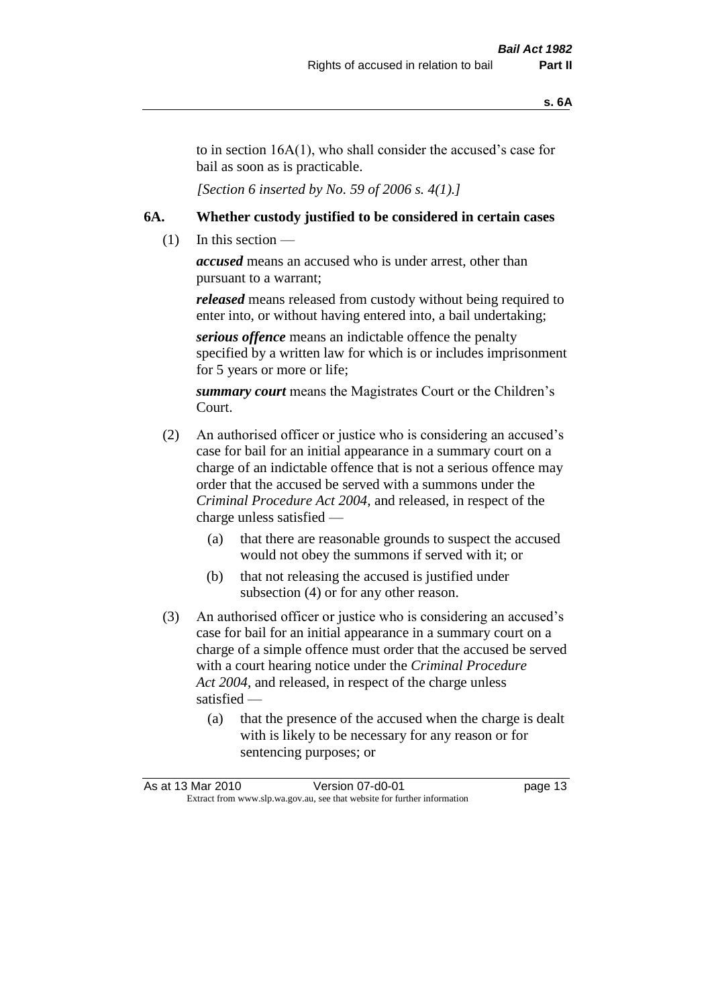to in section 16A(1), who shall consider the accused's case for bail as soon as is practicable.

*[Section 6 inserted by No. 59 of 2006 s. 4(1).]* 

#### **6A. Whether custody justified to be considered in certain cases**

 $(1)$  In this section —

*accused* means an accused who is under arrest, other than pursuant to a warrant;

*released* means released from custody without being required to enter into, or without having entered into, a bail undertaking;

*serious offence* means an indictable offence the penalty specified by a written law for which is or includes imprisonment for 5 years or more or life;

*summary court* means the Magistrates Court or the Children's Court.

- (2) An authorised officer or justice who is considering an accused's case for bail for an initial appearance in a summary court on a charge of an indictable offence that is not a serious offence may order that the accused be served with a summons under the *Criminal Procedure Act 2004*, and released, in respect of the charge unless satisfied —
	- (a) that there are reasonable grounds to suspect the accused would not obey the summons if served with it; or
	- (b) that not releasing the accused is justified under subsection (4) or for any other reason.
- (3) An authorised officer or justice who is considering an accused's case for bail for an initial appearance in a summary court on a charge of a simple offence must order that the accused be served with a court hearing notice under the *Criminal Procedure Act 2004*, and released, in respect of the charge unless satisfied —
	- (a) that the presence of the accused when the charge is dealt with is likely to be necessary for any reason or for sentencing purposes; or

|                                                                          | As at 13 Mar 2010 | Version 07-d0-01 | page 13 |
|--------------------------------------------------------------------------|-------------------|------------------|---------|
| Extract from www.slp.wa.gov.au, see that website for further information |                   |                  |         |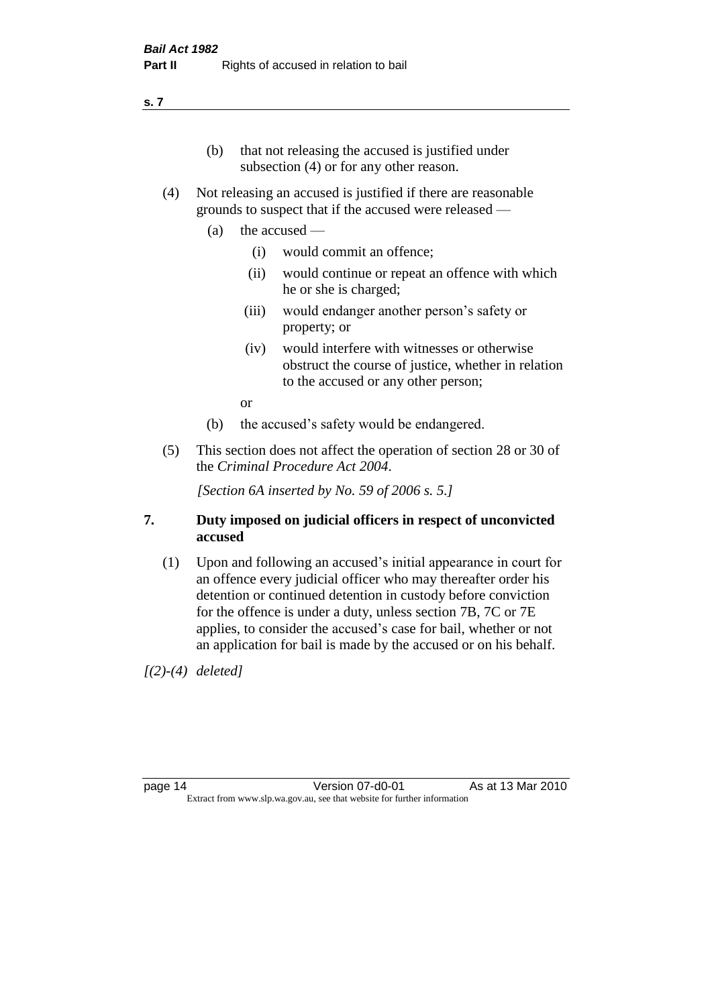#### **s. 7**

- (b) that not releasing the accused is justified under subsection (4) or for any other reason.
- (4) Not releasing an accused is justified if there are reasonable grounds to suspect that if the accused were released —
	- (a) the accused
		- (i) would commit an offence;
		- (ii) would continue or repeat an offence with which he or she is charged;
		- (iii) would endanger another person's safety or property; or
		- (iv) would interfere with witnesses or otherwise obstruct the course of justice, whether in relation to the accused or any other person;

or

- (b) the accused's safety would be endangered.
- (5) This section does not affect the operation of section 28 or 30 of the *Criminal Procedure Act 2004*.

*[Section 6A inserted by No. 59 of 2006 s. 5.]* 

#### **7. Duty imposed on judicial officers in respect of unconvicted accused**

(1) Upon and following an accused's initial appearance in court for an offence every judicial officer who may thereafter order his detention or continued detention in custody before conviction for the offence is under a duty, unless section 7B, 7C or 7E applies, to consider the accused's case for bail, whether or not an application for bail is made by the accused or on his behalf.

*[(2)-(4) deleted]*

page 14 Version 07-d0-01 As at 13 Mar 2010 Extract from www.slp.wa.gov.au, see that website for further information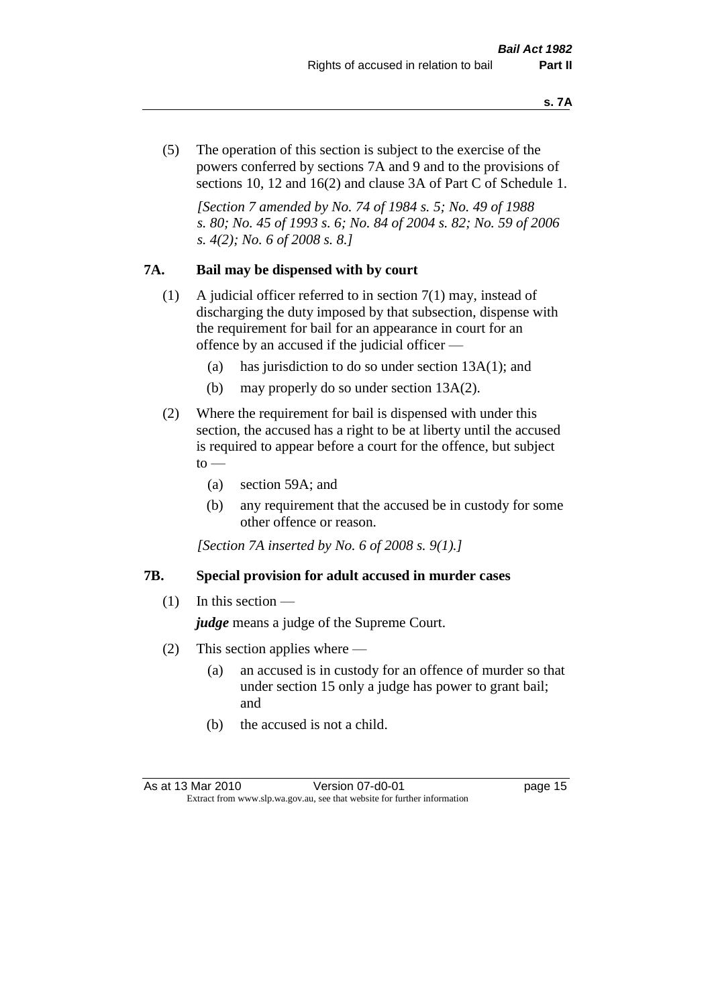(5) The operation of this section is subject to the exercise of the powers conferred by sections 7A and 9 and to the provisions of sections 10, 12 and 16(2) and clause 3A of Part C of Schedule 1.

*[Section 7 amended by No. 74 of 1984 s. 5; No. 49 of 1988 s. 80; No. 45 of 1993 s. 6; No. 84 of 2004 s. 82; No. 59 of 2006 s. 4(2); No. 6 of 2008 s. 8.]* 

#### **7A. Bail may be dispensed with by court**

- (1) A judicial officer referred to in section 7(1) may, instead of discharging the duty imposed by that subsection, dispense with the requirement for bail for an appearance in court for an offence by an accused if the judicial officer —
	- (a) has jurisdiction to do so under section 13A(1); and
	- (b) may properly do so under section 13A(2).
- (2) Where the requirement for bail is dispensed with under this section, the accused has a right to be at liberty until the accused is required to appear before a court for the offence, but subject  $\mathrm{to}$  —
	- (a) section 59A; and
	- (b) any requirement that the accused be in custody for some other offence or reason.

*[Section 7A inserted by No. 6 of 2008 s. 9(1).]*

#### **7B. Special provision for adult accused in murder cases**

 $(1)$  In this section —

*judge* means a judge of the Supreme Court.

- (2) This section applies where
	- (a) an accused is in custody for an offence of murder so that under section 15 only a judge has power to grant bail; and
	- (b) the accused is not a child.

As at 13 Mar 2010 **Version 07-d0-01 Dage 15** Extract from www.slp.wa.gov.au, see that website for further information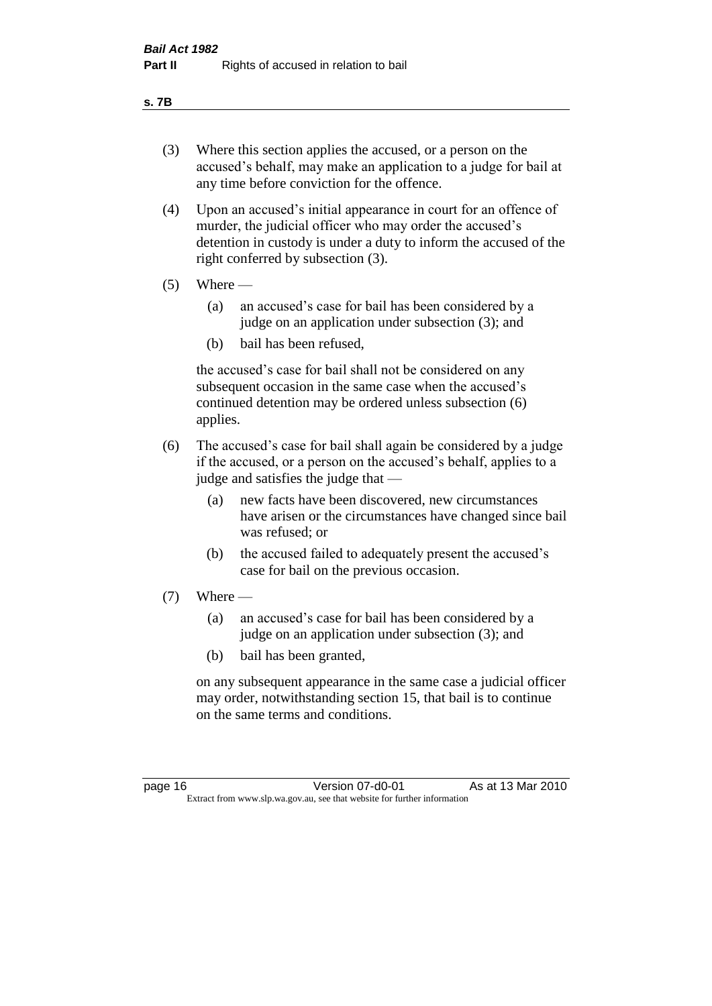#### **s. 7B**

- (3) Where this section applies the accused, or a person on the accused's behalf, may make an application to a judge for bail at any time before conviction for the offence.
- (4) Upon an accused's initial appearance in court for an offence of murder, the judicial officer who may order the accused's detention in custody is under a duty to inform the accused of the right conferred by subsection (3).
- $(5)$  Where
	- (a) an accused's case for bail has been considered by a judge on an application under subsection (3); and
	- (b) bail has been refused,

the accused's case for bail shall not be considered on any subsequent occasion in the same case when the accused's continued detention may be ordered unless subsection (6) applies.

- (6) The accused's case for bail shall again be considered by a judge if the accused, or a person on the accused's behalf, applies to a judge and satisfies the judge that —
	- (a) new facts have been discovered, new circumstances have arisen or the circumstances have changed since bail was refused; or
	- (b) the accused failed to adequately present the accused's case for bail on the previous occasion.
- $(7)$  Where
	- (a) an accused's case for bail has been considered by a judge on an application under subsection (3); and
	- (b) bail has been granted,

on any subsequent appearance in the same case a judicial officer may order, notwithstanding section 15, that bail is to continue on the same terms and conditions.

page 16 **Version 07-d0-01** As at 13 Mar 2010 Extract from www.slp.wa.gov.au, see that website for further information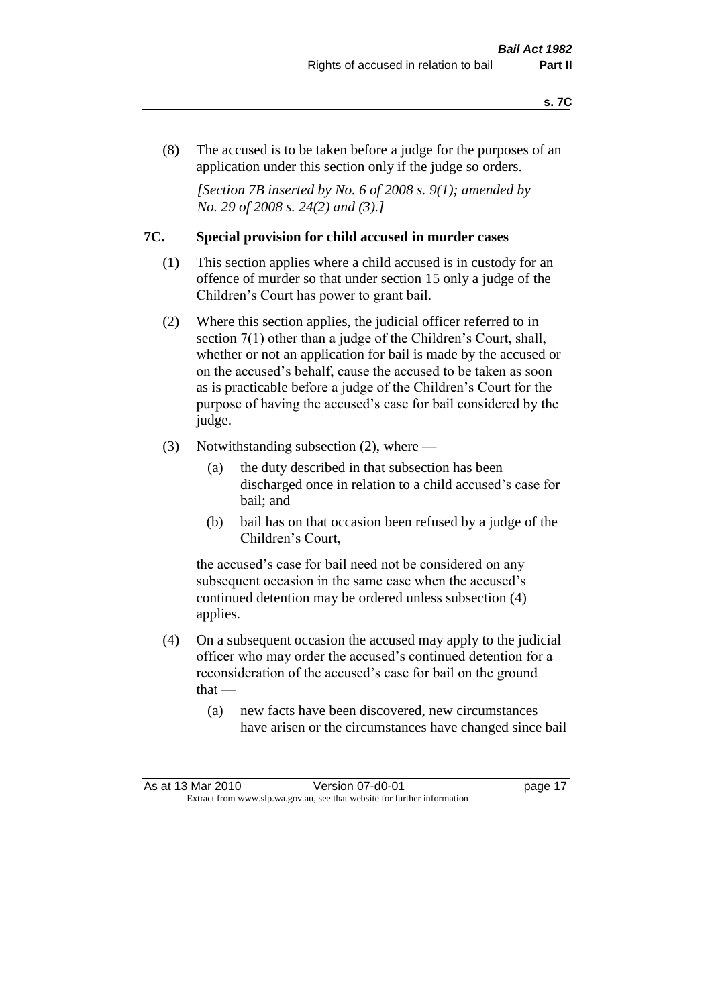(8) The accused is to be taken before a judge for the purposes of an application under this section only if the judge so orders.

*[Section 7B inserted by No. 6 of 2008 s. 9(1); amended by No. 29 of 2008 s. 24(2) and (3).]*

#### **7C. Special provision for child accused in murder cases**

- (1) This section applies where a child accused is in custody for an offence of murder so that under section 15 only a judge of the Children's Court has power to grant bail.
- (2) Where this section applies, the judicial officer referred to in section 7(1) other than a judge of the Children's Court, shall, whether or not an application for bail is made by the accused or on the accused's behalf, cause the accused to be taken as soon as is practicable before a judge of the Children's Court for the purpose of having the accused's case for bail considered by the judge.
- (3) Notwithstanding subsection (2), where
	- (a) the duty described in that subsection has been discharged once in relation to a child accused's case for bail; and
	- (b) bail has on that occasion been refused by a judge of the Children's Court,

the accused's case for bail need not be considered on any subsequent occasion in the same case when the accused's continued detention may be ordered unless subsection (4) applies.

- (4) On a subsequent occasion the accused may apply to the judicial officer who may order the accused's continued detention for a reconsideration of the accused's case for bail on the ground  $that -$ 
	- (a) new facts have been discovered, new circumstances have arisen or the circumstances have changed since bail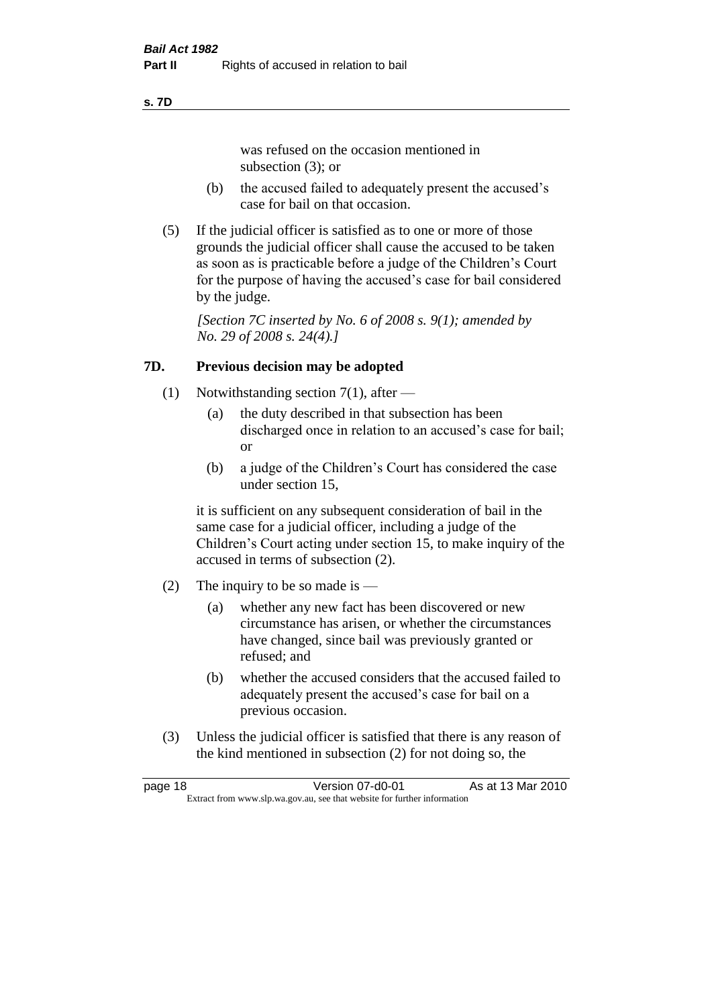#### **s. 7D**

was refused on the occasion mentioned in subsection (3); or

- (b) the accused failed to adequately present the accused's case for bail on that occasion.
- (5) If the judicial officer is satisfied as to one or more of those grounds the judicial officer shall cause the accused to be taken as soon as is practicable before a judge of the Children's Court for the purpose of having the accused's case for bail considered by the judge.

*[Section 7C inserted by No. 6 of 2008 s. 9(1); amended by No. 29 of 2008 s. 24(4).]*

#### **7D. Previous decision may be adopted**

- (1) Notwithstanding section 7(1), after
	- (a) the duty described in that subsection has been discharged once in relation to an accused's case for bail; or
	- (b) a judge of the Children's Court has considered the case under section 15,

it is sufficient on any subsequent consideration of bail in the same case for a judicial officer, including a judge of the Children's Court acting under section 15, to make inquiry of the accused in terms of subsection (2).

- (2) The inquiry to be so made is  $-$ 
	- (a) whether any new fact has been discovered or new circumstance has arisen, or whether the circumstances have changed, since bail was previously granted or refused; and
	- (b) whether the accused considers that the accused failed to adequately present the accused's case for bail on a previous occasion.
- (3) Unless the judicial officer is satisfied that there is any reason of the kind mentioned in subsection (2) for not doing so, the

page 18 **Version 07-d0-01** As at 13 Mar 2010 Extract from www.slp.wa.gov.au, see that website for further information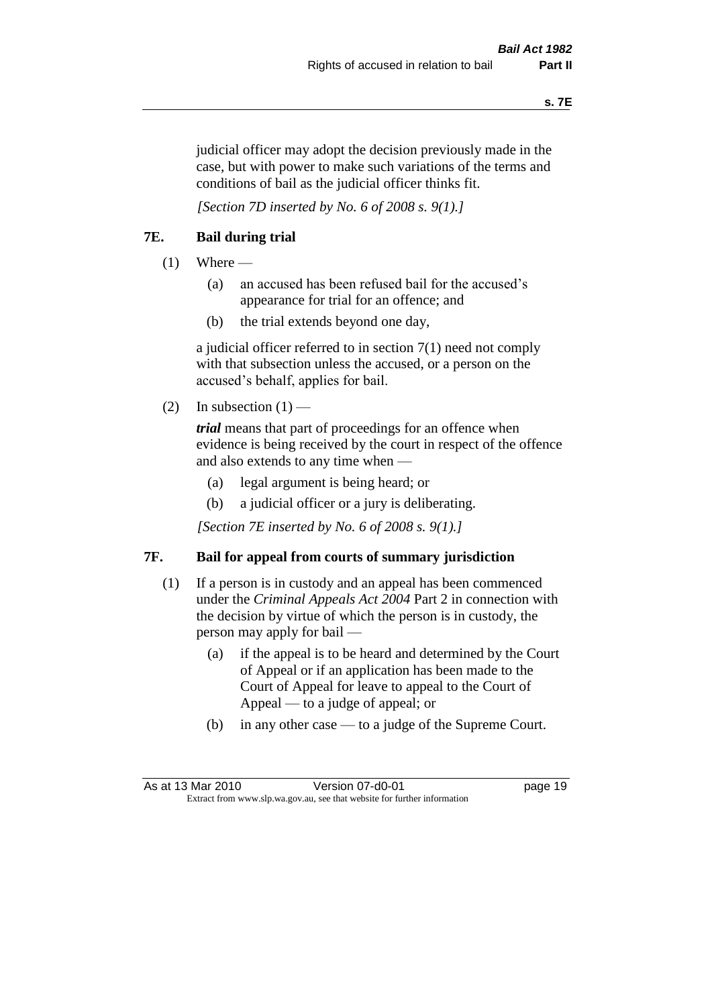judicial officer may adopt the decision previously made in the case, but with power to make such variations of the terms and conditions of bail as the judicial officer thinks fit.

*[Section 7D inserted by No. 6 of 2008 s. 9(1).]*

#### **7E. Bail during trial**

- $(1)$  Where
	- (a) an accused has been refused bail for the accused's appearance for trial for an offence; and
	- (b) the trial extends beyond one day,

a judicial officer referred to in section 7(1) need not comply with that subsection unless the accused, or a person on the accused's behalf, applies for bail.

(2) In subsection  $(1)$  —

*trial* means that part of proceedings for an offence when evidence is being received by the court in respect of the offence and also extends to any time when —

- (a) legal argument is being heard; or
- (b) a judicial officer or a jury is deliberating.

*[Section 7E inserted by No. 6 of 2008 s. 9(1).]*

#### **7F. Bail for appeal from courts of summary jurisdiction**

- (1) If a person is in custody and an appeal has been commenced under the *Criminal Appeals Act 2004* Part 2 in connection with the decision by virtue of which the person is in custody, the person may apply for bail —
	- (a) if the appeal is to be heard and determined by the Court of Appeal or if an application has been made to the Court of Appeal for leave to appeal to the Court of Appeal — to a judge of appeal; or
	- (b) in any other case to a judge of the Supreme Court.

As at 13 Mar 2010 **Version 07-d0-01 Dage 19** Extract from www.slp.wa.gov.au, see that website for further information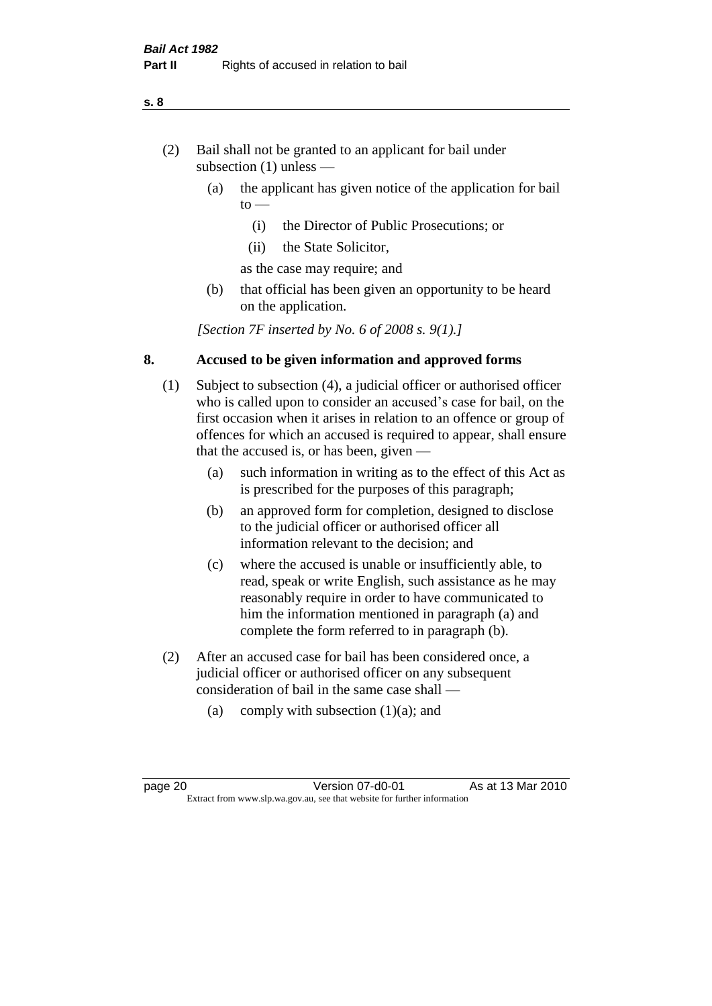- (2) Bail shall not be granted to an applicant for bail under subsection (1) unless —
	- (a) the applicant has given notice of the application for bail  $to -$ 
		- (i) the Director of Public Prosecutions; or
		- (ii) the State Solicitor,
		- as the case may require; and
	- (b) that official has been given an opportunity to be heard on the application.

*[Section 7F inserted by No. 6 of 2008 s. 9(1).]*

#### **8. Accused to be given information and approved forms**

- (1) Subject to subsection (4), a judicial officer or authorised officer who is called upon to consider an accused's case for bail, on the first occasion when it arises in relation to an offence or group of offences for which an accused is required to appear, shall ensure that the accused is, or has been, given —
	- (a) such information in writing as to the effect of this Act as is prescribed for the purposes of this paragraph;
	- (b) an approved form for completion, designed to disclose to the judicial officer or authorised officer all information relevant to the decision; and
	- (c) where the accused is unable or insufficiently able, to read, speak or write English, such assistance as he may reasonably require in order to have communicated to him the information mentioned in paragraph (a) and complete the form referred to in paragraph (b).
- (2) After an accused case for bail has been considered once, a judicial officer or authorised officer on any subsequent consideration of bail in the same case shall —
	- (a) comply with subsection  $(1)(a)$ ; and

**s. 8**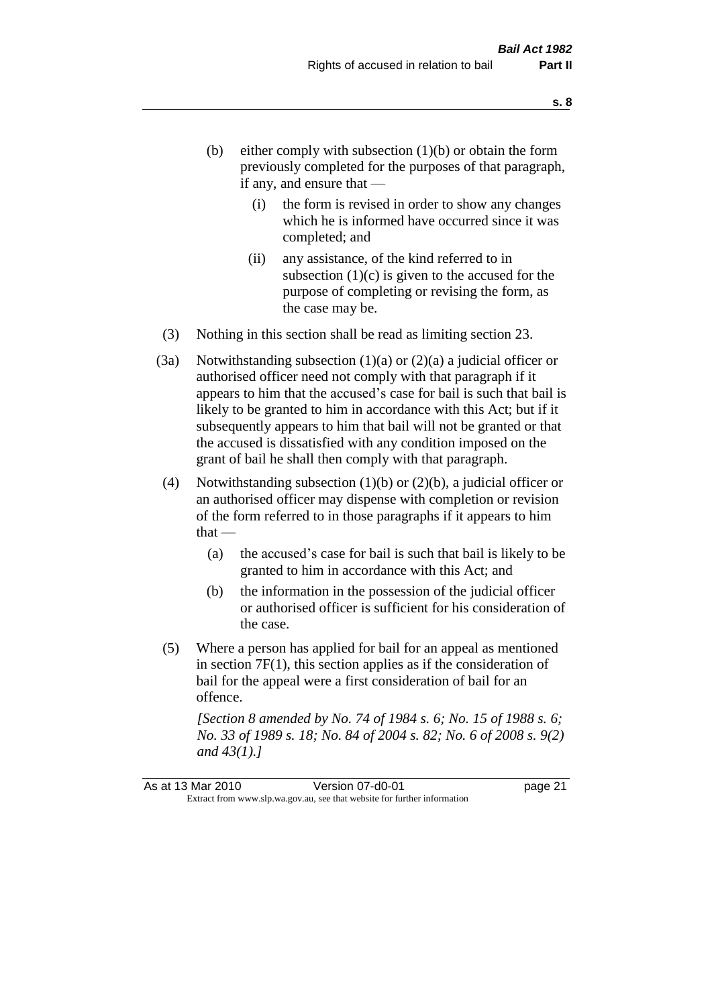- (b) either comply with subsection  $(1)(b)$  or obtain the form previously completed for the purposes of that paragraph, if any, and ensure that —
	- (i) the form is revised in order to show any changes which he is informed have occurred since it was completed; and
	- (ii) any assistance, of the kind referred to in subsection  $(1)(c)$  is given to the accused for the purpose of completing or revising the form, as the case may be.
- (3) Nothing in this section shall be read as limiting section 23.
- (3a) Notwithstanding subsection  $(1)(a)$  or  $(2)(a)$  a judicial officer or authorised officer need not comply with that paragraph if it appears to him that the accused's case for bail is such that bail is likely to be granted to him in accordance with this Act; but if it subsequently appears to him that bail will not be granted or that the accused is dissatisfied with any condition imposed on the grant of bail he shall then comply with that paragraph.
- (4) Notwithstanding subsection (1)(b) or (2)(b), a judicial officer or an authorised officer may dispense with completion or revision of the form referred to in those paragraphs if it appears to him  $that -$ 
	- (a) the accused's case for bail is such that bail is likely to be granted to him in accordance with this Act; and
	- (b) the information in the possession of the judicial officer or authorised officer is sufficient for his consideration of the case.
- (5) Where a person has applied for bail for an appeal as mentioned in section 7F(1), this section applies as if the consideration of bail for the appeal were a first consideration of bail for an offence.

*[Section 8 amended by No. 74 of 1984 s. 6; No. 15 of 1988 s. 6; No. 33 of 1989 s. 18; No. 84 of 2004 s. 82; No. 6 of 2008 s. 9(2) and 43(1).]*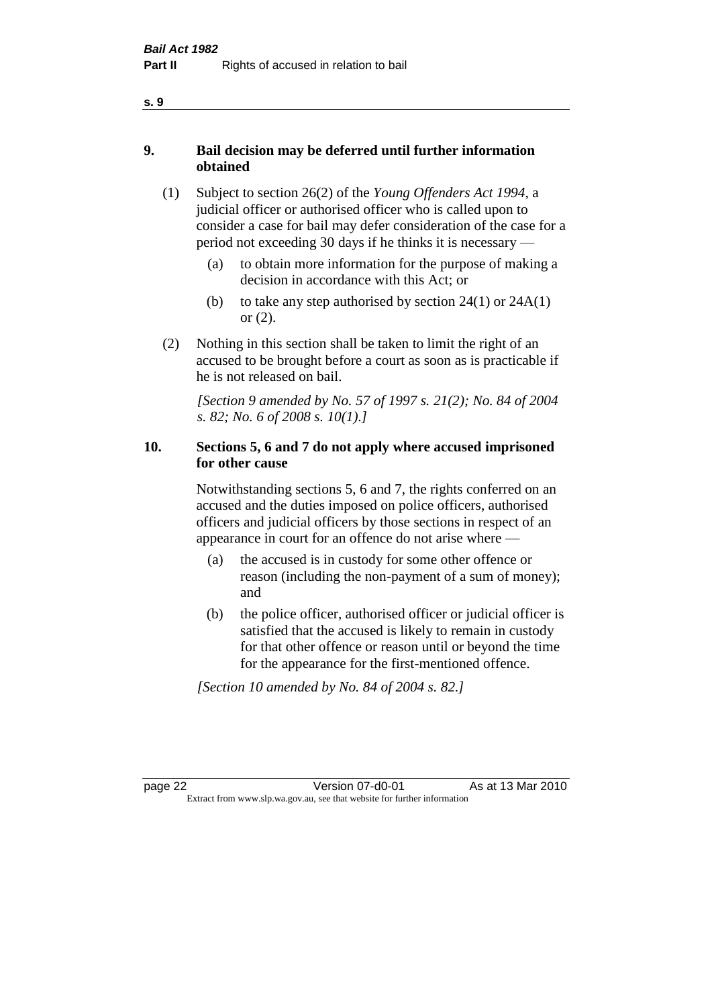- **9. Bail decision may be deferred until further information obtained**
	- (1) Subject to section 26(2) of the *Young Offenders Act 1994*, a judicial officer or authorised officer who is called upon to consider a case for bail may defer consideration of the case for a period not exceeding 30 days if he thinks it is necessary —
		- (a) to obtain more information for the purpose of making a decision in accordance with this Act; or
		- (b) to take any step authorised by section  $24(1)$  or  $24A(1)$ or (2).
	- (2) Nothing in this section shall be taken to limit the right of an accused to be brought before a court as soon as is practicable if he is not released on bail.

*[Section 9 amended by No. 57 of 1997 s. 21(2); No. 84 of 2004 s. 82; No. 6 of 2008 s. 10(1).]*

#### **10. Sections 5, 6 and 7 do not apply where accused imprisoned for other cause**

Notwithstanding sections 5, 6 and 7, the rights conferred on an accused and the duties imposed on police officers, authorised officers and judicial officers by those sections in respect of an appearance in court for an offence do not arise where —

- (a) the accused is in custody for some other offence or reason (including the non-payment of a sum of money); and
- (b) the police officer, authorised officer or judicial officer is satisfied that the accused is likely to remain in custody for that other offence or reason until or beyond the time for the appearance for the first-mentioned offence.

*[Section 10 amended by No. 84 of 2004 s. 82.]*

page 22 Version 07-d0-01 As at 13 Mar 2010 Extract from www.slp.wa.gov.au, see that website for further information

#### **s. 9**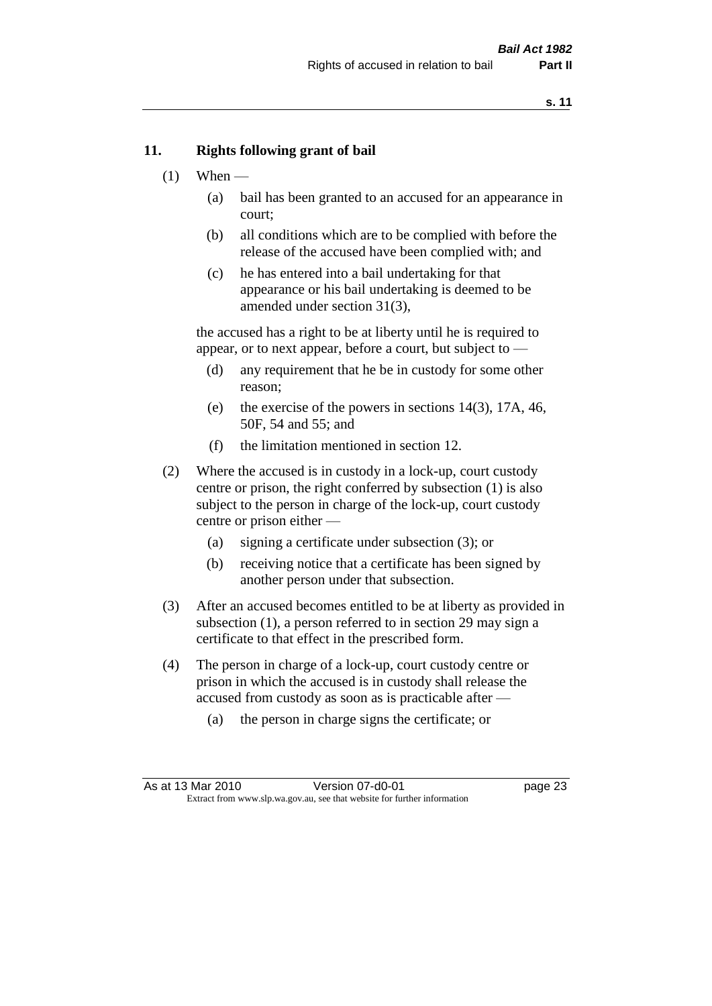#### **11. Rights following grant of bail**

- $(1)$  When
	- (a) bail has been granted to an accused for an appearance in court;
	- (b) all conditions which are to be complied with before the release of the accused have been complied with; and
	- (c) he has entered into a bail undertaking for that appearance or his bail undertaking is deemed to be amended under section 31(3),

the accused has a right to be at liberty until he is required to appear, or to next appear, before a court, but subject to —

- (d) any requirement that he be in custody for some other reason;
- (e) the exercise of the powers in sections 14(3), 17A, 46, 50F, 54 and 55; and
- (f) the limitation mentioned in section 12.
- (2) Where the accused is in custody in a lock-up, court custody centre or prison, the right conferred by subsection (1) is also subject to the person in charge of the lock-up, court custody centre or prison either —
	- (a) signing a certificate under subsection (3); or
	- (b) receiving notice that a certificate has been signed by another person under that subsection.
- (3) After an accused becomes entitled to be at liberty as provided in subsection (1), a person referred to in section 29 may sign a certificate to that effect in the prescribed form.
- (4) The person in charge of a lock-up, court custody centre or prison in which the accused is in custody shall release the accused from custody as soon as is practicable after —
	- (a) the person in charge signs the certificate; or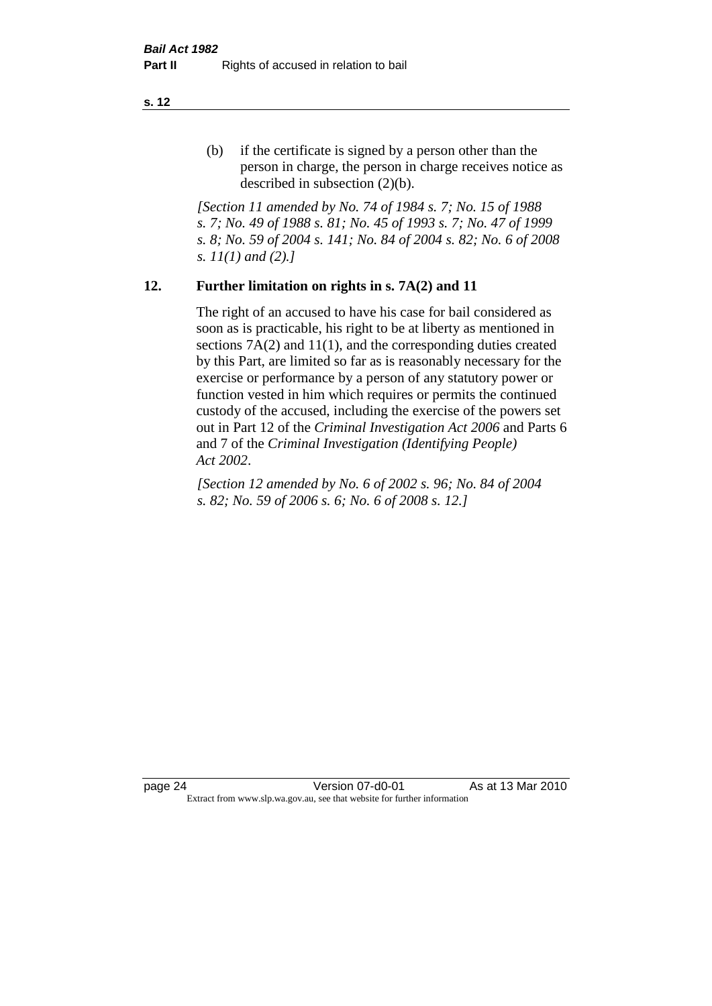(b) if the certificate is signed by a person other than the person in charge, the person in charge receives notice as described in subsection (2)(b).

*[Section 11 amended by No. 74 of 1984 s. 7; No. 15 of 1988 s. 7; No. 49 of 1988 s. 81; No. 45 of 1993 s. 7; No. 47 of 1999 s. 8; No. 59 of 2004 s. 141; No. 84 of 2004 s. 82; No. 6 of 2008 s. 11(1) and (2).]* 

#### **12. Further limitation on rights in s. 7A(2) and 11**

The right of an accused to have his case for bail considered as soon as is practicable, his right to be at liberty as mentioned in sections 7A(2) and 11(1), and the corresponding duties created by this Part, are limited so far as is reasonably necessary for the exercise or performance by a person of any statutory power or function vested in him which requires or permits the continued custody of the accused, including the exercise of the powers set out in Part 12 of the *Criminal Investigation Act 2006* and Parts 6 and 7 of the *Criminal Investigation (Identifying People) Act 2002*.

*[Section 12 amended by No. 6 of 2002 s. 96; No. 84 of 2004 s. 82; No. 59 of 2006 s. 6; No. 6 of 2008 s. 12.]*

page 24 Version 07-d0-01 As at 13 Mar 2010 Extract from www.slp.wa.gov.au, see that website for further information

**s. 12**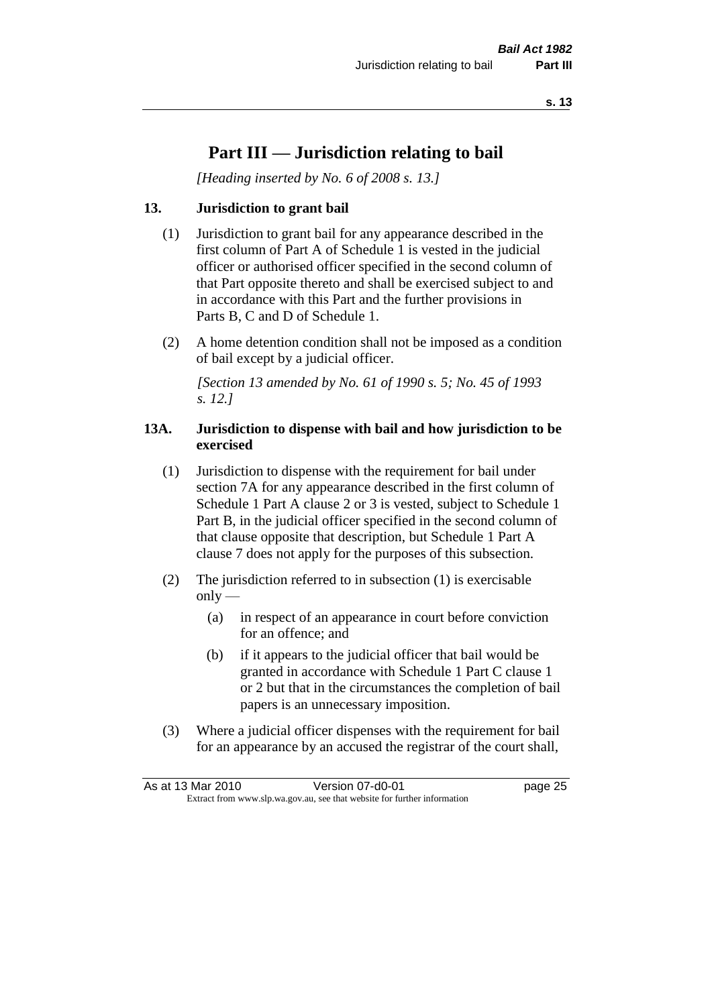## **Part III — Jurisdiction relating to bail**

*[Heading inserted by No. 6 of 2008 s. 13.]*

#### **13. Jurisdiction to grant bail**

- (1) Jurisdiction to grant bail for any appearance described in the first column of Part A of Schedule 1 is vested in the judicial officer or authorised officer specified in the second column of that Part opposite thereto and shall be exercised subject to and in accordance with this Part and the further provisions in Parts B, C and D of Schedule 1.
- (2) A home detention condition shall not be imposed as a condition of bail except by a judicial officer.

*[Section 13 amended by No. 61 of 1990 s. 5; No. 45 of 1993 s. 12.]* 

#### **13A. Jurisdiction to dispense with bail and how jurisdiction to be exercised**

- (1) Jurisdiction to dispense with the requirement for bail under section 7A for any appearance described in the first column of Schedule 1 Part A clause 2 or 3 is vested, subject to Schedule 1 Part B, in the judicial officer specified in the second column of that clause opposite that description, but Schedule 1 Part A clause 7 does not apply for the purposes of this subsection.
- (2) The jurisdiction referred to in subsection (1) is exercisable  $only$ —
	- (a) in respect of an appearance in court before conviction for an offence; and
	- (b) if it appears to the judicial officer that bail would be granted in accordance with Schedule 1 Part C clause 1 or 2 but that in the circumstances the completion of bail papers is an unnecessary imposition.
- (3) Where a judicial officer dispenses with the requirement for bail for an appearance by an accused the registrar of the court shall,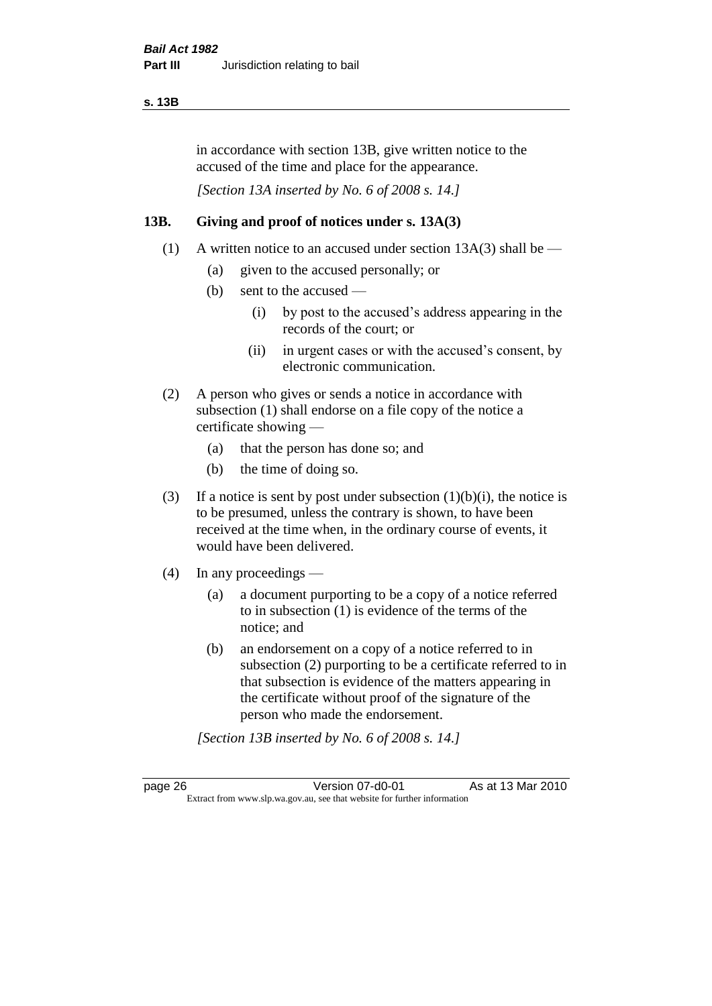#### **s. 13B**

in accordance with section 13B, give written notice to the accused of the time and place for the appearance.

*[Section 13A inserted by No. 6 of 2008 s. 14.]*

#### **13B. Giving and proof of notices under s. 13A(3)**

- (1) A written notice to an accused under section 13A(3) shall be
	- (a) given to the accused personally; or
	- (b) sent to the accused
		- (i) by post to the accused's address appearing in the records of the court; or
		- (ii) in urgent cases or with the accused's consent, by electronic communication.
- (2) A person who gives or sends a notice in accordance with subsection (1) shall endorse on a file copy of the notice a certificate showing —
	- (a) that the person has done so; and
	- (b) the time of doing so.
- (3) If a notice is sent by post under subsection  $(1)(b)(i)$ , the notice is to be presumed, unless the contrary is shown, to have been received at the time when, in the ordinary course of events, it would have been delivered.
- (4) In any proceedings
	- (a) a document purporting to be a copy of a notice referred to in subsection (1) is evidence of the terms of the notice; and
	- (b) an endorsement on a copy of a notice referred to in subsection (2) purporting to be a certificate referred to in that subsection is evidence of the matters appearing in the certificate without proof of the signature of the person who made the endorsement.

*[Section 13B inserted by No. 6 of 2008 s. 14.]*

page 26 Version 07-d0-01 As at 13 Mar 2010 Extract from www.slp.wa.gov.au, see that website for further information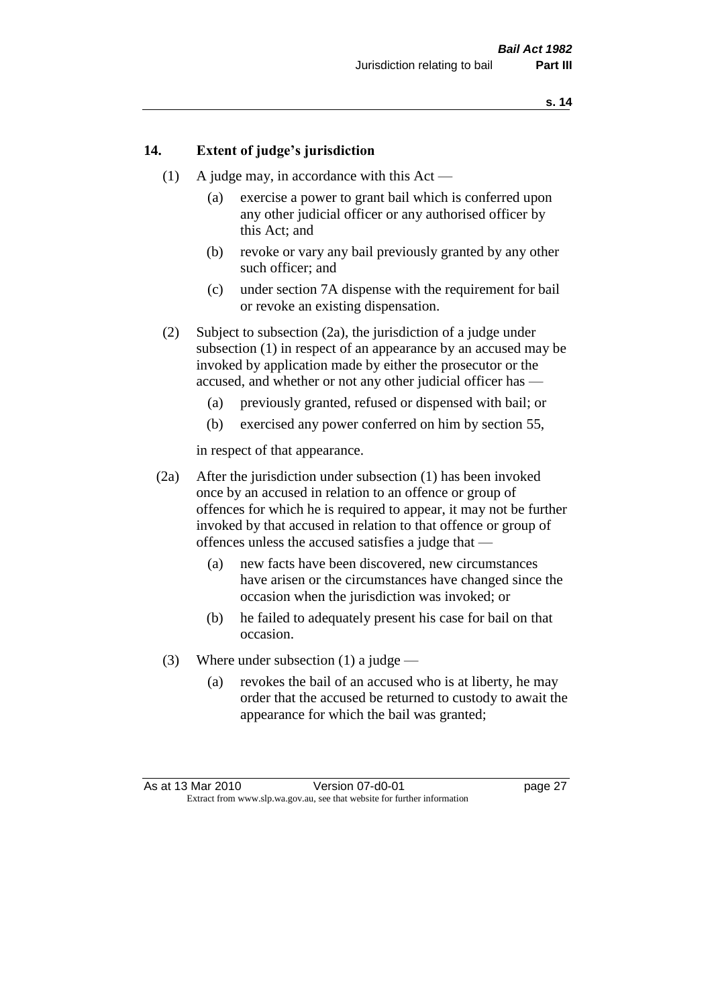#### **14. Extent of judge's jurisdiction**

- (1) A judge may, in accordance with this Act
	- (a) exercise a power to grant bail which is conferred upon any other judicial officer or any authorised officer by this Act; and
	- (b) revoke or vary any bail previously granted by any other such officer; and
	- (c) under section 7A dispense with the requirement for bail or revoke an existing dispensation.
- (2) Subject to subsection (2a), the jurisdiction of a judge under subsection (1) in respect of an appearance by an accused may be invoked by application made by either the prosecutor or the accused, and whether or not any other judicial officer has —
	- (a) previously granted, refused or dispensed with bail; or
	- (b) exercised any power conferred on him by section 55,

in respect of that appearance.

- (2a) After the jurisdiction under subsection (1) has been invoked once by an accused in relation to an offence or group of offences for which he is required to appear, it may not be further invoked by that accused in relation to that offence or group of offences unless the accused satisfies a judge that —
	- (a) new facts have been discovered, new circumstances have arisen or the circumstances have changed since the occasion when the jurisdiction was invoked; or
	- (b) he failed to adequately present his case for bail on that occasion.
- (3) Where under subsection (1) a judge
	- (a) revokes the bail of an accused who is at liberty, he may order that the accused be returned to custody to await the appearance for which the bail was granted;

As at 13 Mar 2010 Version 07-d0-01 page 27 Extract from www.slp.wa.gov.au, see that website for further information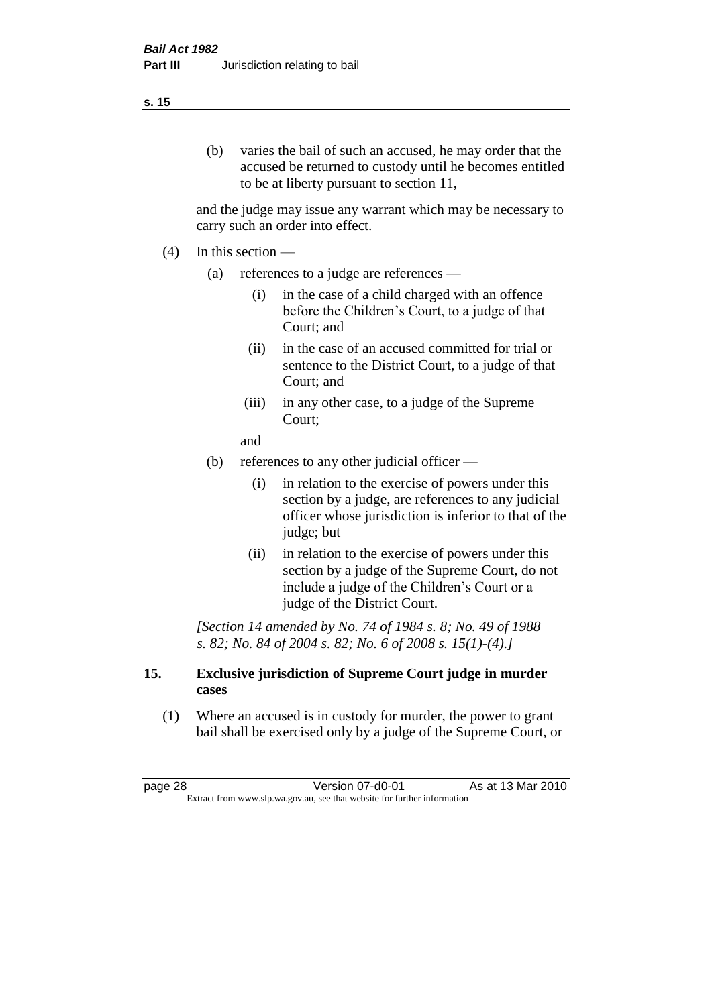#### **s. 15**

(b) varies the bail of such an accused, he may order that the accused be returned to custody until he becomes entitled to be at liberty pursuant to section 11,

and the judge may issue any warrant which may be necessary to carry such an order into effect.

- $(4)$  In this section
	- (a) references to a judge are references
		- (i) in the case of a child charged with an offence before the Children's Court, to a judge of that Court; and
		- (ii) in the case of an accused committed for trial or sentence to the District Court, to a judge of that Court; and
		- (iii) in any other case, to a judge of the Supreme Court;

and

- (b) references to any other judicial officer
	- (i) in relation to the exercise of powers under this section by a judge, are references to any judicial officer whose jurisdiction is inferior to that of the judge; but
	- (ii) in relation to the exercise of powers under this section by a judge of the Supreme Court, do not include a judge of the Children's Court or a judge of the District Court.

*[Section 14 amended by No. 74 of 1984 s. 8; No. 49 of 1988 s. 82; No. 84 of 2004 s. 82; No. 6 of 2008 s. 15(1)-(4).]* 

#### **15. Exclusive jurisdiction of Supreme Court judge in murder cases**

(1) Where an accused is in custody for murder, the power to grant bail shall be exercised only by a judge of the Supreme Court, or

page 28 Version 07-d0-01 As at 13 Mar 2010 Extract from www.slp.wa.gov.au, see that website for further information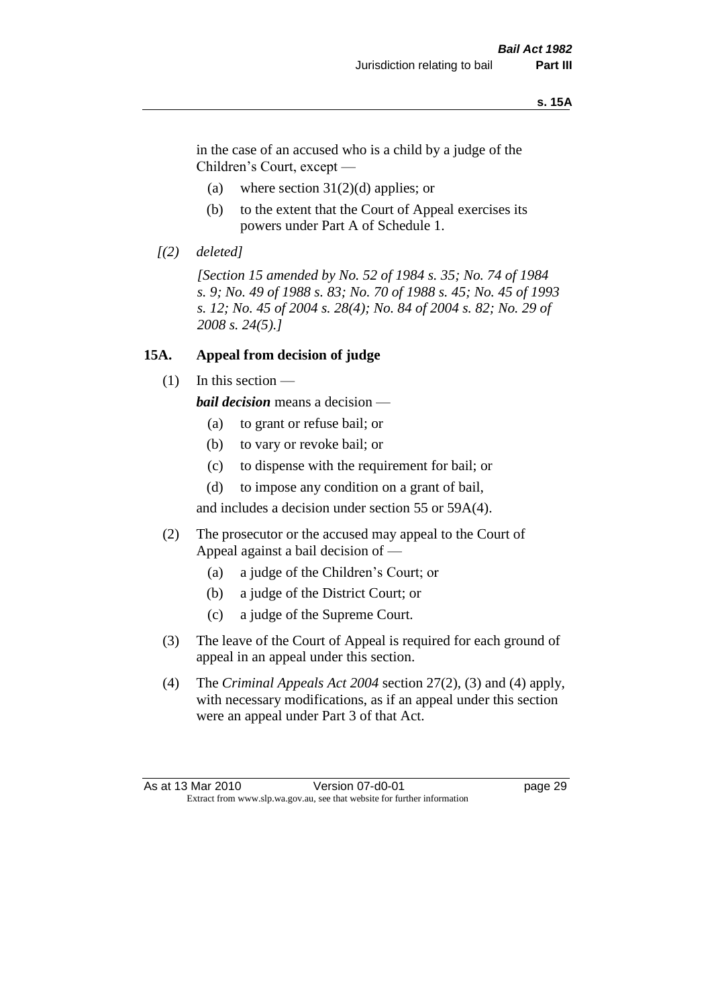#### **s. 15A**

in the case of an accused who is a child by a judge of the Children's Court, except —

- (a) where section  $31(2)(d)$  applies; or
- (b) to the extent that the Court of Appeal exercises its powers under Part A of Schedule 1.
- *[(2) deleted]*

*[Section 15 amended by No. 52 of 1984 s. 35; No. 74 of 1984 s. 9; No. 49 of 1988 s. 83; No. 70 of 1988 s. 45; No. 45 of 1993 s. 12; No. 45 of 2004 s. 28(4); No. 84 of 2004 s. 82; No. 29 of 2008 s. 24(5).]* 

#### **15A. Appeal from decision of judge**

(1) In this section —

*bail decision* means a decision —

- (a) to grant or refuse bail; or
- (b) to vary or revoke bail; or
- (c) to dispense with the requirement for bail; or
- (d) to impose any condition on a grant of bail,

and includes a decision under section 55 or 59A(4).

- (2) The prosecutor or the accused may appeal to the Court of Appeal against a bail decision of —
	- (a) a judge of the Children's Court; or
	- (b) a judge of the District Court; or
	- (c) a judge of the Supreme Court.
- (3) The leave of the Court of Appeal is required for each ground of appeal in an appeal under this section.
- (4) The *Criminal Appeals Act 2004* section 27(2), (3) and (4) apply, with necessary modifications, as if an appeal under this section were an appeal under Part 3 of that Act.

As at 13 Mar 2010 **Version 07-d0-01 Dage 29** Extract from www.slp.wa.gov.au, see that website for further information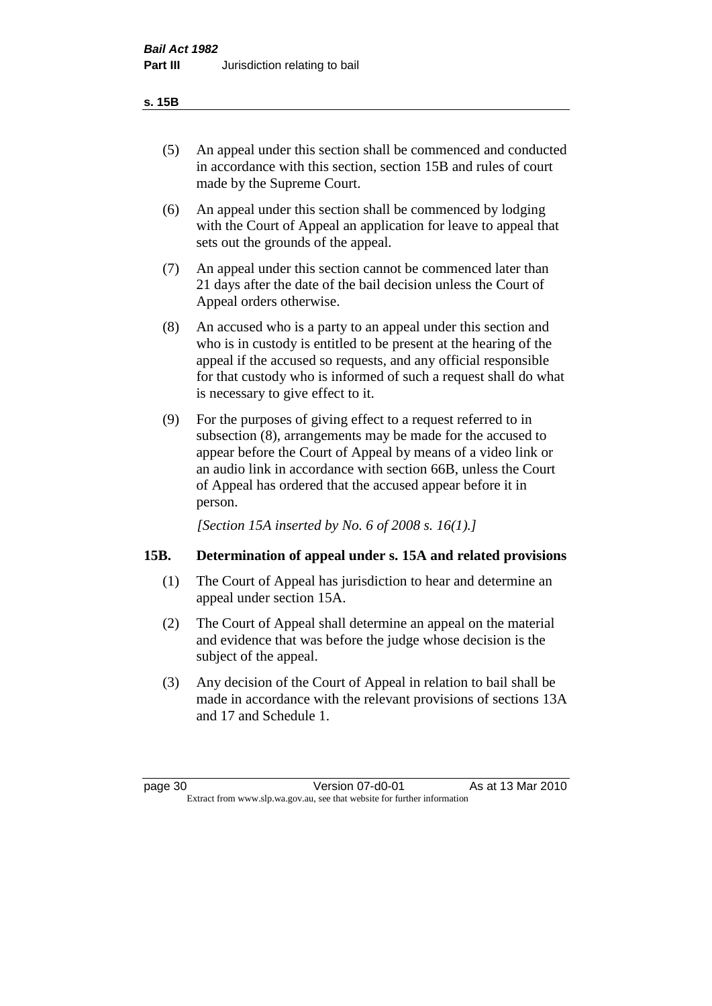#### **s. 15B**

- (5) An appeal under this section shall be commenced and conducted in accordance with this section, section 15B and rules of court made by the Supreme Court.
- (6) An appeal under this section shall be commenced by lodging with the Court of Appeal an application for leave to appeal that sets out the grounds of the appeal.
- (7) An appeal under this section cannot be commenced later than 21 days after the date of the bail decision unless the Court of Appeal orders otherwise.
- (8) An accused who is a party to an appeal under this section and who is in custody is entitled to be present at the hearing of the appeal if the accused so requests, and any official responsible for that custody who is informed of such a request shall do what is necessary to give effect to it.
- (9) For the purposes of giving effect to a request referred to in subsection (8), arrangements may be made for the accused to appear before the Court of Appeal by means of a video link or an audio link in accordance with section 66B, unless the Court of Appeal has ordered that the accused appear before it in person.

*[Section 15A inserted by No. 6 of 2008 s. 16(1).]*

# **15B. Determination of appeal under s. 15A and related provisions**

- (1) The Court of Appeal has jurisdiction to hear and determine an appeal under section 15A.
- (2) The Court of Appeal shall determine an appeal on the material and evidence that was before the judge whose decision is the subject of the appeal.
- (3) Any decision of the Court of Appeal in relation to bail shall be made in accordance with the relevant provisions of sections 13A and 17 and Schedule 1.

page 30 Version 07-d0-01 As at 13 Mar 2010 Extract from www.slp.wa.gov.au, see that website for further information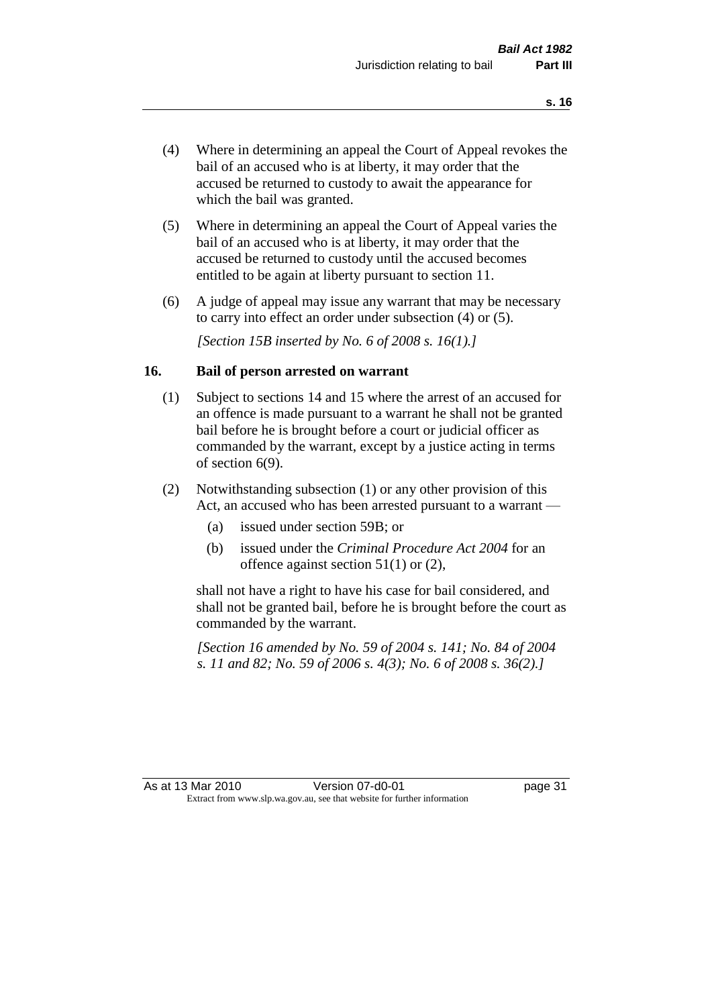- (4) Where in determining an appeal the Court of Appeal revokes the bail of an accused who is at liberty, it may order that the accused be returned to custody to await the appearance for which the bail was granted.
- (5) Where in determining an appeal the Court of Appeal varies the bail of an accused who is at liberty, it may order that the accused be returned to custody until the accused becomes entitled to be again at liberty pursuant to section 11.
- (6) A judge of appeal may issue any warrant that may be necessary to carry into effect an order under subsection (4) or (5).

*[Section 15B inserted by No. 6 of 2008 s. 16(1).]*

#### **16. Bail of person arrested on warrant**

- (1) Subject to sections 14 and 15 where the arrest of an accused for an offence is made pursuant to a warrant he shall not be granted bail before he is brought before a court or judicial officer as commanded by the warrant, except by a justice acting in terms of section 6(9).
- (2) Notwithstanding subsection (1) or any other provision of this Act, an accused who has been arrested pursuant to a warrant —
	- (a) issued under section 59B; or
	- (b) issued under the *Criminal Procedure Act 2004* for an offence against section 51(1) or (2),

shall not have a right to have his case for bail considered, and shall not be granted bail, before he is brought before the court as commanded by the warrant.

*[Section 16 amended by No. 59 of 2004 s. 141; No. 84 of 2004 s. 11 and 82; No. 59 of 2006 s. 4(3); No. 6 of 2008 s. 36(2).]*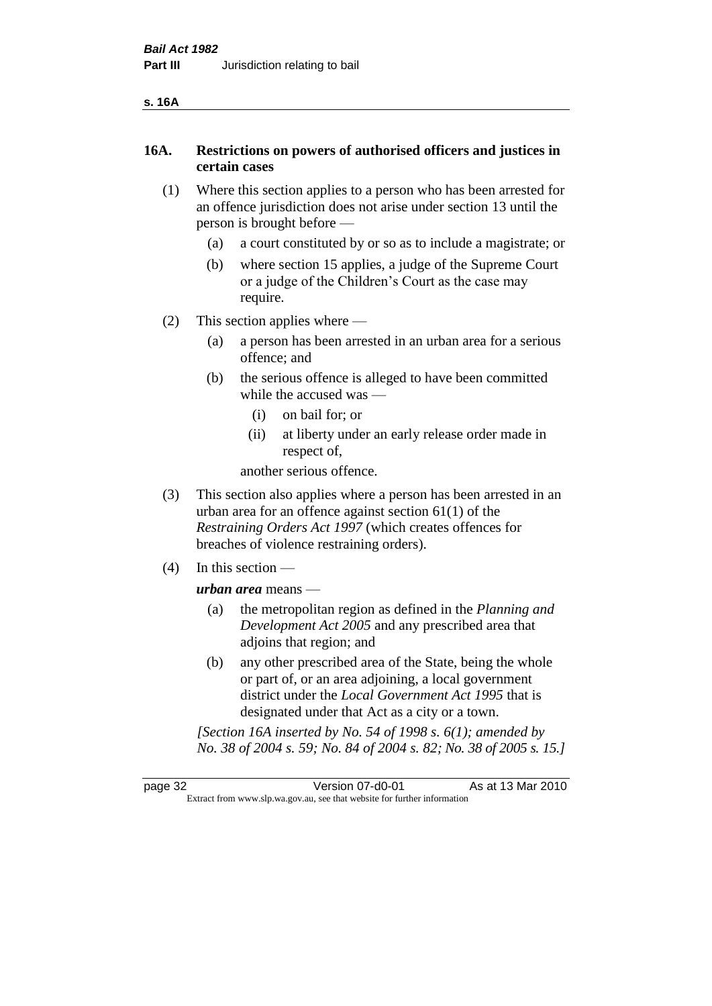| ۰, | ۰. |
|----|----|
|----|----|

# **16A. Restrictions on powers of authorised officers and justices in certain cases**

- (1) Where this section applies to a person who has been arrested for an offence jurisdiction does not arise under section 13 until the person is brought before —
	- (a) a court constituted by or so as to include a magistrate; or
	- (b) where section 15 applies, a judge of the Supreme Court or a judge of the Children's Court as the case may require.
- (2) This section applies where
	- (a) a person has been arrested in an urban area for a serious offence; and
	- (b) the serious offence is alleged to have been committed while the accused was —
		- (i) on bail for; or
		- (ii) at liberty under an early release order made in respect of,

another serious offence.

- (3) This section also applies where a person has been arrested in an urban area for an offence against section 61(1) of the *Restraining Orders Act 1997* (which creates offences for breaches of violence restraining orders).
- (4) In this section —

*urban area* means —

- (a) the metropolitan region as defined in the *Planning and Development Act 2005* and any prescribed area that adjoins that region; and
- (b) any other prescribed area of the State, being the whole or part of, or an area adjoining, a local government district under the *Local Government Act 1995* that is designated under that Act as a city or a town.

*[Section 16A inserted by No. 54 of 1998 s. 6(1); amended by No. 38 of 2004 s. 59; No. 84 of 2004 s. 82; No. 38 of 2005 s. 15.]*

page 32 Version 07-d0-01 As at 13 Mar 2010 Extract from www.slp.wa.gov.au, see that website for further information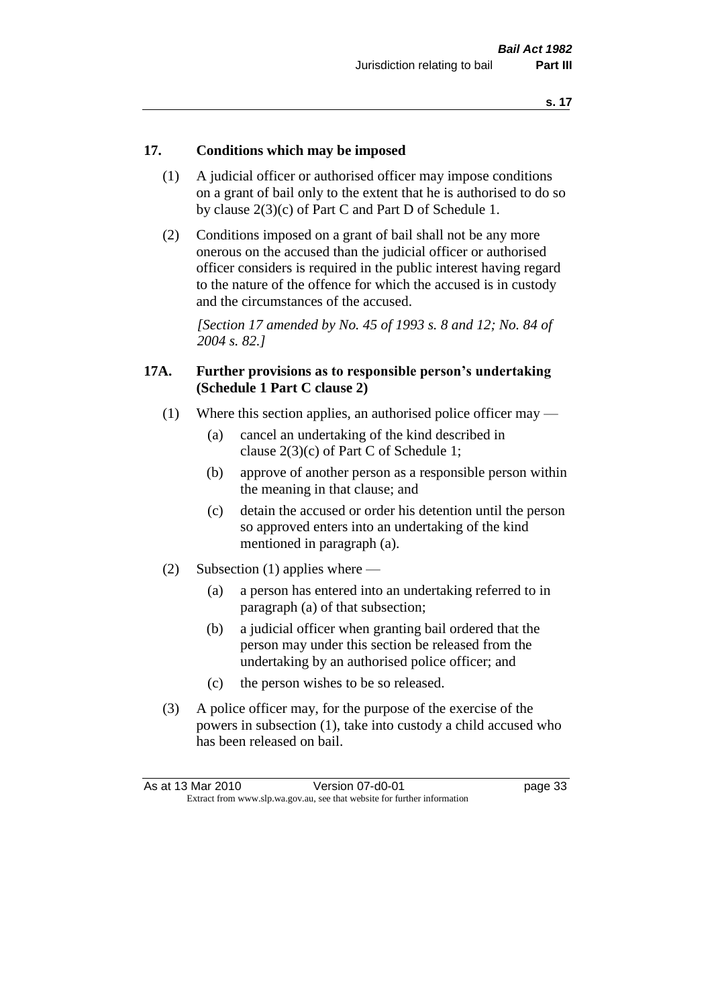#### **17. Conditions which may be imposed**

- (1) A judicial officer or authorised officer may impose conditions on a grant of bail only to the extent that he is authorised to do so by clause 2(3)(c) of Part C and Part D of Schedule 1.
- (2) Conditions imposed on a grant of bail shall not be any more onerous on the accused than the judicial officer or authorised officer considers is required in the public interest having regard to the nature of the offence for which the accused is in custody and the circumstances of the accused.

*[Section 17 amended by No. 45 of 1993 s. 8 and 12; No. 84 of 2004 s. 82.]* 

#### **17A. Further provisions as to responsible person's undertaking (Schedule 1 Part C clause 2)**

- (1) Where this section applies, an authorised police officer may
	- (a) cancel an undertaking of the kind described in clause 2(3)(c) of Part C of Schedule 1;
	- (b) approve of another person as a responsible person within the meaning in that clause; and
	- (c) detain the accused or order his detention until the person so approved enters into an undertaking of the kind mentioned in paragraph (a).
- (2) Subsection (1) applies where
	- (a) a person has entered into an undertaking referred to in paragraph (a) of that subsection;
	- (b) a judicial officer when granting bail ordered that the person may under this section be released from the undertaking by an authorised police officer; and
	- (c) the person wishes to be so released.
- (3) A police officer may, for the purpose of the exercise of the powers in subsection (1), take into custody a child accused who has been released on bail.

| As at 13 Mar 2010 | Version 07-d0-01                                                         | page 33 |
|-------------------|--------------------------------------------------------------------------|---------|
|                   | Extract from www.slp.wa.gov.au, see that website for further information |         |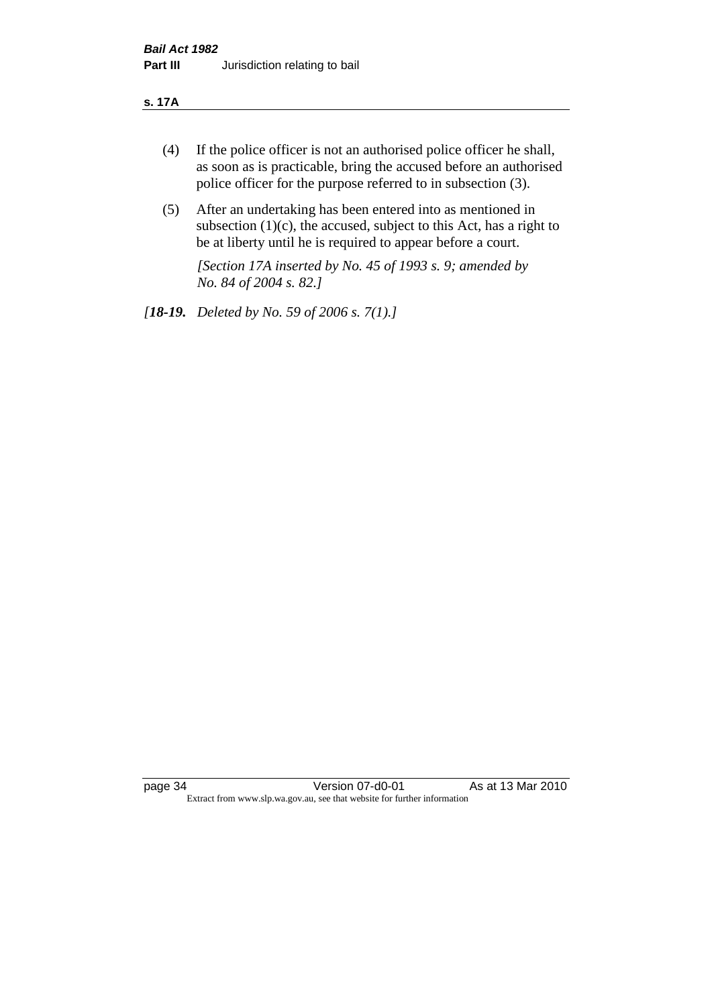#### **s. 17A**

- (4) If the police officer is not an authorised police officer he shall, as soon as is practicable, bring the accused before an authorised police officer for the purpose referred to in subsection (3).
- (5) After an undertaking has been entered into as mentioned in subsection  $(1)(c)$ , the accused, subject to this Act, has a right to be at liberty until he is required to appear before a court.

*[Section 17A inserted by No. 45 of 1993 s. 9; amended by No. 84 of 2004 s. 82.]* 

*[18-19. Deleted by No. 59 of 2006 s. 7(1).]*

page 34 Version 07-d0-01 As at 13 Mar 2010 Extract from www.slp.wa.gov.au, see that website for further information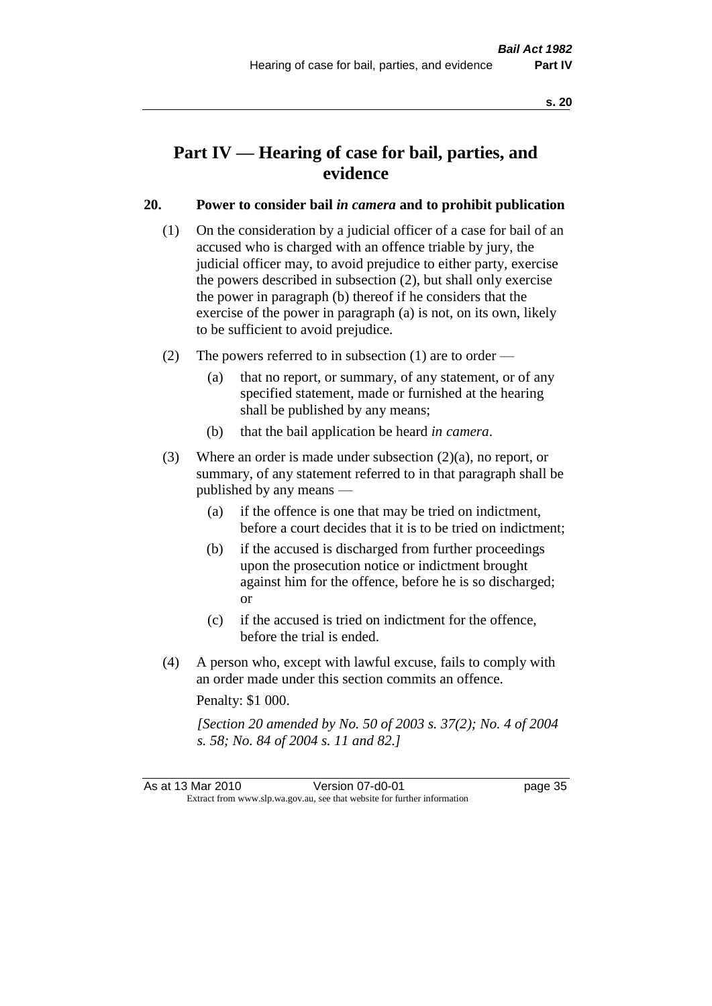# **Part IV — Hearing of case for bail, parties, and evidence**

# **20. Power to consider bail** *in camera* **and to prohibit publication**

- (1) On the consideration by a judicial officer of a case for bail of an accused who is charged with an offence triable by jury, the judicial officer may, to avoid prejudice to either party, exercise the powers described in subsection (2), but shall only exercise the power in paragraph (b) thereof if he considers that the exercise of the power in paragraph (a) is not, on its own, likely to be sufficient to avoid prejudice.
- (2) The powers referred to in subsection (1) are to order
	- (a) that no report, or summary, of any statement, or of any specified statement, made or furnished at the hearing shall be published by any means;
	- (b) that the bail application be heard *in camera*.
- (3) Where an order is made under subsection (2)(a), no report, or summary, of any statement referred to in that paragraph shall be published by any means —
	- (a) if the offence is one that may be tried on indictment, before a court decides that it is to be tried on indictment;
	- (b) if the accused is discharged from further proceedings upon the prosecution notice or indictment brought against him for the offence, before he is so discharged; or
	- (c) if the accused is tried on indictment for the offence, before the trial is ended.
- (4) A person who, except with lawful excuse, fails to comply with an order made under this section commits an offence.

Penalty: \$1 000.

*[Section 20 amended by No. 50 of 2003 s. 37(2); No. 4 of 2004 s. 58; No. 84 of 2004 s. 11 and 82.]*

As at 13 Mar 2010 **Version 07-d0-01 Dage 35** Extract from www.slp.wa.gov.au, see that website for further information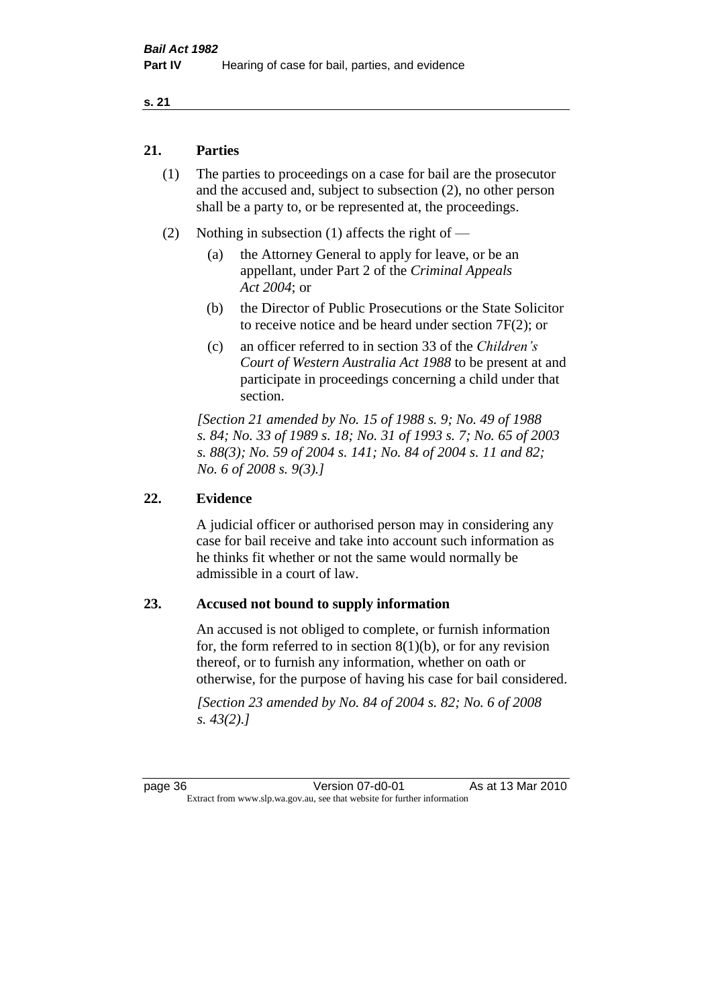#### **s. 21**

#### **21. Parties**

- (1) The parties to proceedings on a case for bail are the prosecutor and the accused and, subject to subsection (2), no other person shall be a party to, or be represented at, the proceedings.
- (2) Nothing in subsection (1) affects the right of
	- (a) the Attorney General to apply for leave, or be an appellant, under Part 2 of the *Criminal Appeals Act 2004*; or
	- (b) the Director of Public Prosecutions or the State Solicitor to receive notice and be heard under section 7F(2); or
	- (c) an officer referred to in section 33 of the *Children's Court of Western Australia Act 1988* to be present at and participate in proceedings concerning a child under that section.

*[Section 21 amended by No. 15 of 1988 s. 9; No. 49 of 1988 s. 84; No. 33 of 1989 s. 18; No. 31 of 1993 s. 7; No. 65 of 2003 s. 88(3); No. 59 of 2004 s. 141; No. 84 of 2004 s. 11 and 82; No. 6 of 2008 s. 9(3).]* 

#### **22. Evidence**

A judicial officer or authorised person may in considering any case for bail receive and take into account such information as he thinks fit whether or not the same would normally be admissible in a court of law.

#### **23. Accused not bound to supply information**

An accused is not obliged to complete, or furnish information for, the form referred to in section  $8(1)(b)$ , or for any revision thereof, or to furnish any information, whether on oath or otherwise, for the purpose of having his case for bail considered.

*[Section 23 amended by No. 84 of 2004 s. 82; No. 6 of 2008 s. 43(2).]*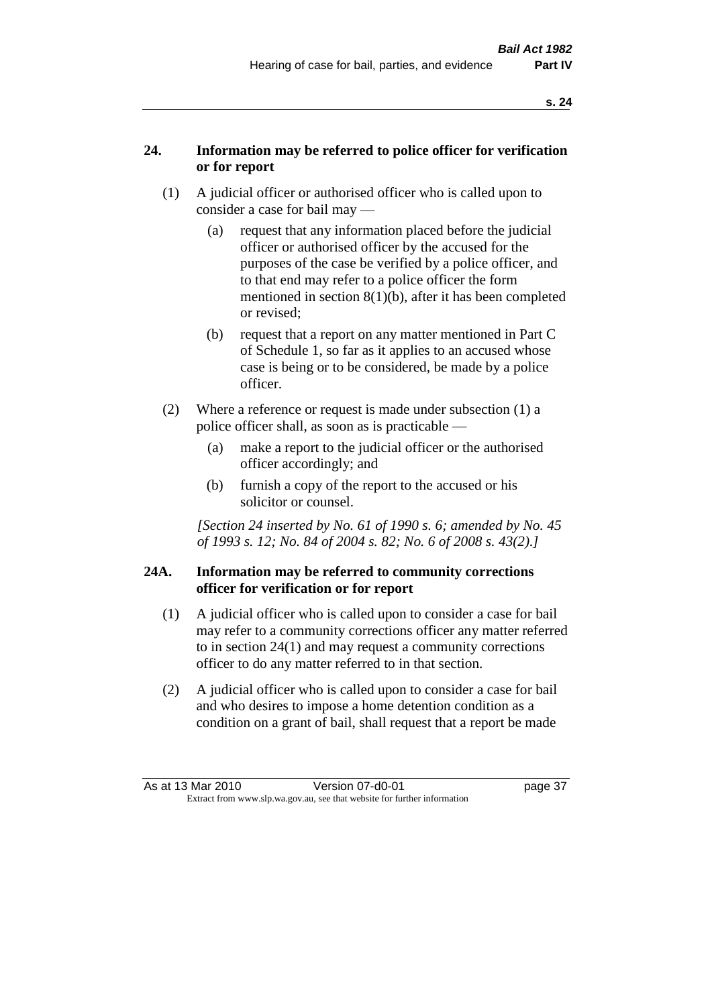# **24. Information may be referred to police officer for verification or for report**

- (1) A judicial officer or authorised officer who is called upon to consider a case for bail may —
	- (a) request that any information placed before the judicial officer or authorised officer by the accused for the purposes of the case be verified by a police officer, and to that end may refer to a police officer the form mentioned in section 8(1)(b), after it has been completed or revised;
	- (b) request that a report on any matter mentioned in Part C of Schedule 1, so far as it applies to an accused whose case is being or to be considered, be made by a police officer.
- (2) Where a reference or request is made under subsection (1) a police officer shall, as soon as is practicable —
	- (a) make a report to the judicial officer or the authorised officer accordingly; and
	- (b) furnish a copy of the report to the accused or his solicitor or counsel.

*[Section 24 inserted by No. 61 of 1990 s. 6; amended by No. 45 of 1993 s. 12; No. 84 of 2004 s. 82; No. 6 of 2008 s. 43(2).]* 

# **24A. Information may be referred to community corrections officer for verification or for report**

- (1) A judicial officer who is called upon to consider a case for bail may refer to a community corrections officer any matter referred to in section 24(1) and may request a community corrections officer to do any matter referred to in that section.
- (2) A judicial officer who is called upon to consider a case for bail and who desires to impose a home detention condition as a condition on a grant of bail, shall request that a report be made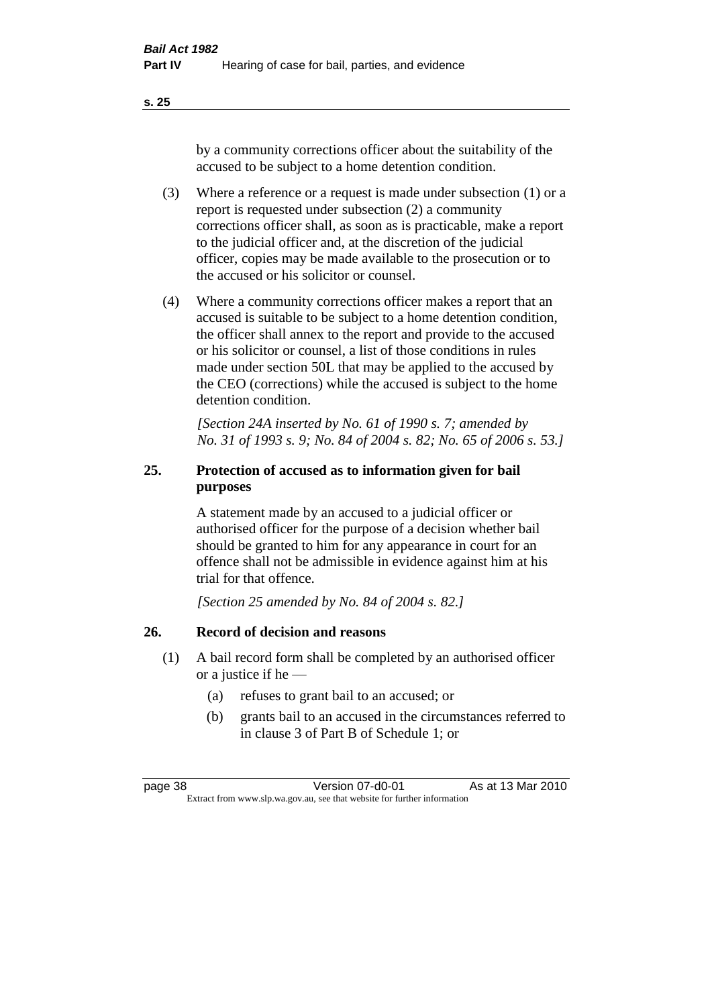**s. 25**

by a community corrections officer about the suitability of the accused to be subject to a home detention condition.

- (3) Where a reference or a request is made under subsection (1) or a report is requested under subsection (2) a community corrections officer shall, as soon as is practicable, make a report to the judicial officer and, at the discretion of the judicial officer, copies may be made available to the prosecution or to the accused or his solicitor or counsel.
- (4) Where a community corrections officer makes a report that an accused is suitable to be subject to a home detention condition, the officer shall annex to the report and provide to the accused or his solicitor or counsel, a list of those conditions in rules made under section 50L that may be applied to the accused by the CEO (corrections) while the accused is subject to the home detention condition.

*[Section 24A inserted by No. 61 of 1990 s. 7; amended by No. 31 of 1993 s. 9; No. 84 of 2004 s. 82; No. 65 of 2006 s. 53.]* 

# **25. Protection of accused as to information given for bail purposes**

A statement made by an accused to a judicial officer or authorised officer for the purpose of a decision whether bail should be granted to him for any appearance in court for an offence shall not be admissible in evidence against him at his trial for that offence.

*[Section 25 amended by No. 84 of 2004 s. 82.]* 

# **26. Record of decision and reasons**

- (1) A bail record form shall be completed by an authorised officer or a justice if he —
	- (a) refuses to grant bail to an accused; or
	- (b) grants bail to an accused in the circumstances referred to in clause 3 of Part B of Schedule 1; or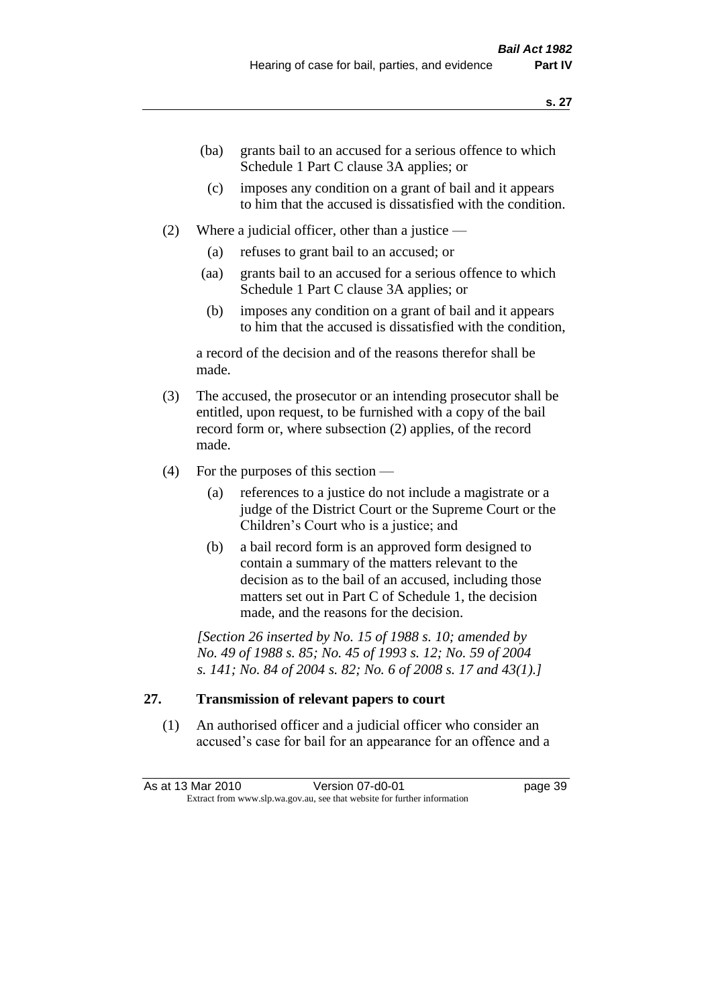- (ba) grants bail to an accused for a serious offence to which Schedule 1 Part C clause 3A applies; or
- (c) imposes any condition on a grant of bail and it appears to him that the accused is dissatisfied with the condition.
- (2) Where a judicial officer, other than a justice
	- (a) refuses to grant bail to an accused; or
	- (aa) grants bail to an accused for a serious offence to which Schedule 1 Part C clause 3A applies; or
	- (b) imposes any condition on a grant of bail and it appears to him that the accused is dissatisfied with the condition,

a record of the decision and of the reasons therefor shall be made.

- (3) The accused, the prosecutor or an intending prosecutor shall be entitled, upon request, to be furnished with a copy of the bail record form or, where subsection (2) applies, of the record made.
- (4) For the purposes of this section
	- (a) references to a justice do not include a magistrate or a judge of the District Court or the Supreme Court or the Children's Court who is a justice; and
	- (b) a bail record form is an approved form designed to contain a summary of the matters relevant to the decision as to the bail of an accused, including those matters set out in Part C of Schedule 1, the decision made, and the reasons for the decision.

*[Section 26 inserted by No. 15 of 1988 s. 10; amended by No. 49 of 1988 s. 85; No. 45 of 1993 s. 12; No. 59 of 2004 s. 141; No. 84 of 2004 s. 82; No. 6 of 2008 s. 17 and 43(1).]* 

# **27. Transmission of relevant papers to court**

(1) An authorised officer and a judicial officer who consider an accused's case for bail for an appearance for an offence and a

As at 13 Mar 2010 **Version 07-d0-01 Dage 39** Extract from www.slp.wa.gov.au, see that website for further information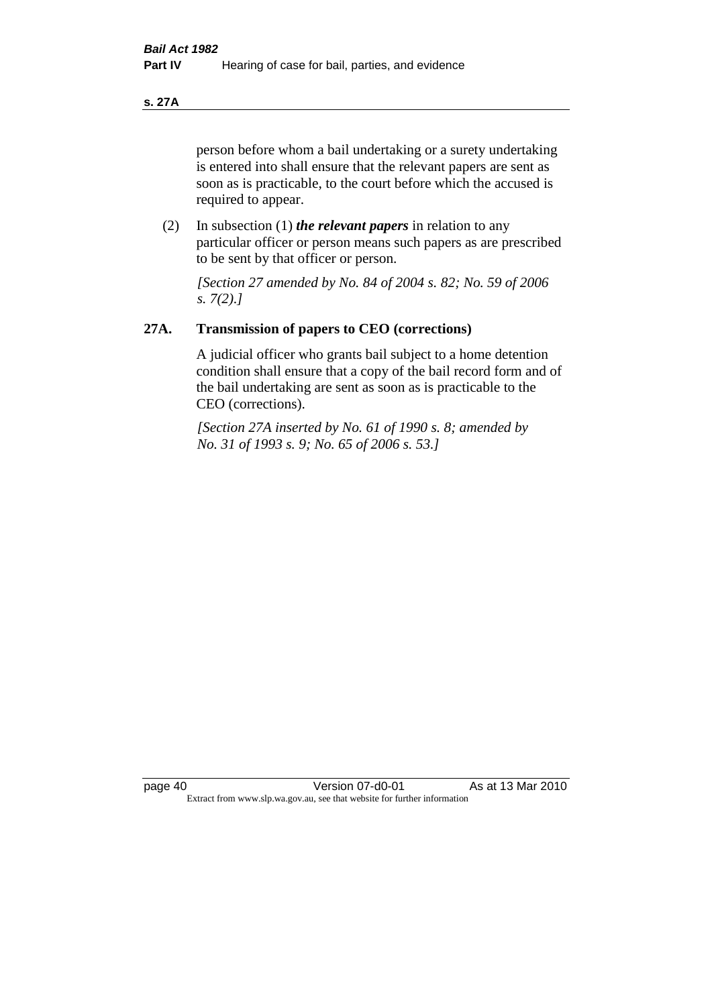**s. 27A**

person before whom a bail undertaking or a surety undertaking is entered into shall ensure that the relevant papers are sent as soon as is practicable, to the court before which the accused is required to appear.

(2) In subsection (1) *the relevant papers* in relation to any particular officer or person means such papers as are prescribed to be sent by that officer or person.

*[Section 27 amended by No. 84 of 2004 s. 82; No. 59 of 2006 s. 7(2).]* 

# **27A. Transmission of papers to CEO (corrections)**

A judicial officer who grants bail subject to a home detention condition shall ensure that a copy of the bail record form and of the bail undertaking are sent as soon as is practicable to the CEO (corrections).

*[Section 27A inserted by No. 61 of 1990 s. 8; amended by No. 31 of 1993 s. 9; No. 65 of 2006 s. 53.]*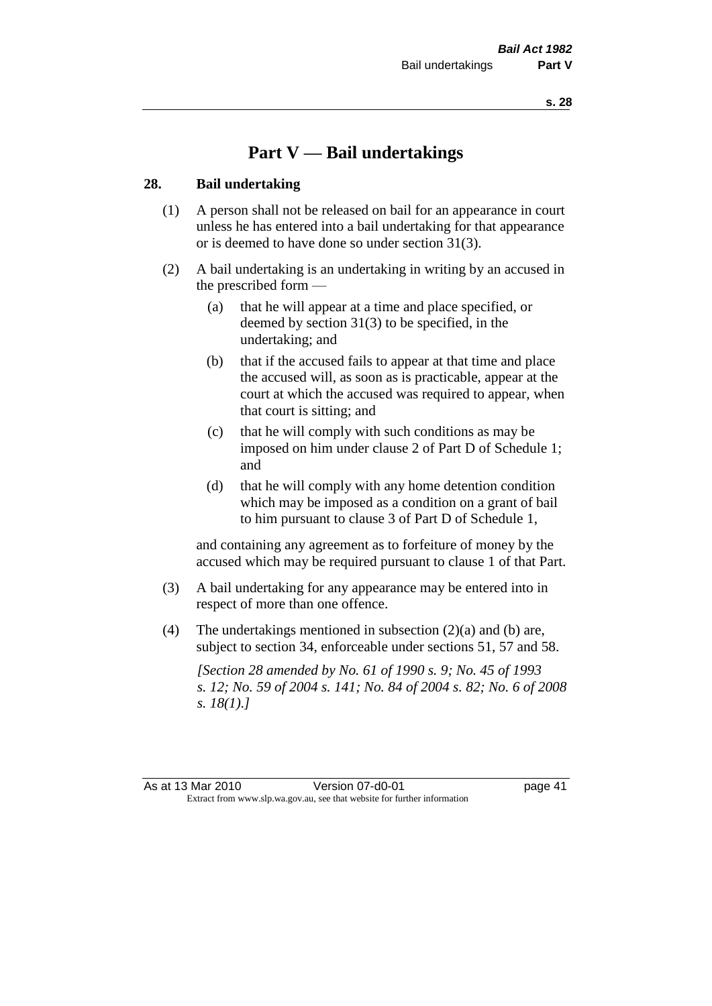# **Part V — Bail undertakings**

#### **28. Bail undertaking**

- (1) A person shall not be released on bail for an appearance in court unless he has entered into a bail undertaking for that appearance or is deemed to have done so under section 31(3).
- (2) A bail undertaking is an undertaking in writing by an accused in the prescribed form —
	- (a) that he will appear at a time and place specified, or deemed by section 31(3) to be specified, in the undertaking; and
	- (b) that if the accused fails to appear at that time and place the accused will, as soon as is practicable, appear at the court at which the accused was required to appear, when that court is sitting; and
	- (c) that he will comply with such conditions as may be imposed on him under clause 2 of Part D of Schedule 1; and
	- (d) that he will comply with any home detention condition which may be imposed as a condition on a grant of bail to him pursuant to clause 3 of Part D of Schedule 1,

and containing any agreement as to forfeiture of money by the accused which may be required pursuant to clause 1 of that Part.

- (3) A bail undertaking for any appearance may be entered into in respect of more than one offence.
- (4) The undertakings mentioned in subsection (2)(a) and (b) are, subject to section 34, enforceable under sections 51, 57 and 58.

*[Section 28 amended by No. 61 of 1990 s. 9; No. 45 of 1993 s. 12; No. 59 of 2004 s. 141; No. 84 of 2004 s. 82; No. 6 of 2008 s. 18(1).]* 

As at 13 Mar 2010 Version 07-d0-01 page 41 Extract from www.slp.wa.gov.au, see that website for further information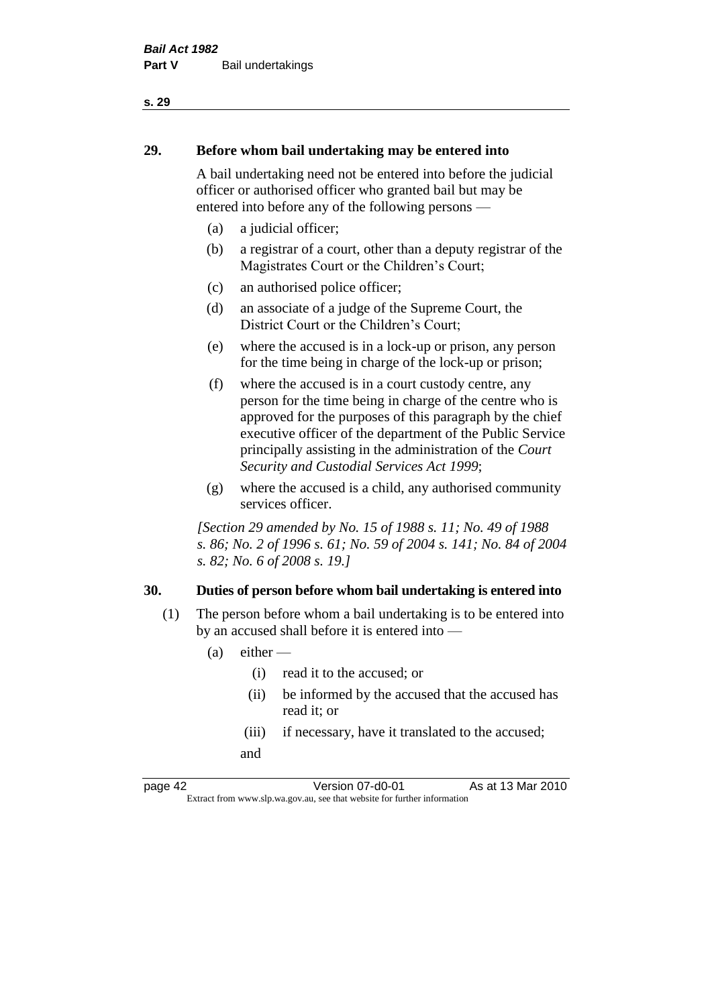# **29. Before whom bail undertaking may be entered into**

A bail undertaking need not be entered into before the judicial officer or authorised officer who granted bail but may be entered into before any of the following persons —

- (a) a judicial officer;
- (b) a registrar of a court, other than a deputy registrar of the Magistrates Court or the Children's Court;
- (c) an authorised police officer;
- (d) an associate of a judge of the Supreme Court, the District Court or the Children's Court;
- (e) where the accused is in a lock-up or prison, any person for the time being in charge of the lock-up or prison;
- (f) where the accused is in a court custody centre, any person for the time being in charge of the centre who is approved for the purposes of this paragraph by the chief executive officer of the department of the Public Service principally assisting in the administration of the *Court Security and Custodial Services Act 1999*;
- (g) where the accused is a child, any authorised community services officer.

*[Section 29 amended by No. 15 of 1988 s. 11; No. 49 of 1988 s. 86; No. 2 of 1996 s. 61; No. 59 of 2004 s. 141; No. 84 of 2004 s. 82; No. 6 of 2008 s. 19.]* 

#### **30. Duties of person before whom bail undertaking is entered into**

- (1) The person before whom a bail undertaking is to be entered into by an accused shall before it is entered into —
	- $(a)$  either
		- (i) read it to the accused; or
		- (ii) be informed by the accused that the accused has read it; or
		- (iii) if necessary, have it translated to the accused; and

page 42 Version 07-d0-01 As at 13 Mar 2010 Extract from www.slp.wa.gov.au, see that website for further information

**s. 29**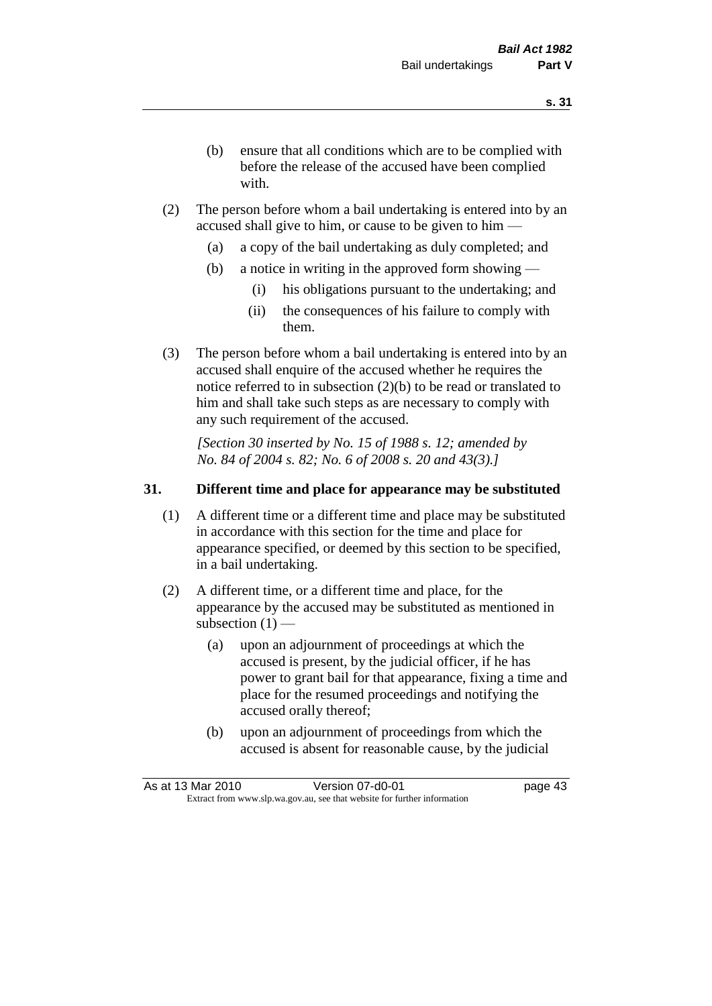- (b) ensure that all conditions which are to be complied with before the release of the accused have been complied with.
- (2) The person before whom a bail undertaking is entered into by an accused shall give to him, or cause to be given to him —
	- (a) a copy of the bail undertaking as duly completed; and
	- (b) a notice in writing in the approved form showing
		- (i) his obligations pursuant to the undertaking; and
		- (ii) the consequences of his failure to comply with them.
- (3) The person before whom a bail undertaking is entered into by an accused shall enquire of the accused whether he requires the notice referred to in subsection (2)(b) to be read or translated to him and shall take such steps as are necessary to comply with any such requirement of the accused.

*[Section 30 inserted by No. 15 of 1988 s. 12; amended by No. 84 of 2004 s. 82; No. 6 of 2008 s. 20 and 43(3).]* 

#### **31. Different time and place for appearance may be substituted**

- (1) A different time or a different time and place may be substituted in accordance with this section for the time and place for appearance specified, or deemed by this section to be specified, in a bail undertaking.
- (2) A different time, or a different time and place, for the appearance by the accused may be substituted as mentioned in subsection  $(1)$  —
	- (a) upon an adjournment of proceedings at which the accused is present, by the judicial officer, if he has power to grant bail for that appearance, fixing a time and place for the resumed proceedings and notifying the accused orally thereof;
	- (b) upon an adjournment of proceedings from which the accused is absent for reasonable cause, by the judicial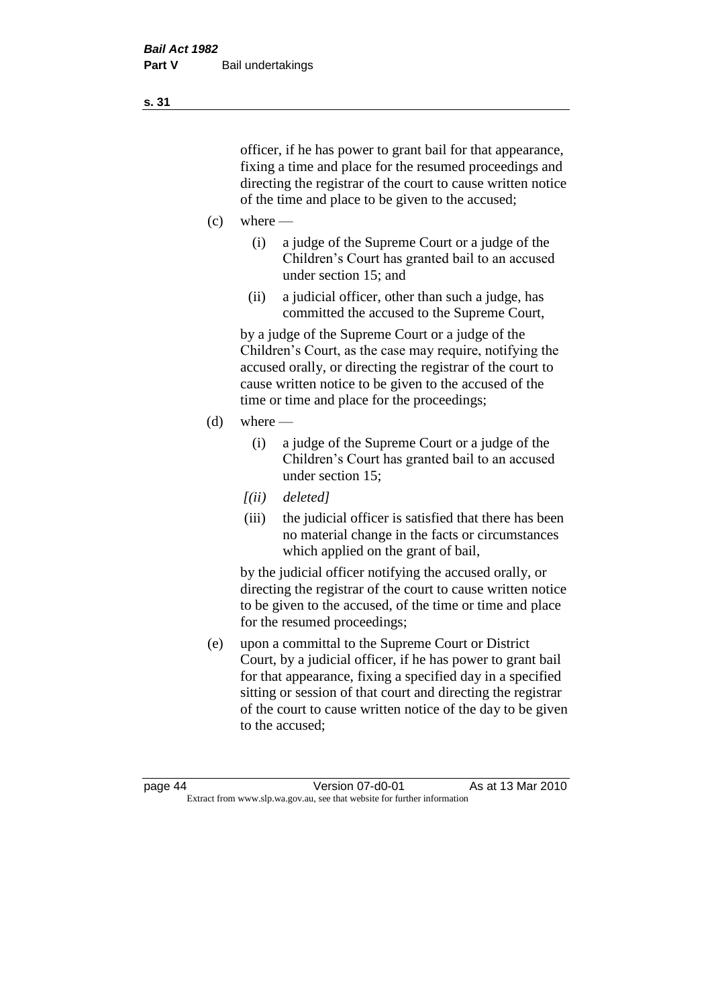officer, if he has power to grant bail for that appearance, fixing a time and place for the resumed proceedings and directing the registrar of the court to cause written notice of the time and place to be given to the accused;

- $(c)$  where
	- (i) a judge of the Supreme Court or a judge of the Children's Court has granted bail to an accused under section 15; and
	- (ii) a judicial officer, other than such a judge, has committed the accused to the Supreme Court,

by a judge of the Supreme Court or a judge of the Children's Court, as the case may require, notifying the accused orally, or directing the registrar of the court to cause written notice to be given to the accused of the time or time and place for the proceedings;

- $(d)$  where
	- (i) a judge of the Supreme Court or a judge of the Children's Court has granted bail to an accused under section 15;
	- *[(ii) deleted]*
	- (iii) the judicial officer is satisfied that there has been no material change in the facts or circumstances which applied on the grant of bail,

by the judicial officer notifying the accused orally, or directing the registrar of the court to cause written notice to be given to the accused, of the time or time and place for the resumed proceedings;

(e) upon a committal to the Supreme Court or District Court, by a judicial officer, if he has power to grant bail for that appearance, fixing a specified day in a specified sitting or session of that court and directing the registrar of the court to cause written notice of the day to be given to the accused;

**s. 31**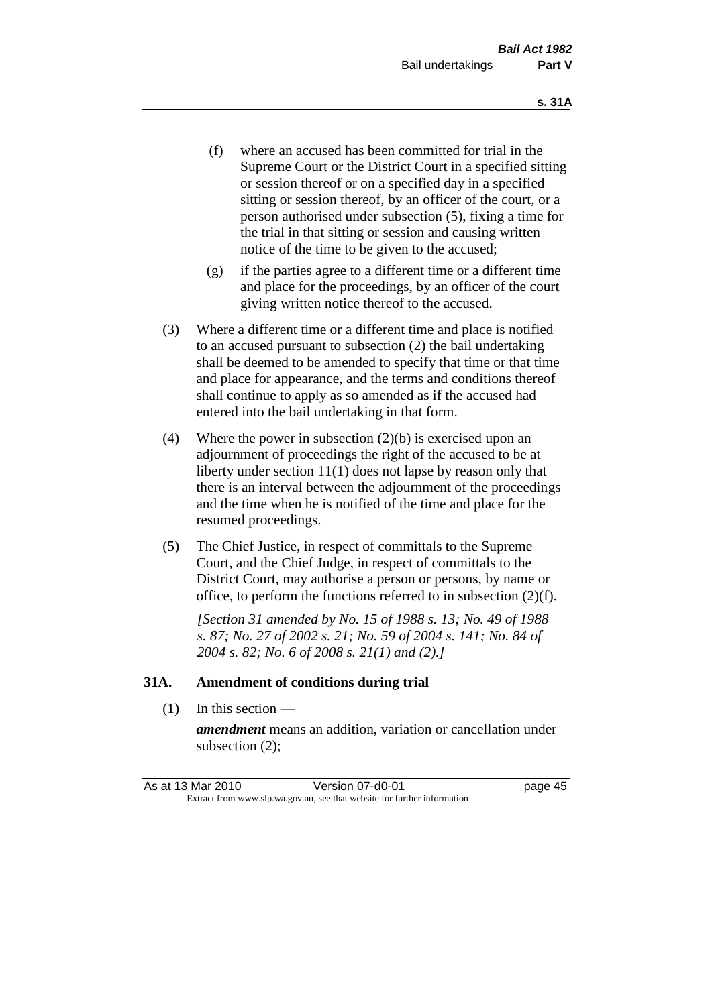- (f) where an accused has been committed for trial in the Supreme Court or the District Court in a specified sitting or session thereof or on a specified day in a specified sitting or session thereof, by an officer of the court, or a person authorised under subsection (5), fixing a time for the trial in that sitting or session and causing written notice of the time to be given to the accused;
- (g) if the parties agree to a different time or a different time and place for the proceedings, by an officer of the court giving written notice thereof to the accused.
- (3) Where a different time or a different time and place is notified to an accused pursuant to subsection (2) the bail undertaking shall be deemed to be amended to specify that time or that time and place for appearance, and the terms and conditions thereof shall continue to apply as so amended as if the accused had entered into the bail undertaking in that form.
- (4) Where the power in subsection (2)(b) is exercised upon an adjournment of proceedings the right of the accused to be at liberty under section 11(1) does not lapse by reason only that there is an interval between the adjournment of the proceedings and the time when he is notified of the time and place for the resumed proceedings.
- (5) The Chief Justice, in respect of committals to the Supreme Court, and the Chief Judge, in respect of committals to the District Court, may authorise a person or persons, by name or office, to perform the functions referred to in subsection (2)(f).

*[Section 31 amended by No. 15 of 1988 s. 13; No. 49 of 1988 s. 87; No. 27 of 2002 s. 21; No. 59 of 2004 s. 141; No. 84 of 2004 s. 82; No. 6 of 2008 s. 21(1) and (2).]* 

#### **31A. Amendment of conditions during trial**

(1) In this section —

*amendment* means an addition, variation or cancellation under subsection (2);

As at 13 Mar 2010 **Version 07-d0-01 Dage 45** Extract from www.slp.wa.gov.au, see that website for further information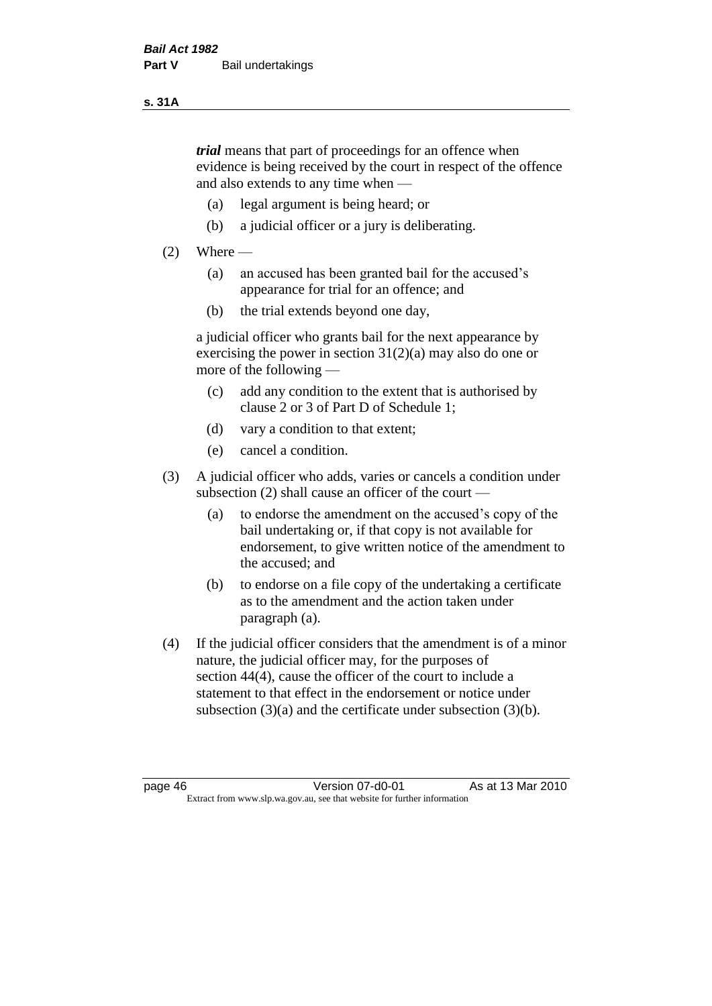#### **s. 31A**

*trial* means that part of proceedings for an offence when evidence is being received by the court in respect of the offence and also extends to any time when —

- (a) legal argument is being heard; or
- (b) a judicial officer or a jury is deliberating.

#### $(2)$  Where —

- (a) an accused has been granted bail for the accused's appearance for trial for an offence; and
- (b) the trial extends beyond one day,

a judicial officer who grants bail for the next appearance by exercising the power in section  $31(2)(a)$  may also do one or more of the following —

- (c) add any condition to the extent that is authorised by clause 2 or 3 of Part D of Schedule 1;
- (d) vary a condition to that extent;
- (e) cancel a condition.
- (3) A judicial officer who adds, varies or cancels a condition under subsection (2) shall cause an officer of the court —
	- (a) to endorse the amendment on the accused's copy of the bail undertaking or, if that copy is not available for endorsement, to give written notice of the amendment to the accused; and
	- (b) to endorse on a file copy of the undertaking a certificate as to the amendment and the action taken under paragraph (a).
- (4) If the judicial officer considers that the amendment is of a minor nature, the judicial officer may, for the purposes of section 44(4), cause the officer of the court to include a statement to that effect in the endorsement or notice under subsection (3)(a) and the certificate under subsection (3)(b).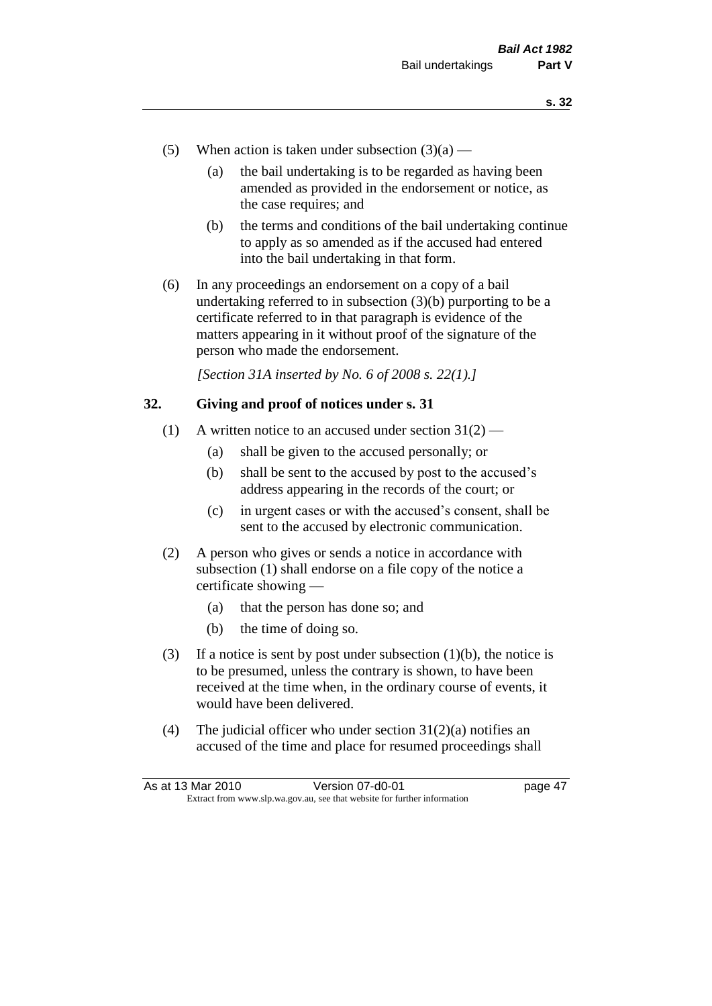- (5) When action is taken under subsection  $(3)(a)$ 
	- (a) the bail undertaking is to be regarded as having been amended as provided in the endorsement or notice, as the case requires; and
	- (b) the terms and conditions of the bail undertaking continue to apply as so amended as if the accused had entered into the bail undertaking in that form.
- (6) In any proceedings an endorsement on a copy of a bail undertaking referred to in subsection (3)(b) purporting to be a certificate referred to in that paragraph is evidence of the matters appearing in it without proof of the signature of the person who made the endorsement.

*[Section 31A inserted by No. 6 of 2008 s. 22(1).]*

#### **32. Giving and proof of notices under s. 31**

- (1) A written notice to an accused under section  $31(2)$ 
	- (a) shall be given to the accused personally; or
	- (b) shall be sent to the accused by post to the accused's address appearing in the records of the court; or
	- (c) in urgent cases or with the accused's consent, shall be sent to the accused by electronic communication.
- (2) A person who gives or sends a notice in accordance with subsection (1) shall endorse on a file copy of the notice a certificate showing —
	- (a) that the person has done so; and
	- (b) the time of doing so.
- (3) If a notice is sent by post under subsection  $(1)(b)$ , the notice is to be presumed, unless the contrary is shown, to have been received at the time when, in the ordinary course of events, it would have been delivered.
- (4) The judicial officer who under section  $31(2)(a)$  notifies an accused of the time and place for resumed proceedings shall

| As at 13 Mar 2010 | Version 07-d0-01                                                         | page 47 |
|-------------------|--------------------------------------------------------------------------|---------|
|                   | Extract from www.slp.wa.gov.au, see that website for further information |         |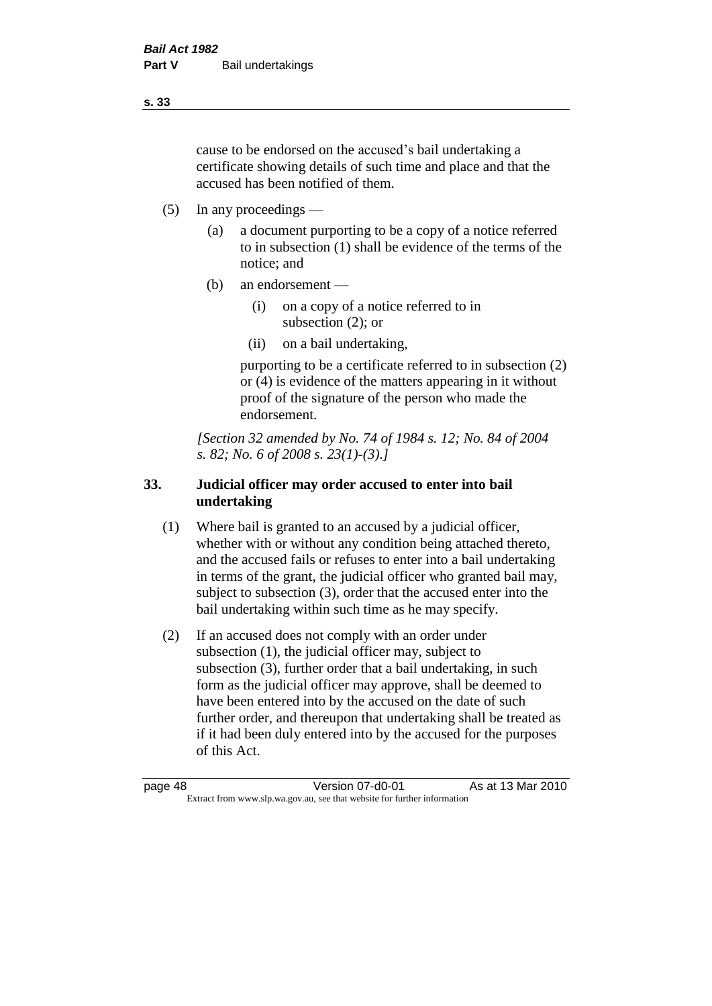cause to be endorsed on the accused's bail undertaking a certificate showing details of such time and place and that the accused has been notified of them.

- (5) In any proceedings
	- (a) a document purporting to be a copy of a notice referred to in subsection (1) shall be evidence of the terms of the notice; and
	- (b) an endorsement
		- (i) on a copy of a notice referred to in subsection (2); or
		- (ii) on a bail undertaking,

purporting to be a certificate referred to in subsection (2) or (4) is evidence of the matters appearing in it without proof of the signature of the person who made the endorsement.

*[Section 32 amended by No. 74 of 1984 s. 12; No. 84 of 2004 s. 82; No. 6 of 2008 s. 23(1)-(3).]* 

# **33. Judicial officer may order accused to enter into bail undertaking**

- (1) Where bail is granted to an accused by a judicial officer, whether with or without any condition being attached thereto, and the accused fails or refuses to enter into a bail undertaking in terms of the grant, the judicial officer who granted bail may, subject to subsection (3), order that the accused enter into the bail undertaking within such time as he may specify.
- (2) If an accused does not comply with an order under subsection (1), the judicial officer may, subject to subsection (3), further order that a bail undertaking, in such form as the judicial officer may approve, shall be deemed to have been entered into by the accused on the date of such further order, and thereupon that undertaking shall be treated as if it had been duly entered into by the accused for the purposes of this Act.

page 48 Version 07-d0-01 As at 13 Mar 2010 Extract from www.slp.wa.gov.au, see that website for further information

**s. 33**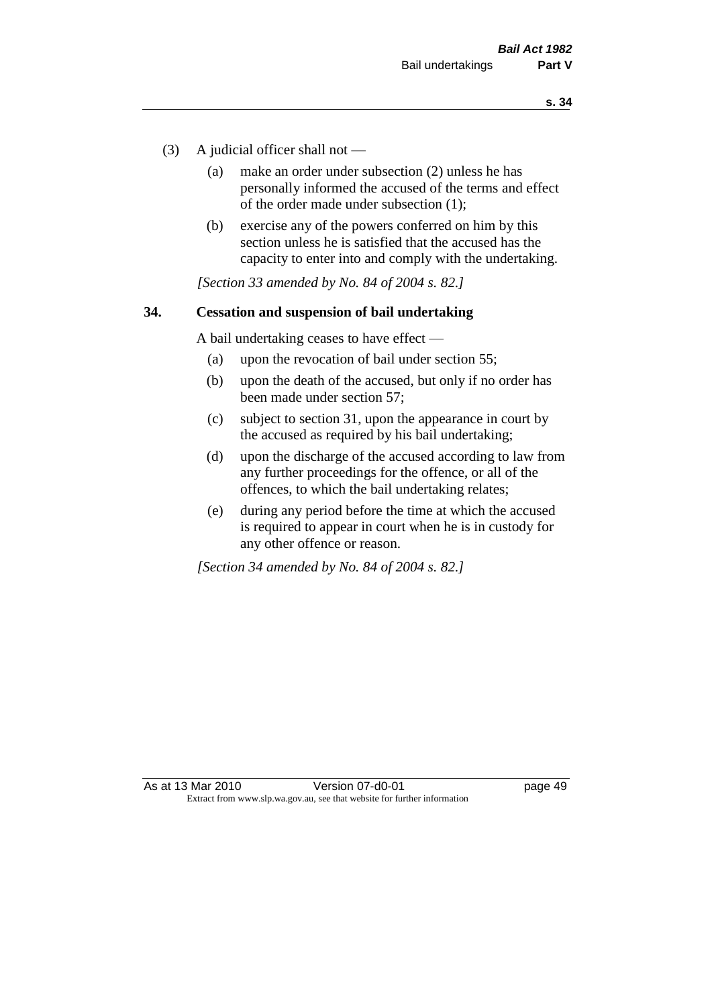- (3) A judicial officer shall not
	- (a) make an order under subsection (2) unless he has personally informed the accused of the terms and effect of the order made under subsection (1);
	- (b) exercise any of the powers conferred on him by this section unless he is satisfied that the accused has the capacity to enter into and comply with the undertaking.

*[Section 33 amended by No. 84 of 2004 s. 82.]* 

#### **34. Cessation and suspension of bail undertaking**

A bail undertaking ceases to have effect —

- (a) upon the revocation of bail under section 55;
- (b) upon the death of the accused, but only if no order has been made under section 57;
- (c) subject to section 31, upon the appearance in court by the accused as required by his bail undertaking;
- (d) upon the discharge of the accused according to law from any further proceedings for the offence, or all of the offences, to which the bail undertaking relates;
- (e) during any period before the time at which the accused is required to appear in court when he is in custody for any other offence or reason.

*[Section 34 amended by No. 84 of 2004 s. 82.]*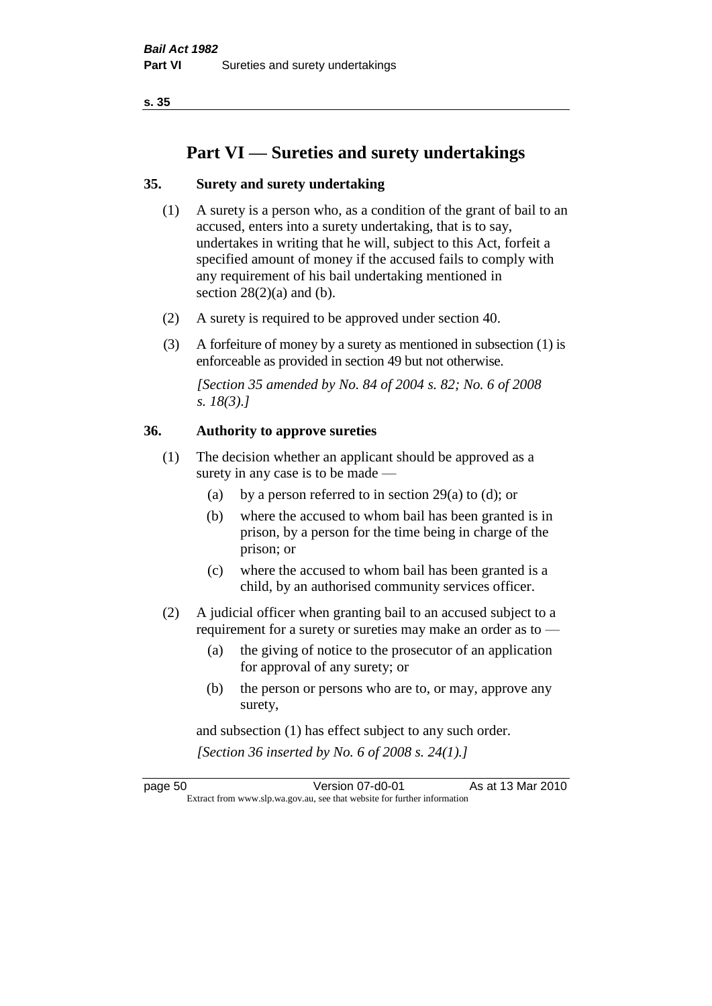**s. 35**

# **Part VI — Sureties and surety undertakings**

# **35. Surety and surety undertaking**

- (1) A surety is a person who, as a condition of the grant of bail to an accused, enters into a surety undertaking, that is to say, undertakes in writing that he will, subject to this Act, forfeit a specified amount of money if the accused fails to comply with any requirement of his bail undertaking mentioned in section  $28(2)(a)$  and (b).
- (2) A surety is required to be approved under section 40.
- (3) A forfeiture of money by a surety as mentioned in subsection (1) is enforceable as provided in section 49 but not otherwise.

*[Section 35 amended by No. 84 of 2004 s. 82; No. 6 of 2008 s. 18(3).]* 

# **36. Authority to approve sureties**

- (1) The decision whether an applicant should be approved as a surety in any case is to be made —
	- (a) by a person referred to in section 29(a) to (d); or
	- (b) where the accused to whom bail has been granted is in prison, by a person for the time being in charge of the prison; or
	- (c) where the accused to whom bail has been granted is a child, by an authorised community services officer.
- (2) A judicial officer when granting bail to an accused subject to a requirement for a surety or sureties may make an order as to —
	- (a) the giving of notice to the prosecutor of an application for approval of any surety; or
	- (b) the person or persons who are to, or may, approve any surety,

and subsection (1) has effect subject to any such order. *[Section 36 inserted by No. 6 of 2008 s. 24(1).]*

page 50 Version 07-d0-01 As at 13 Mar 2010 Extract from www.slp.wa.gov.au, see that website for further information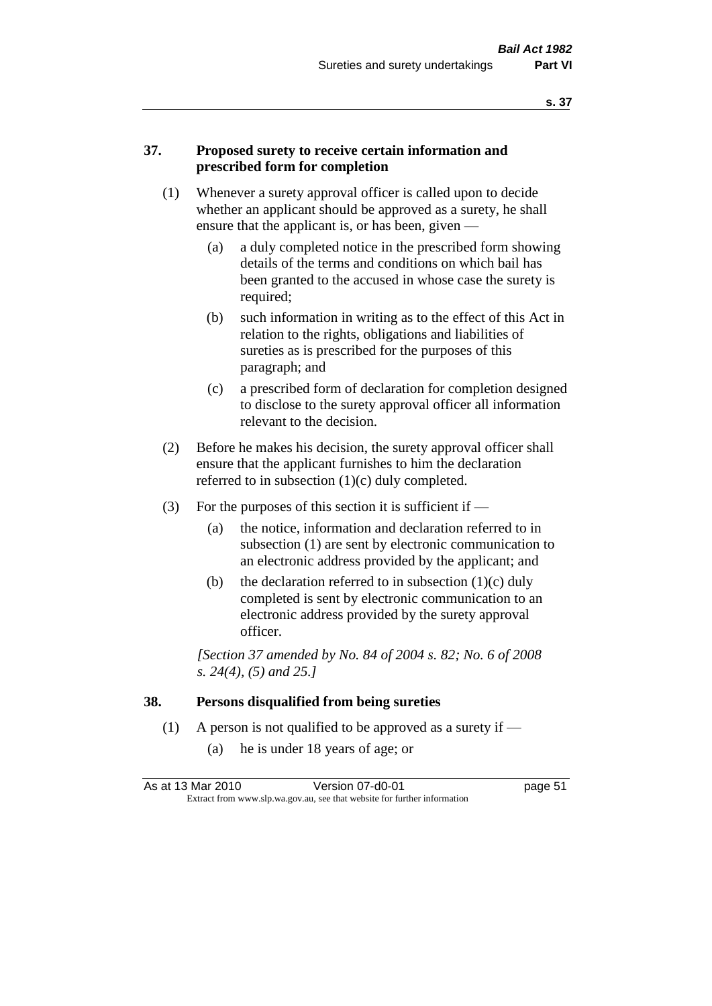#### **37. Proposed surety to receive certain information and prescribed form for completion**

- (1) Whenever a surety approval officer is called upon to decide whether an applicant should be approved as a surety, he shall ensure that the applicant is, or has been, given -
	- (a) a duly completed notice in the prescribed form showing details of the terms and conditions on which bail has been granted to the accused in whose case the surety is required;
	- (b) such information in writing as to the effect of this Act in relation to the rights, obligations and liabilities of sureties as is prescribed for the purposes of this paragraph; and
	- (c) a prescribed form of declaration for completion designed to disclose to the surety approval officer all information relevant to the decision.
- (2) Before he makes his decision, the surety approval officer shall ensure that the applicant furnishes to him the declaration referred to in subsection (1)(c) duly completed.
- (3) For the purposes of this section it is sufficient if  $-$ 
	- (a) the notice, information and declaration referred to in subsection (1) are sent by electronic communication to an electronic address provided by the applicant; and
	- (b) the declaration referred to in subsection  $(1)(c)$  duly completed is sent by electronic communication to an electronic address provided by the surety approval officer.

*[Section 37 amended by No. 84 of 2004 s. 82; No. 6 of 2008 s. 24(4), (5) and 25.]* 

#### **38. Persons disqualified from being sureties**

- (1) A person is not qualified to be approved as a surety if  $-$ 
	- (a) he is under 18 years of age; or

| As at 13 Mar 2010 | Version 07-d0-01                                                         | page 51 |
|-------------------|--------------------------------------------------------------------------|---------|
|                   | Extract from www.slp.wa.gov.au, see that website for further information |         |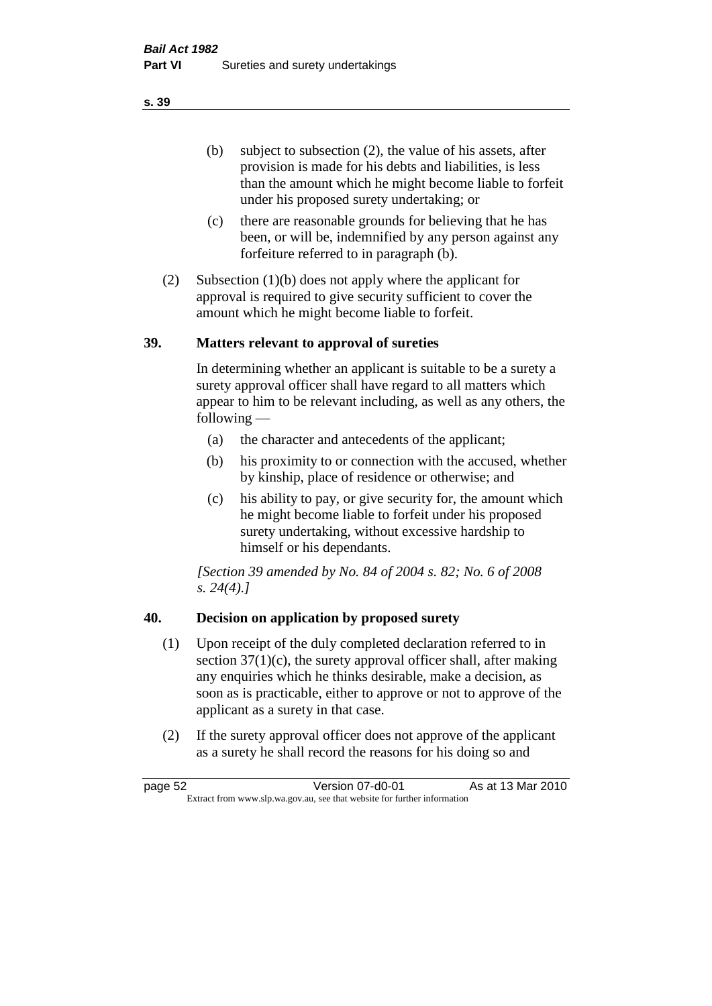(b) subject to subsection (2), the value of his assets, after provision is made for his debts and liabilities, is less than the amount which he might become liable to forfeit under his proposed surety undertaking; or

- (c) there are reasonable grounds for believing that he has been, or will be, indemnified by any person against any forfeiture referred to in paragraph (b).
- (2) Subsection (1)(b) does not apply where the applicant for approval is required to give security sufficient to cover the amount which he might become liable to forfeit.

#### **39. Matters relevant to approval of sureties**

In determining whether an applicant is suitable to be a surety a surety approval officer shall have regard to all matters which appear to him to be relevant including, as well as any others, the following —

- (a) the character and antecedents of the applicant;
- (b) his proximity to or connection with the accused, whether by kinship, place of residence or otherwise; and
- (c) his ability to pay, or give security for, the amount which he might become liable to forfeit under his proposed surety undertaking, without excessive hardship to himself or his dependants.

*[Section 39 amended by No. 84 of 2004 s. 82; No. 6 of 2008 s. 24(4).]* 

# **40. Decision on application by proposed surety**

- (1) Upon receipt of the duly completed declaration referred to in section  $37(1)(c)$ , the surety approval officer shall, after making any enquiries which he thinks desirable, make a decision, as soon as is practicable, either to approve or not to approve of the applicant as a surety in that case.
- (2) If the surety approval officer does not approve of the applicant as a surety he shall record the reasons for his doing so and

page 52 Version 07-d0-01 As at 13 Mar 2010 Extract from www.slp.wa.gov.au, see that website for further information

**s. 39**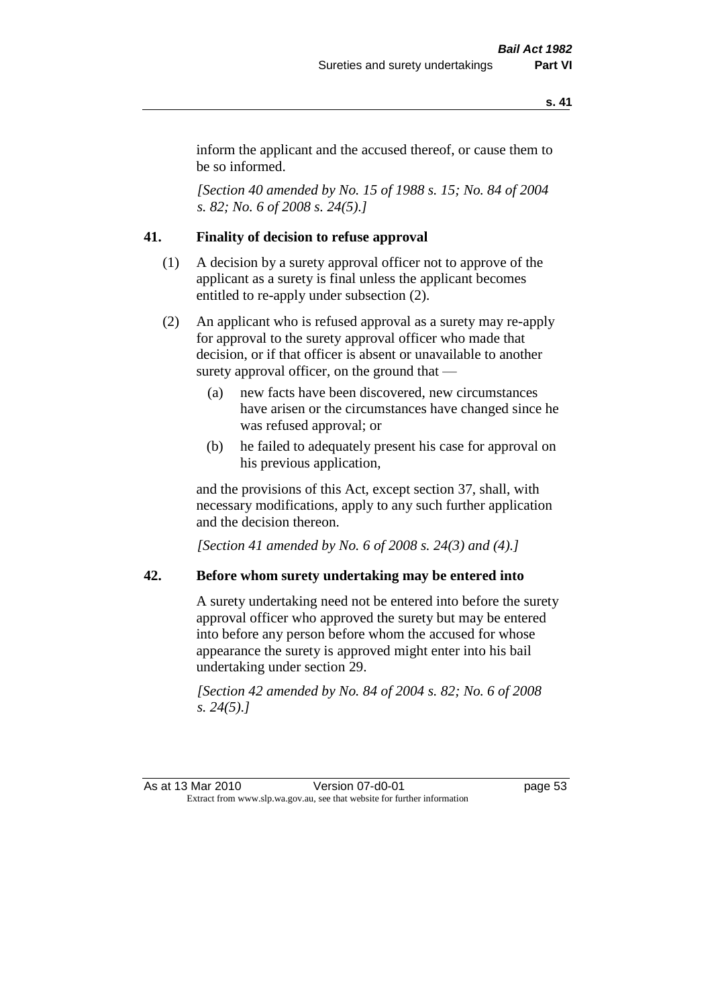inform the applicant and the accused thereof, or cause them to be so informed.

*[Section 40 amended by No. 15 of 1988 s. 15; No. 84 of 2004 s. 82; No. 6 of 2008 s. 24(5).]* 

# **41. Finality of decision to refuse approval**

- (1) A decision by a surety approval officer not to approve of the applicant as a surety is final unless the applicant becomes entitled to re-apply under subsection (2).
- (2) An applicant who is refused approval as a surety may re-apply for approval to the surety approval officer who made that decision, or if that officer is absent or unavailable to another surety approval officer, on the ground that —
	- (a) new facts have been discovered, new circumstances have arisen or the circumstances have changed since he was refused approval; or
	- (b) he failed to adequately present his case for approval on his previous application,

and the provisions of this Act, except section 37, shall, with necessary modifications, apply to any such further application and the decision thereon.

*[Section 41 amended by No. 6 of 2008 s. 24(3) and (4).]*

#### **42. Before whom surety undertaking may be entered into**

A surety undertaking need not be entered into before the surety approval officer who approved the surety but may be entered into before any person before whom the accused for whose appearance the surety is approved might enter into his bail undertaking under section 29.

*[Section 42 amended by No. 84 of 2004 s. 82; No. 6 of 2008 s. 24(5).]* 

As at 13 Mar 2010 Version 07-d0-01 page 53 Extract from www.slp.wa.gov.au, see that website for further information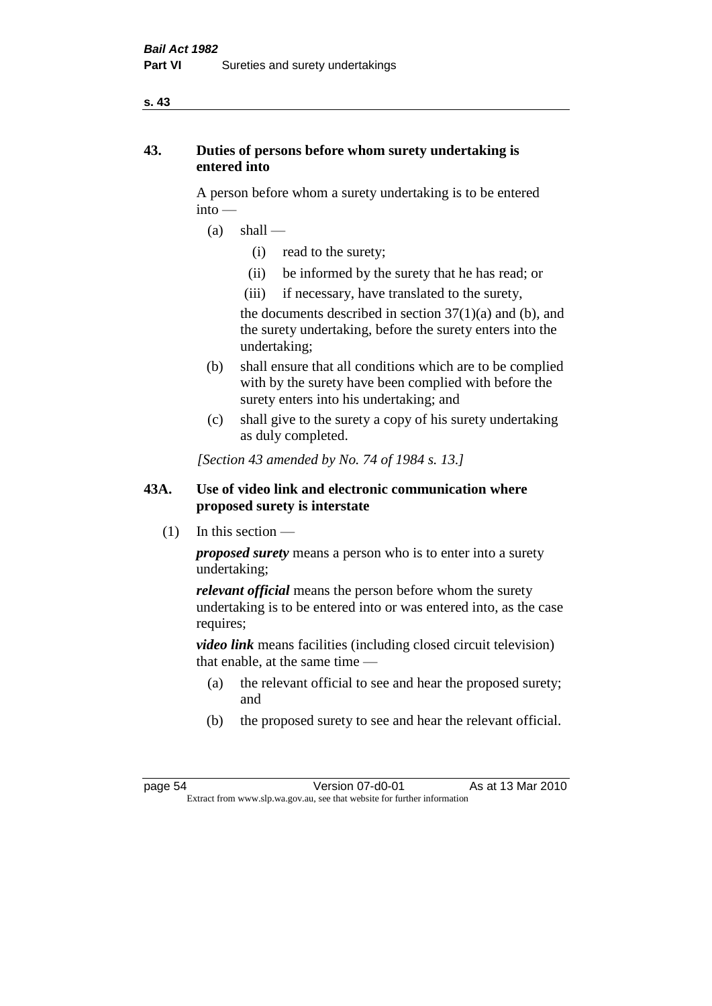#### **s. 43**

# **43. Duties of persons before whom surety undertaking is entered into**

A person before whom a surety undertaking is to be entered into —

- $(a)$  shall
	- (i) read to the surety;
	- (ii) be informed by the surety that he has read; or
	- (iii) if necessary, have translated to the surety,

the documents described in section  $37(1)(a)$  and (b), and the surety undertaking, before the surety enters into the undertaking;

- (b) shall ensure that all conditions which are to be complied with by the surety have been complied with before the surety enters into his undertaking; and
- (c) shall give to the surety a copy of his surety undertaking as duly completed.

*[Section 43 amended by No. 74 of 1984 s. 13.]* 

# **43A. Use of video link and electronic communication where proposed surety is interstate**

 $(1)$  In this section —

*proposed surety* means a person who is to enter into a surety undertaking;

*relevant official* means the person before whom the surety undertaking is to be entered into or was entered into, as the case requires;

*video link* means facilities (including closed circuit television) that enable, at the same time —

- (a) the relevant official to see and hear the proposed surety; and
- (b) the proposed surety to see and hear the relevant official.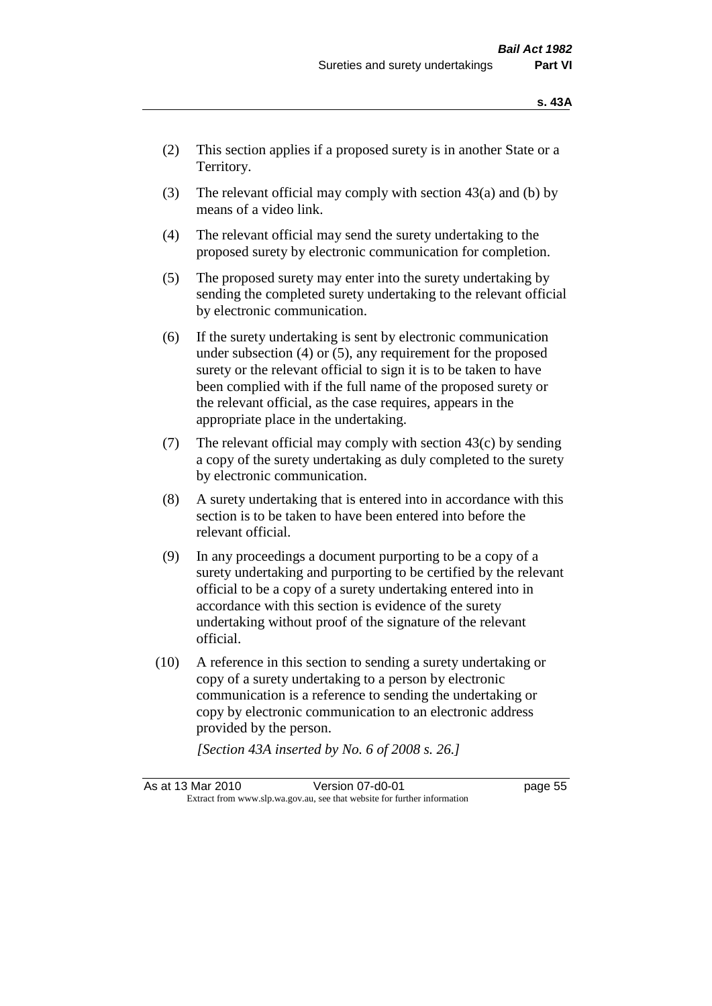- (2) This section applies if a proposed surety is in another State or a Territory.
- (3) The relevant official may comply with section  $43(a)$  and (b) by means of a video link.
- (4) The relevant official may send the surety undertaking to the proposed surety by electronic communication for completion.
- (5) The proposed surety may enter into the surety undertaking by sending the completed surety undertaking to the relevant official by electronic communication.
- (6) If the surety undertaking is sent by electronic communication under subsection (4) or (5), any requirement for the proposed surety or the relevant official to sign it is to be taken to have been complied with if the full name of the proposed surety or the relevant official, as the case requires, appears in the appropriate place in the undertaking.
- (7) The relevant official may comply with section  $43(c)$  by sending a copy of the surety undertaking as duly completed to the surety by electronic communication.
- (8) A surety undertaking that is entered into in accordance with this section is to be taken to have been entered into before the relevant official.
- (9) In any proceedings a document purporting to be a copy of a surety undertaking and purporting to be certified by the relevant official to be a copy of a surety undertaking entered into in accordance with this section is evidence of the surety undertaking without proof of the signature of the relevant official.
- (10) A reference in this section to sending a surety undertaking or copy of a surety undertaking to a person by electronic communication is a reference to sending the undertaking or copy by electronic communication to an electronic address provided by the person.

*[Section 43A inserted by No. 6 of 2008 s. 26.]*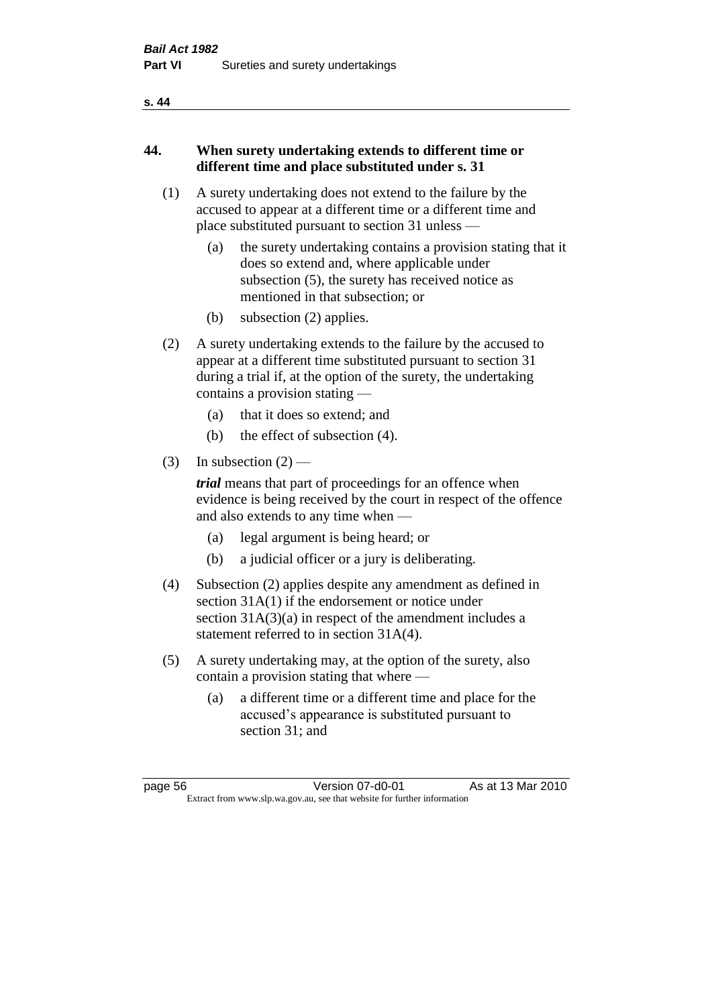#### **s. 44**

# **44. When surety undertaking extends to different time or different time and place substituted under s. 31**

- (1) A surety undertaking does not extend to the failure by the accused to appear at a different time or a different time and place substituted pursuant to section 31 unless —
	- (a) the surety undertaking contains a provision stating that it does so extend and, where applicable under subsection (5), the surety has received notice as mentioned in that subsection; or
	- (b) subsection (2) applies.
- (2) A surety undertaking extends to the failure by the accused to appear at a different time substituted pursuant to section 31 during a trial if, at the option of the surety, the undertaking contains a provision stating —
	- (a) that it does so extend; and
	- (b) the effect of subsection (4).
- (3) In subsection  $(2)$  —

*trial* means that part of proceedings for an offence when evidence is being received by the court in respect of the offence and also extends to any time when —

- (a) legal argument is being heard; or
- (b) a judicial officer or a jury is deliberating.
- (4) Subsection (2) applies despite any amendment as defined in section 31A(1) if the endorsement or notice under section 31A(3)(a) in respect of the amendment includes a statement referred to in section 31A(4).
- (5) A surety undertaking may, at the option of the surety, also contain a provision stating that where —
	- (a) a different time or a different time and place for the accused's appearance is substituted pursuant to section 31; and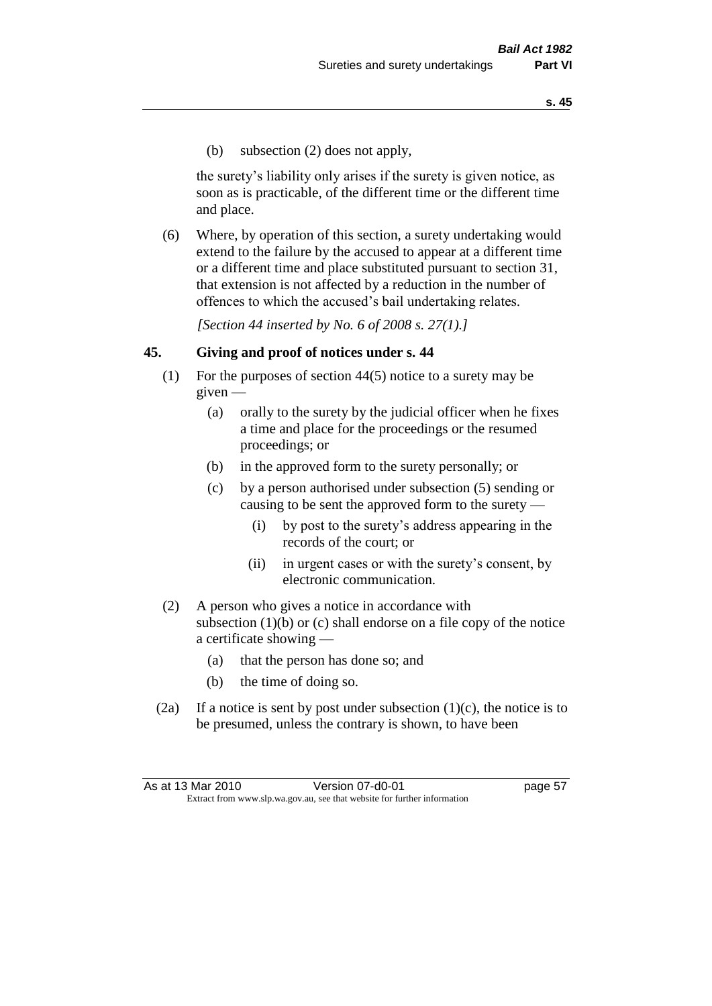(b) subsection (2) does not apply,

the surety's liability only arises if the surety is given notice, as soon as is practicable, of the different time or the different time and place.

(6) Where, by operation of this section, a surety undertaking would extend to the failure by the accused to appear at a different time or a different time and place substituted pursuant to section 31, that extension is not affected by a reduction in the number of offences to which the accused's bail undertaking relates.

*[Section 44 inserted by No. 6 of 2008 s. 27(1).]*

#### **45. Giving and proof of notices under s. 44**

- (1) For the purposes of section 44(5) notice to a surety may be  $given -$ 
	- (a) orally to the surety by the judicial officer when he fixes a time and place for the proceedings or the resumed proceedings; or
	- (b) in the approved form to the surety personally; or
	- (c) by a person authorised under subsection (5) sending or causing to be sent the approved form to the surety —
		- (i) by post to the surety's address appearing in the records of the court; or
		- (ii) in urgent cases or with the surety's consent, by electronic communication.
- (2) A person who gives a notice in accordance with subsection (1)(b) or (c) shall endorse on a file copy of the notice a certificate showing —
	- (a) that the person has done so; and
	- (b) the time of doing so.
- (2a) If a notice is sent by post under subsection  $(1)(c)$ , the notice is to be presumed, unless the contrary is shown, to have been

As at 13 Mar 2010 Version 07-d0-01 page 57 Extract from www.slp.wa.gov.au, see that website for further information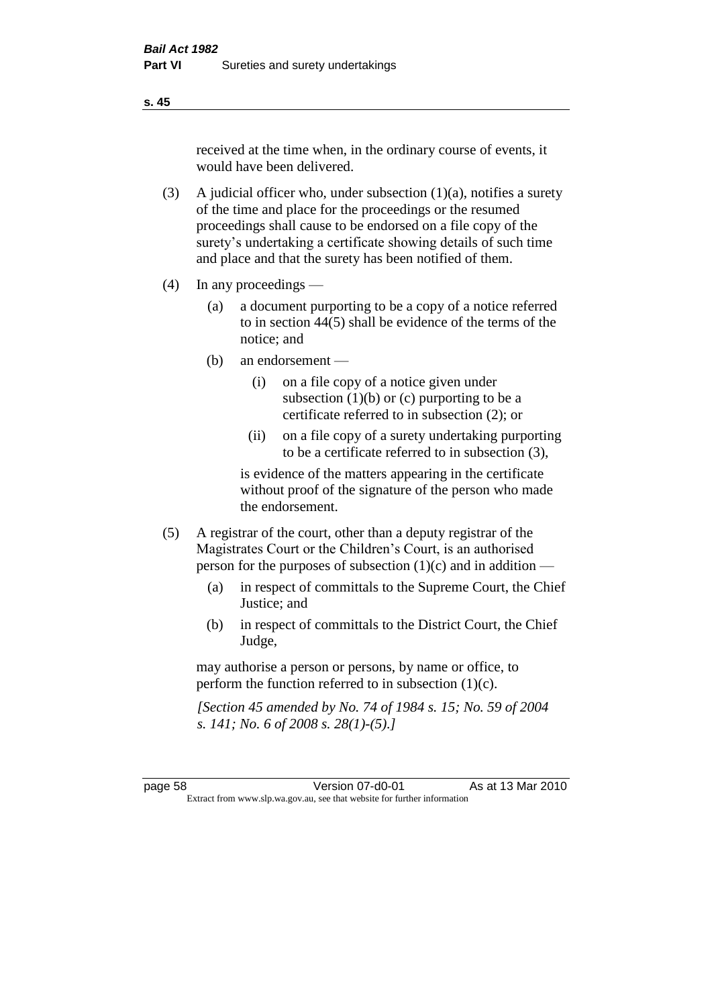received at the time when, in the ordinary course of events, it would have been delivered.

- (3) A judicial officer who, under subsection  $(1)(a)$ , notifies a surety of the time and place for the proceedings or the resumed proceedings shall cause to be endorsed on a file copy of the surety's undertaking a certificate showing details of such time and place and that the surety has been notified of them.
- (4) In any proceedings
	- (a) a document purporting to be a copy of a notice referred to in section 44(5) shall be evidence of the terms of the notice; and
	- (b) an endorsement
		- (i) on a file copy of a notice given under subsection  $(1)(b)$  or  $(c)$  purporting to be a certificate referred to in subsection (2); or
		- (ii) on a file copy of a surety undertaking purporting to be a certificate referred to in subsection (3),

is evidence of the matters appearing in the certificate without proof of the signature of the person who made the endorsement.

- (5) A registrar of the court, other than a deputy registrar of the Magistrates Court or the Children's Court, is an authorised person for the purposes of subsection (1)(c) and in addition —
	- (a) in respect of committals to the Supreme Court, the Chief Justice; and
	- (b) in respect of committals to the District Court, the Chief Judge,

may authorise a person or persons, by name or office, to perform the function referred to in subsection (1)(c).

*[Section 45 amended by No. 74 of 1984 s. 15; No. 59 of 2004 s. 141; No. 6 of 2008 s. 28(1)-(5).]* 

page 58 Version 07-d0-01 As at 13 Mar 2010 Extract from www.slp.wa.gov.au, see that website for further information

#### **s. 45**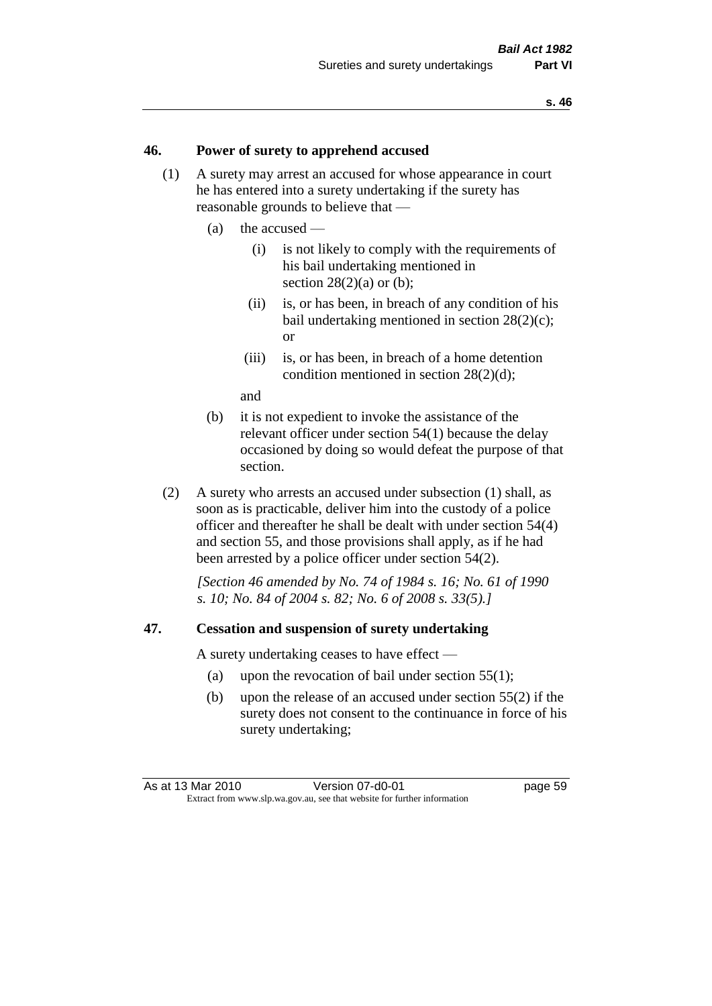#### **46. Power of surety to apprehend accused**

- (1) A surety may arrest an accused for whose appearance in court he has entered into a surety undertaking if the surety has reasonable grounds to believe that —
	- (a) the accused
		- (i) is not likely to comply with the requirements of his bail undertaking mentioned in section  $28(2)(a)$  or (b):
		- (ii) is, or has been, in breach of any condition of his bail undertaking mentioned in section 28(2)(c); or
		- (iii) is, or has been, in breach of a home detention condition mentioned in section 28(2)(d);

and

- (b) it is not expedient to invoke the assistance of the relevant officer under section 54(1) because the delay occasioned by doing so would defeat the purpose of that section.
- (2) A surety who arrests an accused under subsection (1) shall, as soon as is practicable, deliver him into the custody of a police officer and thereafter he shall be dealt with under section 54(4) and section 55, and those provisions shall apply, as if he had been arrested by a police officer under section 54(2).

*[Section 46 amended by No. 74 of 1984 s. 16; No. 61 of 1990 s. 10; No. 84 of 2004 s. 82; No. 6 of 2008 s. 33(5).]* 

#### **47. Cessation and suspension of surety undertaking**

A surety undertaking ceases to have effect —

- (a) upon the revocation of bail under section 55(1);
- (b) upon the release of an accused under section 55(2) if the surety does not consent to the continuance in force of his surety undertaking;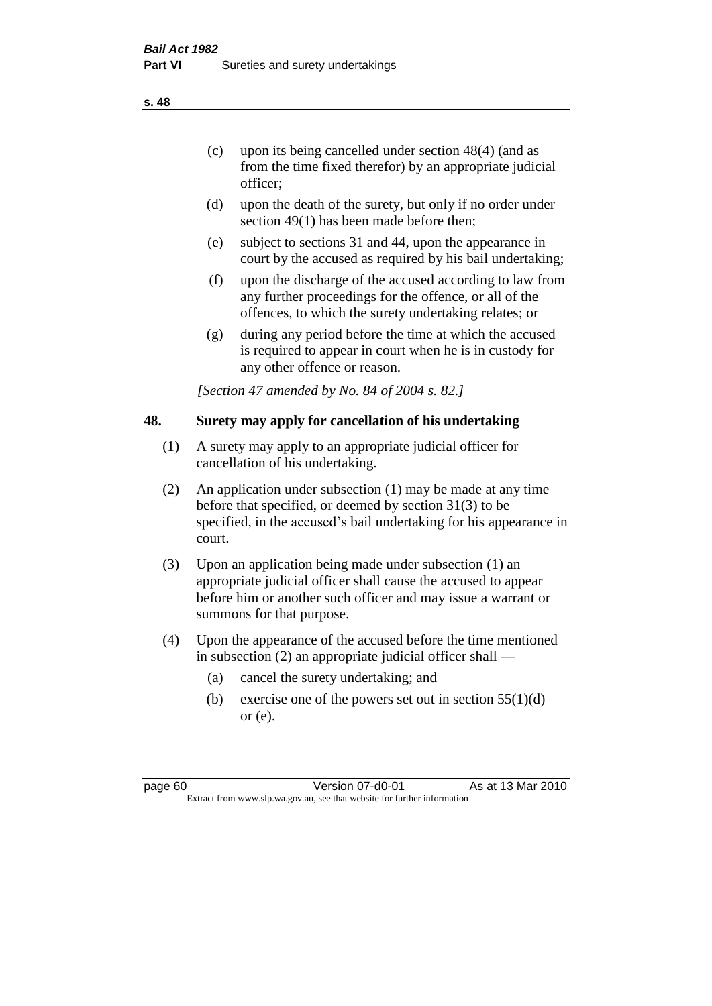officer;

- (d) upon the death of the surety, but only if no order under section 49(1) has been made before then;
- (e) subject to sections 31 and 44, upon the appearance in court by the accused as required by his bail undertaking;
- (f) upon the discharge of the accused according to law from any further proceedings for the offence, or all of the offences, to which the surety undertaking relates; or
- (g) during any period before the time at which the accused is required to appear in court when he is in custody for any other offence or reason.

*[Section 47 amended by No. 84 of 2004 s. 82.]* 

# **48. Surety may apply for cancellation of his undertaking**

- (1) A surety may apply to an appropriate judicial officer for cancellation of his undertaking.
- (2) An application under subsection (1) may be made at any time before that specified, or deemed by section 31(3) to be specified, in the accused's bail undertaking for his appearance in court.
- (3) Upon an application being made under subsection (1) an appropriate judicial officer shall cause the accused to appear before him or another such officer and may issue a warrant or summons for that purpose.
- (4) Upon the appearance of the accused before the time mentioned in subsection (2) an appropriate judicial officer shall —
	- (a) cancel the surety undertaking; and
	- (b) exercise one of the powers set out in section  $55(1)(d)$ or (e).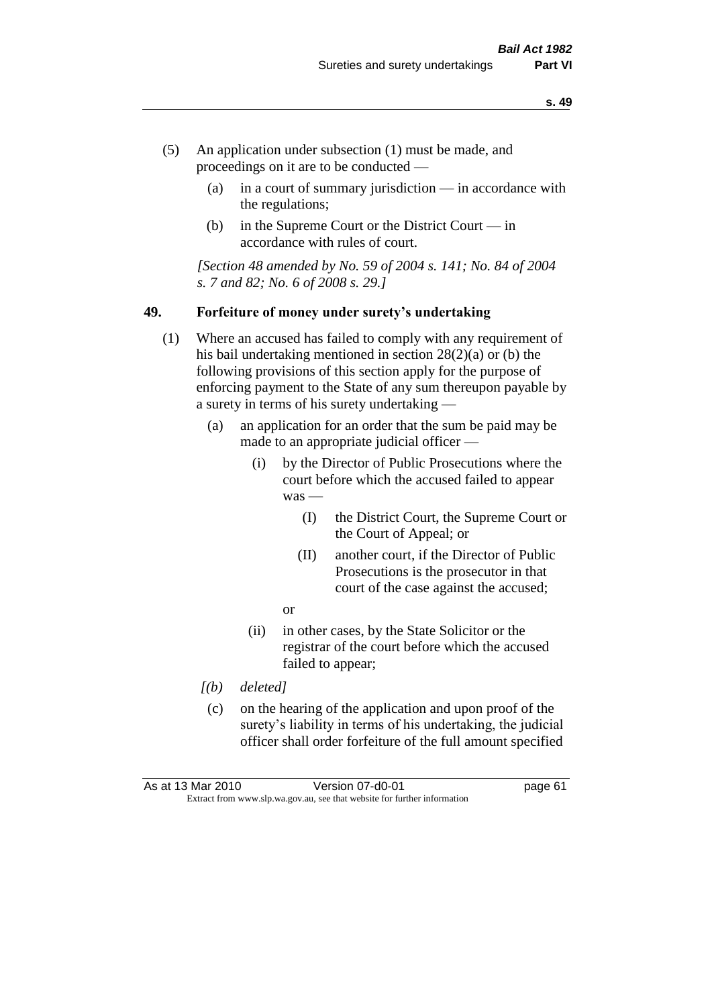- (5) An application under subsection (1) must be made, and proceedings on it are to be conducted —
	- (a) in a court of summary jurisdiction in accordance with the regulations;
	- (b) in the Supreme Court or the District Court in accordance with rules of court.

*[Section 48 amended by No. 59 of 2004 s. 141; No. 84 of 2004 s. 7 and 82; No. 6 of 2008 s. 29.]* 

#### **49. Forfeiture of money under surety's undertaking**

- (1) Where an accused has failed to comply with any requirement of his bail undertaking mentioned in section 28(2)(a) or (b) the following provisions of this section apply for the purpose of enforcing payment to the State of any sum thereupon payable by a surety in terms of his surety undertaking —
	- (a) an application for an order that the sum be paid may be made to an appropriate judicial officer —
		- (i) by the Director of Public Prosecutions where the court before which the accused failed to appear was —
			- (I) the District Court, the Supreme Court or the Court of Appeal; or
			- (II) another court, if the Director of Public Prosecutions is the prosecutor in that court of the case against the accused;
			- or
		- (ii) in other cases, by the State Solicitor or the registrar of the court before which the accused failed to appear;
	- *[(b) deleted]*
	- (c) on the hearing of the application and upon proof of the surety's liability in terms of his undertaking, the judicial officer shall order forfeiture of the full amount specified

| As at 13 Mar 2010 | Version 07-d0-01                                                         | page 61 |
|-------------------|--------------------------------------------------------------------------|---------|
|                   | Extract from www.slp.wa.gov.au, see that website for further information |         |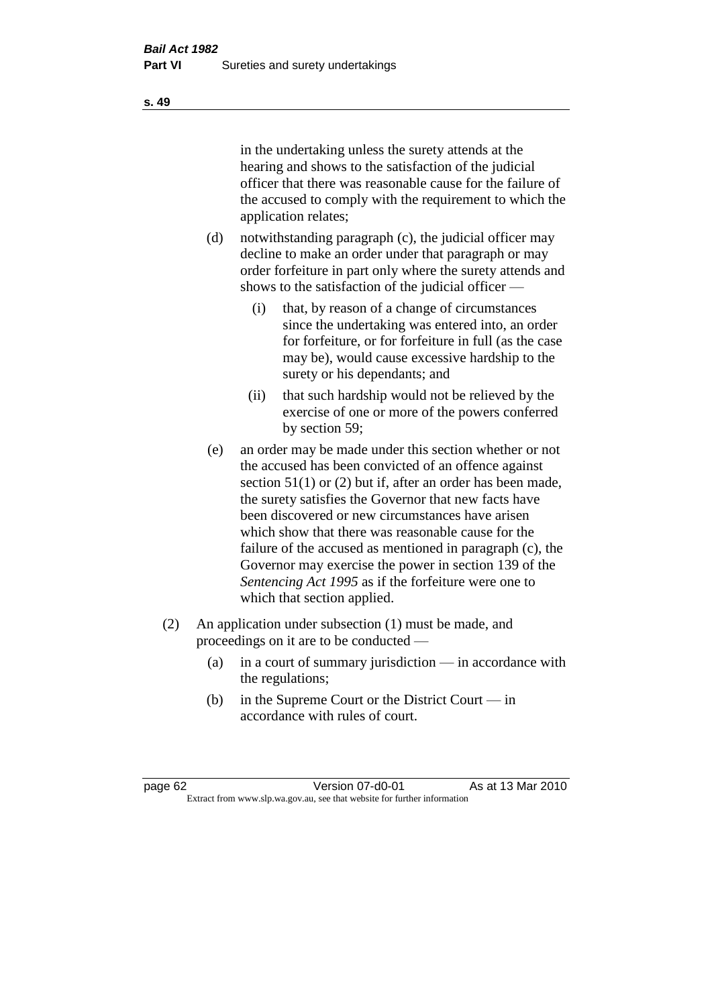in the undertaking unless the surety attends at the hearing and shows to the satisfaction of the judicial officer that there was reasonable cause for the failure of the accused to comply with the requirement to which the application relates;

- (d) notwithstanding paragraph (c), the judicial officer may decline to make an order under that paragraph or may order forfeiture in part only where the surety attends and shows to the satisfaction of the judicial officer —
	- (i) that, by reason of a change of circumstances since the undertaking was entered into, an order for forfeiture, or for forfeiture in full (as the case may be), would cause excessive hardship to the surety or his dependants; and
	- (ii) that such hardship would not be relieved by the exercise of one or more of the powers conferred by section 59;
- (e) an order may be made under this section whether or not the accused has been convicted of an offence against section 51(1) or (2) but if, after an order has been made, the surety satisfies the Governor that new facts have been discovered or new circumstances have arisen which show that there was reasonable cause for the failure of the accused as mentioned in paragraph (c), the Governor may exercise the power in section 139 of the *Sentencing Act 1995* as if the forfeiture were one to which that section applied.
- (2) An application under subsection (1) must be made, and proceedings on it are to be conducted —
	- (a) in a court of summary jurisdiction in accordance with the regulations;
	- (b) in the Supreme Court or the District Court in accordance with rules of court.

page 62 Version 07-d0-01 As at 13 Mar 2010 Extract from www.slp.wa.gov.au, see that website for further information

**s. 49**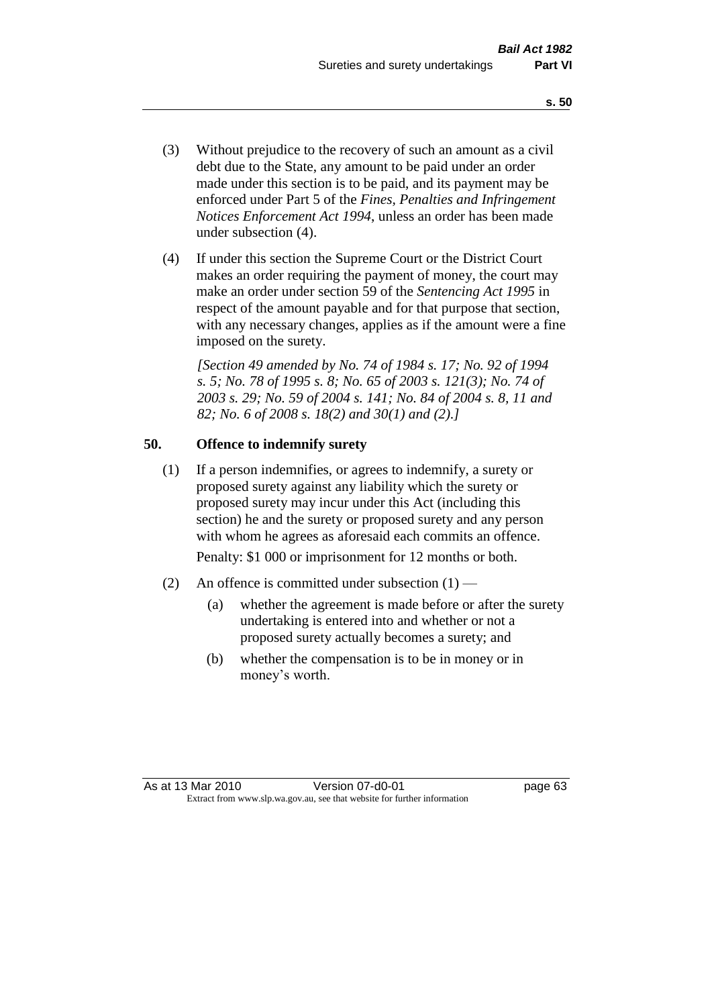- (3) Without prejudice to the recovery of such an amount as a civil debt due to the State, any amount to be paid under an order made under this section is to be paid, and its payment may be enforced under Part 5 of the *Fines, Penalties and Infringement Notices Enforcement Act 1994*, unless an order has been made under subsection (4).
- (4) If under this section the Supreme Court or the District Court makes an order requiring the payment of money, the court may make an order under section 59 of the *Sentencing Act 1995* in respect of the amount payable and for that purpose that section, with any necessary changes, applies as if the amount were a fine imposed on the surety.

*[Section 49 amended by No. 74 of 1984 s. 17; No. 92 of 1994 s. 5; No. 78 of 1995 s. 8; No. 65 of 2003 s. 121(3); No. 74 of 2003 s. 29; No. 59 of 2004 s. 141; No. 84 of 2004 s. 8, 11 and 82; No. 6 of 2008 s. 18(2) and 30(1) and (2).]* 

# **50. Offence to indemnify surety**

(1) If a person indemnifies, or agrees to indemnify, a surety or proposed surety against any liability which the surety or proposed surety may incur under this Act (including this section) he and the surety or proposed surety and any person with whom he agrees as aforesaid each commits an offence.

Penalty: \$1 000 or imprisonment for 12 months or both.

- (2) An offence is committed under subsection  $(1)$ 
	- (a) whether the agreement is made before or after the surety undertaking is entered into and whether or not a proposed surety actually becomes a surety; and
	- (b) whether the compensation is to be in money or in money's worth.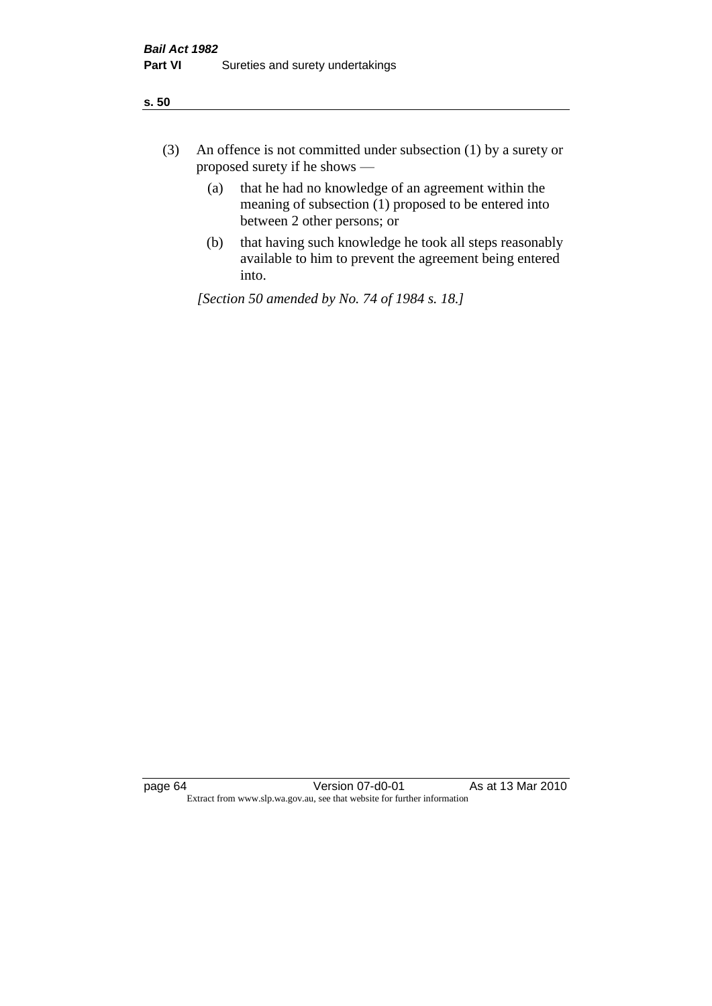| ÷<br>×<br>I<br>. .<br>×<br>۰.<br>×<br>۰.<br>v |
|-----------------------------------------------|
|-----------------------------------------------|

- (3) An offence is not committed under subsection (1) by a surety or proposed surety if he shows —
	- (a) that he had no knowledge of an agreement within the meaning of subsection  $(1)$  proposed to be entered into between 2 other persons; or
	- (b) that having such knowledge he took all steps reasonably available to him to prevent the agreement being entered into.

*[Section 50 amended by No. 74 of 1984 s. 18.]*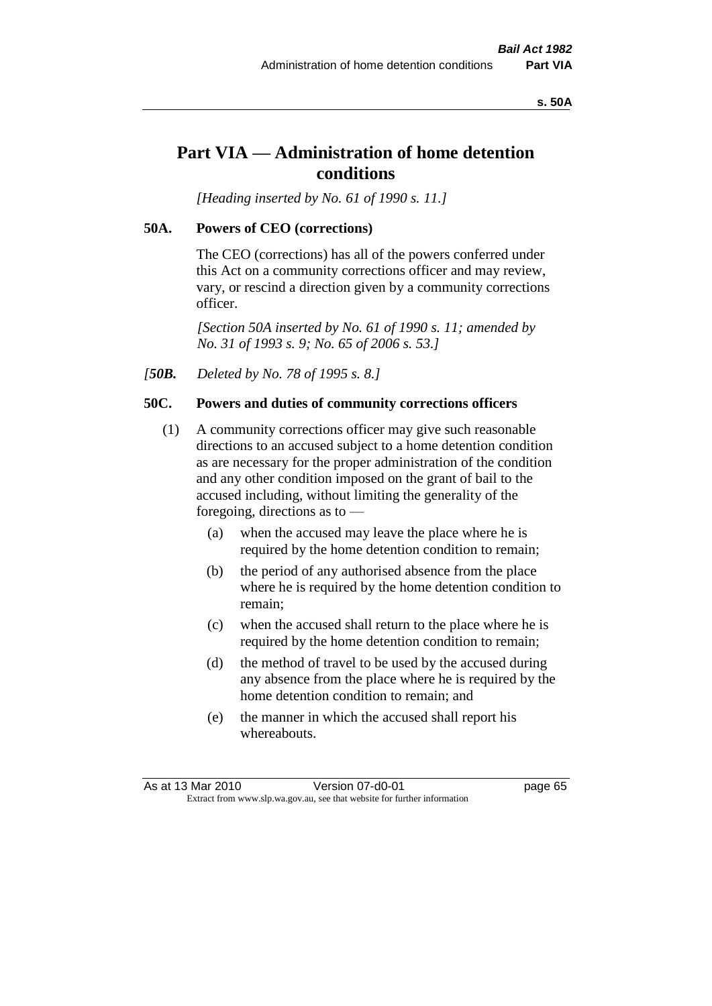#### **s. 50A**

# **Part VIA — Administration of home detention conditions**

*[Heading inserted by No. 61 of 1990 s. 11.]* 

#### **50A. Powers of CEO (corrections)**

The CEO (corrections) has all of the powers conferred under this Act on a community corrections officer and may review, vary, or rescind a direction given by a community corrections officer.

*[Section 50A inserted by No. 61 of 1990 s. 11; amended by No. 31 of 1993 s. 9; No. 65 of 2006 s. 53.]* 

*[50B. Deleted by No. 78 of 1995 s. 8.]* 

#### **50C. Powers and duties of community corrections officers**

- (1) A community corrections officer may give such reasonable directions to an accused subject to a home detention condition as are necessary for the proper administration of the condition and any other condition imposed on the grant of bail to the accused including, without limiting the generality of the foregoing, directions as to —
	- (a) when the accused may leave the place where he is required by the home detention condition to remain;
	- (b) the period of any authorised absence from the place where he is required by the home detention condition to remain;
	- (c) when the accused shall return to the place where he is required by the home detention condition to remain;
	- (d) the method of travel to be used by the accused during any absence from the place where he is required by the home detention condition to remain; and
	- (e) the manner in which the accused shall report his whereabouts.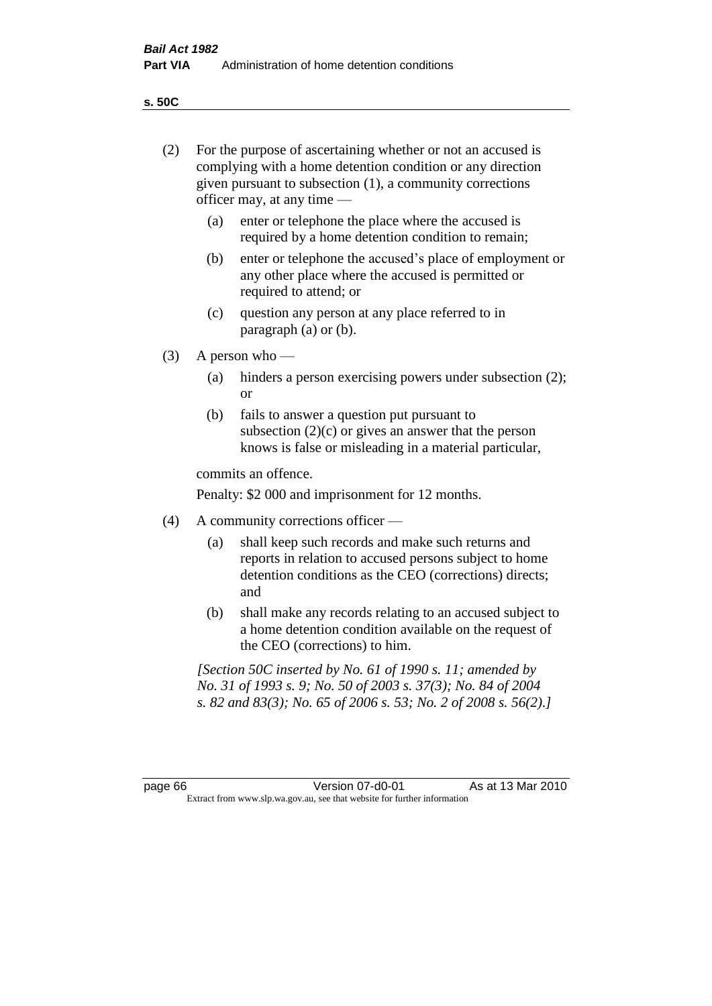**s. 50C**

| (2)     | For the purpose of ascertaining whether or not an accused is<br>complying with a home detention condition or any direction<br>given pursuant to subsection (1), a community corrections<br>officer may, at any time — |                                                                                                                                                                                              |  |
|---------|-----------------------------------------------------------------------------------------------------------------------------------------------------------------------------------------------------------------------|----------------------------------------------------------------------------------------------------------------------------------------------------------------------------------------------|--|
|         | (a)                                                                                                                                                                                                                   | enter or telephone the place where the accused is<br>required by a home detention condition to remain;                                                                                       |  |
|         | (b)                                                                                                                                                                                                                   | enter or telephone the accused's place of employment or<br>any other place where the accused is permitted or<br>required to attend; or                                                       |  |
|         | (c)                                                                                                                                                                                                                   | question any person at any place referred to in<br>paragraph $(a)$ or $(b)$ .                                                                                                                |  |
| (3)     | A person who $-$                                                                                                                                                                                                      |                                                                                                                                                                                              |  |
|         | (a)                                                                                                                                                                                                                   | hinders a person exercising powers under subsection (2);<br><sub>or</sub>                                                                                                                    |  |
|         | (b)                                                                                                                                                                                                                   | fails to answer a question put pursuant to<br>subsection $(2)(c)$ or gives an answer that the person<br>knows is false or misleading in a material particular,                               |  |
|         |                                                                                                                                                                                                                       | commits an offence.                                                                                                                                                                          |  |
|         |                                                                                                                                                                                                                       | Penalty: \$2 000 and imprisonment for 12 months.                                                                                                                                             |  |
| (4)     |                                                                                                                                                                                                                       | A community corrections officer -                                                                                                                                                            |  |
|         | (a)                                                                                                                                                                                                                   | shall keep such records and make such returns and<br>reports in relation to accused persons subject to home<br>detention conditions as the CEO (corrections) directs;<br>and                 |  |
|         | (b)                                                                                                                                                                                                                   | shall make any records relating to an accused subject to<br>a home detention condition available on the request of<br>the CEO (corrections) to him.                                          |  |
|         |                                                                                                                                                                                                                       | [Section 50C inserted by No. 61 of 1990 s. 11; amended by<br>No. 31 of 1993 s. 9; No. 50 of 2003 s. 37(3); No. 84 of 2004<br>s. 82 and 83(3); No. 65 of 2006 s. 53; No. 2 of 2008 s. 56(2).] |  |
|         |                                                                                                                                                                                                                       |                                                                                                                                                                                              |  |
| page 66 |                                                                                                                                                                                                                       | As at 13 Mar 2010<br>Version 07-d0-01<br>Extract from www.slp.wa.gov.au, see that website for further information                                                                            |  |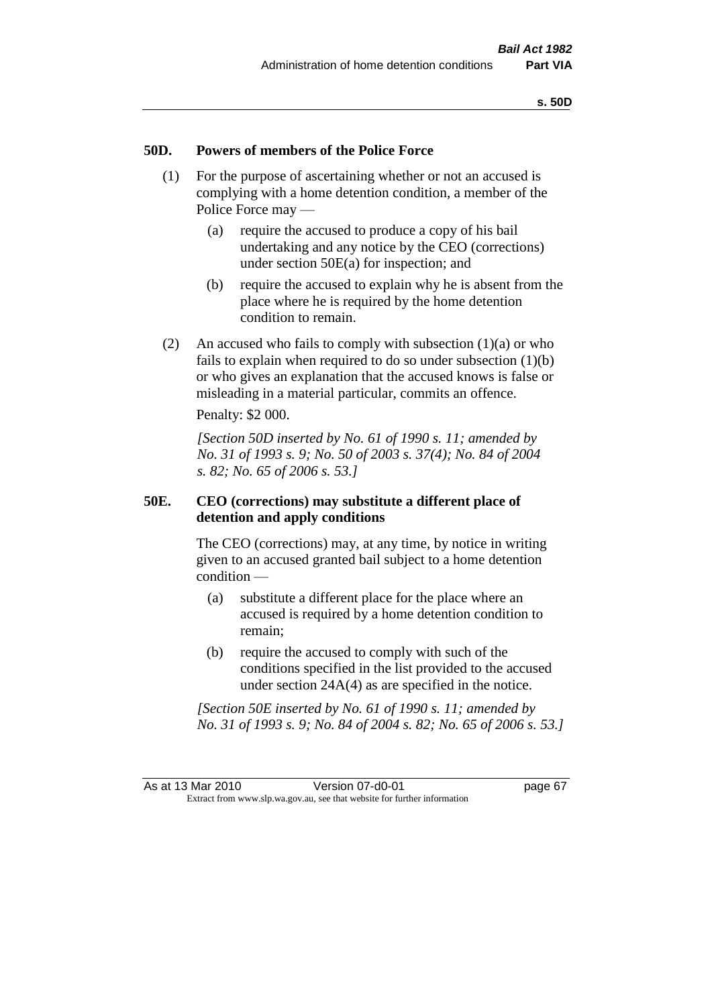### **50D. Powers of members of the Police Force**

- (1) For the purpose of ascertaining whether or not an accused is complying with a home detention condition, a member of the Police Force may —
	- (a) require the accused to produce a copy of his bail undertaking and any notice by the CEO (corrections) under section 50E(a) for inspection; and
	- (b) require the accused to explain why he is absent from the place where he is required by the home detention condition to remain.
- (2) An accused who fails to comply with subsection  $(1)(a)$  or who fails to explain when required to do so under subsection  $(1)(b)$ or who gives an explanation that the accused knows is false or misleading in a material particular, commits an offence.

Penalty: \$2 000.

*[Section 50D inserted by No. 61 of 1990 s. 11; amended by No. 31 of 1993 s. 9; No. 50 of 2003 s. 37(4); No. 84 of 2004 s. 82; No. 65 of 2006 s. 53.]* 

## **50E. CEO (corrections) may substitute a different place of detention and apply conditions**

The CEO (corrections) may, at any time, by notice in writing given to an accused granted bail subject to a home detention condition —

- (a) substitute a different place for the place where an accused is required by a home detention condition to remain;
- (b) require the accused to comply with such of the conditions specified in the list provided to the accused under section 24A(4) as are specified in the notice.

*[Section 50E inserted by No. 61 of 1990 s. 11; amended by No. 31 of 1993 s. 9; No. 84 of 2004 s. 82; No. 65 of 2006 s. 53.]*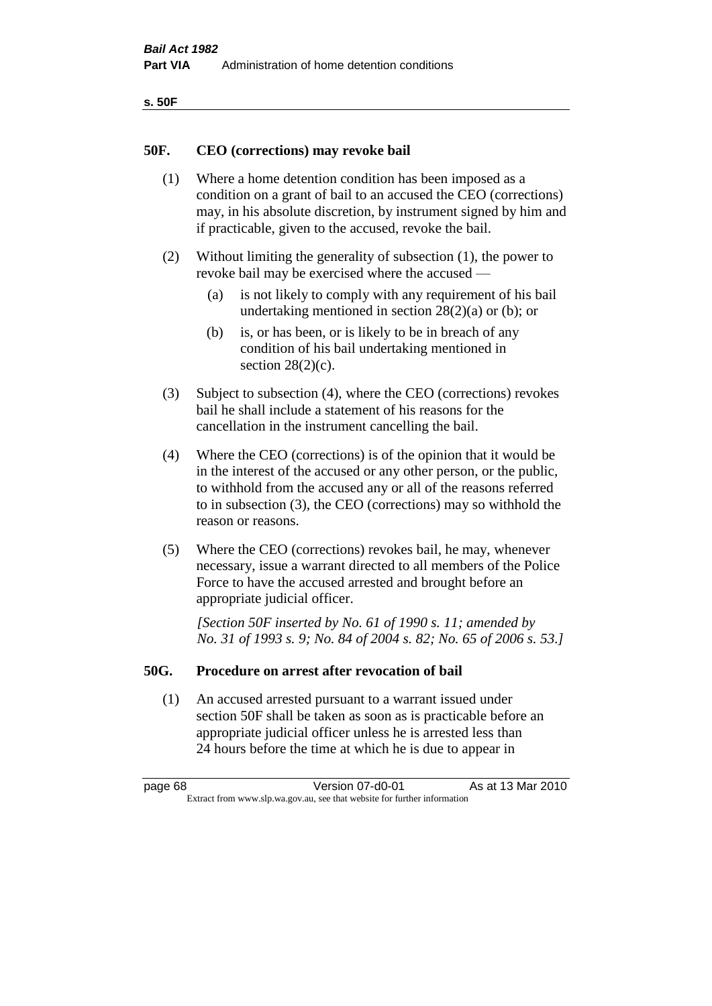| ۰.<br>۰,<br>۰.<br>×<br>× |
|--------------------------|
|--------------------------|

### **50F. CEO (corrections) may revoke bail**

- (1) Where a home detention condition has been imposed as a condition on a grant of bail to an accused the CEO (corrections) may, in his absolute discretion, by instrument signed by him and if practicable, given to the accused, revoke the bail.
- (2) Without limiting the generality of subsection (1), the power to revoke bail may be exercised where the accused —
	- (a) is not likely to comply with any requirement of his bail undertaking mentioned in section  $28(2)(a)$  or (b); or
	- (b) is, or has been, or is likely to be in breach of any condition of his bail undertaking mentioned in section  $28(2)(c)$ .
- (3) Subject to subsection (4), where the CEO (corrections) revokes bail he shall include a statement of his reasons for the cancellation in the instrument cancelling the bail.
- (4) Where the CEO (corrections) is of the opinion that it would be in the interest of the accused or any other person, or the public, to withhold from the accused any or all of the reasons referred to in subsection (3), the CEO (corrections) may so withhold the reason or reasons.
- (5) Where the CEO (corrections) revokes bail, he may, whenever necessary, issue a warrant directed to all members of the Police Force to have the accused arrested and brought before an appropriate judicial officer.

*[Section 50F inserted by No. 61 of 1990 s. 11; amended by No. 31 of 1993 s. 9; No. 84 of 2004 s. 82; No. 65 of 2006 s. 53.]* 

#### **50G. Procedure on arrest after revocation of bail**

(1) An accused arrested pursuant to a warrant issued under section 50F shall be taken as soon as is practicable before an appropriate judicial officer unless he is arrested less than 24 hours before the time at which he is due to appear in

page 68 Version 07-d0-01 As at 13 Mar 2010 Extract from www.slp.wa.gov.au, see that website for further information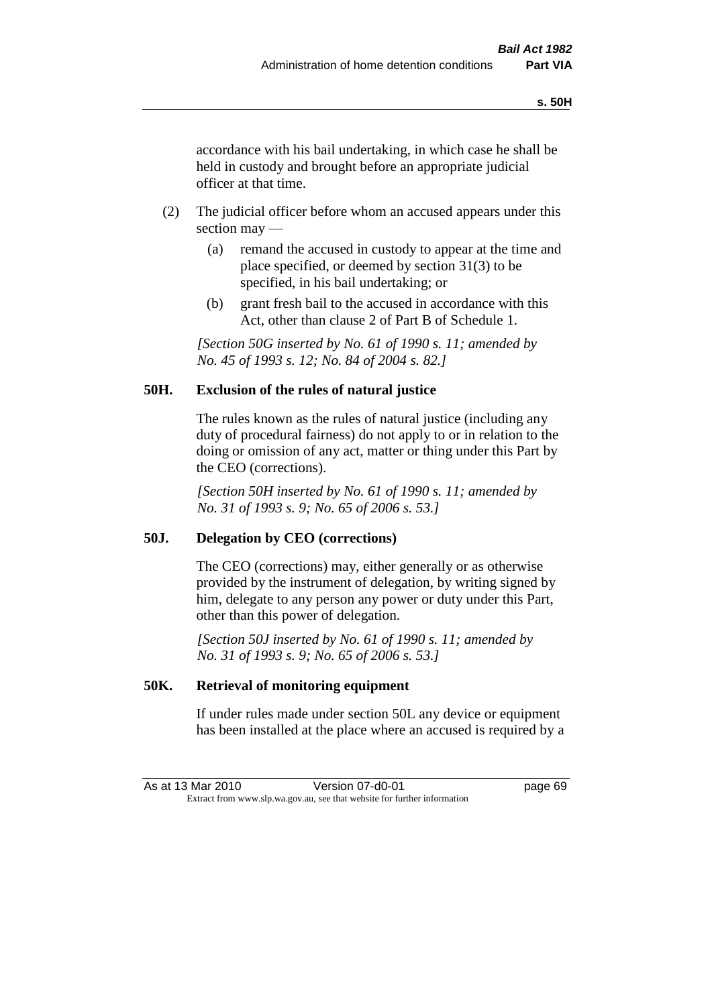accordance with his bail undertaking, in which case he shall be held in custody and brought before an appropriate judicial officer at that time.

- (2) The judicial officer before whom an accused appears under this section may —
	- (a) remand the accused in custody to appear at the time and place specified, or deemed by section 31(3) to be specified, in his bail undertaking; or
	- (b) grant fresh bail to the accused in accordance with this Act, other than clause 2 of Part B of Schedule 1.

*[Section 50G inserted by No. 61 of 1990 s. 11; amended by No. 45 of 1993 s. 12; No. 84 of 2004 s. 82.]* 

## **50H. Exclusion of the rules of natural justice**

The rules known as the rules of natural justice (including any duty of procedural fairness) do not apply to or in relation to the doing or omission of any act, matter or thing under this Part by the CEO (corrections).

*[Section 50H inserted by No. 61 of 1990 s. 11; amended by No. 31 of 1993 s. 9; No. 65 of 2006 s. 53.]* 

## **50J. Delegation by CEO (corrections)**

The CEO (corrections) may, either generally or as otherwise provided by the instrument of delegation, by writing signed by him, delegate to any person any power or duty under this Part, other than this power of delegation.

*[Section 50J inserted by No. 61 of 1990 s. 11; amended by No. 31 of 1993 s. 9; No. 65 of 2006 s. 53.]* 

## **50K. Retrieval of monitoring equipment**

If under rules made under section 50L any device or equipment has been installed at the place where an accused is required by a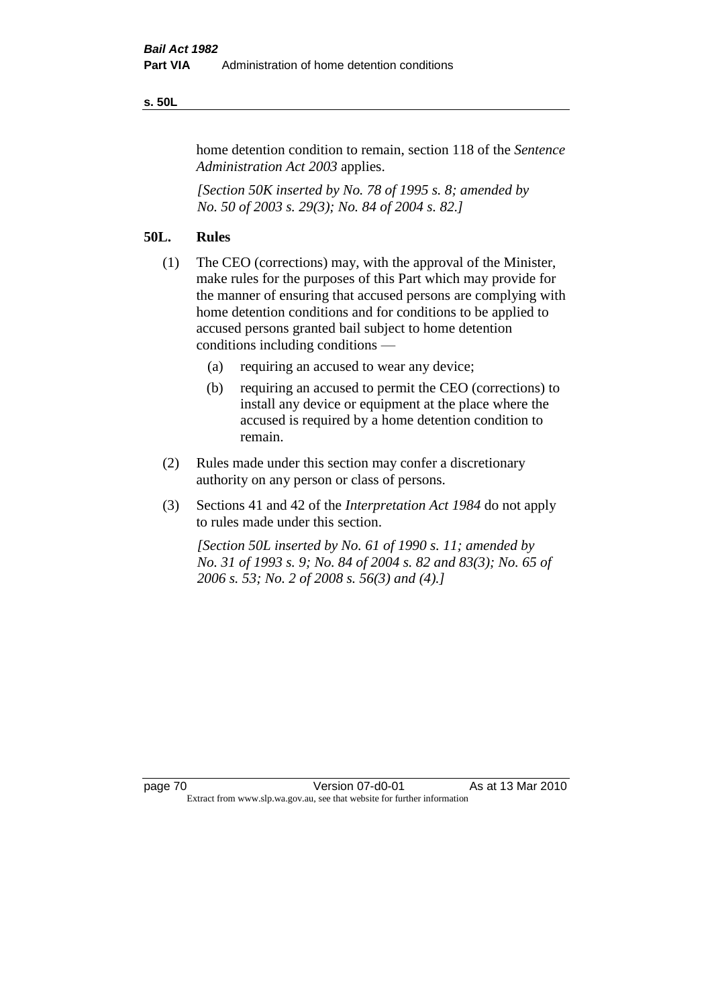#### **s. 50L**

home detention condition to remain, section 118 of the *Sentence Administration Act 2003* applies.

*[Section 50K inserted by No. 78 of 1995 s. 8; amended by No. 50 of 2003 s. 29(3); No. 84 of 2004 s. 82.]* 

## **50L. Rules**

- (1) The CEO (corrections) may, with the approval of the Minister, make rules for the purposes of this Part which may provide for the manner of ensuring that accused persons are complying with home detention conditions and for conditions to be applied to accused persons granted bail subject to home detention conditions including conditions —
	- (a) requiring an accused to wear any device;
	- (b) requiring an accused to permit the CEO (corrections) to install any device or equipment at the place where the accused is required by a home detention condition to remain.
- (2) Rules made under this section may confer a discretionary authority on any person or class of persons.
- (3) Sections 41 and 42 of the *Interpretation Act 1984* do not apply to rules made under this section.

*[Section 50L inserted by No. 61 of 1990 s. 11; amended by No. 31 of 1993 s. 9; No. 84 of 2004 s. 82 and 83(3); No. 65 of 2006 s. 53; No. 2 of 2008 s. 56(3) and (4).]*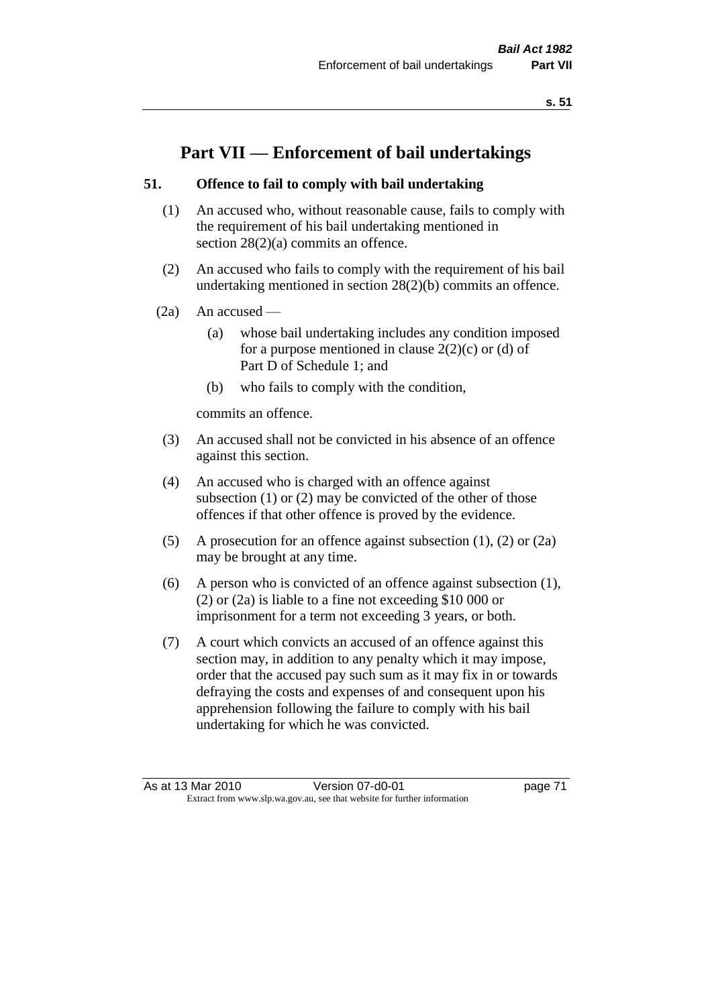# **Part VII — Enforcement of bail undertakings**

## **51. Offence to fail to comply with bail undertaking**

- (1) An accused who, without reasonable cause, fails to comply with the requirement of his bail undertaking mentioned in section 28(2)(a) commits an offence.
- (2) An accused who fails to comply with the requirement of his bail undertaking mentioned in section 28(2)(b) commits an offence.
- $(2a)$  An accused
	- (a) whose bail undertaking includes any condition imposed for a purpose mentioned in clause  $2(2)(c)$  or (d) of Part D of Schedule 1; and
	- (b) who fails to comply with the condition,

commits an offence.

- (3) An accused shall not be convicted in his absence of an offence against this section.
- (4) An accused who is charged with an offence against subsection (1) or (2) may be convicted of the other of those offences if that other offence is proved by the evidence.
- (5) A prosecution for an offence against subsection (1), (2) or (2a) may be brought at any time.
- (6) A person who is convicted of an offence against subsection (1), (2) or (2a) is liable to a fine not exceeding \$10 000 or imprisonment for a term not exceeding 3 years, or both.
- (7) A court which convicts an accused of an offence against this section may, in addition to any penalty which it may impose, order that the accused pay such sum as it may fix in or towards defraying the costs and expenses of and consequent upon his apprehension following the failure to comply with his bail undertaking for which he was convicted.

As at 13 Mar 2010 Version 07-d0-01 page 71 Extract from www.slp.wa.gov.au, see that website for further information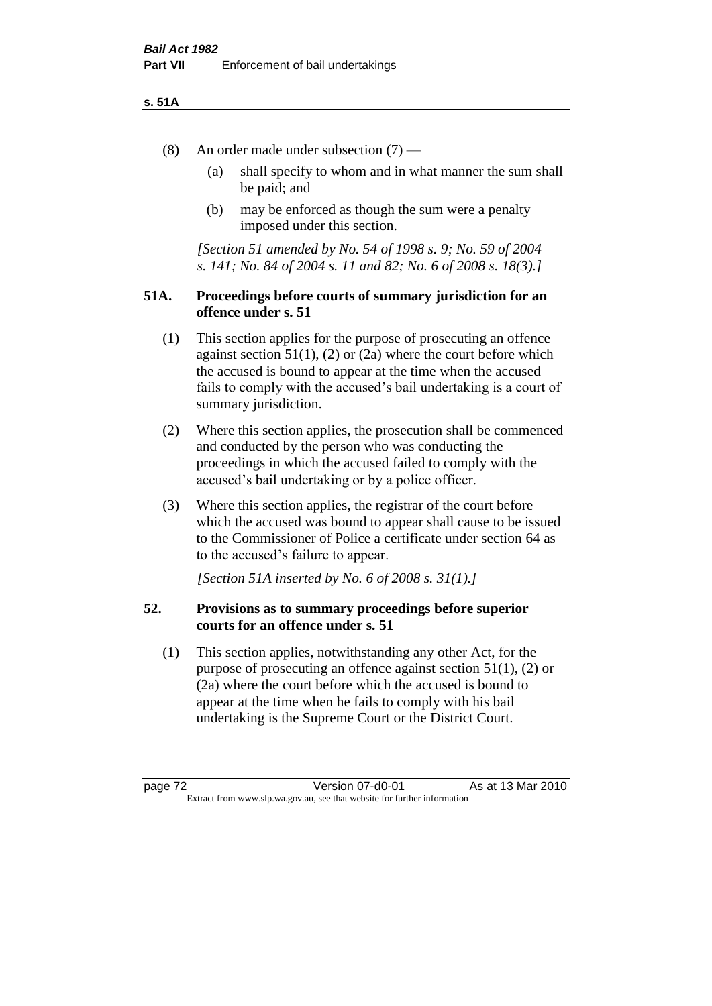#### **s. 51A**

- (8) An order made under subsection (7)
	- (a) shall specify to whom and in what manner the sum shall be paid; and
	- (b) may be enforced as though the sum were a penalty imposed under this section.

*[Section 51 amended by No. 54 of 1998 s. 9; No. 59 of 2004 s. 141; No. 84 of 2004 s. 11 and 82; No. 6 of 2008 s. 18(3).]*

## **51A. Proceedings before courts of summary jurisdiction for an offence under s. 51**

- (1) This section applies for the purpose of prosecuting an offence against section  $51(1)$ ,  $(2)$  or  $(2a)$  where the court before which the accused is bound to appear at the time when the accused fails to comply with the accused's bail undertaking is a court of summary jurisdiction.
- (2) Where this section applies, the prosecution shall be commenced and conducted by the person who was conducting the proceedings in which the accused failed to comply with the accused's bail undertaking or by a police officer.
- (3) Where this section applies, the registrar of the court before which the accused was bound to appear shall cause to be issued to the Commissioner of Police a certificate under section 64 as to the accused's failure to appear.

*[Section 51A inserted by No. 6 of 2008 s. 31(1).]*

## **52. Provisions as to summary proceedings before superior courts for an offence under s. 51**

(1) This section applies, notwithstanding any other Act, for the purpose of prosecuting an offence against section 51(1), (2) or (2a) where the court before which the accused is bound to appear at the time when he fails to comply with his bail undertaking is the Supreme Court or the District Court.

page 72 **Version 07-d0-01** As at 13 Mar 2010 Extract from www.slp.wa.gov.au, see that website for further information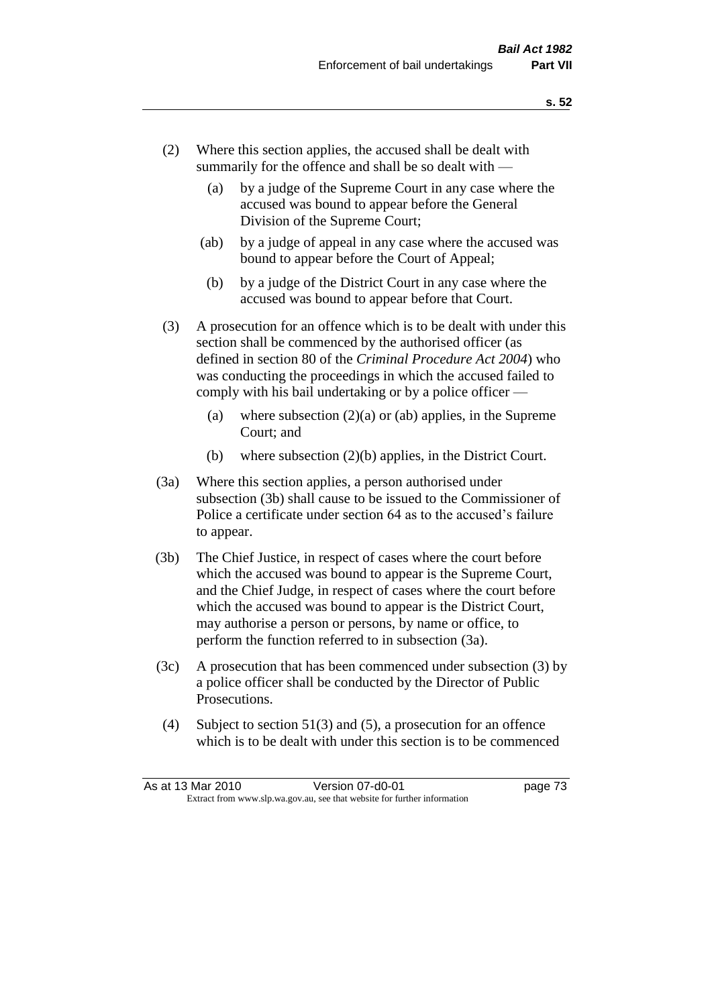- (2) Where this section applies, the accused shall be dealt with summarily for the offence and shall be so dealt with —
	- (a) by a judge of the Supreme Court in any case where the accused was bound to appear before the General Division of the Supreme Court;
	- (ab) by a judge of appeal in any case where the accused was bound to appear before the Court of Appeal;
	- (b) by a judge of the District Court in any case where the accused was bound to appear before that Court.
- (3) A prosecution for an offence which is to be dealt with under this section shall be commenced by the authorised officer (as defined in section 80 of the *Criminal Procedure Act 2004*) who was conducting the proceedings in which the accused failed to comply with his bail undertaking or by a police officer —
	- (a) where subsection  $(2)(a)$  or (ab) applies, in the Supreme Court; and
	- (b) where subsection (2)(b) applies, in the District Court.
- (3a) Where this section applies, a person authorised under subsection (3b) shall cause to be issued to the Commissioner of Police a certificate under section 64 as to the accused's failure to appear.
- (3b) The Chief Justice, in respect of cases where the court before which the accused was bound to appear is the Supreme Court, and the Chief Judge, in respect of cases where the court before which the accused was bound to appear is the District Court, may authorise a person or persons, by name or office, to perform the function referred to in subsection (3a).
- (3c) A prosecution that has been commenced under subsection (3) by a police officer shall be conducted by the Director of Public Prosecutions.
- (4) Subject to section 51(3) and (5), a prosecution for an offence which is to be dealt with under this section is to be commenced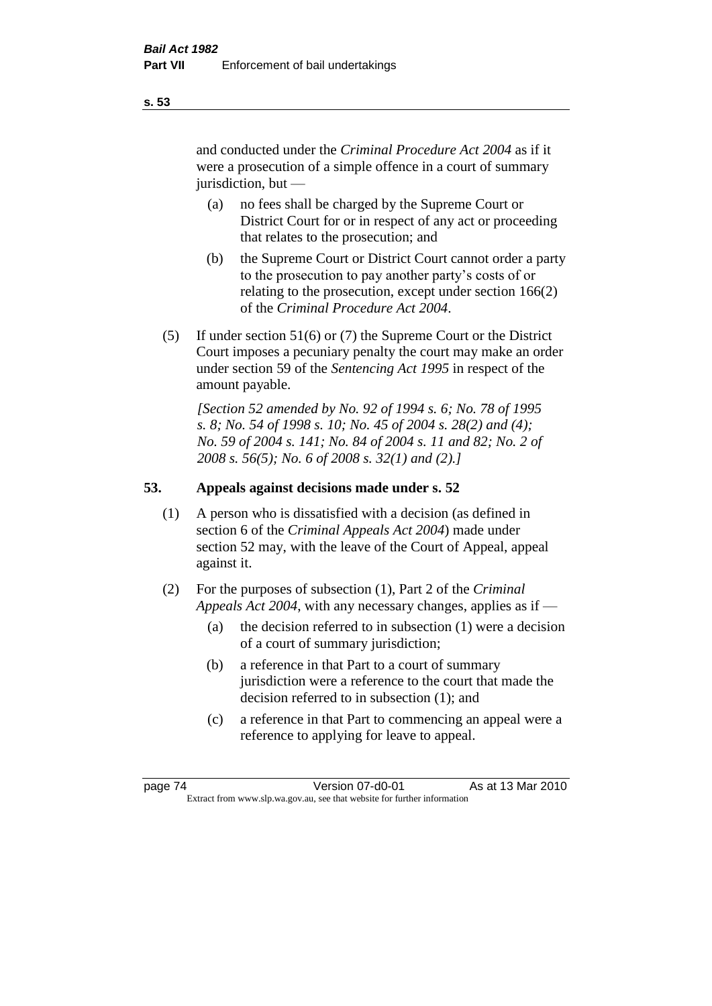and conducted under the *Criminal Procedure Act 2004* as if it were a prosecution of a simple offence in a court of summary jurisdiction, but —

- (a) no fees shall be charged by the Supreme Court or District Court for or in respect of any act or proceeding that relates to the prosecution; and
- (b) the Supreme Court or District Court cannot order a party to the prosecution to pay another party's costs of or relating to the prosecution, except under section 166(2) of the *Criminal Procedure Act 2004*.
- (5) If under section 51(6) or (7) the Supreme Court or the District Court imposes a pecuniary penalty the court may make an order under section 59 of the *Sentencing Act 1995* in respect of the amount payable.

*[Section 52 amended by No. 92 of 1994 s. 6; No. 78 of 1995 s. 8; No. 54 of 1998 s. 10; No. 45 of 2004 s. 28(2) and (4); No. 59 of 2004 s. 141; No. 84 of 2004 s. 11 and 82; No. 2 of 2008 s. 56(5); No. 6 of 2008 s. 32(1) and (2).]* 

## **53. Appeals against decisions made under s. 52**

- (1) A person who is dissatisfied with a decision (as defined in section 6 of the *Criminal Appeals Act 2004*) made under section 52 may, with the leave of the Court of Appeal, appeal against it.
- (2) For the purposes of subsection (1), Part 2 of the *Criminal Appeals Act 2004*, with any necessary changes, applies as if —
	- (a) the decision referred to in subsection (1) were a decision of a court of summary jurisdiction;
	- (b) a reference in that Part to a court of summary jurisdiction were a reference to the court that made the decision referred to in subsection (1); and
	- (c) a reference in that Part to commencing an appeal were a reference to applying for leave to appeal.

**s. 53**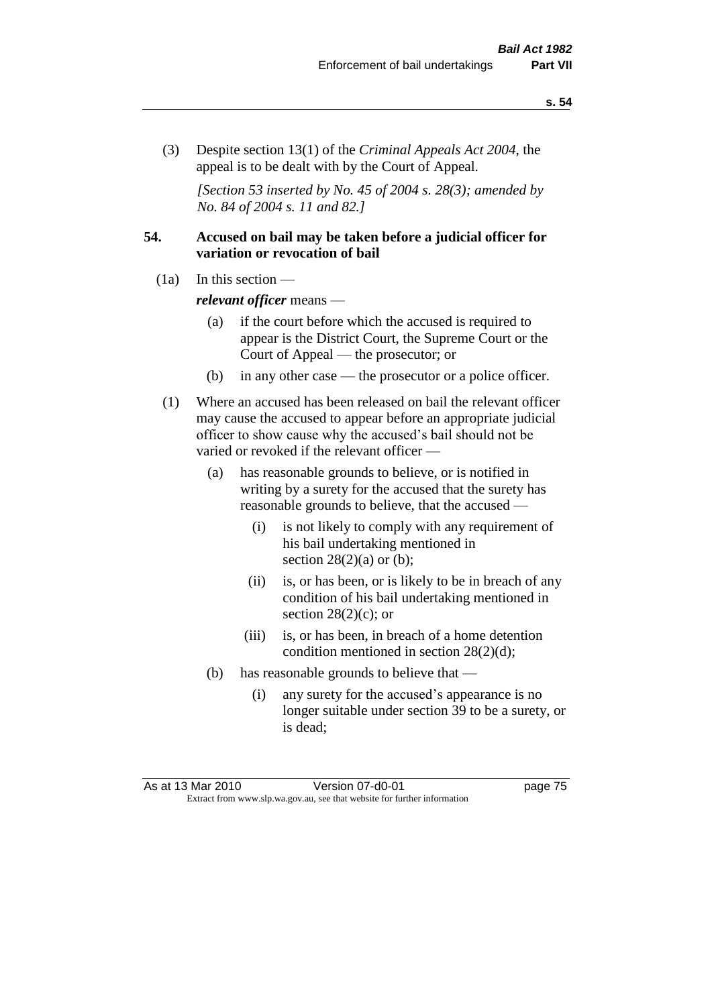(3) Despite section 13(1) of the *Criminal Appeals Act 2004*, the appeal is to be dealt with by the Court of Appeal.

*[Section 53 inserted by No. 45 of 2004 s. 28(3); amended by No. 84 of 2004 s. 11 and 82.]*

## **54. Accused on bail may be taken before a judicial officer for variation or revocation of bail**

(1a) In this section —

*relevant officer* means —

- (a) if the court before which the accused is required to appear is the District Court, the Supreme Court or the Court of Appeal — the prosecutor; or
- (b) in any other case the prosecutor or a police officer.
- (1) Where an accused has been released on bail the relevant officer may cause the accused to appear before an appropriate judicial officer to show cause why the accused's bail should not be varied or revoked if the relevant officer —
	- (a) has reasonable grounds to believe, or is notified in writing by a surety for the accused that the surety has reasonable grounds to believe, that the accused —
		- (i) is not likely to comply with any requirement of his bail undertaking mentioned in section  $28(2)(a)$  or (b);
		- (ii) is, or has been, or is likely to be in breach of any condition of his bail undertaking mentioned in section  $28(2)(c)$ ; or
		- (iii) is, or has been, in breach of a home detention condition mentioned in section 28(2)(d);
	- (b) has reasonable grounds to believe that
		- (i) any surety for the accused's appearance is no longer suitable under section 39 to be a surety, or is dead;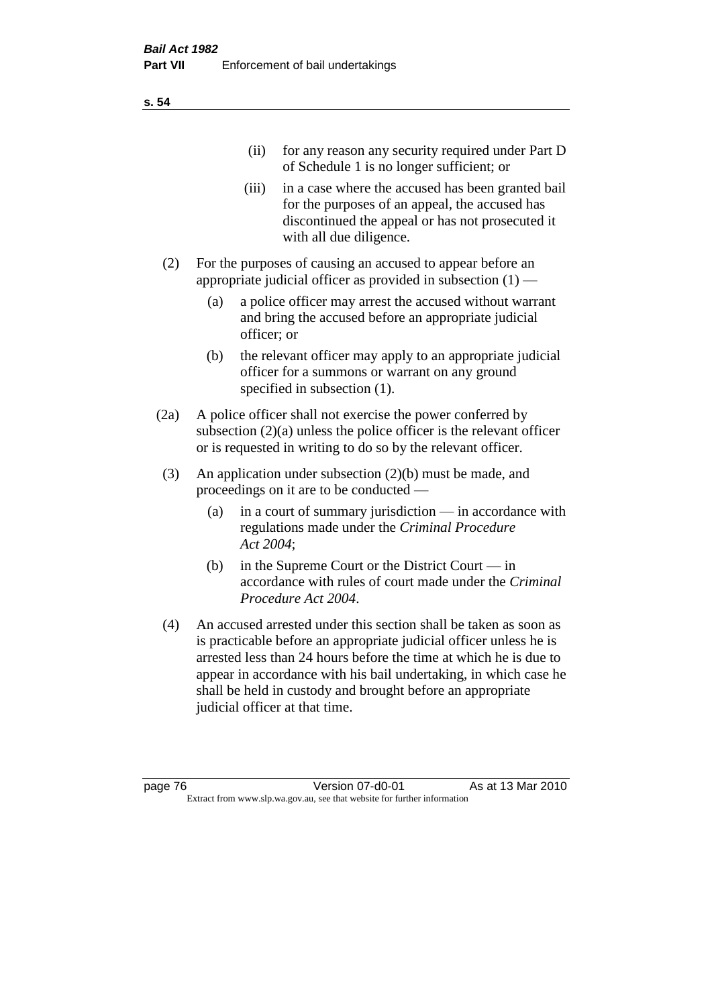| (11)  | for any reason any security required under Part D<br>of Schedule 1 is no longer sufficient; or                                                                                     |
|-------|------------------------------------------------------------------------------------------------------------------------------------------------------------------------------------|
| (111) | in a case where the accused has been granted bail<br>for the purposes of an appeal, the accused has<br>discontinued the appeal or has not prosecuted it<br>with all due diligence. |
|       | For the purposes of causing an accused to appear before an                                                                                                                         |

- appropriate judicial officer as provided in subsection  $(1)$ 
	- (a) a police officer may arrest the accused without warrant and bring the accused before an appropriate judicial officer; or
	- (b) the relevant officer may apply to an appropriate judicial officer for a summons or warrant on any ground specified in subsection  $(1)$ .
- (2a) A police officer shall not exercise the power conferred by subsection (2)(a) unless the police officer is the relevant officer or is requested in writing to do so by the relevant officer.
- (3) An application under subsection (2)(b) must be made, and proceedings on it are to be conducted —
	- (a) in a court of summary jurisdiction in accordance with regulations made under the *Criminal Procedure Act 2004*;
	- (b) in the Supreme Court or the District Court in accordance with rules of court made under the *Criminal Procedure Act 2004*.
- (4) An accused arrested under this section shall be taken as soon as is practicable before an appropriate judicial officer unless he is arrested less than 24 hours before the time at which he is due to appear in accordance with his bail undertaking, in which case he shall be held in custody and brought before an appropriate judicial officer at that time.

**s. 54**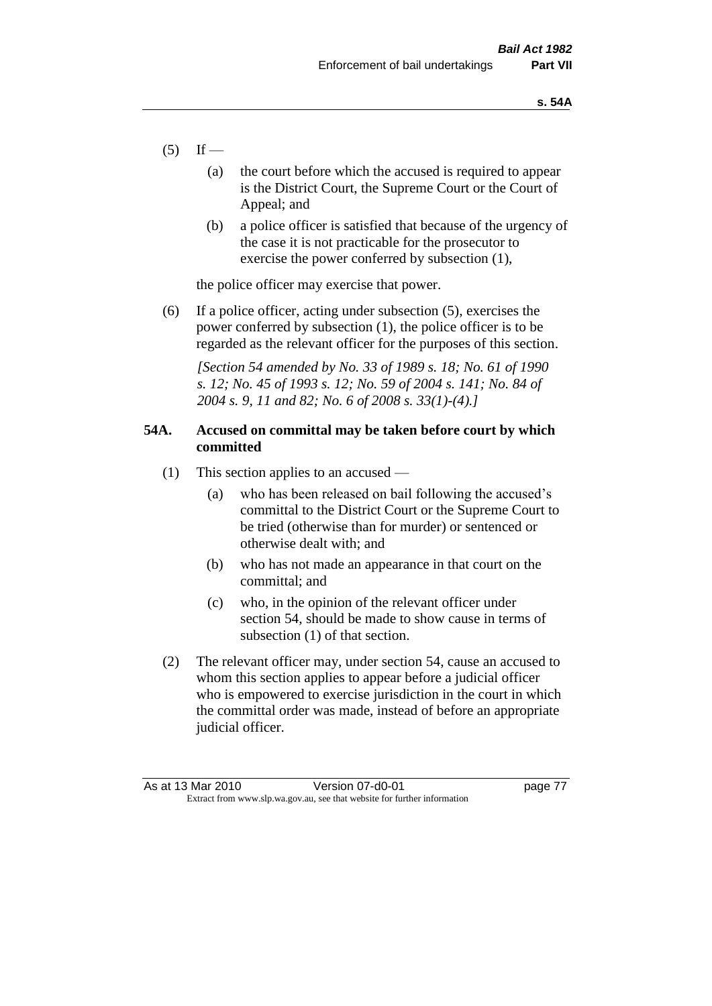- $(5)$  If
	- (a) the court before which the accused is required to appear is the District Court, the Supreme Court or the Court of Appeal; and
	- (b) a police officer is satisfied that because of the urgency of the case it is not practicable for the prosecutor to exercise the power conferred by subsection (1),

the police officer may exercise that power.

(6) If a police officer, acting under subsection (5), exercises the power conferred by subsection (1), the police officer is to be regarded as the relevant officer for the purposes of this section.

*[Section 54 amended by No. 33 of 1989 s. 18; No. 61 of 1990 s. 12; No. 45 of 1993 s. 12; No. 59 of 2004 s. 141; No. 84 of 2004 s. 9, 11 and 82; No. 6 of 2008 s. 33(1)-(4).]* 

## **54A. Accused on committal may be taken before court by which committed**

- (1) This section applies to an accused
	- (a) who has been released on bail following the accused's committal to the District Court or the Supreme Court to be tried (otherwise than for murder) or sentenced or otherwise dealt with; and
	- (b) who has not made an appearance in that court on the committal; and
	- (c) who, in the opinion of the relevant officer under section 54, should be made to show cause in terms of subsection (1) of that section.
- (2) The relevant officer may, under section 54, cause an accused to whom this section applies to appear before a judicial officer who is empowered to exercise jurisdiction in the court in which the committal order was made, instead of before an appropriate judicial officer.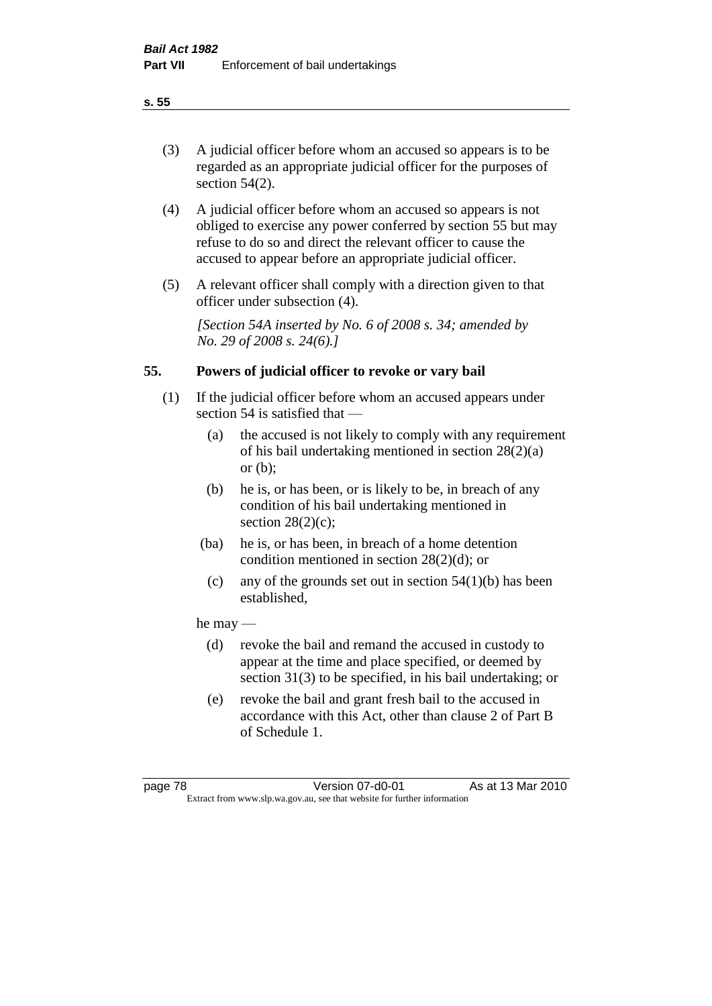# (3) A judicial officer before whom an accused so appears is to be regarded as an appropriate judicial officer for the purposes of section 54(2).

- (4) A judicial officer before whom an accused so appears is not obliged to exercise any power conferred by section 55 but may refuse to do so and direct the relevant officer to cause the accused to appear before an appropriate judicial officer.
- (5) A relevant officer shall comply with a direction given to that officer under subsection (4).

*[Section 54A inserted by No. 6 of 2008 s. 34; amended by No. 29 of 2008 s. 24(6).]*

# **55. Powers of judicial officer to revoke or vary bail**

- (1) If the judicial officer before whom an accused appears under section 54 is satisfied that —
	- (a) the accused is not likely to comply with any requirement of his bail undertaking mentioned in section 28(2)(a) or (b);
	- (b) he is, or has been, or is likely to be, in breach of any condition of his bail undertaking mentioned in section  $28(2)(c)$ ;
	- (ba) he is, or has been, in breach of a home detention condition mentioned in section 28(2)(d); or
		- (c) any of the grounds set out in section  $54(1)(b)$  has been established,

## he may —

- (d) revoke the bail and remand the accused in custody to appear at the time and place specified, or deemed by section 31(3) to be specified, in his bail undertaking; or
- (e) revoke the bail and grant fresh bail to the accused in accordance with this Act, other than clause 2 of Part B of Schedule 1.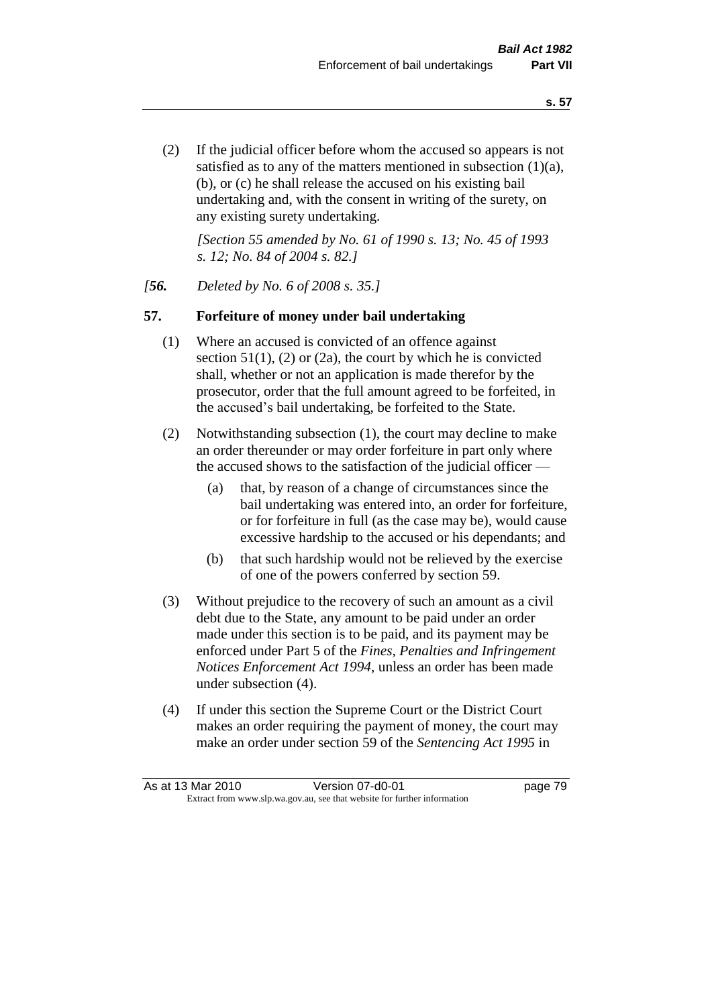(2) If the judicial officer before whom the accused so appears is not satisfied as to any of the matters mentioned in subsection (1)(a), (b), or (c) he shall release the accused on his existing bail undertaking and, with the consent in writing of the surety, on any existing surety undertaking.

*[Section 55 amended by No. 61 of 1990 s. 13; No. 45 of 1993 s. 12; No. 84 of 2004 s. 82.]* 

#### *[56. Deleted by No. 6 of 2008 s. 35.]*

#### **57. Forfeiture of money under bail undertaking**

- (1) Where an accused is convicted of an offence against section  $51(1)$ , (2) or (2a), the court by which he is convicted shall, whether or not an application is made therefor by the prosecutor, order that the full amount agreed to be forfeited, in the accused's bail undertaking, be forfeited to the State.
- (2) Notwithstanding subsection (1), the court may decline to make an order thereunder or may order forfeiture in part only where the accused shows to the satisfaction of the judicial officer —
	- (a) that, by reason of a change of circumstances since the bail undertaking was entered into, an order for forfeiture, or for forfeiture in full (as the case may be), would cause excessive hardship to the accused or his dependants; and
	- (b) that such hardship would not be relieved by the exercise of one of the powers conferred by section 59.
- (3) Without prejudice to the recovery of such an amount as a civil debt due to the State, any amount to be paid under an order made under this section is to be paid, and its payment may be enforced under Part 5 of the *Fines, Penalties and Infringement Notices Enforcement Act 1994*, unless an order has been made under subsection (4).
- (4) If under this section the Supreme Court or the District Court makes an order requiring the payment of money, the court may make an order under section 59 of the *Sentencing Act 1995* in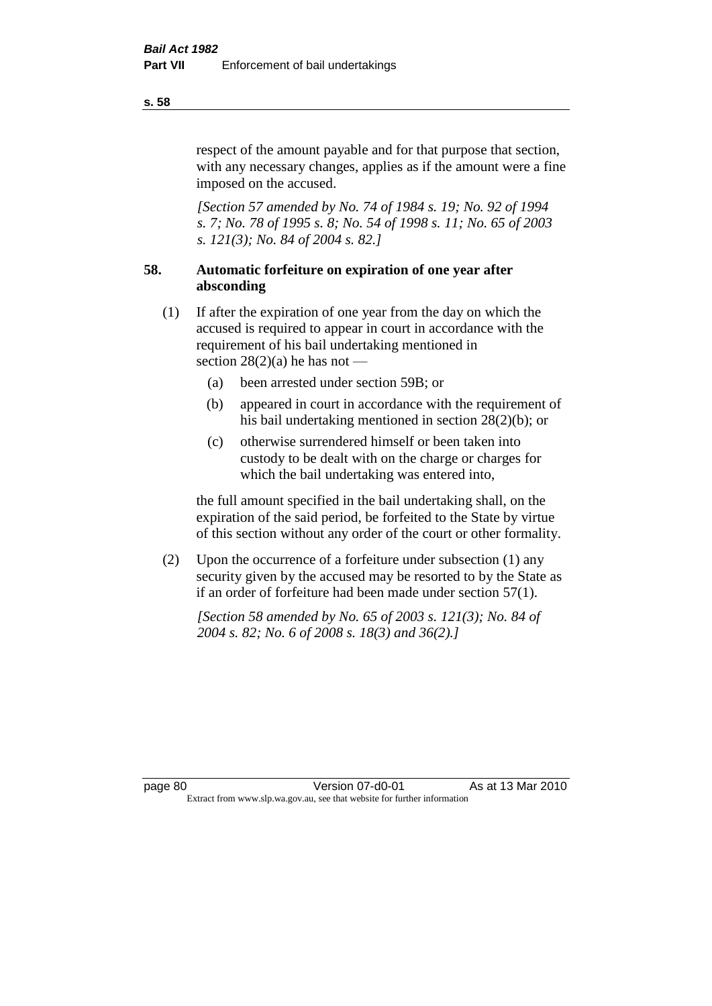respect of the amount payable and for that purpose that section, with any necessary changes, applies as if the amount were a fine imposed on the accused.

*[Section 57 amended by No. 74 of 1984 s. 19; No. 92 of 1994 s. 7; No. 78 of 1995 s. 8; No. 54 of 1998 s. 11; No. 65 of 2003 s. 121(3); No. 84 of 2004 s. 82.]* 

# **58. Automatic forfeiture on expiration of one year after absconding**

- (1) If after the expiration of one year from the day on which the accused is required to appear in court in accordance with the requirement of his bail undertaking mentioned in section  $28(2)(a)$  he has not —
	- (a) been arrested under section 59B; or
	- (b) appeared in court in accordance with the requirement of his bail undertaking mentioned in section 28(2)(b); or
	- (c) otherwise surrendered himself or been taken into custody to be dealt with on the charge or charges for which the bail undertaking was entered into,

the full amount specified in the bail undertaking shall, on the expiration of the said period, be forfeited to the State by virtue of this section without any order of the court or other formality.

(2) Upon the occurrence of a forfeiture under subsection (1) any security given by the accused may be resorted to by the State as if an order of forfeiture had been made under section 57(1).

*[Section 58 amended by No. 65 of 2003 s. 121(3); No. 84 of 2004 s. 82; No. 6 of 2008 s. 18(3) and 36(2).]*

**s. 58**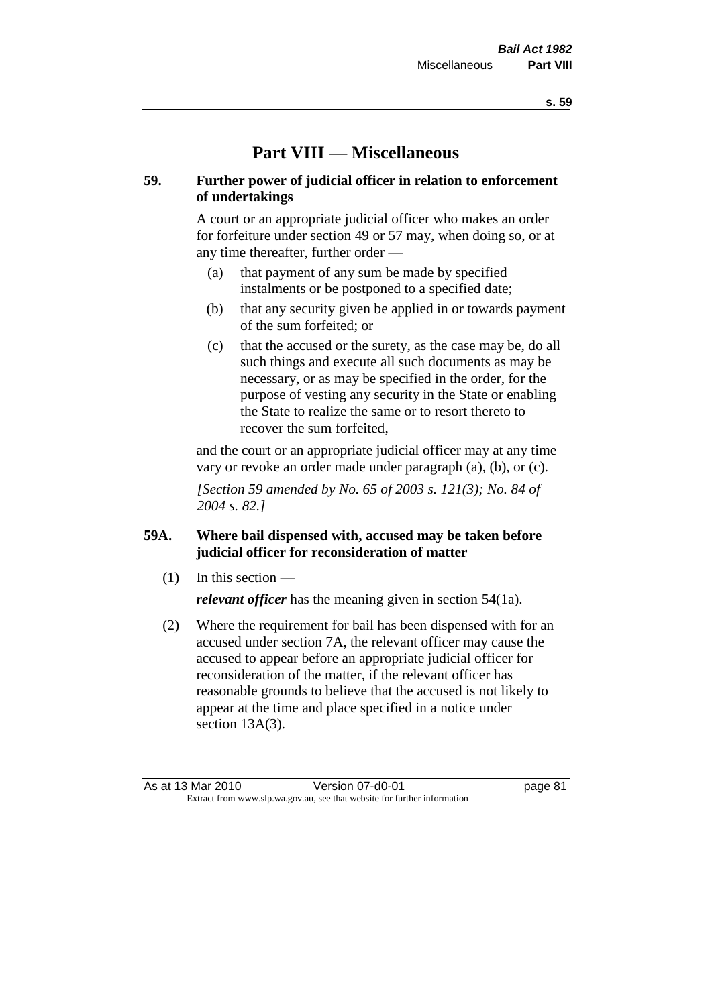# **Part VIII — Miscellaneous**

## **59. Further power of judicial officer in relation to enforcement of undertakings**

A court or an appropriate judicial officer who makes an order for forfeiture under section 49 or 57 may, when doing so, or at any time thereafter, further order —

- (a) that payment of any sum be made by specified instalments or be postponed to a specified date;
- (b) that any security given be applied in or towards payment of the sum forfeited; or
- (c) that the accused or the surety, as the case may be, do all such things and execute all such documents as may be necessary, or as may be specified in the order, for the purpose of vesting any security in the State or enabling the State to realize the same or to resort thereto to recover the sum forfeited,

and the court or an appropriate judicial officer may at any time vary or revoke an order made under paragraph (a), (b), or (c).

*[Section 59 amended by No. 65 of 2003 s. 121(3); No. 84 of 2004 s. 82.]*

# **59A. Where bail dispensed with, accused may be taken before judicial officer for reconsideration of matter**

- $(1)$  In this section *relevant officer* has the meaning given in section 54(1a).
- (2) Where the requirement for bail has been dispensed with for an accused under section 7A, the relevant officer may cause the accused to appear before an appropriate judicial officer for reconsideration of the matter, if the relevant officer has reasonable grounds to believe that the accused is not likely to appear at the time and place specified in a notice under section 13A(3).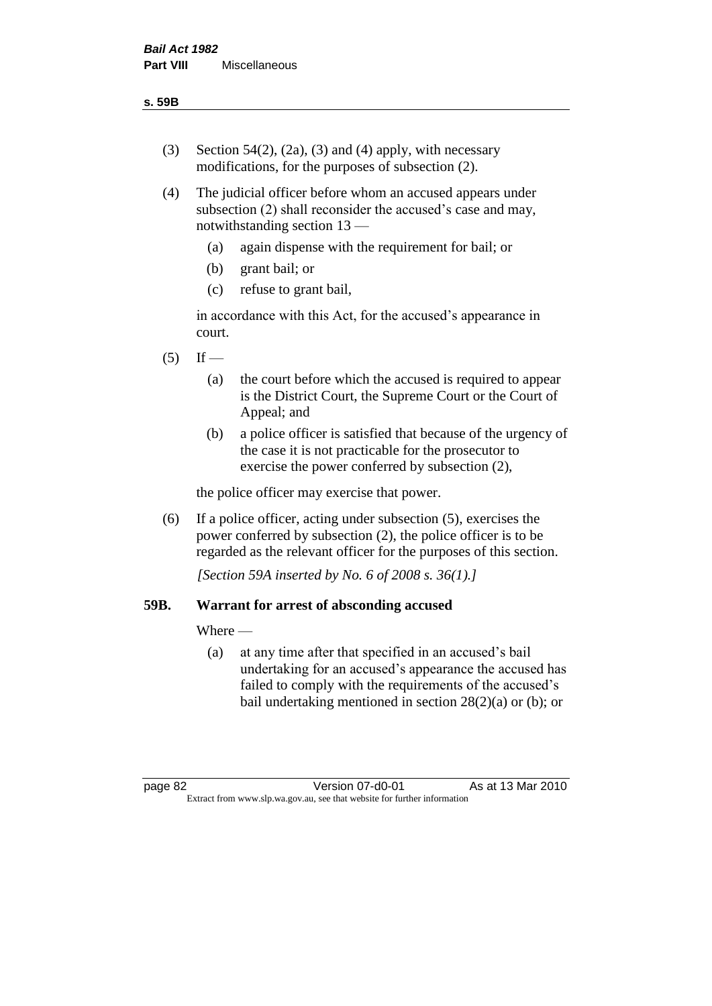- (3) Section 54(2), (2a), (3) and (4) apply, with necessary modifications, for the purposes of subsection (2).
- (4) The judicial officer before whom an accused appears under subsection (2) shall reconsider the accused's case and may, notwithstanding section 13 —
	- (a) again dispense with the requirement for bail; or
	- (b) grant bail; or
	- (c) refuse to grant bail,

in accordance with this Act, for the accused's appearance in court.

- $(5)$  If
	- (a) the court before which the accused is required to appear is the District Court, the Supreme Court or the Court of Appeal; and
	- (b) a police officer is satisfied that because of the urgency of the case it is not practicable for the prosecutor to exercise the power conferred by subsection (2),

the police officer may exercise that power.

(6) If a police officer, acting under subsection (5), exercises the power conferred by subsection (2), the police officer is to be regarded as the relevant officer for the purposes of this section.

*[Section 59A inserted by No. 6 of 2008 s. 36(1).]*

## **59B. Warrant for arrest of absconding accused**

Where —

(a) at any time after that specified in an accused's bail undertaking for an accused's appearance the accused has failed to comply with the requirements of the accused's bail undertaking mentioned in section  $28(2)(a)$  or (b); or

page 82 Version 07-d0-01 As at 13 Mar 2010 Extract from www.slp.wa.gov.au, see that website for further information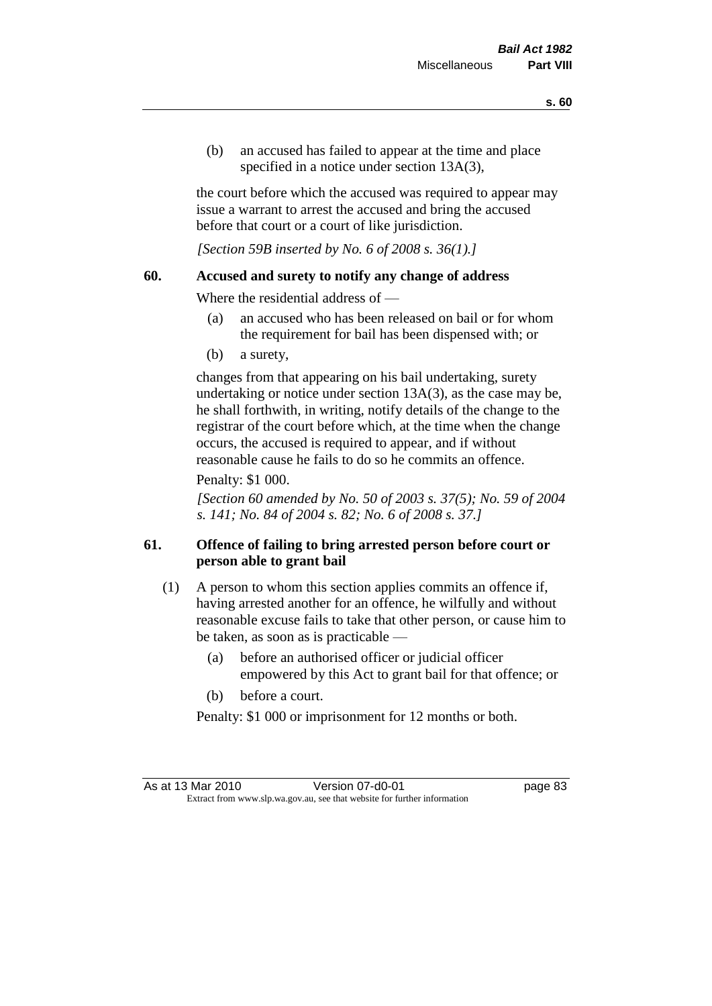(b) an accused has failed to appear at the time and place specified in a notice under section 13A(3).

the court before which the accused was required to appear may issue a warrant to arrest the accused and bring the accused before that court or a court of like jurisdiction.

*[Section 59B inserted by No. 6 of 2008 s. 36(1).]*

#### **60. Accused and surety to notify any change of address**

Where the residential address of —

- (a) an accused who has been released on bail or for whom the requirement for bail has been dispensed with; or
- (b) a surety,

changes from that appearing on his bail undertaking, surety undertaking or notice under section 13A(3), as the case may be, he shall forthwith, in writing, notify details of the change to the registrar of the court before which, at the time when the change occurs, the accused is required to appear, and if without reasonable cause he fails to do so he commits an offence.

#### Penalty: \$1 000.

*[Section 60 amended by No. 50 of 2003 s. 37(5); No. 59 of 2004 s. 141; No. 84 of 2004 s. 82; No. 6 of 2008 s. 37.]*

## **61. Offence of failing to bring arrested person before court or person able to grant bail**

- (1) A person to whom this section applies commits an offence if, having arrested another for an offence, he wilfully and without reasonable excuse fails to take that other person, or cause him to be taken, as soon as is practicable —
	- (a) before an authorised officer or judicial officer empowered by this Act to grant bail for that offence; or
	- (b) before a court.

Penalty: \$1 000 or imprisonment for 12 months or both.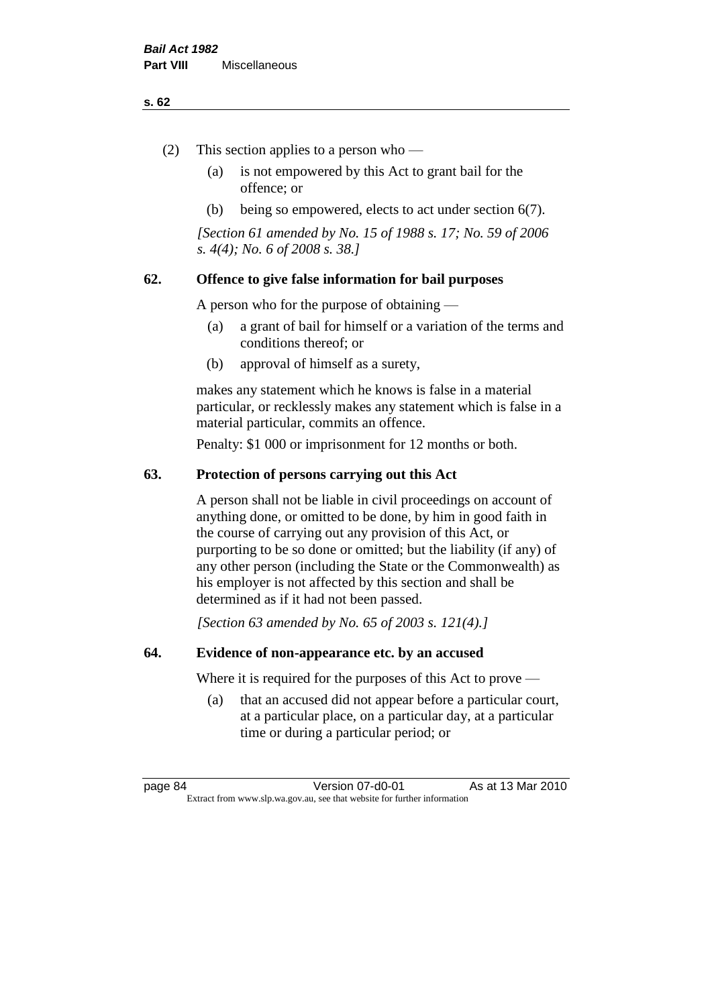#### **s. 62**

- (2) This section applies to a person who
	- (a) is not empowered by this Act to grant bail for the offence; or
	- (b) being so empowered, elects to act under section 6(7).

*[Section 61 amended by No. 15 of 1988 s. 17; No. 59 of 2006 s. 4(4); No. 6 of 2008 s. 38.]* 

## **62. Offence to give false information for bail purposes**

A person who for the purpose of obtaining —

- (a) a grant of bail for himself or a variation of the terms and conditions thereof; or
- (b) approval of himself as a surety,

makes any statement which he knows is false in a material particular, or recklessly makes any statement which is false in a material particular, commits an offence.

Penalty: \$1 000 or imprisonment for 12 months or both.

#### **63. Protection of persons carrying out this Act**

A person shall not be liable in civil proceedings on account of anything done, or omitted to be done, by him in good faith in the course of carrying out any provision of this Act, or purporting to be so done or omitted; but the liability (if any) of any other person (including the State or the Commonwealth) as his employer is not affected by this section and shall be determined as if it had not been passed.

*[Section 63 amended by No. 65 of 2003 s. 121(4).]*

#### **64. Evidence of non-appearance etc. by an accused**

Where it is required for the purposes of this Act to prove —

(a) that an accused did not appear before a particular court, at a particular place, on a particular day, at a particular time or during a particular period; or

page 84 Version 07-d0-01 As at 13 Mar 2010 Extract from www.slp.wa.gov.au, see that website for further information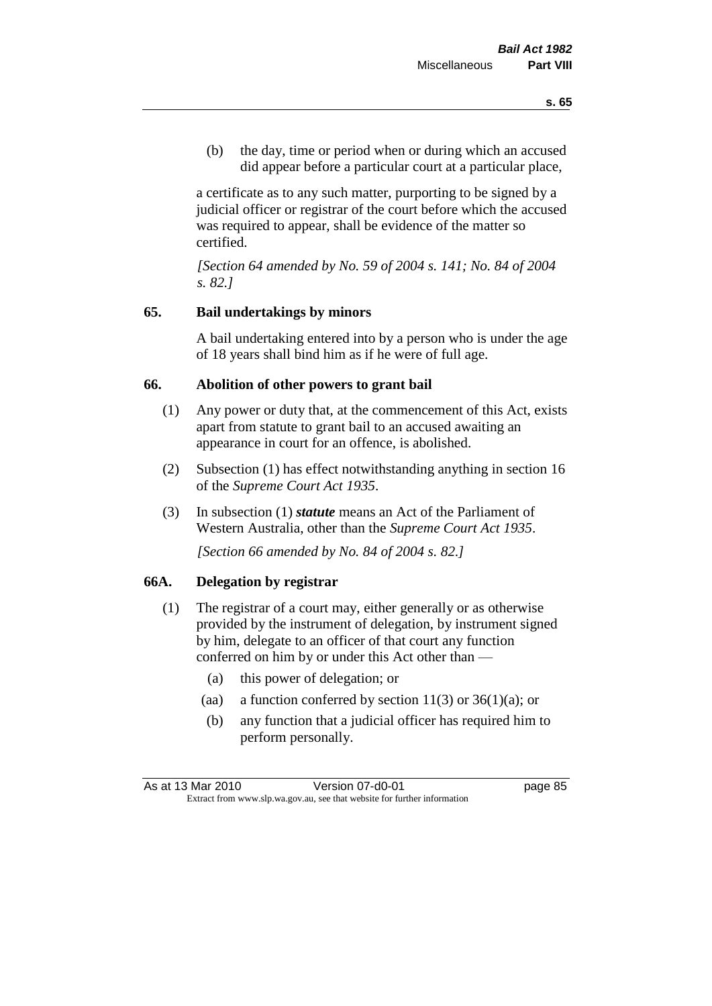(b) the day, time or period when or during which an accused did appear before a particular court at a particular place,

a certificate as to any such matter, purporting to be signed by a judicial officer or registrar of the court before which the accused was required to appear, shall be evidence of the matter so certified.

*[Section 64 amended by No. 59 of 2004 s. 141; No. 84 of 2004 s. 82.]* 

## **65. Bail undertakings by minors**

A bail undertaking entered into by a person who is under the age of 18 years shall bind him as if he were of full age.

#### **66. Abolition of other powers to grant bail**

- (1) Any power or duty that, at the commencement of this Act, exists apart from statute to grant bail to an accused awaiting an appearance in court for an offence, is abolished.
- (2) Subsection (1) has effect notwithstanding anything in section 16 of the *Supreme Court Act 1935*.
- (3) In subsection (1) *statute* means an Act of the Parliament of Western Australia, other than the *Supreme Court Act 1935*.

*[Section 66 amended by No. 84 of 2004 s. 82.]*

#### **66A. Delegation by registrar**

- (1) The registrar of a court may, either generally or as otherwise provided by the instrument of delegation, by instrument signed by him, delegate to an officer of that court any function conferred on him by or under this Act other than —
	- (a) this power of delegation; or
	- (aa) a function conferred by section  $11(3)$  or  $36(1)(a)$ ; or
	- (b) any function that a judicial officer has required him to perform personally.

As at 13 Mar 2010 **Version 07-d0-01 Dage 85** Extract from www.slp.wa.gov.au, see that website for further information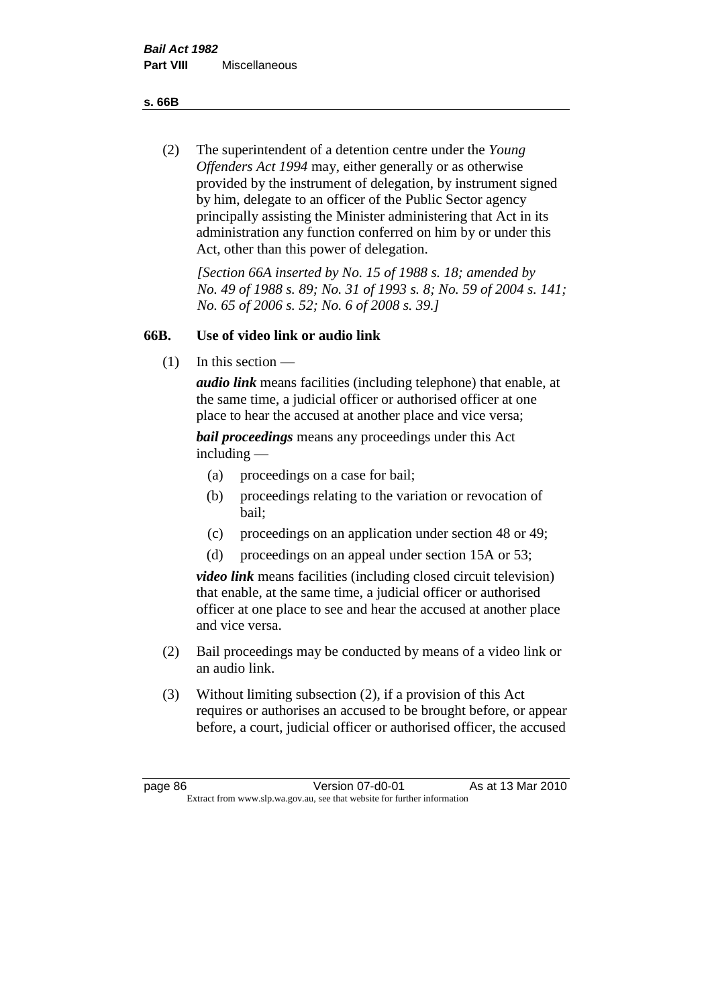**s. 66B**

(2) The superintendent of a detention centre under the *Young Offenders Act 1994* may, either generally or as otherwise provided by the instrument of delegation, by instrument signed by him, delegate to an officer of the Public Sector agency principally assisting the Minister administering that Act in its administration any function conferred on him by or under this Act, other than this power of delegation.

*[Section 66A inserted by No. 15 of 1988 s. 18; amended by No. 49 of 1988 s. 89; No. 31 of 1993 s. 8; No. 59 of 2004 s. 141; No. 65 of 2006 s. 52; No. 6 of 2008 s. 39.]* 

## **66B. Use of video link or audio link**

(1) In this section —

*audio link* means facilities (including telephone) that enable, at the same time, a judicial officer or authorised officer at one place to hear the accused at another place and vice versa;

*bail proceedings* means any proceedings under this Act including —

- (a) proceedings on a case for bail;
- (b) proceedings relating to the variation or revocation of bail;
- (c) proceedings on an application under section 48 or 49;
- (d) proceedings on an appeal under section 15A or 53;

*video link* means facilities (including closed circuit television) that enable, at the same time, a judicial officer or authorised officer at one place to see and hear the accused at another place and vice versa.

- (2) Bail proceedings may be conducted by means of a video link or an audio link.
- (3) Without limiting subsection (2), if a provision of this Act requires or authorises an accused to be brought before, or appear before, a court, judicial officer or authorised officer, the accused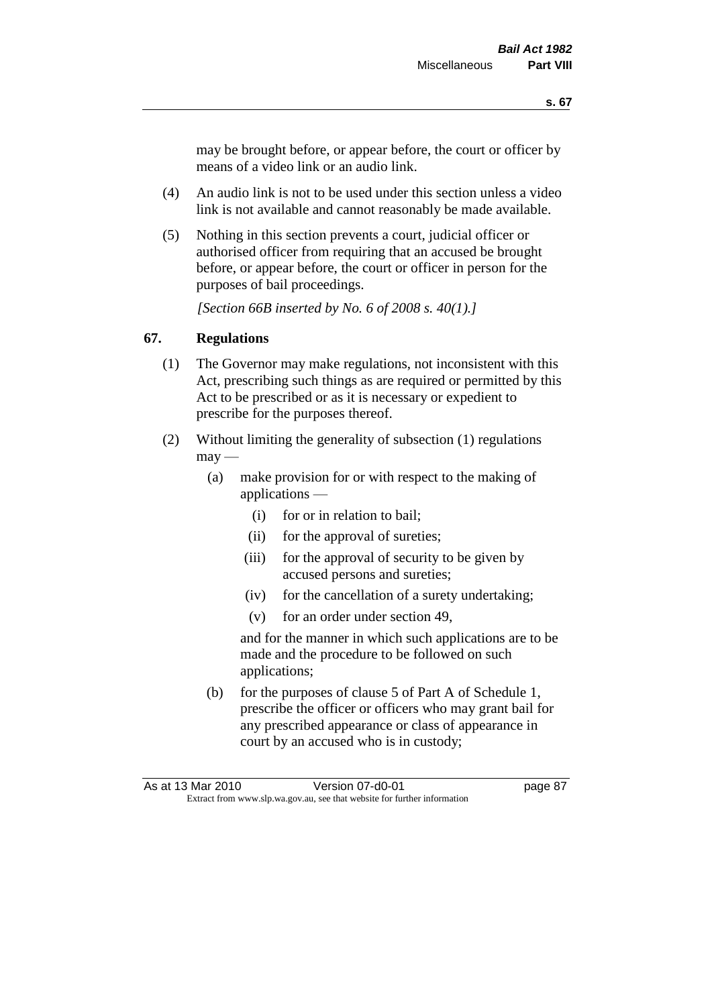may be brought before, or appear before, the court or officer by means of a video link or an audio link.

- (4) An audio link is not to be used under this section unless a video link is not available and cannot reasonably be made available.
- (5) Nothing in this section prevents a court, judicial officer or authorised officer from requiring that an accused be brought before, or appear before, the court or officer in person for the purposes of bail proceedings.

*[Section 66B inserted by No. 6 of 2008 s. 40(1).]*

## **67. Regulations**

- (1) The Governor may make regulations, not inconsistent with this Act, prescribing such things as are required or permitted by this Act to be prescribed or as it is necessary or expedient to prescribe for the purposes thereof.
- (2) Without limiting the generality of subsection (1) regulations  $\text{max}$  —
	- (a) make provision for or with respect to the making of applications —
		- (i) for or in relation to bail;
		- (ii) for the approval of sureties;
		- (iii) for the approval of security to be given by accused persons and sureties;
		- (iv) for the cancellation of a surety undertaking;
		- (v) for an order under section 49,

and for the manner in which such applications are to be made and the procedure to be followed on such applications;

(b) for the purposes of clause 5 of Part A of Schedule 1, prescribe the officer or officers who may grant bail for any prescribed appearance or class of appearance in court by an accused who is in custody;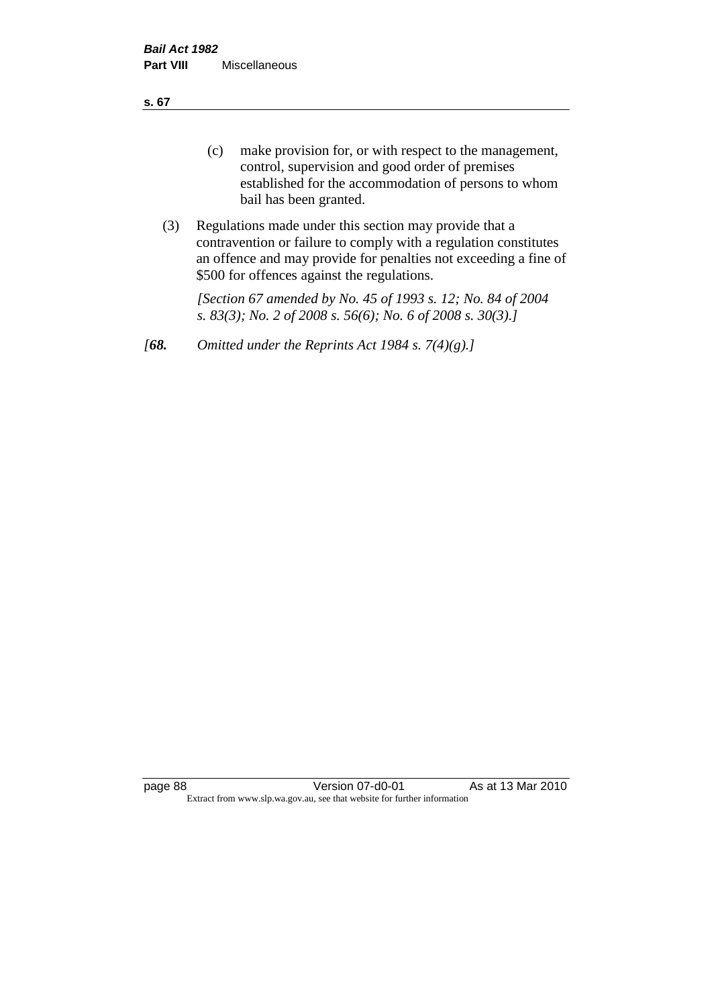**s. 67**

- (c) make provision for, or with respect to the management, control, supervision and good order of premises established for the accommodation of persons to whom bail has been granted.
- (3) Regulations made under this section may provide that a contravention or failure to comply with a regulation constitutes an offence and may provide for penalties not exceeding a fine of \$500 for offences against the regulations.

*[Section 67 amended by No. 45 of 1993 s. 12; No. 84 of 2004 s. 83(3); No. 2 of 2008 s. 56(6); No. 6 of 2008 s. 30(3).]* 

*[68. Omitted under the Reprints Act 1984 s. 7(4)(g).]*

page 88 Version 07-d0-01 As at 13 Mar 2010 Extract from www.slp.wa.gov.au, see that website for further information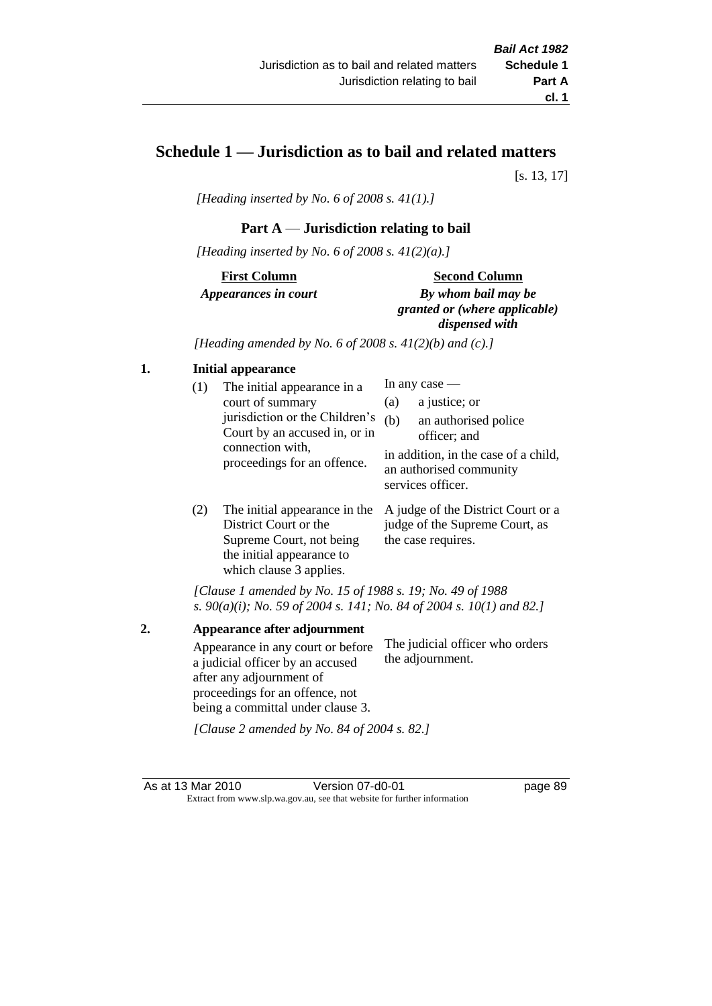# **Schedule 1 — Jurisdiction as to bail and related matters**

[s. 13, 17]

*[Heading inserted by No. 6 of 2008 s. 41(1).]*

## **Part A** — **Jurisdiction relating to bail**

*[Heading inserted by No. 6 of 2008 s. 41(2)(a).]*

**First Column** *Appearances in court* 

#### **Second Column**

*By whom bail may be granted or (where applicable) dispensed with*

*[Heading amended by No. 6 of 2008 s. 41(2)(b) and (c).]*

#### **1. Initial appearance**

| (1) | The initial appearance in a<br>court of summary<br>jurisdiction or the Children's | (a)<br>(b) | In any case $-$<br>a justice; or<br>an authorised police                                             |
|-----|-----------------------------------------------------------------------------------|------------|------------------------------------------------------------------------------------------------------|
|     | Court by an accused in, or in<br>connection with,<br>proceedings for an offence.  |            | officer; and<br>in addition, in the case of a child,<br>an authorised community<br>services officer. |
|     |                                                                                   |            |                                                                                                      |

(2) The initial appearance in the A judge of the District Court or a District Court or the Supreme Court, not being the initial appearance to which clause 3 applies. judge of the Supreme Court, as the case requires.

*[Clause 1 amended by No. 15 of 1988 s. 19; No. 49 of 1988 s. 90(a)(i); No. 59 of 2004 s. 141; No. 84 of 2004 s. 10(1) and 82.]*

**2. Appearance after adjournment** Appearance in any court or before a judicial officer by an accused after any adjournment of proceedings for an offence, not being a committal under clause 3. The judicial officer who orders the adjournment.

*[Clause 2 amended by No. 84 of 2004 s. 82.]*

As at 13 Mar 2010 Version 07-d0-01 page 89 Extract from www.slp.wa.gov.au, see that website for further information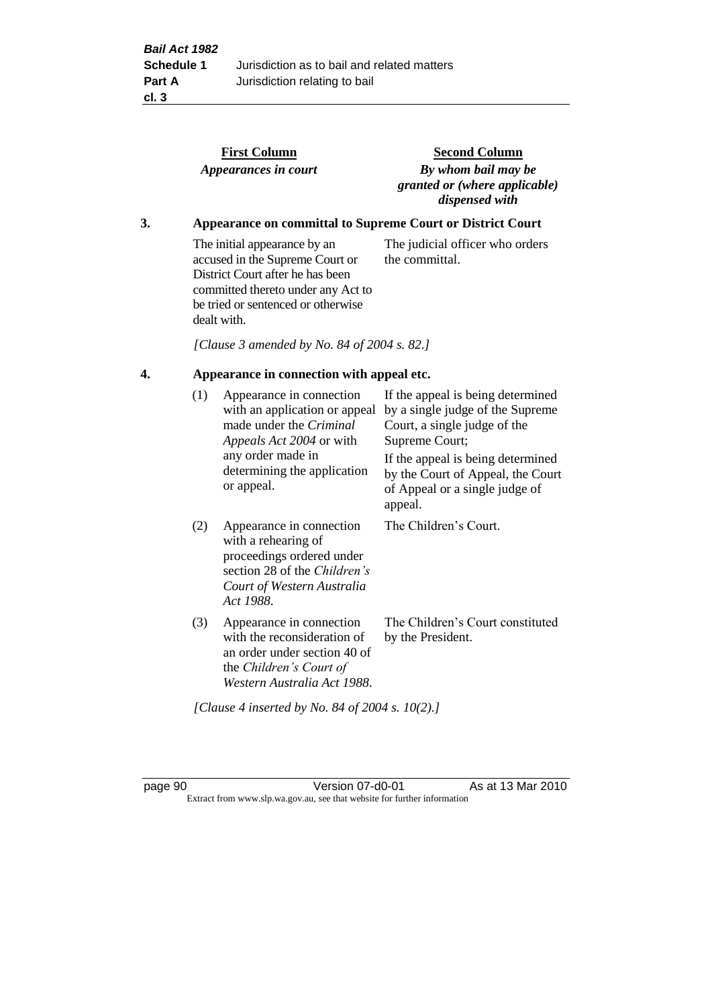|                                                 |     | <b>First Column</b><br>Appearances in court                                                                                                                                                    | <b>Second Column</b><br>By whom bail may be<br>granted or (where applicable)<br>dispensed with                                                               |
|-------------------------------------------------|-----|------------------------------------------------------------------------------------------------------------------------------------------------------------------------------------------------|--------------------------------------------------------------------------------------------------------------------------------------------------------------|
| 3.                                              |     |                                                                                                                                                                                                | Appearance on committal to Supreme Court or District Court                                                                                                   |
|                                                 |     | The initial appearance by an<br>accused in the Supreme Court or<br>District Court after he has been<br>committed thereto under any Act to<br>be tried or sentenced or otherwise<br>dealt with. | The judicial officer who orders<br>the committal.                                                                                                            |
|                                                 |     | [Clause 3 amended by No. 84 of 2004 s. 82.]                                                                                                                                                    |                                                                                                                                                              |
| 4.<br>Appearance in connection with appeal etc. |     |                                                                                                                                                                                                |                                                                                                                                                              |
|                                                 | (1) | Appearance in connection<br>with an application or appeal<br>made under the Criminal<br>Appeals Act 2004 or with<br>any order made in                                                          | If the appeal is being determined<br>by a single judge of the Supreme<br>Court, a single judge of the<br>Supreme Court;<br>If the appeal is being determined |
|                                                 |     | determining the application<br>or appeal.                                                                                                                                                      | by the Court of Appeal, the Court<br>of Appeal or a single judge of<br>appeal.                                                                               |
|                                                 | (2) | Appearance in connection<br>with a rehearing of<br>proceedings ordered under<br>section 28 of the Children's<br>Court of Western Australia<br>Act 1988.                                        | The Children's Court.                                                                                                                                        |
|                                                 | (3) | Appearance in connection<br>with the reconsideration of<br>an order under section 40 of<br>the Children's Court of<br>Western Australia Act 1988.                                              | The Children's Court constituted<br>by the President.                                                                                                        |

*[Clause 4 inserted by No. 84 of 2004 s. 10(2).]*

page 90 Version 07-d0-01 As at 13 Mar 2010 Extract from www.slp.wa.gov.au, see that website for further information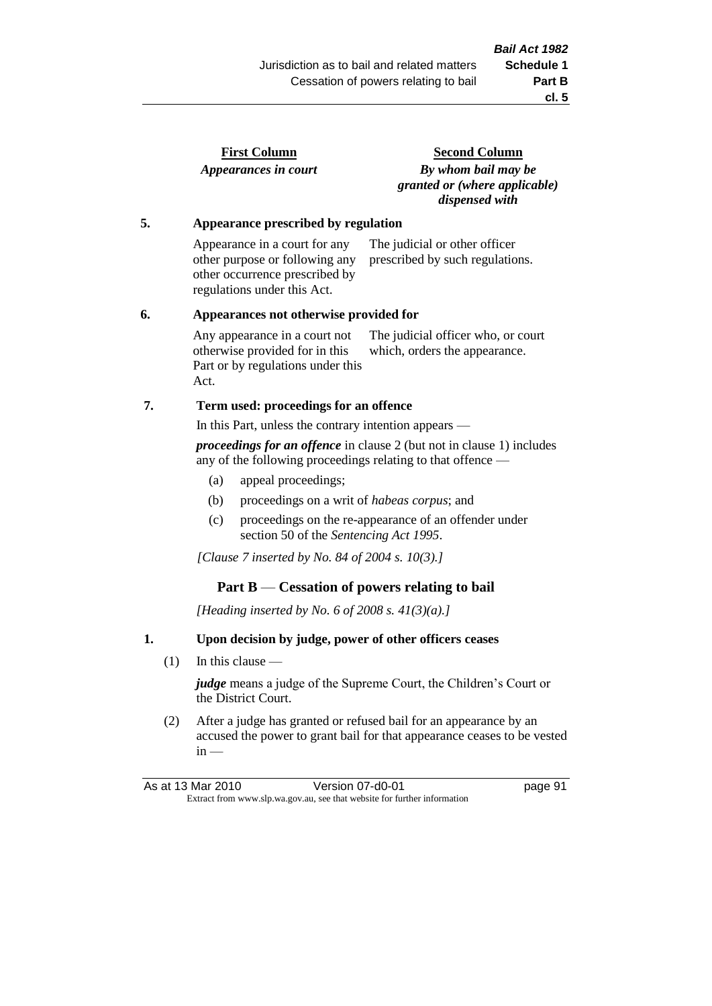| <b>First Column</b>  |  |
|----------------------|--|
| Appearances in court |  |

**Second Column** *By whom bail may be granted or (where applicable) dispensed with*

#### **5. Appearance prescribed by regulation**

Appearance in a court for any other purpose or following any other occurrence prescribed by regulations under this Act. The judicial or other officer prescribed by such regulations.

#### **6. Appearances not otherwise provided for**

Any appearance in a court not otherwise provided for in this Part or by regulations under this Act. The judicial officer who, or court which, orders the appearance.

#### **7. Term used: proceedings for an offence**

In this Part, unless the contrary intention appears —

*proceedings for an offence* in clause 2 (but not in clause 1) includes any of the following proceedings relating to that offence —

- (a) appeal proceedings;
- (b) proceedings on a writ of *habeas corpus*; and
- (c) proceedings on the re-appearance of an offender under section 50 of the *Sentencing Act 1995*.

*[Clause 7 inserted by No. 84 of 2004 s. 10(3).]*

#### **Part B** — **Cessation of powers relating to bail**

*[Heading inserted by No. 6 of 2008 s. 41(3)(a).]*

#### **1. Upon decision by judge, power of other officers ceases**

(1) In this clause —

*judge* means a judge of the Supreme Court, the Children's Court or the District Court.

(2) After a judge has granted or refused bail for an appearance by an accused the power to grant bail for that appearance ceases to be vested  $in -$ 

As at 13 Mar 2010 **Version 07-d0-01 Depays** Page 91 Extract from www.slp.wa.gov.au, see that website for further information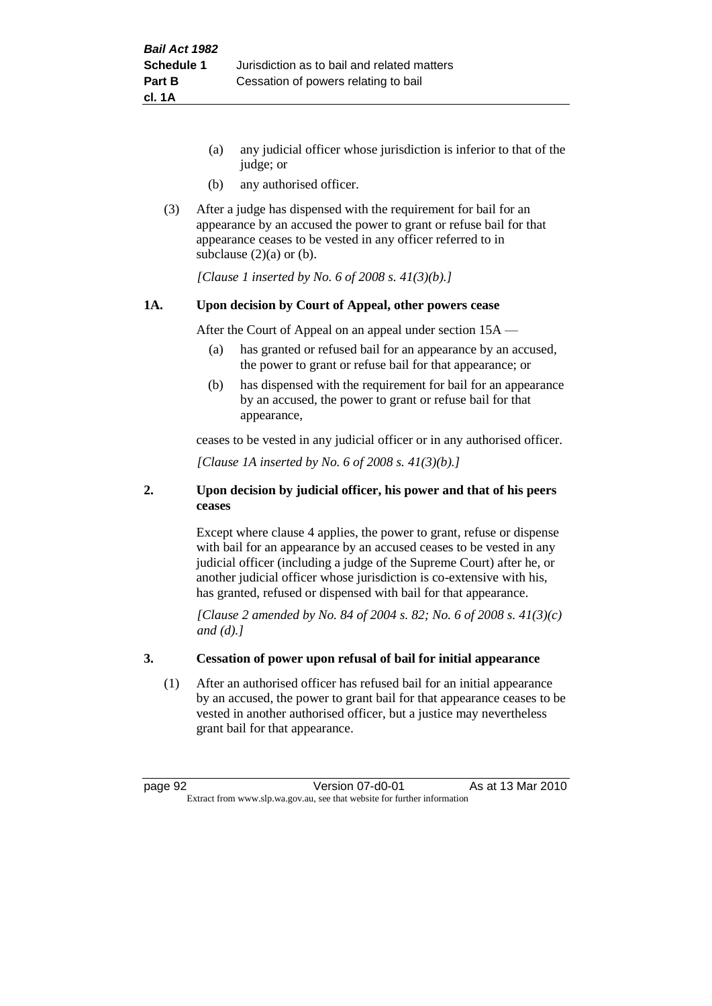- (a) any judicial officer whose jurisdiction is inferior to that of the judge; or
- (b) any authorised officer.
- (3) After a judge has dispensed with the requirement for bail for an appearance by an accused the power to grant or refuse bail for that appearance ceases to be vested in any officer referred to in subclause  $(2)(a)$  or  $(b)$ .

*[Clause 1 inserted by No. 6 of 2008 s. 41(3)(b).]*

#### **1A. Upon decision by Court of Appeal, other powers cease**

After the Court of Appeal on an appeal under section 15A —

- (a) has granted or refused bail for an appearance by an accused, the power to grant or refuse bail for that appearance; or
- (b) has dispensed with the requirement for bail for an appearance by an accused, the power to grant or refuse bail for that appearance,

ceases to be vested in any judicial officer or in any authorised officer.

*[Clause 1A inserted by No. 6 of 2008 s. 41(3)(b).]*

#### **2. Upon decision by judicial officer, his power and that of his peers ceases**

Except where clause 4 applies, the power to grant, refuse or dispense with bail for an appearance by an accused ceases to be vested in any judicial officer (including a judge of the Supreme Court) after he, or another judicial officer whose jurisdiction is co-extensive with his, has granted, refused or dispensed with bail for that appearance.

*[Clause 2 amended by No. 84 of 2004 s. 82; No. 6 of 2008 s. 41(3)(c) and (d).]*

#### **3. Cessation of power upon refusal of bail for initial appearance**

(1) After an authorised officer has refused bail for an initial appearance by an accused, the power to grant bail for that appearance ceases to be vested in another authorised officer, but a justice may nevertheless grant bail for that appearance.

page 92 Version 07-d0-01 As at 13 Mar 2010 Extract from www.slp.wa.gov.au, see that website for further information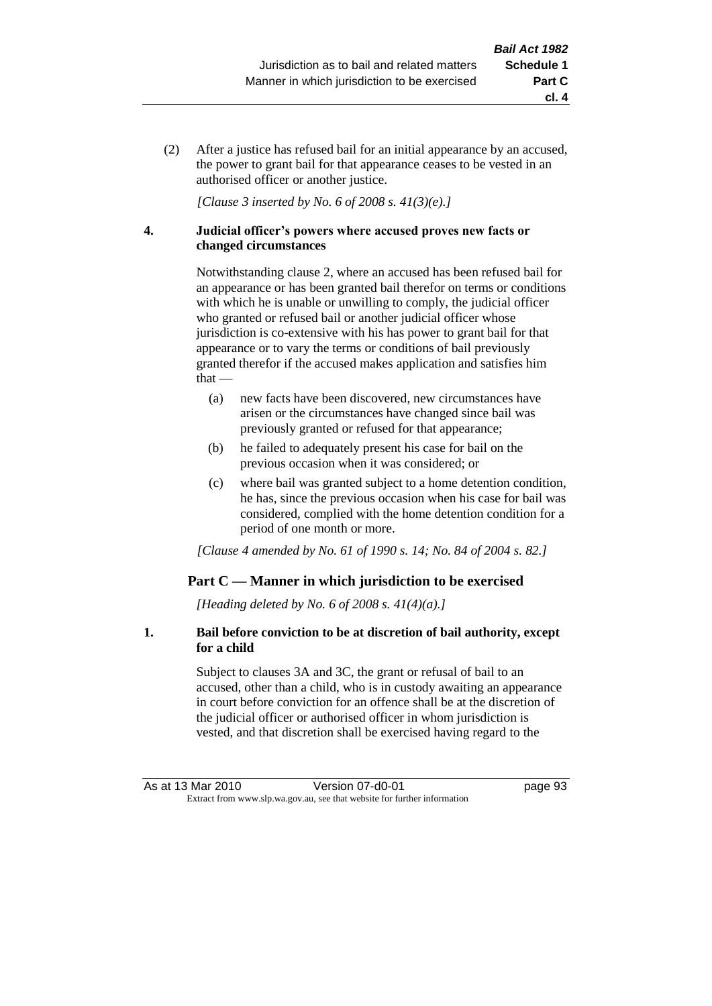(2) After a justice has refused bail for an initial appearance by an accused, the power to grant bail for that appearance ceases to be vested in an authorised officer or another justice.

*[Clause 3 inserted by No. 6 of 2008 s. 41(3)(e).]*

#### **4. Judicial officer's powers where accused proves new facts or changed circumstances**

Notwithstanding clause 2, where an accused has been refused bail for an appearance or has been granted bail therefor on terms or conditions with which he is unable or unwilling to comply, the judicial officer who granted or refused bail or another judicial officer whose jurisdiction is co-extensive with his has power to grant bail for that appearance or to vary the terms or conditions of bail previously granted therefor if the accused makes application and satisfies him  $that -$ 

- (a) new facts have been discovered, new circumstances have arisen or the circumstances have changed since bail was previously granted or refused for that appearance;
- (b) he failed to adequately present his case for bail on the previous occasion when it was considered; or
- (c) where bail was granted subject to a home detention condition, he has, since the previous occasion when his case for bail was considered, complied with the home detention condition for a period of one month or more.

*[Clause 4 amended by No. 61 of 1990 s. 14; No. 84 of 2004 s. 82.]*

## **Part C — Manner in which jurisdiction to be exercised**

*[Heading deleted by No. 6 of 2008 s. 41(4)(a).]*

#### **1. Bail before conviction to be at discretion of bail authority, except for a child**

Subject to clauses 3A and 3C, the grant or refusal of bail to an accused, other than a child, who is in custody awaiting an appearance in court before conviction for an offence shall be at the discretion of the judicial officer or authorised officer in whom jurisdiction is vested, and that discretion shall be exercised having regard to the

**cl. 4**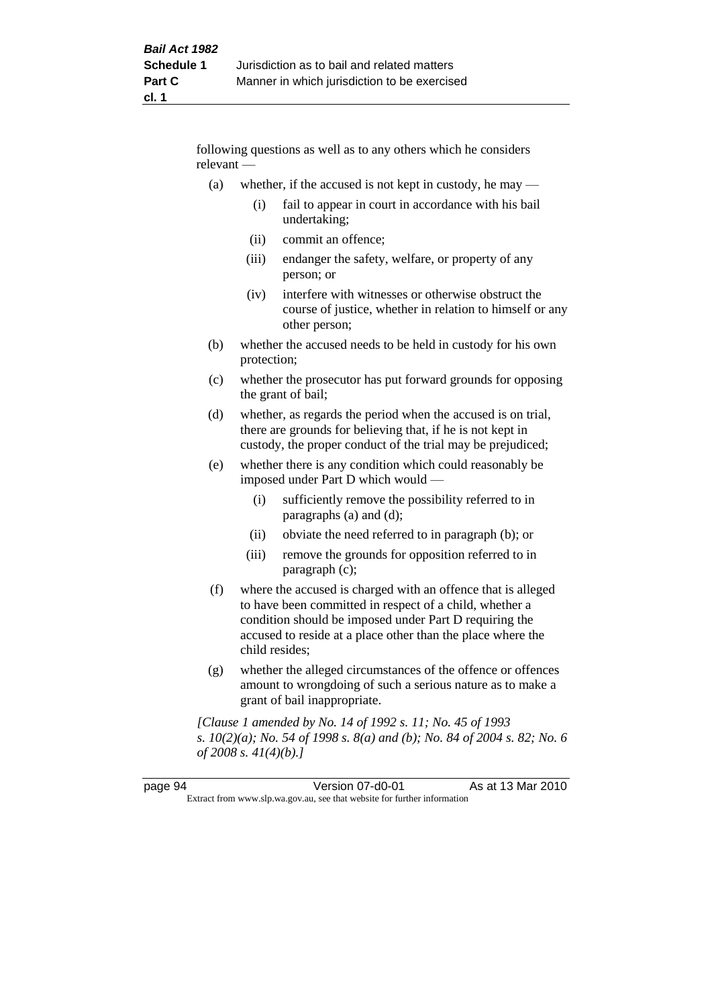following questions as well as to any others which he considers relevant —

- (a) whether, if the accused is not kept in custody, he may
	- (i) fail to appear in court in accordance with his bail undertaking;
	- (ii) commit an offence;
	- (iii) endanger the safety, welfare, or property of any person; or
	- (iv) interfere with witnesses or otherwise obstruct the course of justice, whether in relation to himself or any other person;
- (b) whether the accused needs to be held in custody for his own protection;
- (c) whether the prosecutor has put forward grounds for opposing the grant of bail;
- (d) whether, as regards the period when the accused is on trial, there are grounds for believing that, if he is not kept in custody, the proper conduct of the trial may be prejudiced;
- (e) whether there is any condition which could reasonably be imposed under Part D which would —
	- (i) sufficiently remove the possibility referred to in paragraphs (a) and (d);
	- (ii) obviate the need referred to in paragraph (b); or
	- (iii) remove the grounds for opposition referred to in paragraph (c);
- (f) where the accused is charged with an offence that is alleged to have been committed in respect of a child, whether a condition should be imposed under Part D requiring the accused to reside at a place other than the place where the child resides;
- (g) whether the alleged circumstances of the offence or offences amount to wrongdoing of such a serious nature as to make a grant of bail inappropriate.

*[Clause 1 amended by No. 14 of 1992 s. 11; No. 45 of 1993 s. 10(2)(a); No. 54 of 1998 s. 8(a) and (b); No. 84 of 2004 s. 82; No. 6 of 2008 s. 41(4)(b).]*

| page 94                                                                  | Version 07-d0-01 | As at 13 Mar 2010 |
|--------------------------------------------------------------------------|------------------|-------------------|
| Extract from www.slp.wa.gov.au, see that website for further information |                  |                   |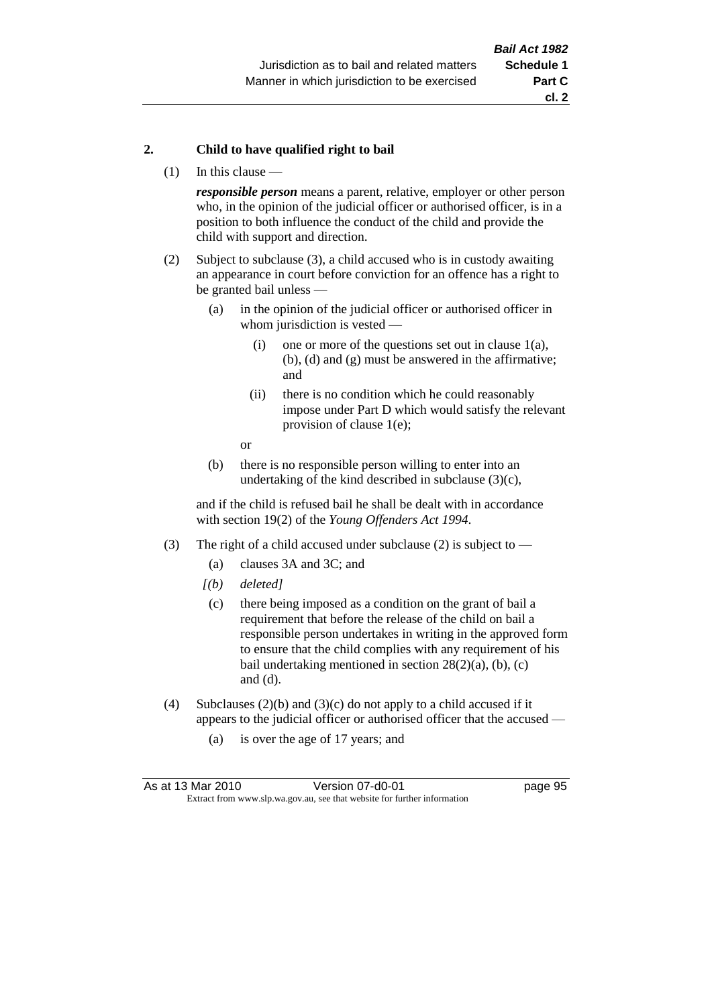#### **2. Child to have qualified right to bail**

(1) In this clause —

*responsible person* means a parent, relative, employer or other person who, in the opinion of the judicial officer or authorised officer, is in a position to both influence the conduct of the child and provide the child with support and direction.

- (2) Subject to subclause (3), a child accused who is in custody awaiting an appearance in court before conviction for an offence has a right to be granted bail unless —
	- (a) in the opinion of the judicial officer or authorised officer in whom jurisdiction is vested —
		- (i) one or more of the questions set out in clause  $1(a)$ , (b), (d) and (g) must be answered in the affirmative; and
		- (ii) there is no condition which he could reasonably impose under Part D which would satisfy the relevant provision of clause 1(e);
		- or
	- (b) there is no responsible person willing to enter into an undertaking of the kind described in subclause  $(3)(c)$ ,

and if the child is refused bail he shall be dealt with in accordance with section 19(2) of the *Young Offenders Act 1994*.

- (3) The right of a child accused under subclause (2) is subject to
	- (a) clauses 3A and 3C; and
	- *[(b) deleted]*
	- (c) there being imposed as a condition on the grant of bail a requirement that before the release of the child on bail a responsible person undertakes in writing in the approved form to ensure that the child complies with any requirement of his bail undertaking mentioned in section  $28(2)(a)$ , (b), (c) and (d).
- (4) Subclauses (2)(b) and (3)(c) do not apply to a child accused if it appears to the judicial officer or authorised officer that the accused —
	- (a) is over the age of 17 years; and

| As at 13 Mar 2010                                                        | Version 07-d0-01 | page 95 |
|--------------------------------------------------------------------------|------------------|---------|
| Extract from www.slp.wa.gov.au, see that website for further information |                  |         |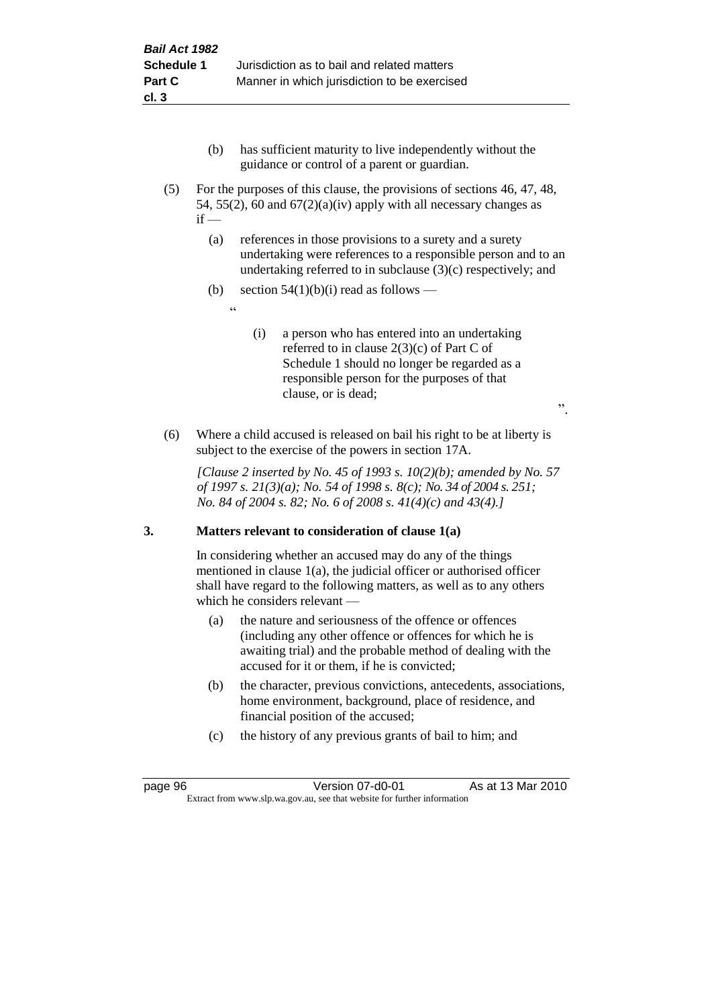- (b) has sufficient maturity to live independently without the guidance or control of a parent or guardian.
- (5) For the purposes of this clause, the provisions of sections 46, 47, 48, 54, 55(2), 60 and  $67(2)(a)(iv)$  apply with all necessary changes as  $if -$ 
	- (a) references in those provisions to a surety and a surety undertaking were references to a responsible person and to an undertaking referred to in subclause (3)(c) respectively; and
	- (b) section  $54(1)(b)(i)$  read as follows
		- <u>، د</u>
- (i) a person who has entered into an undertaking referred to in clause 2(3)(c) of Part C of Schedule 1 should no longer be regarded as a responsible person for the purposes of that clause, or is dead;

".

(6) Where a child accused is released on bail his right to be at liberty is subject to the exercise of the powers in section 17A.

*[Clause 2 inserted by No. 45 of 1993 s. 10(2)(b); amended by No. 57 of 1997 s. 21(3)(a); No. 54 of 1998 s. 8(c); No. 34 of 2004 s. 251; No. 84 of 2004 s. 82; No. 6 of 2008 s. 41(4)(c) and 43(4).]*

## **3. Matters relevant to consideration of clause 1(a)**

In considering whether an accused may do any of the things mentioned in clause 1(a), the judicial officer or authorised officer shall have regard to the following matters, as well as to any others which he considers relevant —

- (a) the nature and seriousness of the offence or offences (including any other offence or offences for which he is awaiting trial) and the probable method of dealing with the accused for it or them, if he is convicted;
- (b) the character, previous convictions, antecedents, associations, home environment, background, place of residence, and financial position of the accused;
- (c) the history of any previous grants of bail to him; and

page 96 Version 07-d0-01 As at 13 Mar 2010 Extract from www.slp.wa.gov.au, see that website for further information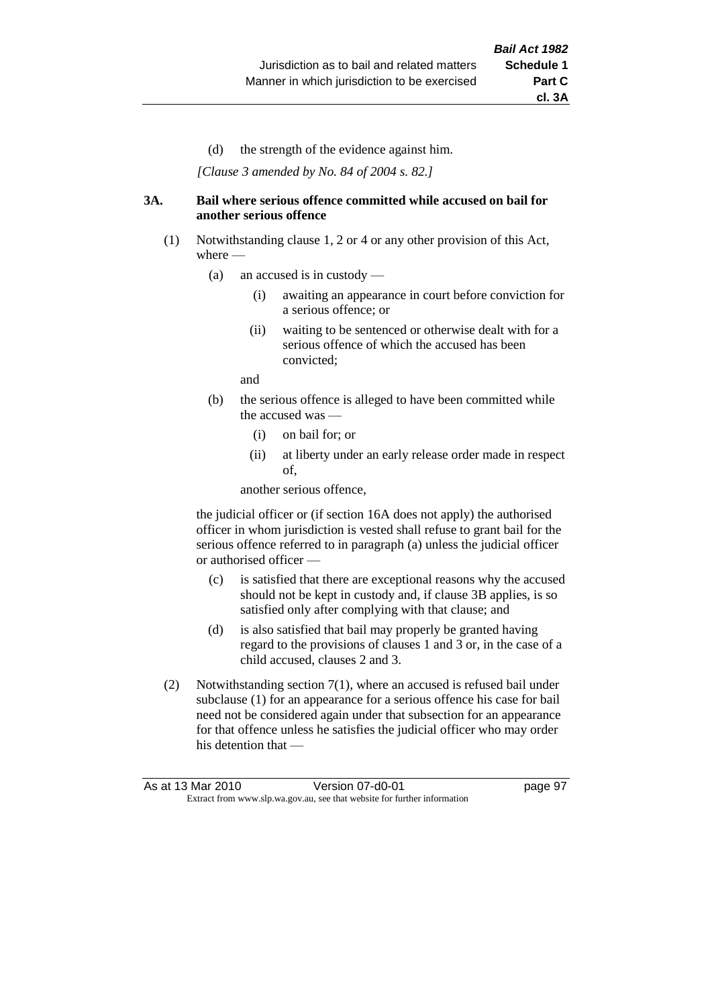(d) the strength of the evidence against him.

*[Clause 3 amended by No. 84 of 2004 s. 82.]*

#### **3A. Bail where serious offence committed while accused on bail for another serious offence**

- (1) Notwithstanding clause 1, 2 or 4 or any other provision of this Act, where —
	- (a) an accused is in custody
		- (i) awaiting an appearance in court before conviction for a serious offence; or
		- (ii) waiting to be sentenced or otherwise dealt with for a serious offence of which the accused has been convicted;

and

- (b) the serious offence is alleged to have been committed while the accused was —
	- (i) on bail for; or
	- (ii) at liberty under an early release order made in respect of,

another serious offence,

the judicial officer or (if section 16A does not apply) the authorised officer in whom jurisdiction is vested shall refuse to grant bail for the serious offence referred to in paragraph (a) unless the judicial officer or authorised officer —

- (c) is satisfied that there are exceptional reasons why the accused should not be kept in custody and, if clause 3B applies, is so satisfied only after complying with that clause; and
- (d) is also satisfied that bail may properly be granted having regard to the provisions of clauses 1 and 3 or, in the case of a child accused, clauses 2 and 3.
- (2) Notwithstanding section 7(1), where an accused is refused bail under subclause (1) for an appearance for a serious offence his case for bail need not be considered again under that subsection for an appearance for that offence unless he satisfies the judicial officer who may order his detention that —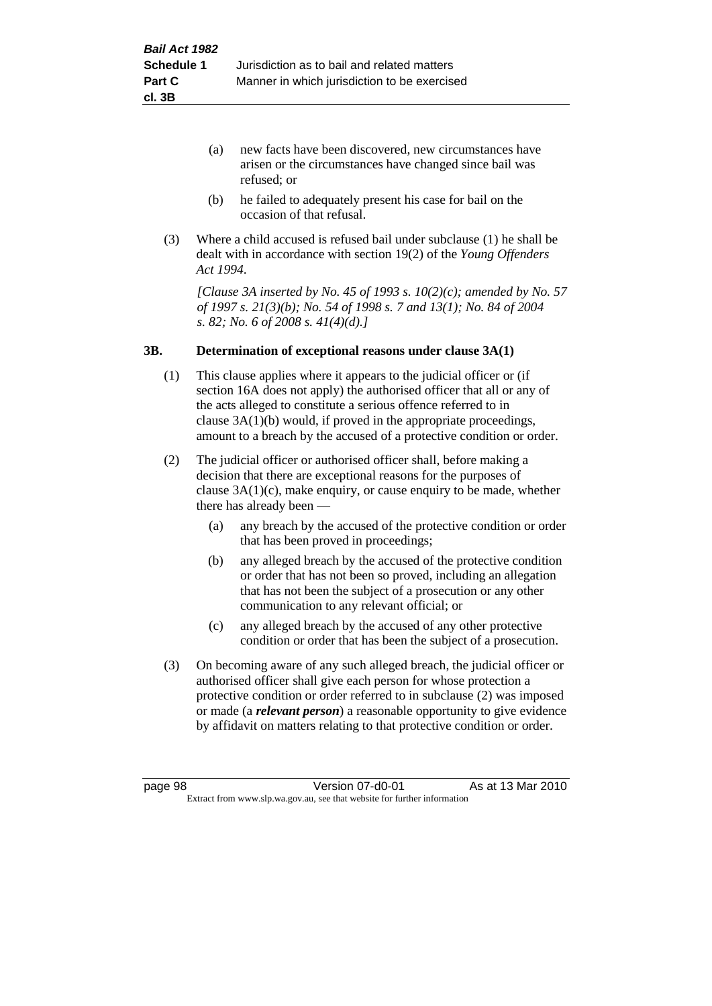- (a) new facts have been discovered, new circumstances have arisen or the circumstances have changed since bail was refused; or
- (b) he failed to adequately present his case for bail on the occasion of that refusal.
- (3) Where a child accused is refused bail under subclause (1) he shall be dealt with in accordance with section 19(2) of the *Young Offenders Act 1994*.

*[Clause 3A inserted by No. 45 of 1993 s. 10(2)(c); amended by No. 57 of 1997 s. 21(3)(b); No. 54 of 1998 s. 7 and 13(1); No. 84 of 2004 s. 82; No. 6 of 2008 s. 41(4)(d).]*

#### **3B. Determination of exceptional reasons under clause 3A(1)**

- (1) This clause applies where it appears to the judicial officer or (if section 16A does not apply) the authorised officer that all or any of the acts alleged to constitute a serious offence referred to in clause 3A(1)(b) would, if proved in the appropriate proceedings, amount to a breach by the accused of a protective condition or order.
- (2) The judicial officer or authorised officer shall, before making a decision that there are exceptional reasons for the purposes of clause  $3A(1)(c)$ , make enquiry, or cause enquiry to be made, whether there has already been —
	- (a) any breach by the accused of the protective condition or order that has been proved in proceedings;
	- (b) any alleged breach by the accused of the protective condition or order that has not been so proved, including an allegation that has not been the subject of a prosecution or any other communication to any relevant official; or
	- (c) any alleged breach by the accused of any other protective condition or order that has been the subject of a prosecution.
- (3) On becoming aware of any such alleged breach, the judicial officer or authorised officer shall give each person for whose protection a protective condition or order referred to in subclause (2) was imposed or made (a *relevant person*) a reasonable opportunity to give evidence by affidavit on matters relating to that protective condition or order.

page 98 **Version 07-d0-01** As at 13 Mar 2010 Extract from www.slp.wa.gov.au, see that website for further information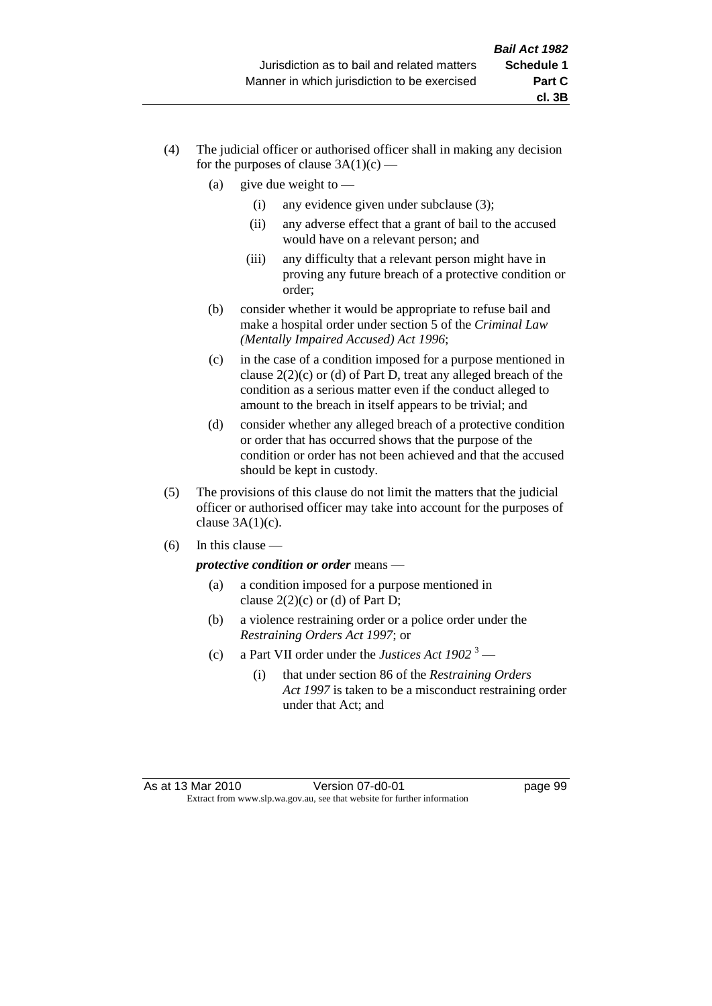- (4) The judicial officer or authorised officer shall in making any decision for the purposes of clause  $3A(1)(c)$  —
	- (a) give due weight to  $-$ 
		- (i) any evidence given under subclause (3);
		- (ii) any adverse effect that a grant of bail to the accused would have on a relevant person; and
		- (iii) any difficulty that a relevant person might have in proving any future breach of a protective condition or order;
	- (b) consider whether it would be appropriate to refuse bail and make a hospital order under section 5 of the *Criminal Law (Mentally Impaired Accused) Act 1996*;
	- (c) in the case of a condition imposed for a purpose mentioned in clause 2(2)(c) or (d) of Part D, treat any alleged breach of the condition as a serious matter even if the conduct alleged to amount to the breach in itself appears to be trivial; and
	- (d) consider whether any alleged breach of a protective condition or order that has occurred shows that the purpose of the condition or order has not been achieved and that the accused should be kept in custody.
- (5) The provisions of this clause do not limit the matters that the judicial officer or authorised officer may take into account for the purposes of clause  $3A(1)(c)$ .
- $(6)$  In this clause —

*protective condition or order* means —

- (a) a condition imposed for a purpose mentioned in clause  $2(2)(c)$  or (d) of Part D;
- (b) a violence restraining order or a police order under the *Restraining Orders Act 1997*; or
- (c) a Part VII order under the *Justices Act 1902* <sup>3</sup>
	- (i) that under section 86 of the *Restraining Orders Act 1997* is taken to be a misconduct restraining order under that Act; and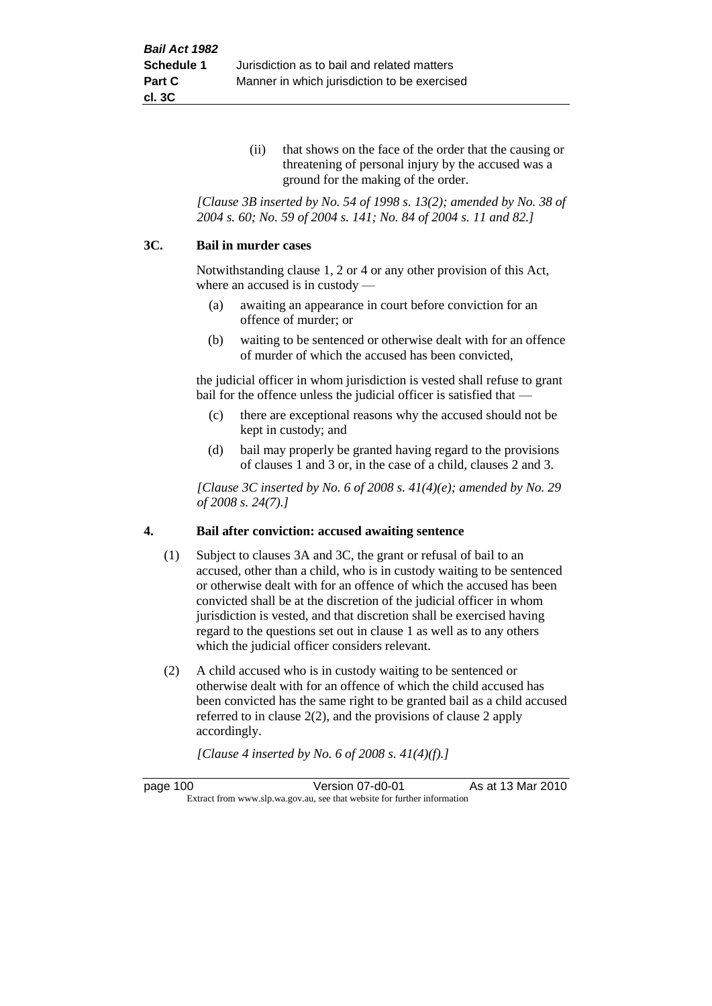(ii) that shows on the face of the order that the causing or threatening of personal injury by the accused was a ground for the making of the order.

*[Clause 3B inserted by No. 54 of 1998 s. 13(2); amended by No. 38 of 2004 s. 60; No. 59 of 2004 s. 141; No. 84 of 2004 s. 11 and 82.]*

#### **3C. Bail in murder cases**

Notwithstanding clause 1, 2 or 4 or any other provision of this Act, where an accused is in custody —

- (a) awaiting an appearance in court before conviction for an offence of murder; or
- (b) waiting to be sentenced or otherwise dealt with for an offence of murder of which the accused has been convicted,

the judicial officer in whom jurisdiction is vested shall refuse to grant bail for the offence unless the judicial officer is satisfied that —

- (c) there are exceptional reasons why the accused should not be kept in custody; and
- (d) bail may properly be granted having regard to the provisions of clauses 1 and 3 or, in the case of a child, clauses 2 and 3.

*[Clause 3C inserted by No. 6 of 2008 s. 41(4)(e); amended by No. 29 of 2008 s. 24(7).]*

#### **4. Bail after conviction: accused awaiting sentence**

- (1) Subject to clauses 3A and 3C, the grant or refusal of bail to an accused, other than a child, who is in custody waiting to be sentenced or otherwise dealt with for an offence of which the accused has been convicted shall be at the discretion of the judicial officer in whom jurisdiction is vested, and that discretion shall be exercised having regard to the questions set out in clause 1 as well as to any others which the judicial officer considers relevant.
- (2) A child accused who is in custody waiting to be sentenced or otherwise dealt with for an offence of which the child accused has been convicted has the same right to be granted bail as a child accused referred to in clause 2(2), and the provisions of clause 2 apply accordingly.

*[Clause 4 inserted by No. 6 of 2008 s. 41(4)(f).]*

page 100 Version 07-d0-01 As at 13 Mar 2010 Extract from www.slp.wa.gov.au, see that website for further information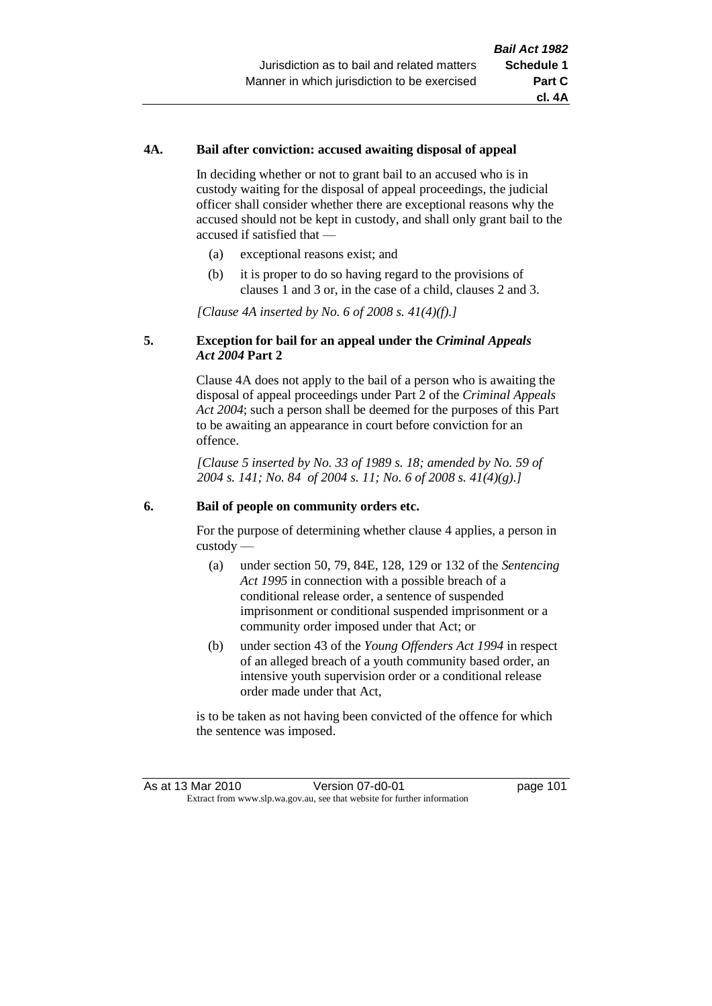## **4A. Bail after conviction: accused awaiting disposal of appeal**

In deciding whether or not to grant bail to an accused who is in custody waiting for the disposal of appeal proceedings, the judicial officer shall consider whether there are exceptional reasons why the accused should not be kept in custody, and shall only grant bail to the accused if satisfied that —

- (a) exceptional reasons exist; and
- (b) it is proper to do so having regard to the provisions of clauses 1 and 3 or, in the case of a child, clauses 2 and 3.

*[Clause 4A inserted by No. 6 of 2008 s. 41(4)(f).]*

## **5. Exception for bail for an appeal under the** *Criminal Appeals Act 2004* **Part 2**

Clause 4A does not apply to the bail of a person who is awaiting the disposal of appeal proceedings under Part 2 of the *Criminal Appeals Act 2004*; such a person shall be deemed for the purposes of this Part to be awaiting an appearance in court before conviction for an offence.

*[Clause 5 inserted by No. 33 of 1989 s. 18; amended by No. 59 of 2004 s. 141; No. 84 of 2004 s. 11; No. 6 of 2008 s. 41(4)(g).]*

#### **6. Bail of people on community orders etc.**

For the purpose of determining whether clause 4 applies, a person in custody —

- (a) under section 50, 79, 84E, 128, 129 or 132 of the *Sentencing Act 1995* in connection with a possible breach of a conditional release order, a sentence of suspended imprisonment or conditional suspended imprisonment or a community order imposed under that Act; or
- (b) under section 43 of the *Young Offenders Act 1994* in respect of an alleged breach of a youth community based order, an intensive youth supervision order or a conditional release order made under that Act,

is to be taken as not having been convicted of the offence for which the sentence was imposed.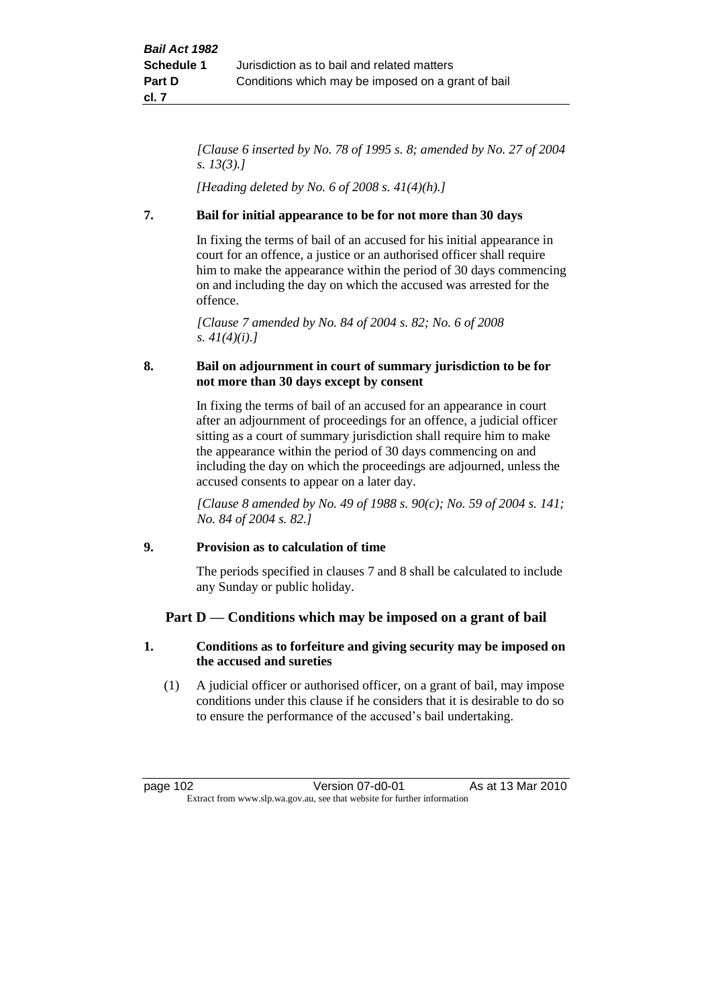*[Clause 6 inserted by No. 78 of 1995 s. 8; amended by No. 27 of 2004 s. 13(3).]*

*[Heading deleted by No. 6 of 2008 s. 41(4)(h).]*

# **7. Bail for initial appearance to be for not more than 30 days**

In fixing the terms of bail of an accused for his initial appearance in court for an offence, a justice or an authorised officer shall require him to make the appearance within the period of 30 days commencing on and including the day on which the accused was arrested for the offence.

*[Clause 7 amended by No. 84 of 2004 s. 82; No. 6 of 2008 s. 41(4)(i).]*

# **8. Bail on adjournment in court of summary jurisdiction to be for not more than 30 days except by consent**

In fixing the terms of bail of an accused for an appearance in court after an adjournment of proceedings for an offence, a judicial officer sitting as a court of summary jurisdiction shall require him to make the appearance within the period of 30 days commencing on and including the day on which the proceedings are adjourned, unless the accused consents to appear on a later day.

*[Clause 8 amended by No. 49 of 1988 s. 90(c); No. 59 of 2004 s. 141; No. 84 of 2004 s. 82.]*

# **9. Provision as to calculation of time**

The periods specified in clauses 7 and 8 shall be calculated to include any Sunday or public holiday.

# **Part D — Conditions which may be imposed on a grant of bail**

# **1. Conditions as to forfeiture and giving security may be imposed on the accused and sureties**

(1) A judicial officer or authorised officer, on a grant of bail, may impose conditions under this clause if he considers that it is desirable to do so to ensure the performance of the accused's bail undertaking.

page 102 Version 07-d0-01 As at 13 Mar 2010 Extract from www.slp.wa.gov.au, see that website for further information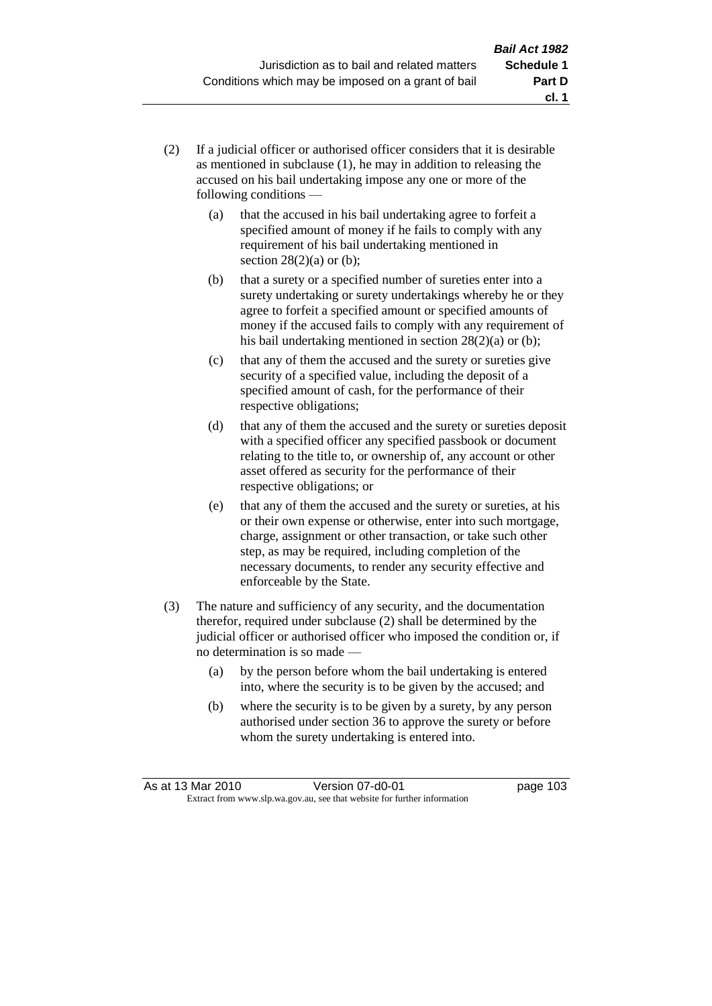- (2) If a judicial officer or authorised officer considers that it is desirable as mentioned in subclause (1), he may in addition to releasing the accused on his bail undertaking impose any one or more of the following conditions —
	- (a) that the accused in his bail undertaking agree to forfeit a specified amount of money if he fails to comply with any requirement of his bail undertaking mentioned in section  $28(2)(a)$  or (b);
	- (b) that a surety or a specified number of sureties enter into a surety undertaking or surety undertakings whereby he or they agree to forfeit a specified amount or specified amounts of money if the accused fails to comply with any requirement of his bail undertaking mentioned in section 28(2)(a) or (b);
	- (c) that any of them the accused and the surety or sureties give security of a specified value, including the deposit of a specified amount of cash, for the performance of their respective obligations;
	- (d) that any of them the accused and the surety or sureties deposit with a specified officer any specified passbook or document relating to the title to, or ownership of, any account or other asset offered as security for the performance of their respective obligations; or
	- (e) that any of them the accused and the surety or sureties, at his or their own expense or otherwise, enter into such mortgage, charge, assignment or other transaction, or take such other step, as may be required, including completion of the necessary documents, to render any security effective and enforceable by the State.
- (3) The nature and sufficiency of any security, and the documentation therefor, required under subclause (2) shall be determined by the judicial officer or authorised officer who imposed the condition or, if no determination is so made —
	- (a) by the person before whom the bail undertaking is entered into, where the security is to be given by the accused; and
	- (b) where the security is to be given by a surety, by any person authorised under section 36 to approve the surety or before whom the surety undertaking is entered into.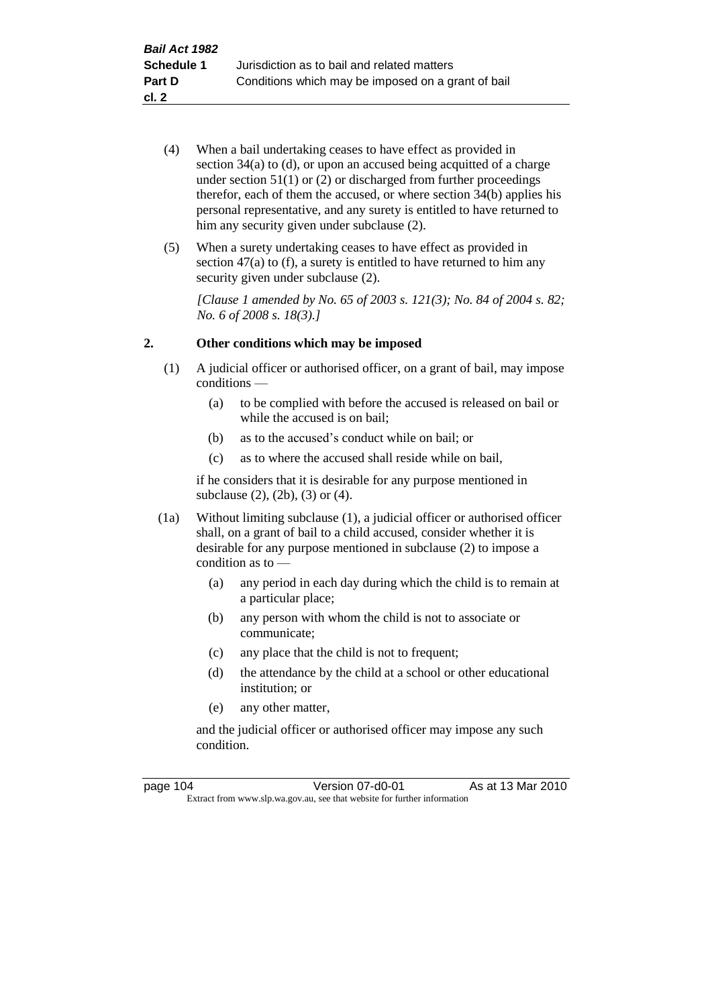- (4) When a bail undertaking ceases to have effect as provided in section 34(a) to (d), or upon an accused being acquitted of a charge under section  $51(1)$  or  $(2)$  or discharged from further proceedings therefor, each of them the accused, or where section  $34(b)$  applies his personal representative, and any surety is entitled to have returned to him any security given under subclause  $(2)$ .
- (5) When a surety undertaking ceases to have effect as provided in section 47(a) to (f), a surety is entitled to have returned to him any security given under subclause  $(2)$ .

*[Clause 1 amended by No. 65 of 2003 s. 121(3); No. 84 of 2004 s. 82; No. 6 of 2008 s. 18(3).]*

## **2. Other conditions which may be imposed**

- (1) A judicial officer or authorised officer, on a grant of bail, may impose conditions —
	- (a) to be complied with before the accused is released on bail or while the accused is on bail;
	- (b) as to the accused's conduct while on bail; or
	- (c) as to where the accused shall reside while on bail,

if he considers that it is desirable for any purpose mentioned in subclause (2), (2b), (3) or (4).

- (1a) Without limiting subclause (1), a judicial officer or authorised officer shall, on a grant of bail to a child accused, consider whether it is desirable for any purpose mentioned in subclause (2) to impose a condition as to —
	- (a) any period in each day during which the child is to remain at a particular place;
	- (b) any person with whom the child is not to associate or communicate;
	- (c) any place that the child is not to frequent;
	- (d) the attendance by the child at a school or other educational institution; or
	- (e) any other matter,

and the judicial officer or authorised officer may impose any such condition.

| page 104 | Version 07-d0-01                                                         | As at 13 Mar 2010 |
|----------|--------------------------------------------------------------------------|-------------------|
|          | Extract from www.slp.wa.gov.au, see that website for further information |                   |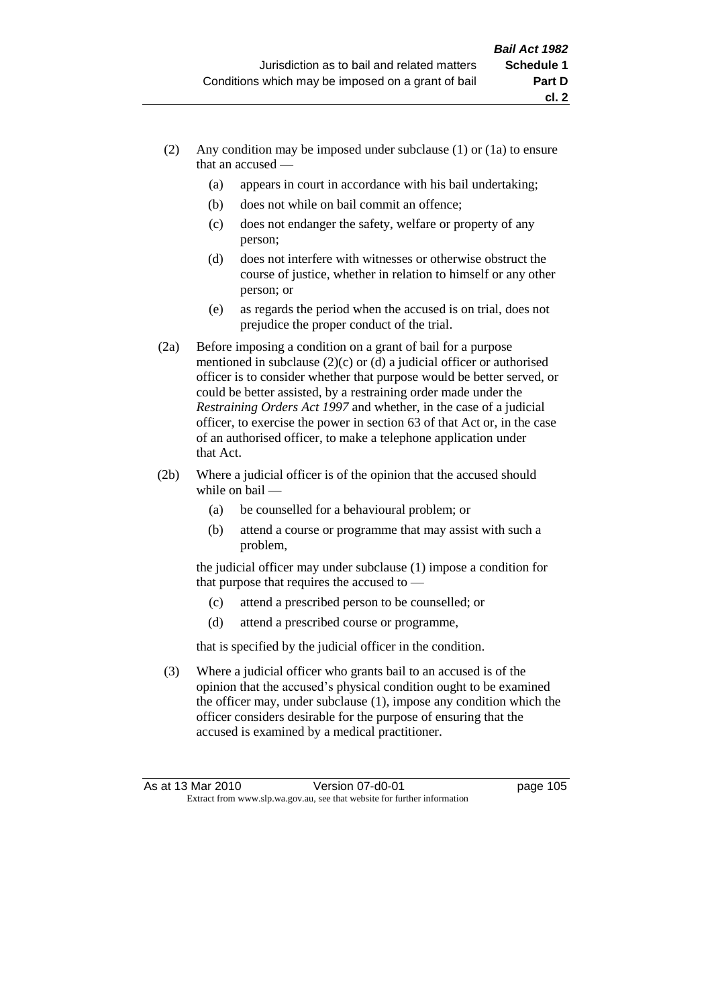**cl. 2**

- (2) Any condition may be imposed under subclause (1) or (1a) to ensure that an accused —
	- (a) appears in court in accordance with his bail undertaking;
	- (b) does not while on bail commit an offence;
	- (c) does not endanger the safety, welfare or property of any person;
	- (d) does not interfere with witnesses or otherwise obstruct the course of justice, whether in relation to himself or any other person; or
	- (e) as regards the period when the accused is on trial, does not prejudice the proper conduct of the trial.
- (2a) Before imposing a condition on a grant of bail for a purpose mentioned in subclause (2)(c) or (d) a judicial officer or authorised officer is to consider whether that purpose would be better served, or could be better assisted, by a restraining order made under the *Restraining Orders Act 1997* and whether, in the case of a judicial officer, to exercise the power in section 63 of that Act or, in the case of an authorised officer, to make a telephone application under that Act.
- (2b) Where a judicial officer is of the opinion that the accused should while on bail —
	- (a) be counselled for a behavioural problem; or
	- (b) attend a course or programme that may assist with such a problem,

the judicial officer may under subclause (1) impose a condition for that purpose that requires the accused to —

- (c) attend a prescribed person to be counselled; or
- (d) attend a prescribed course or programme,

that is specified by the judicial officer in the condition.

(3) Where a judicial officer who grants bail to an accused is of the opinion that the accused's physical condition ought to be examined the officer may, under subclause (1), impose any condition which the officer considers desirable for the purpose of ensuring that the accused is examined by a medical practitioner.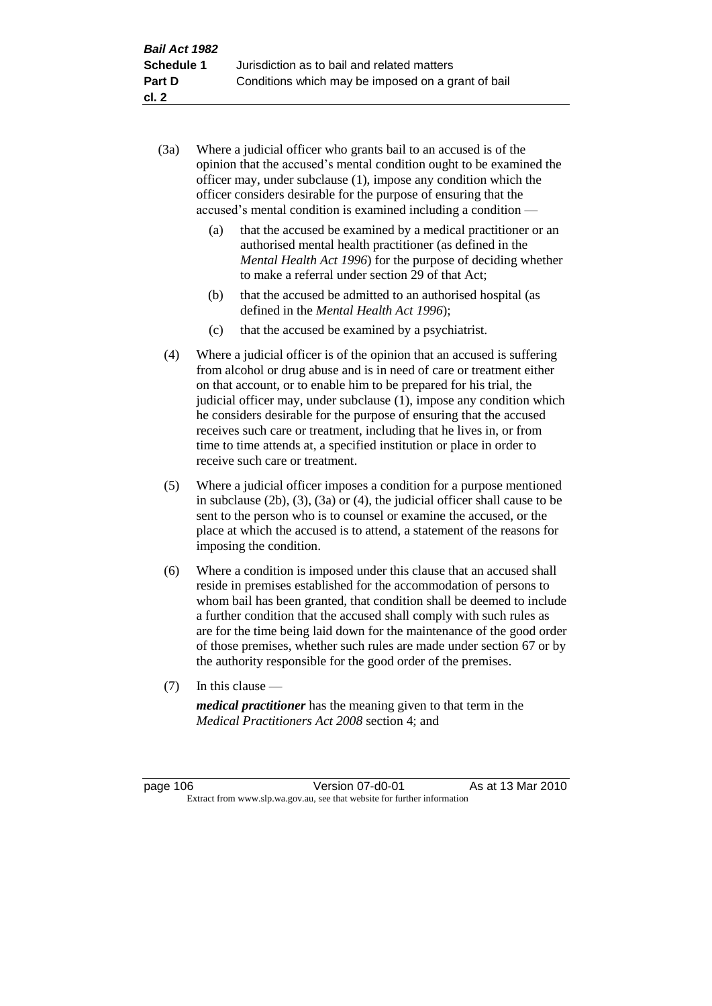- (3a) Where a judicial officer who grants bail to an accused is of the opinion that the accused's mental condition ought to be examined the officer may, under subclause (1), impose any condition which the officer considers desirable for the purpose of ensuring that the accused's mental condition is examined including a condition —
	- (a) that the accused be examined by a medical practitioner or an authorised mental health practitioner (as defined in the *Mental Health Act 1996*) for the purpose of deciding whether to make a referral under section 29 of that Act;
	- (b) that the accused be admitted to an authorised hospital (as defined in the *Mental Health Act 1996*);
	- (c) that the accused be examined by a psychiatrist.
- (4) Where a judicial officer is of the opinion that an accused is suffering from alcohol or drug abuse and is in need of care or treatment either on that account, or to enable him to be prepared for his trial, the judicial officer may, under subclause (1), impose any condition which he considers desirable for the purpose of ensuring that the accused receives such care or treatment, including that he lives in, or from time to time attends at, a specified institution or place in order to receive such care or treatment.
- (5) Where a judicial officer imposes a condition for a purpose mentioned in subclause (2b), (3), (3a) or (4), the judicial officer shall cause to be sent to the person who is to counsel or examine the accused, or the place at which the accused is to attend, a statement of the reasons for imposing the condition.
- (6) Where a condition is imposed under this clause that an accused shall reside in premises established for the accommodation of persons to whom bail has been granted, that condition shall be deemed to include a further condition that the accused shall comply with such rules as are for the time being laid down for the maintenance of the good order of those premises, whether such rules are made under section 67 or by the authority responsible for the good order of the premises.
- (7) In this clause —

*medical practitioner* has the meaning given to that term in the *Medical Practitioners Act 2008* section 4; and

page 106 **Version 07-d0-01** As at 13 Mar 2010 Extract from www.slp.wa.gov.au, see that website for further information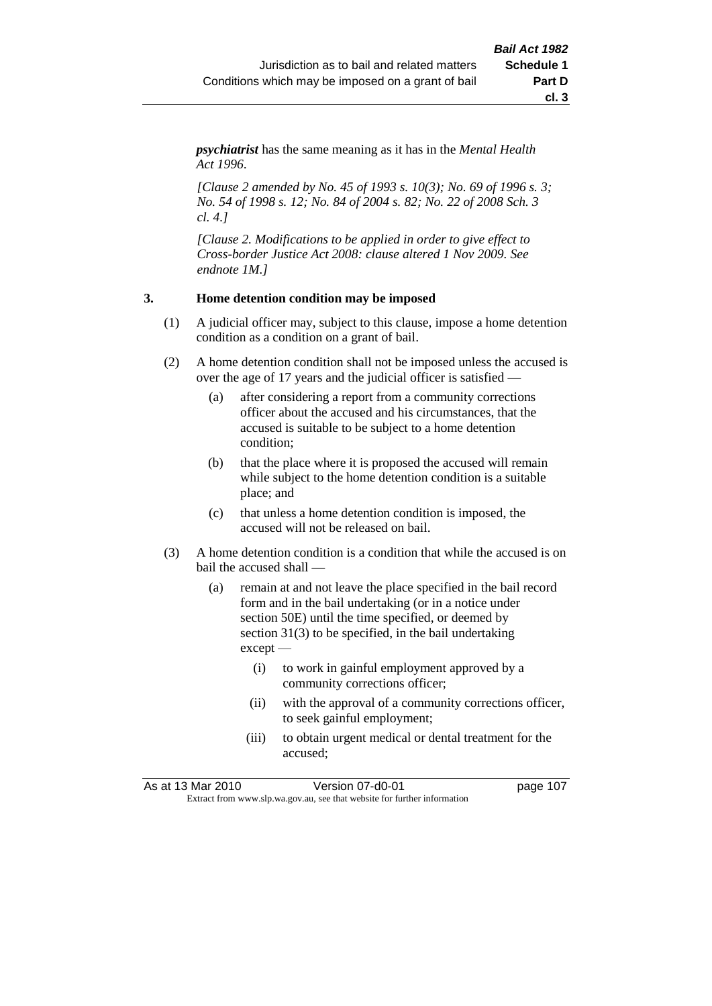*psychiatrist* has the same meaning as it has in the *Mental Health Act 1996*.

*[Clause 2 amended by No. 45 of 1993 s. 10(3); No. 69 of 1996 s. 3; No. 54 of 1998 s. 12; No. 84 of 2004 s. 82; No. 22 of 2008 Sch. 3 cl. 4.]*

*[Clause 2. Modifications to be applied in order to give effect to Cross-border Justice Act 2008: clause altered 1 Nov 2009. See endnote 1M.]*

## **3. Home detention condition may be imposed**

- (1) A judicial officer may, subject to this clause, impose a home detention condition as a condition on a grant of bail.
- (2) A home detention condition shall not be imposed unless the accused is over the age of 17 years and the judicial officer is satisfied —
	- (a) after considering a report from a community corrections officer about the accused and his circumstances, that the accused is suitable to be subject to a home detention condition;
	- (b) that the place where it is proposed the accused will remain while subject to the home detention condition is a suitable place; and
	- (c) that unless a home detention condition is imposed, the accused will not be released on bail.
- (3) A home detention condition is a condition that while the accused is on bail the accused shall —
	- (a) remain at and not leave the place specified in the bail record form and in the bail undertaking (or in a notice under section 50E) until the time specified, or deemed by section 31(3) to be specified, in the bail undertaking except —
		- (i) to work in gainful employment approved by a community corrections officer;
		- (ii) with the approval of a community corrections officer, to seek gainful employment;
		- (iii) to obtain urgent medical or dental treatment for the accused;

As at 13 Mar 2010 Version 07-d0-01 page 107 Extract from www.slp.wa.gov.au, see that website for further information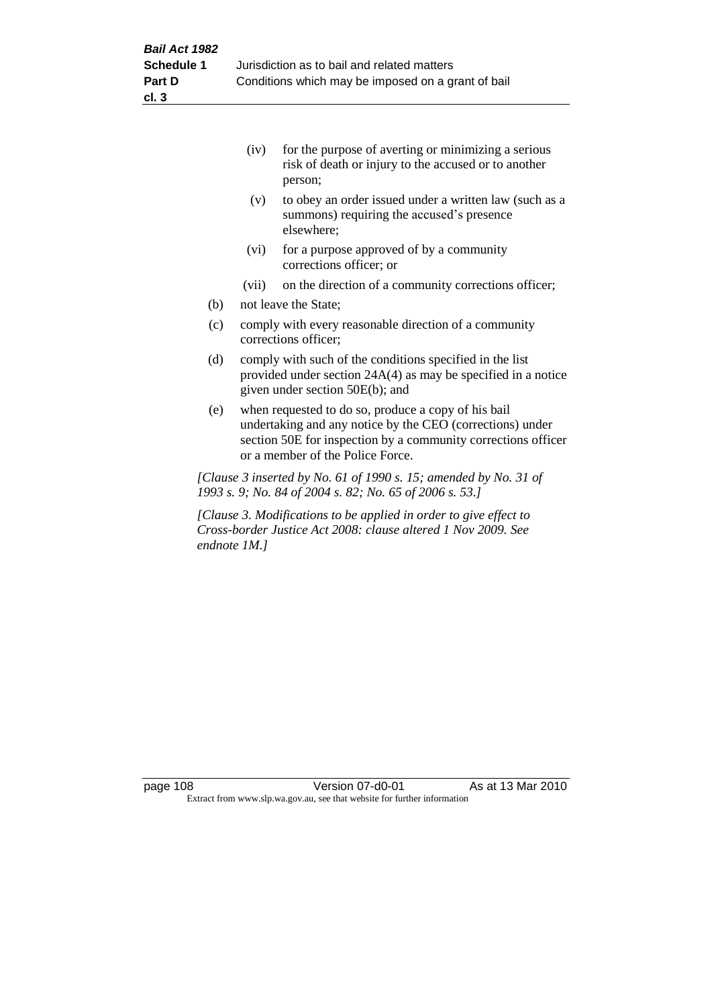|     | (iv)  | for the purpose of averting or minimizing a serious<br>risk of death or injury to the accused or to another<br>person; |
|-----|-------|------------------------------------------------------------------------------------------------------------------------|
|     | (v)   | to obey an order issued under a written law (such as a<br>summons) requiring the accused's presence<br>elsewhere;      |
|     | (vi)  | for a purpose approved of by a community<br>corrections officer; or                                                    |
|     | (vii) | on the direction of a community corrections officer;                                                                   |
| (b) |       | not leave the State;                                                                                                   |
| (c) |       | comply with every reasonable direction of a community                                                                  |

- corrections officer;
- (d) comply with such of the conditions specified in the list provided under section 24A(4) as may be specified in a notice given under section 50E(b); and
- (e) when requested to do so, produce a copy of his bail undertaking and any notice by the CEO (corrections) under section 50E for inspection by a community corrections officer or a member of the Police Force.

*[Clause 3 inserted by No. 61 of 1990 s. 15; amended by No. 31 of 1993 s. 9; No. 84 of 2004 s. 82; No. 65 of 2006 s. 53.]*

*[Clause 3. Modifications to be applied in order to give effect to Cross-border Justice Act 2008: clause altered 1 Nov 2009. See endnote 1M.]*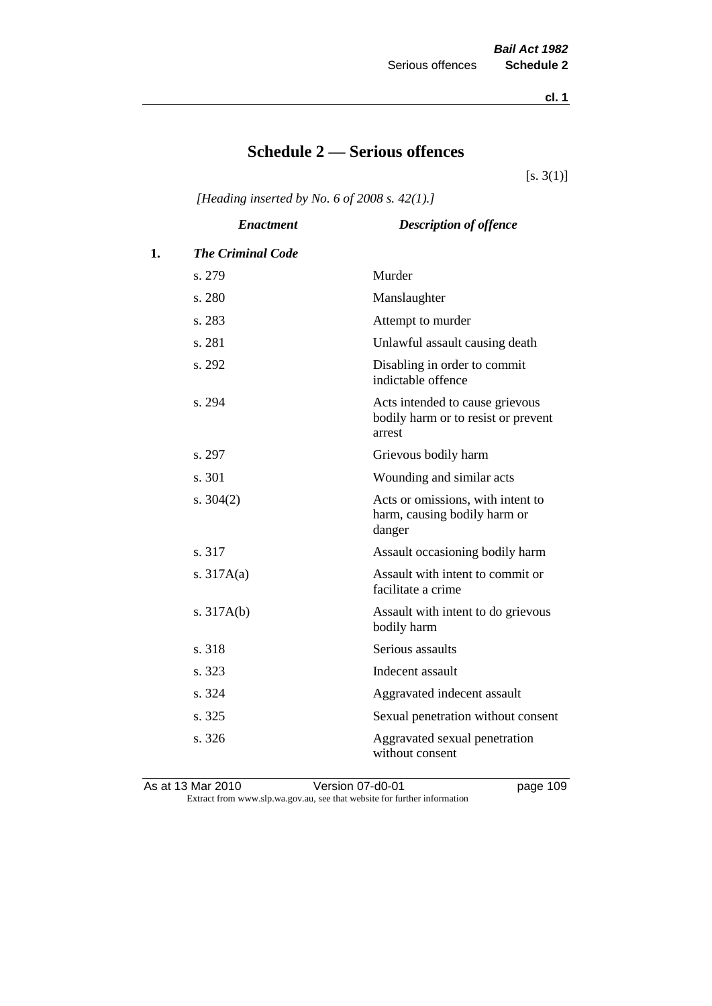**cl. 1**

# **Schedule 2 — Serious offences**

 $[s. 3(1)]$ 

*[Heading inserted by No. 6 of 2008 s. 42(1).]*

|    | <b>Enactment</b>         | <b>Description of offence</b>                                                    |
|----|--------------------------|----------------------------------------------------------------------------------|
| 1. | <b>The Criminal Code</b> |                                                                                  |
|    | s. 279                   | Murder                                                                           |
|    | s. 280                   | Manslaughter                                                                     |
|    | s. 283                   | Attempt to murder                                                                |
|    | s. 281                   | Unlawful assault causing death                                                   |
|    | s. 292                   | Disabling in order to commit<br>indictable offence                               |
|    | s. 294                   | Acts intended to cause grievous<br>bodily harm or to resist or prevent<br>arrest |
|    | s. 297                   | Grievous bodily harm                                                             |
|    | s. 301                   | Wounding and similar acts                                                        |
|    | s. $304(2)$              | Acts or omissions, with intent to<br>harm, causing bodily harm or<br>danger      |
|    | s. 317                   | Assault occasioning bodily harm                                                  |
|    | s. $317A(a)$             | Assault with intent to commit or<br>facilitate a crime                           |
|    | s. $317A(b)$             | Assault with intent to do grievous<br>bodily harm                                |
|    | s. 318                   | Serious assaults                                                                 |
|    | s. 323                   | Indecent assault                                                                 |
|    | s. 324                   | Aggravated indecent assault                                                      |
|    | s. 325                   | Sexual penetration without consent                                               |
|    | s. 326                   | Aggravated sexual penetration<br>without consent                                 |

As at 13 Mar 2010 Version 07-d0-01 page 109 Extract from www.slp.wa.gov.au, see that website for further information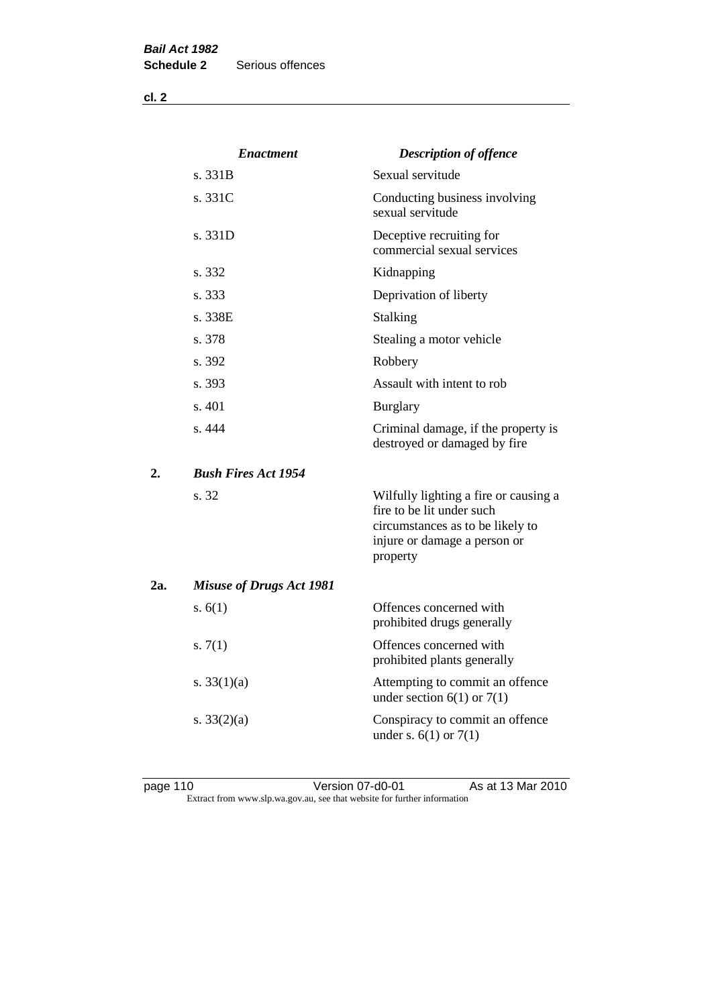**cl. 2**

|     | <b>Enactment</b>                | <b>Description of offence</b>                                                                                                                      |
|-----|---------------------------------|----------------------------------------------------------------------------------------------------------------------------------------------------|
|     | s. 331B                         | Sexual servitude                                                                                                                                   |
|     | s. 331C                         | Conducting business involving<br>sexual servitude                                                                                                  |
|     | s. 331D                         | Deceptive recruiting for<br>commercial sexual services                                                                                             |
|     | s. 332                          | Kidnapping                                                                                                                                         |
|     | s. 333                          | Deprivation of liberty                                                                                                                             |
|     | s. 338E                         | <b>Stalking</b>                                                                                                                                    |
|     | s. 378                          | Stealing a motor vehicle                                                                                                                           |
|     | s. 392                          | Robbery                                                                                                                                            |
|     | s. 393                          | Assault with intent to rob                                                                                                                         |
|     | s. 401                          | <b>Burglary</b>                                                                                                                                    |
|     | s.444                           | Criminal damage, if the property is<br>destroyed or damaged by fire                                                                                |
| 2.  | <b>Bush Fires Act 1954</b>      |                                                                                                                                                    |
|     | s. 32                           | Wilfully lighting a fire or causing a<br>fire to be lit under such<br>circumstances as to be likely to<br>injure or damage a person or<br>property |
| 2a. | <b>Misuse of Drugs Act 1981</b> |                                                                                                                                                    |
|     | s. $6(1)$                       | Offences concerned with<br>prohibited drugs generally                                                                                              |
|     | s. $7(1)$                       | Offences concerned with<br>prohibited plants generally                                                                                             |
|     | s. $33(1)(a)$                   | Attempting to commit an offence<br>under section $6(1)$ or $7(1)$                                                                                  |
|     | s. $33(2)(a)$                   | Conspiracy to commit an offence<br>under s. $6(1)$ or $7(1)$                                                                                       |

page 110 **Denotive Stratege 110** Version 07-d0-01 As at 13 Mar 2010 Extract from www.slp.wa.gov.au, see that website for further information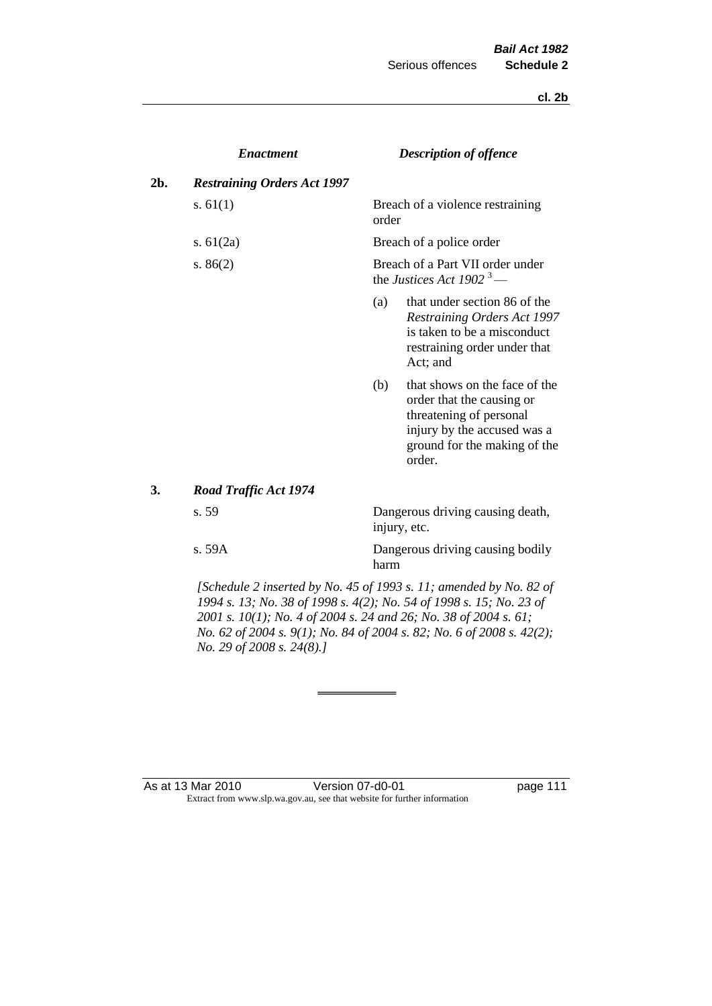**cl. 2b**

|     | <b>Enactment</b>                   |       | <b>Description of offence</b>                                                                                                                                  |
|-----|------------------------------------|-------|----------------------------------------------------------------------------------------------------------------------------------------------------------------|
| 2b. | <b>Restraining Orders Act 1997</b> |       |                                                                                                                                                                |
|     | s. $61(1)$                         | order | Breach of a violence restraining                                                                                                                               |
|     | s. $61(2a)$                        |       | Breach of a police order                                                                                                                                       |
|     | s. $86(2)$                         |       | Breach of a Part VII order under<br>the Justices Act 1902 <sup>3</sup> —                                                                                       |
|     |                                    | (a)   | that under section 86 of the<br><b>Restraining Orders Act 1997</b><br>is taken to be a misconduct<br>restraining order under that<br>Act; and                  |
|     |                                    | (b)   | that shows on the face of the<br>order that the causing or<br>threatening of personal<br>injury by the accused was a<br>ground for the making of the<br>order. |
| 3.  | Road Traffic Act 1974              |       |                                                                                                                                                                |
|     | s.59                               |       | Dangerous driving causing death,<br>injury, etc.                                                                                                               |
|     | s. 59A                             |       | Dangerous driving causing bodily                                                                                                                               |

*[Schedule 2 inserted by No. 45 of 1993 s. 11; amended by No. 82 of 1994 s. 13; No. 38 of 1998 s. 4(2); No. 54 of 1998 s. 15; No. 23 of 2001 s. 10(1); No. 4 of 2004 s. 24 and 26; No. 38 of 2004 s. 61; No. 62 of 2004 s. 9(1); No. 84 of 2004 s. 82; No. 6 of 2008 s. 42(2); No. 29 of 2008 s. 24(8).]* 

harm

#### As at 13 Mar 2010 **Version 07-d0-01 Demand Strategies 111** Extract from www.slp.wa.gov.au, see that website for further information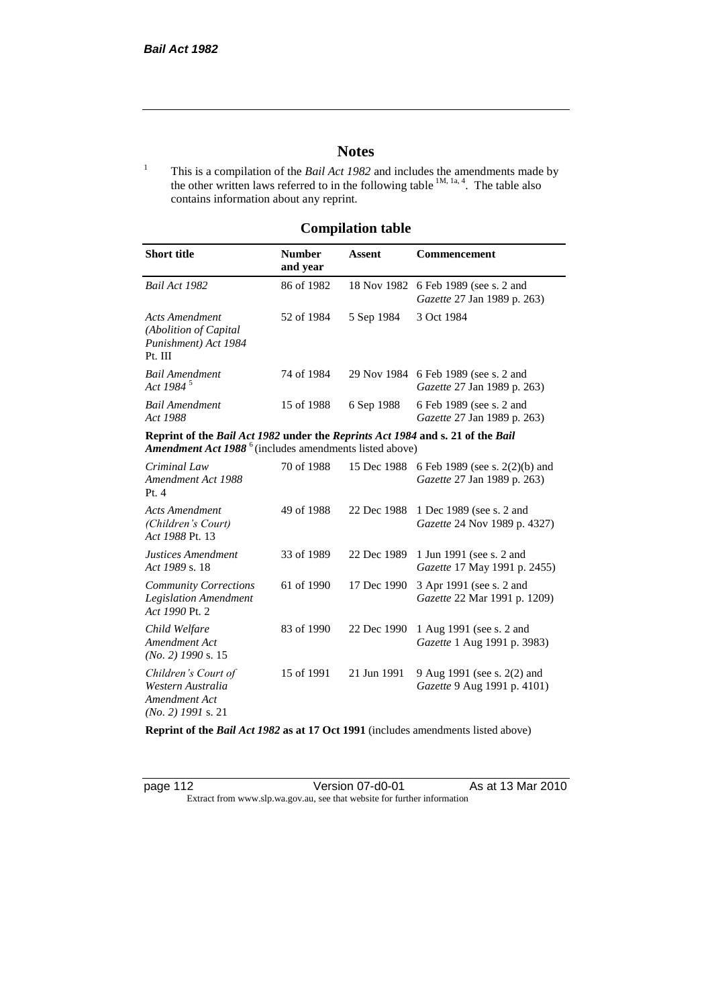# **Notes**

<sup>1</sup> This is a compilation of the *Bail Act 1982* and includes the amendments made by the other written laws referred to in the following table  $^{1M, 1a, 4}$ . The table also contains information about any reprint.

# **Compilation table**

| <b>Short title</b>                                                                                                                                   | <b>Number</b><br>and year | Assent     | Commencement                                                               |  |
|------------------------------------------------------------------------------------------------------------------------------------------------------|---------------------------|------------|----------------------------------------------------------------------------|--|
| Bail Act 1982                                                                                                                                        | 86 of 1982                |            | 18 Nov 1982 6 Feb 1989 (see s. 2 and<br><i>Gazette</i> 27 Jan 1989 p. 263) |  |
| Acts Amendment<br>(Abolition of Capital)<br>Punishment) Act 1984<br>Pt. III                                                                          | 52 of 1984                | 5 Sep 1984 | 3 Oct 1984                                                                 |  |
| <b>Bail Amendment</b><br>Act 1984 <sup>5</sup>                                                                                                       | 74 of 1984                |            | 29 Nov 1984 6 Feb 1989 (see s. 2 and<br><i>Gazette</i> 27 Jan 1989 p. 263) |  |
| Bail Amendment<br>Act 1988                                                                                                                           | 15 of 1988                | 6 Sep 1988 | 6 Feb 1989 (see s. 2 and<br><i>Gazette</i> 27 Jan 1989 p. 263)             |  |
| Reprint of the Bail Act 1982 under the Reprints Act 1984 and s. 21 of the Bail<br>Amendment Act 1988 <sup>6</sup> (includes amendments listed above) |                           |            |                                                                            |  |
| Criminal Law                                                                                                                                         | 70 of 1988                |            | 15 Dec 1988 6 Feb 1989 (see s. 2(2)(b) and                                 |  |

| Chinguu Luw<br>Amendment Act 1988<br>Pt.4                                         | 10.011200  | $1.7 \mu$ DVC 1700 | $01001202$ (Sec s. $2(270)$ and<br><i>Gazette</i> 27 Jan 1989 p. 263) |
|-----------------------------------------------------------------------------------|------------|--------------------|-----------------------------------------------------------------------|
| Acts Amendment<br>(Children's Court)<br>Act 1988 Pt. 13                           | 49 of 1988 | 22 Dec 1988        | 1 Dec 1989 (see s. 2 and<br><i>Gazette</i> 24 Nov 1989 p. 4327)       |
| Justices Amendment<br>Act 1989 s. 18                                              | 33 of 1989 | 22 Dec 1989        | 1 Jun 1991 (see s. 2 and<br><i>Gazette</i> 17 May 1991 p. 2455)       |
| <b>Community Corrections</b><br><b>Legislation Amendment</b><br>Act 1990 Pt. 2    | 61 of 1990 | 17 Dec 1990        | 3 Apr 1991 (see s. 2 and<br>Gazette 22 Mar 1991 p. 1209)              |
| Child Welfare<br>Amendment Act<br>$(No. 2)$ 1990 s. 15                            | 83 of 1990 | 22 Dec 1990        | 1 Aug 1991 (see s. 2 and<br><i>Gazette</i> 1 Aug 1991 p. 3983)        |
| Children's Court of<br>Western Australia<br>Amendment Act<br>$(No. 2)$ 1991 s. 21 | 15 of 1991 | 21 Jun 1991        | 9 Aug 1991 (see s. 2(2) and<br>Gazette 9 Aug 1991 p. 4101)            |

**Reprint of the** *Bail Act 1982* **as at 17 Oct 1991** (includes amendments listed above)

page 112 Version 07-d0-01 As at 13 Mar 2010 Extract from www.slp.wa.gov.au, see that website for further information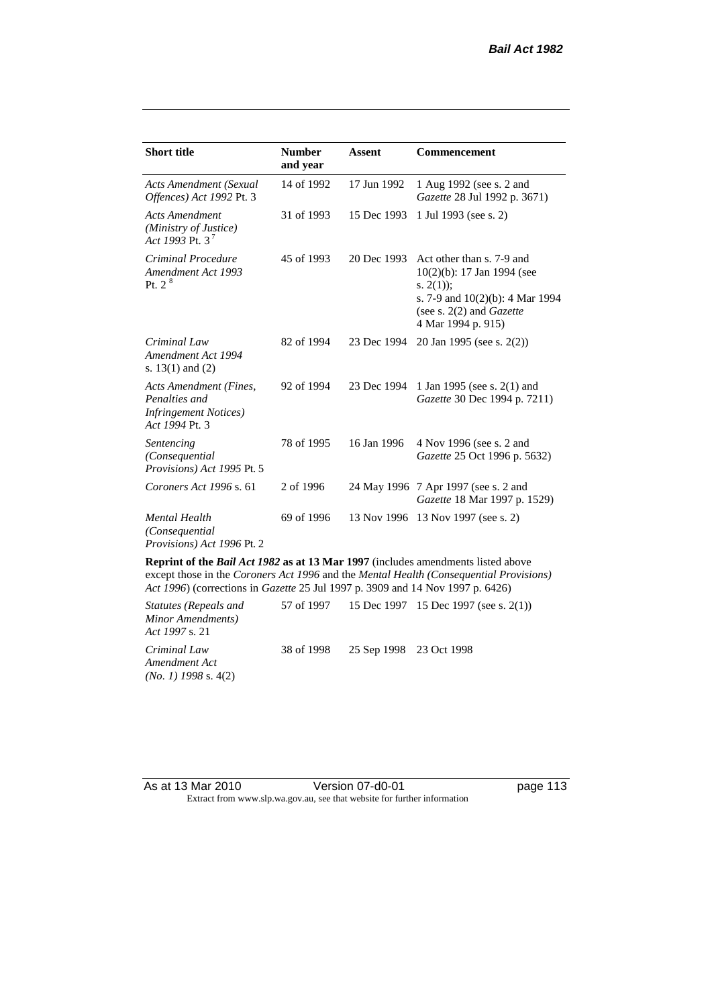| <b>Short title</b>                                                                         | <b>Number</b><br>and year | Assent      | <b>Commencement</b>                                                                                                                                                        |
|--------------------------------------------------------------------------------------------|---------------------------|-------------|----------------------------------------------------------------------------------------------------------------------------------------------------------------------------|
| <b>Acts Amendment (Sexual</b><br>Offences) Act 1992 Pt. 3                                  | 14 of 1992                | 17 Jun 1992 | 1 Aug 1992 (see s. 2 and<br>Gazette 28 Jul 1992 p. 3671)                                                                                                                   |
| <b>Acts Amendment</b><br>(Ministry of Justice)<br>Act 1993 Pt. 3 <sup>7</sup>              | 31 of 1993                | 15 Dec 1993 | 1 Jul 1993 (see s. 2)                                                                                                                                                      |
| Criminal Procedure<br>Amendment Act 1993<br>Pt. 2 <sup>8</sup>                             | 45 of 1993                | 20 Dec 1993 | Act other than s. 7-9 and<br>$10(2)(b)$ : 17 Jan 1994 (see<br>s. $2(1)$ ;<br>s. 7-9 and $10(2)(b)$ : 4 Mar 1994<br>(see s. $2(2)$ and <i>Gazette</i><br>4 Mar 1994 p. 915) |
| Criminal Law<br>Amendment Act 1994<br>s. $13(1)$ and $(2)$                                 | 82 of 1994                | 23 Dec 1994 | 20 Jan 1995 (see s. 2(2))                                                                                                                                                  |
| Acts Amendment (Fines,<br>Penalties and<br><b>Infringement Notices</b> )<br>Act 1994 Pt. 3 | 92 of 1994                | 23 Dec 1994 | 1 Jan 1995 (see s. 2(1) and<br>Gazette 30 Dec 1994 p. 7211)                                                                                                                |
| Sentencing<br>(Consequential<br>Provisions) Act 1995 Pt. 5                                 | 78 of 1995                | 16 Jan 1996 | 4 Nov 1996 (see s. 2 and<br>Gazette 25 Oct 1996 p. 5632)                                                                                                                   |
| Coroners Act 1996 s. 61                                                                    | 2 of 1996                 |             | 24 May 1996 7 Apr 1997 (see s. 2 and<br>Gazette 18 Mar 1997 p. 1529)                                                                                                       |
| <b>Mental Health</b><br>(Consequential)<br>Provisions) Act 1996 Pt. 2                      | 69 of 1996                |             | 13 Nov 1996 13 Nov 1997 (see s. 2)                                                                                                                                         |

**Reprint of the** *Bail Act 1982* **as at 13 Mar 1997** (includes amendments listed above except those in the *Coroners Act 1996* and the *Mental Health (Consequential Provisions) Act 1996*) (corrections in *Gazette* 25 Jul 1997 p. 3909 and 14 Nov 1997 p. 6426)

*Statutes (Repeals and Minor Amendments) Act 1997* s. 21 57 of 1997 15 Dec 1997 15 Dec 1997 (see s. 2(1)) *Criminal Law Amendment Act (No. 1) 1998* s. 4(2) 38 of 1998 25 Sep 1998 23 Oct 1998

As at 13 Mar 2010 **Version 07-d0-01 Demand Strategies** Page 113 Extract from www.slp.wa.gov.au, see that website for further information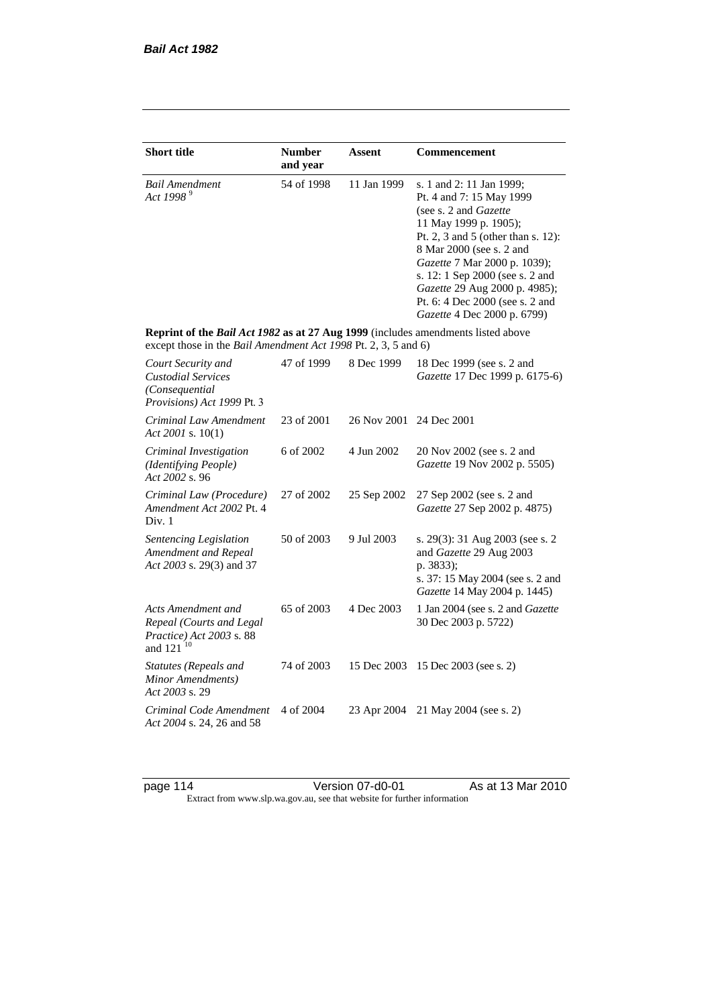| <b>Short title</b>                                                                                                                                 | <b>Number</b><br>and year | Assent      | Commencement                                                                                                                                                                                                                                                                                                                                            |
|----------------------------------------------------------------------------------------------------------------------------------------------------|---------------------------|-------------|---------------------------------------------------------------------------------------------------------------------------------------------------------------------------------------------------------------------------------------------------------------------------------------------------------------------------------------------------------|
| <b>Bail Amendment</b><br>Act 1998 <sup>9</sup>                                                                                                     | 54 of 1998                | 11 Jan 1999 | s. 1 and 2: 11 Jan 1999;<br>Pt. 4 and 7: 15 May 1999<br>(see s. 2 and <i>Gazette</i> )<br>11 May 1999 p. 1905);<br>Pt. 2, 3 and 5 (other than s. 12):<br>8 Mar 2000 (see s. 2 and<br>Gazette 7 Mar 2000 p. 1039);<br>s. 12: 1 Sep 2000 (see s. 2 and<br>Gazette 29 Aug 2000 p. 4985);<br>Pt. 6: 4 Dec 2000 (see s. 2 and<br>Gazette 4 Dec 2000 p. 6799) |
| Reprint of the Bail Act 1982 as at 27 Aug 1999 (includes amendments listed above<br>except those in the Bail Amendment Act 1998 Pt. 2, 3, 5 and 6) |                           |             |                                                                                                                                                                                                                                                                                                                                                         |
| Court Security and<br><b>Custodial Services</b><br>(Consequential<br>Provisions) Act 1999 Pt. 3                                                    | 47 of 1999                | 8 Dec 1999  | 18 Dec 1999 (see s. 2 and<br>Gazette 17 Dec 1999 p. 6175-6)                                                                                                                                                                                                                                                                                             |
| Criminal Law Amendment<br>Act 2001 s. $10(1)$                                                                                                      | 23 of 2001                | 26 Nov 2001 | 24 Dec 2001                                                                                                                                                                                                                                                                                                                                             |
| Criminal Investigation<br>(Identifying People)<br>Act 2002 s. 96                                                                                   | 6 of 2002                 | 4 Jun 2002  | 20 Nov 2002 (see s. 2 and<br>Gazette 19 Nov 2002 p. 5505)                                                                                                                                                                                                                                                                                               |
| Criminal Law (Procedure)<br>Amendment Act 2002 Pt. 4<br>Div. 1                                                                                     | 27 of 2002                | 25 Sep 2002 | 27 Sep 2002 (see s. 2 and<br>Gazette 27 Sep 2002 p. 4875)                                                                                                                                                                                                                                                                                               |
| Sentencing Legislation<br>Amendment and Repeal<br>Act 2003 s. 29(3) and 37                                                                         | 50 of 2003                | 9 Jul 2003  | s. 29(3): 31 Aug 2003 (see s. 2)<br>and Gazette 29 Aug 2003<br>p. 3833);<br>s. 37: 15 May 2004 (see s. 2 and<br>Gazette 14 May 2004 p. 1445)                                                                                                                                                                                                            |
| Acts Amendment and<br>Repeal (Courts and Legal<br>Practice) Act 2003 s. 88<br>and 121 <sup>10</sup>                                                | 65 of 2003                | 4 Dec 2003  | 1 Jan 2004 (see s. 2 and Gazette<br>30 Dec 2003 p. 5722)                                                                                                                                                                                                                                                                                                |
| <b>Statutes (Repeals and</b><br>Minor Amendments)<br>Act 2003 s. 29                                                                                | 74 of 2003                | 15 Dec 2003 | 15 Dec 2003 (see s. 2)                                                                                                                                                                                                                                                                                                                                  |
| Criminal Code Amendment<br>Act 2004 s. 24, 26 and 58                                                                                               | 4 of 2004                 | 23 Apr 2004 | 21 May 2004 (see s. 2)                                                                                                                                                                                                                                                                                                                                  |

page 114 Version 07-d0-01 As at 13 Mar 2010 Extract from www.slp.wa.gov.au, see that website for further information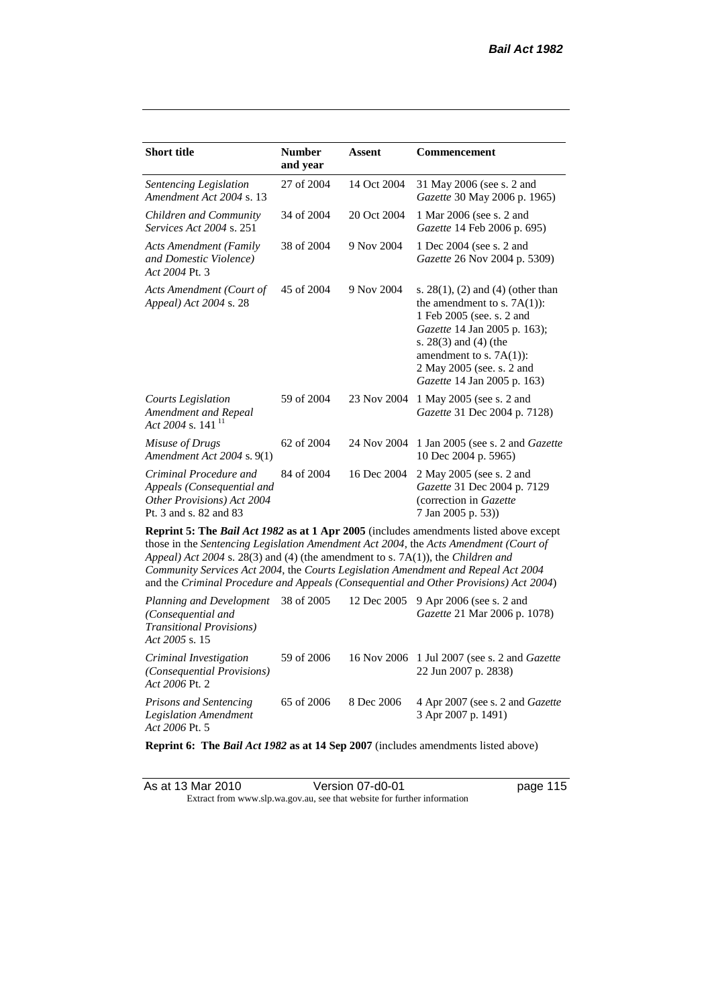| <b>Short title</b>                                                                                                                                                                                                                                                                                                                                                                                                                                                                                                                             | <b>Number</b><br>and year | <b>Assent</b> | <b>Commencement</b>                                                                                                                                                                                                                                      |  |  |
|------------------------------------------------------------------------------------------------------------------------------------------------------------------------------------------------------------------------------------------------------------------------------------------------------------------------------------------------------------------------------------------------------------------------------------------------------------------------------------------------------------------------------------------------|---------------------------|---------------|----------------------------------------------------------------------------------------------------------------------------------------------------------------------------------------------------------------------------------------------------------|--|--|
| Sentencing Legislation<br>Amendment Act 2004 s. 13                                                                                                                                                                                                                                                                                                                                                                                                                                                                                             | 27 of 2004                | 14 Oct 2004   | 31 May 2006 (see s. 2 and<br>Gazette 30 May 2006 p. 1965)                                                                                                                                                                                                |  |  |
| Children and Community<br>Services Act 2004 s. 251                                                                                                                                                                                                                                                                                                                                                                                                                                                                                             | 34 of 2004                | 20 Oct 2004   | 1 Mar 2006 (see s. 2 and<br>Gazette 14 Feb 2006 p. 695)                                                                                                                                                                                                  |  |  |
| <b>Acts Amendment (Family</b><br>and Domestic Violence)<br>Act 2004 Pt. 3                                                                                                                                                                                                                                                                                                                                                                                                                                                                      | 38 of 2004                | 9 Nov 2004    | 1 Dec 2004 (see s. 2 and<br>Gazette 26 Nov 2004 p. 5309)                                                                                                                                                                                                 |  |  |
| Acts Amendment (Court of<br>Appeal) Act 2004 s. 28                                                                                                                                                                                                                                                                                                                                                                                                                                                                                             | 45 of 2004                | 9 Nov 2004    | s. $28(1)$ , (2) and (4) (other than<br>the amendment to s. $7A(1)$ :<br>1 Feb 2005 (see. s. 2 and<br>Gazette 14 Jan 2005 p. 163);<br>s. $28(3)$ and $(4)$ (the<br>amendment to s. $7A(1)$ :<br>2 May 2005 (see. s. 2 and<br>Gazette 14 Jan 2005 p. 163) |  |  |
| <b>Courts Legislation</b><br>Amendment and Repeal<br>Act 2004 s. 141 $^{11}$                                                                                                                                                                                                                                                                                                                                                                                                                                                                   | 59 of 2004                | 23 Nov 2004   | 1 May 2005 (see s. 2 and<br>Gazette 31 Dec 2004 p. 7128)                                                                                                                                                                                                 |  |  |
| Misuse of Drugs<br>Amendment Act 2004 s. 9(1)                                                                                                                                                                                                                                                                                                                                                                                                                                                                                                  | 62 of 2004                | 24 Nov 2004   | 1 Jan 2005 (see s. 2 and <i>Gazette</i><br>10 Dec 2004 p. 5965)                                                                                                                                                                                          |  |  |
| Criminal Procedure and<br>Appeals (Consequential and<br>Other Provisions) Act 2004<br>Pt. 3 and s. 82 and 83                                                                                                                                                                                                                                                                                                                                                                                                                                   | 84 of 2004                | 16 Dec 2004   | 2 May 2005 (see s. 2 and<br>Gazette 31 Dec 2004 p. 7129<br>(correction in Gazette<br>7 Jan 2005 p. 53))                                                                                                                                                  |  |  |
| <b>Reprint 5: The Bail Act 1982 as at 1 Apr 2005</b> (includes amendments listed above except<br>those in the Sentencing Legislation Amendment Act 2004, the Acts Amendment (Court of<br>Appeal) Act 2004 s. 28(3) and (4) (the amendment to s. 7A(1)), the Children and<br>Community Services Act 2004, the Courts Legislation Amendment and Repeal Act 2004<br>and the Criminal Procedure and Appeals (Consequential and Other Provisions) Act 2004)<br>$Planning and Dayelonment = 38 of 2005 = 12 Dec 2005 = 0 Arr 2006 (see 2 and 12006)$ |                           |               |                                                                                                                                                                                                                                                          |  |  |

| <i>Planning and Development</i> 38 of 2005 12 Dec 2005 9 Apr 2006 (see s. 2 and<br>(Consequential and<br><b>Transitional Provisions</b> )<br>Act 2005 s. 15 |            |            | <i>Gazette</i> 21 Mar 2006 p. 1078)                                         |
|-------------------------------------------------------------------------------------------------------------------------------------------------------------|------------|------------|-----------------------------------------------------------------------------|
| Criminal Investigation<br>(Consequential Provisions)<br>Act 2006 Pt. 2                                                                                      | 59 of 2006 |            | 16 Nov 2006 1 Jul 2007 (see s. 2 and <i>Gazette</i><br>22 Jun 2007 p. 2838) |
| <b>Prisons and Sentencing</b><br>Legislation Amendment<br>Act 2006 Pt. 5                                                                                    | 65 of 2006 | 8 Dec 2006 | 4 Apr 2007 (see s. 2 and <i>Gazette</i><br>3 Apr 2007 p. 1491)              |

**Reprint 6: The** *Bail Act 1982* **as at 14 Sep 2007** (includes amendments listed above)

| As at 13 Mar 2010 | Version 07-d0-01                                                         | page 115 |
|-------------------|--------------------------------------------------------------------------|----------|
|                   | Extract from www.slp.wa.gov.au, see that website for further information |          |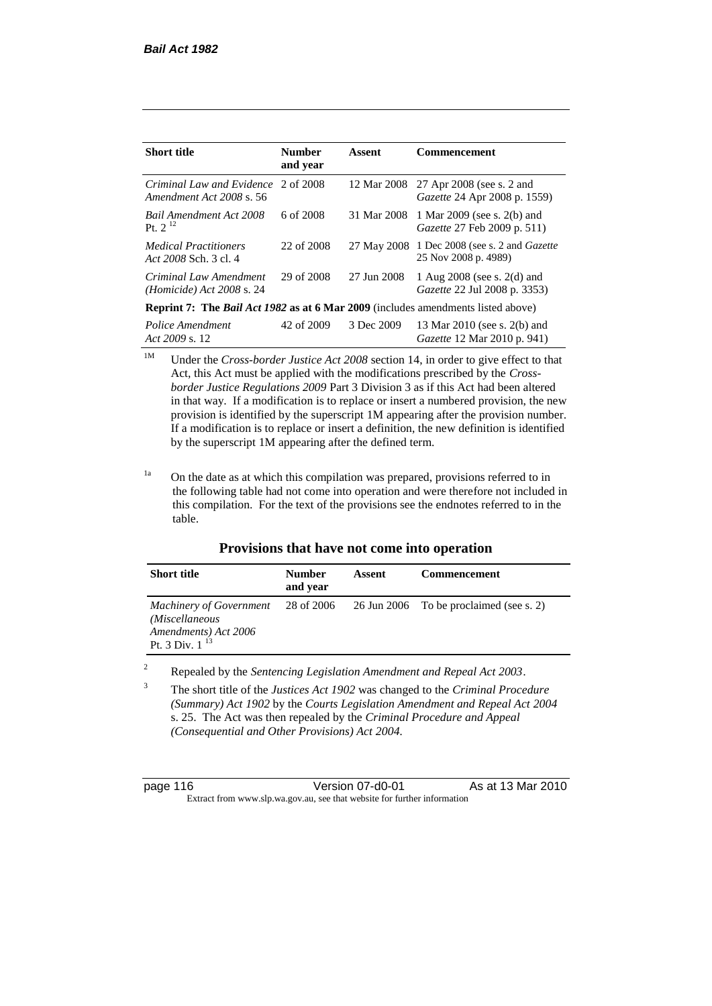| <b>Short title</b>                                                                      | <b>Number</b><br>and year | Assent      | Commencement                                                       |
|-----------------------------------------------------------------------------------------|---------------------------|-------------|--------------------------------------------------------------------|
| Criminal Law and Evidence 2 of 2008<br>Amendment Act 2008 s. 56                         |                           | 12 Mar 2008 | 27 Apr 2008 (see s. 2 and<br><i>Gazette</i> 24 Apr 2008 p. 1559)   |
| <b>Bail Amendment Act 2008</b><br>Pt. $2^{12}$                                          | 6 of 2008                 | 31 Mar 2008 | 1 Mar 2009 (see s. 2(b) and<br><i>Gazette</i> 27 Feb 2009 p. 511)  |
| <i>Medical Practitioners</i><br>Act 2008 Sch. 3 cl. 4                                   | 22 of 2008                | 27 May 2008 | 1 Dec 2008 (see s. 2 and <i>Gazette</i><br>25 Nov 2008 p. 4989)    |
| Criminal Law Amendment<br><i>(Homicide)</i> Act 2008 s. 24                              | 29 of 2008                | 27 Jun 2008 | 1 Aug 2008 (see s. 2(d) and<br><i>Gazette</i> 22 Jul 2008 p. 3353) |
| <b>Reprint 7: The Bail Act 1982 as at 6 Mar 2009</b> (includes amendments listed above) |                           |             |                                                                    |
| Police Amendment<br>Act 2009 s. 12                                                      | 42 of 2009                | 3 Dec 2009  | 13 Mar 2010 (see s. 2(b) and<br><i>Gazette</i> 12 Mar 2010 p. 941) |

<sup>1M</sup> Under the *Cross-border Justice Act 2008* section 14, in order to give effect to that Act, this Act must be applied with the modifications prescribed by the *Crossborder Justice Regulations 2009* Part 3 Division 3 as if this Act had been altered in that way. If a modification is to replace or insert a numbered provision, the new provision is identified by the superscript 1M appearing after the provision number. If a modification is to replace or insert a definition, the new definition is identified by the superscript 1M appearing after the defined term.

<sup>1a</sup> On the date as at which this compilation was prepared, provisions referred to in the following table had not come into operation and were therefore not included in this compilation. For the text of the provisions see the endnotes referred to in the table.

|  | Provisions that have not come into operation |  |  |
|--|----------------------------------------------|--|--|
|--|----------------------------------------------|--|--|

| <b>Short title</b>                                                                              | <b>Number</b><br>and year | Assent | Commencement                            |
|-------------------------------------------------------------------------------------------------|---------------------------|--------|-----------------------------------------|
| <b>Machinery of Government</b><br>(Miscellaneous<br>Amendments) Act 2006<br>Pt. 3 Div. $1^{13}$ | 28 of 2006                |        | 26 Jun 2006 To be proclaimed (see s. 2) |

<sup>2</sup> Repealed by the *Sentencing Legislation Amendment and Repeal Act 2003*.

<sup>3</sup> The short title of the *Justices Act 1902* was changed to the *Criminal Procedure (Summary) Act 1902* by the *Courts Legislation Amendment and Repeal Act 2004*  s. 25. The Act was then repealed by the *Criminal Procedure and Appeal (Consequential and Other Provisions) Act 2004.*

| page 116 |  |  |  |
|----------|--|--|--|
|----------|--|--|--|

page 116 Version 07-d0-01 As at 13 Mar 2010 Extract from www.slp.wa.gov.au, see that website for further information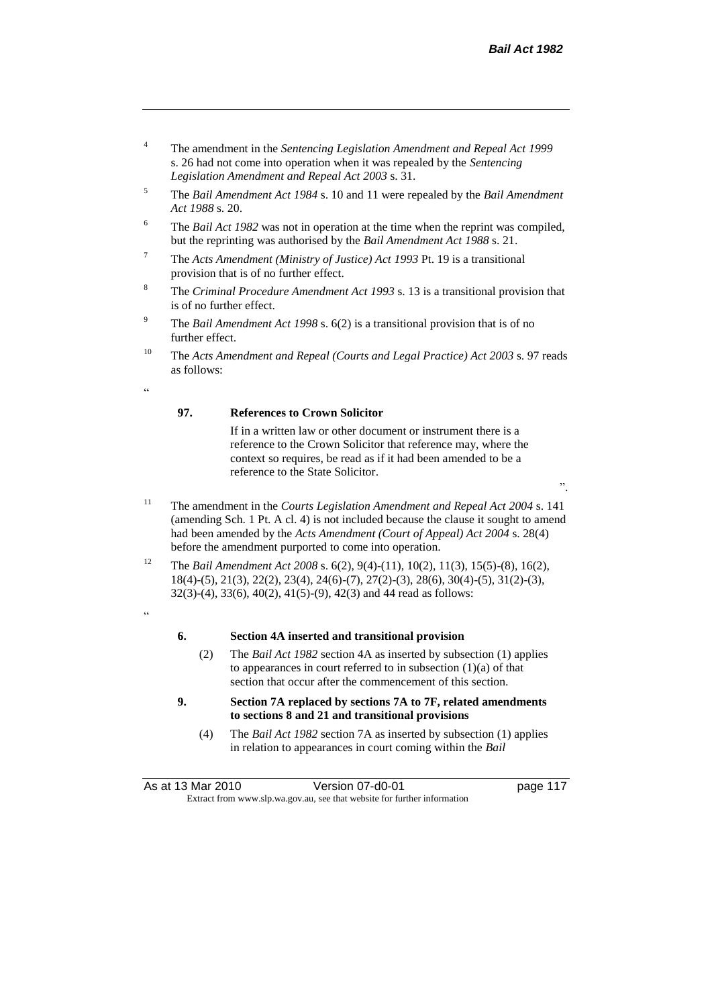".

- <sup>4</sup> The amendment in the *Sentencing Legislation Amendment and Repeal Act 1999* s. 26 had not come into operation when it was repealed by the *Sentencing Legislation Amendment and Repeal Act 2003* s. 31.
- <sup>5</sup> The *Bail Amendment Act 1984* s. 10 and 11 were repealed by the *Bail Amendment Act 1988* s. 20.
- <sup>6</sup> The *Bail Act 1982* was not in operation at the time when the reprint was compiled, but the reprinting was authorised by the *Bail Amendment Act 1988* s. 21.
- <sup>7</sup> The *Acts Amendment (Ministry of Justice) Act 1993* Pt. 19 is a transitional provision that is of no further effect.
- <sup>8</sup> The *Criminal Procedure Amendment Act 1993* s. 13 is a transitional provision that is of no further effect.
- <sup>9</sup> The *Bail Amendment Act 1998* s. 6(2) is a transitional provision that is of no further effect.
- <sup>10</sup> The *Acts Amendment and Repeal (Courts and Legal Practice) Act 2003* s. 97 reads as follows:

.<br>د د

#### **97. References to Crown Solicitor**

If in a written law or other document or instrument there is a reference to the Crown Solicitor that reference may, where the context so requires, be read as if it had been amended to be a reference to the State Solicitor.

- <sup>11</sup> The amendment in the *Courts Legislation Amendment and Repeal Act 2004* s. 141 (amending Sch. 1 Pt. A cl. 4) is not included because the clause it sought to amend had been amended by the *Acts Amendment (Court of Appeal) Act 2004* s. 28(4) before the amendment purported to come into operation.
- <sup>12</sup> The *Bail Amendment Act 2008* s. 6(2), 9(4)-(11), 10(2), 11(3), 15(5)-(8), 16(2), 18(4)-(5), 21(3), 22(2), 23(4), 24(6)-(7), 27(2)-(3), 28(6), 30(4)-(5), 31(2)-(3), 32(3)-(4), 33(6), 40(2), 41(5)-(9), 42(3) and 44 read as follows:
- "

#### **6. Section 4A inserted and transitional provision**

- (2) The *Bail Act 1982* section 4A as inserted by subsection (1) applies to appearances in court referred to in subsection  $(1)(a)$  of that section that occur after the commencement of this section.
- **9. Section 7A replaced by sections 7A to 7F, related amendments to sections 8 and 21 and transitional provisions**
	- (4) The *Bail Act 1982* section 7A as inserted by subsection (1) applies in relation to appearances in court coming within the *Bail*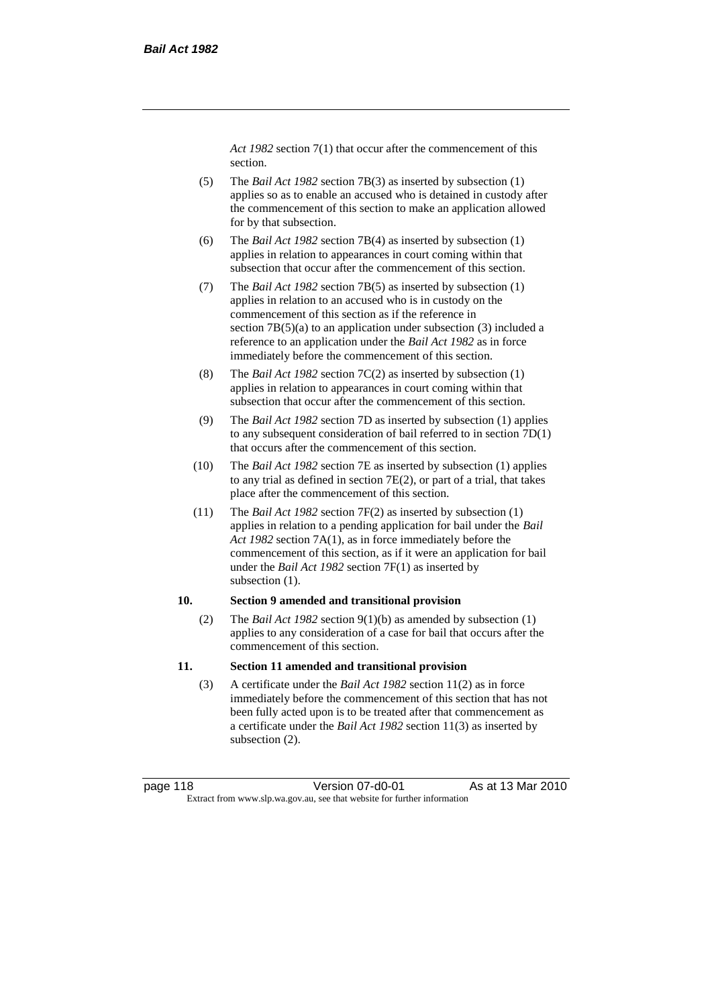*Act 1982* section 7(1) that occur after the commencement of this section.

- (5) The *Bail Act 1982* section 7B(3) as inserted by subsection (1) applies so as to enable an accused who is detained in custody after the commencement of this section to make an application allowed for by that subsection.
- (6) The *Bail Act 1982* section 7B(4) as inserted by subsection (1) applies in relation to appearances in court coming within that subsection that occur after the commencement of this section.
- (7) The *Bail Act 1982* section 7B(5) as inserted by subsection (1) applies in relation to an accused who is in custody on the commencement of this section as if the reference in section  $7B(5)(a)$  to an application under subsection (3) included a reference to an application under the *Bail Act 1982* as in force immediately before the commencement of this section.
- (8) The *Bail Act 1982* section 7C(2) as inserted by subsection (1) applies in relation to appearances in court coming within that subsection that occur after the commencement of this section.
- (9) The *Bail Act 1982* section 7D as inserted by subsection (1) applies to any subsequent consideration of bail referred to in section 7D(1) that occurs after the commencement of this section.
- (10) The *Bail Act 1982* section 7E as inserted by subsection (1) applies to any trial as defined in section 7E(2), or part of a trial, that takes place after the commencement of this section.
- (11) The *Bail Act 1982* section 7F(2) as inserted by subsection (1) applies in relation to a pending application for bail under the *Bail Act 1982* section 7A(1), as in force immediately before the commencement of this section, as if it were an application for bail under the *Bail Act 1982* section 7F(1) as inserted by subsection  $(1)$ .

#### **10. Section 9 amended and transitional provision**

(2) The *Bail Act 1982* section 9(1)(b) as amended by subsection (1) applies to any consideration of a case for bail that occurs after the commencement of this section.

#### **11. Section 11 amended and transitional provision**

(3) A certificate under the *Bail Act 1982* section 11(2) as in force immediately before the commencement of this section that has not been fully acted upon is to be treated after that commencement as a certificate under the *Bail Act 1982* section 11(3) as inserted by subsection (2).

page 118 Version 07-d0-01 As at 13 Mar 2010 Extract from www.slp.wa.gov.au, see that website for further information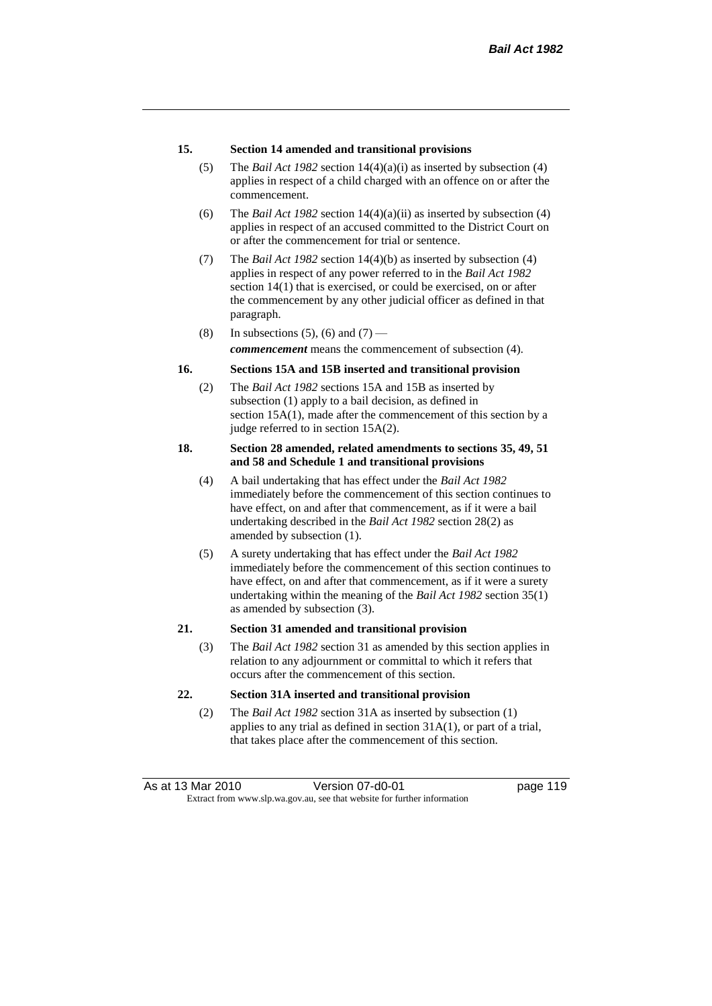#### **15. Section 14 amended and transitional provisions**

- (5) The *Bail Act 1982* section 14(4)(a)(i) as inserted by subsection (4) applies in respect of a child charged with an offence on or after the commencement.
- (6) The *Bail Act 1982* section 14(4)(a)(ii) as inserted by subsection (4) applies in respect of an accused committed to the District Court on or after the commencement for trial or sentence.
- (7) The *Bail Act 1982* section 14(4)(b) as inserted by subsection (4) applies in respect of any power referred to in the *Bail Act 1982* section 14(1) that is exercised, or could be exercised, on or after the commencement by any other judicial officer as defined in that paragraph.
- (8) In subsections (5), (6) and (7) —

*commencement* means the commencement of subsection (4).

### **16. Sections 15A and 15B inserted and transitional provision**

(2) The *Bail Act 1982* sections 15A and 15B as inserted by subsection (1) apply to a bail decision, as defined in section 15A(1), made after the commencement of this section by a judge referred to in section 15A(2).

#### **18. Section 28 amended, related amendments to sections 35, 49, 51 and 58 and Schedule 1 and transitional provisions**

- (4) A bail undertaking that has effect under the *Bail Act 1982* immediately before the commencement of this section continues to have effect, on and after that commencement, as if it were a bail undertaking described in the *Bail Act 1982* section 28(2) as amended by subsection (1).
- (5) A surety undertaking that has effect under the *Bail Act 1982* immediately before the commencement of this section continues to have effect, on and after that commencement, as if it were a surety undertaking within the meaning of the *Bail Act 1982* section 35(1) as amended by subsection (3).

### **21. Section 31 amended and transitional provision**

(3) The *Bail Act 1982* section 31 as amended by this section applies in relation to any adjournment or committal to which it refers that occurs after the commencement of this section.

#### **22. Section 31A inserted and transitional provision**

(2) The *Bail Act 1982* section 31A as inserted by subsection (1) applies to any trial as defined in section 31A(1), or part of a trial, that takes place after the commencement of this section.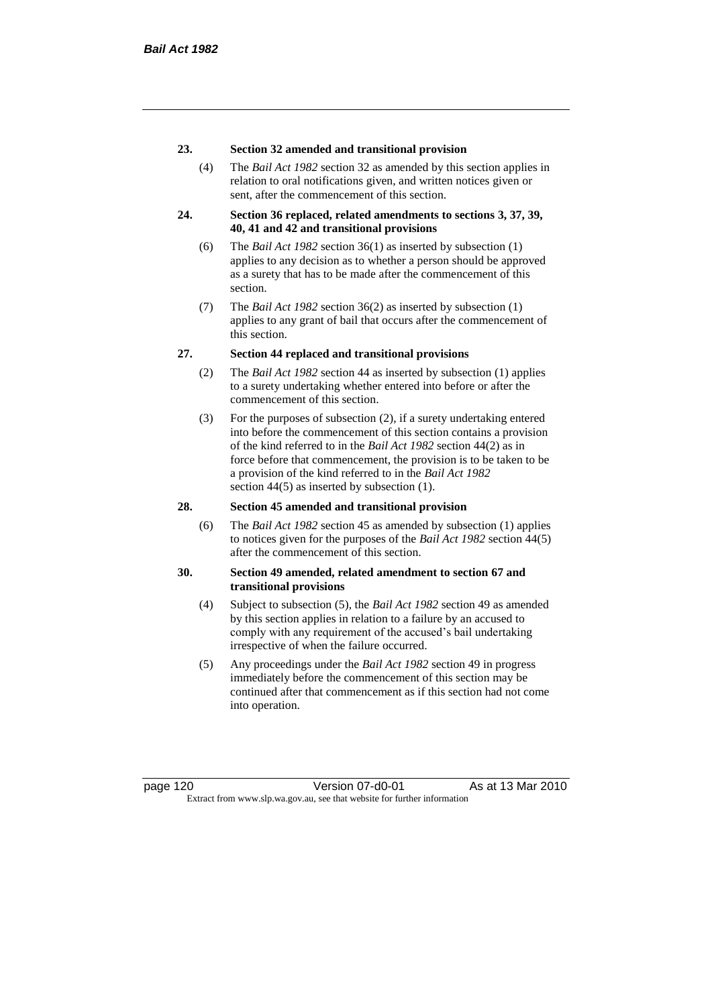#### **23. Section 32 amended and transitional provision**

(4) The *Bail Act 1982* section 32 as amended by this section applies in relation to oral notifications given, and written notices given or sent, after the commencement of this section.

#### **24. Section 36 replaced, related amendments to sections 3, 37, 39, 40, 41 and 42 and transitional provisions**

- (6) The *Bail Act 1982* section 36(1) as inserted by subsection (1) applies to any decision as to whether a person should be approved as a surety that has to be made after the commencement of this section.
- (7) The *Bail Act 1982* section 36(2) as inserted by subsection (1) applies to any grant of bail that occurs after the commencement of this section.

#### **27. Section 44 replaced and transitional provisions**

- (2) The *Bail Act 1982* section 44 as inserted by subsection (1) applies to a surety undertaking whether entered into before or after the commencement of this section.
- (3) For the purposes of subsection (2), if a surety undertaking entered into before the commencement of this section contains a provision of the kind referred to in the *Bail Act 1982* section 44(2) as in force before that commencement, the provision is to be taken to be a provision of the kind referred to in the *Bail Act 1982*  section 44(5) as inserted by subsection (1).

#### **28. Section 45 amended and transitional provision**

(6) The *Bail Act 1982* section 45 as amended by subsection (1) applies to notices given for the purposes of the *Bail Act 1982* section 44(5) after the commencement of this section.

#### **30. Section 49 amended, related amendment to section 67 and transitional provisions**

- (4) Subject to subsection (5), the *Bail Act 1982* section 49 as amended by this section applies in relation to a failure by an accused to comply with any requirement of the accused's bail undertaking irrespective of when the failure occurred.
- (5) Any proceedings under the *Bail Act 1982* section 49 in progress immediately before the commencement of this section may be continued after that commencement as if this section had not come into operation.

page 120 Version 07-d0-01 As at 13 Mar 2010 Extract from www.slp.wa.gov.au, see that website for further information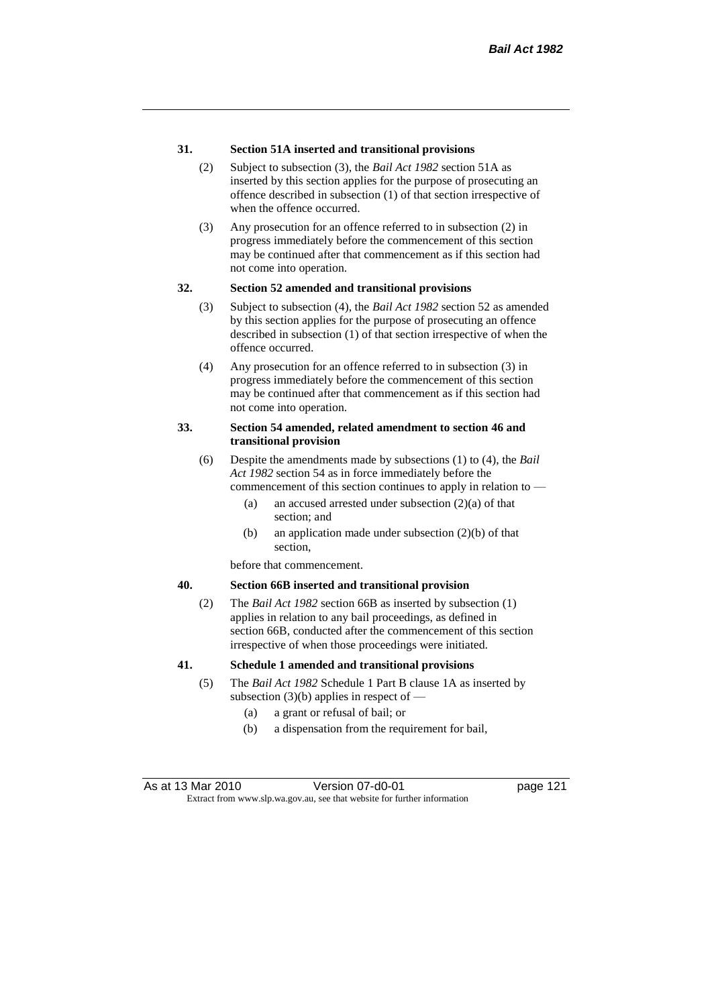#### **31. Section 51A inserted and transitional provisions**

- (2) Subject to subsection (3), the *Bail Act 1982* section 51A as inserted by this section applies for the purpose of prosecuting an offence described in subsection (1) of that section irrespective of when the offence occurred.
- (3) Any prosecution for an offence referred to in subsection (2) in progress immediately before the commencement of this section may be continued after that commencement as if this section had not come into operation.

#### **32. Section 52 amended and transitional provisions**

- (3) Subject to subsection (4), the *Bail Act 1982* section 52 as amended by this section applies for the purpose of prosecuting an offence described in subsection (1) of that section irrespective of when the offence occurred.
- (4) Any prosecution for an offence referred to in subsection (3) in progress immediately before the commencement of this section may be continued after that commencement as if this section had not come into operation.

#### **33. Section 54 amended, related amendment to section 46 and transitional provision**

- (6) Despite the amendments made by subsections (1) to (4), the *Bail Act 1982* section 54 as in force immediately before the commencement of this section continues to apply in relation to —
	- (a) an accused arrested under subsection (2)(a) of that section; and
	- (b) an application made under subsection (2)(b) of that section,

before that commencement.

#### **40. Section 66B inserted and transitional provision**

(2) The *Bail Act 1982* section 66B as inserted by subsection (1) applies in relation to any bail proceedings, as defined in section 66B, conducted after the commencement of this section irrespective of when those proceedings were initiated.

#### **41. Schedule 1 amended and transitional provisions**

- (5) The *Bail Act 1982* Schedule 1 Part B clause 1A as inserted by subsection  $(3)(b)$  applies in respect of  $-$ 
	- (a) a grant or refusal of bail; or
	- (b) a dispensation from the requirement for bail,

As at 13 Mar 2010 **Version 07-d0-01 Depays** 21 page 121 Extract from www.slp.wa.gov.au, see that website for further information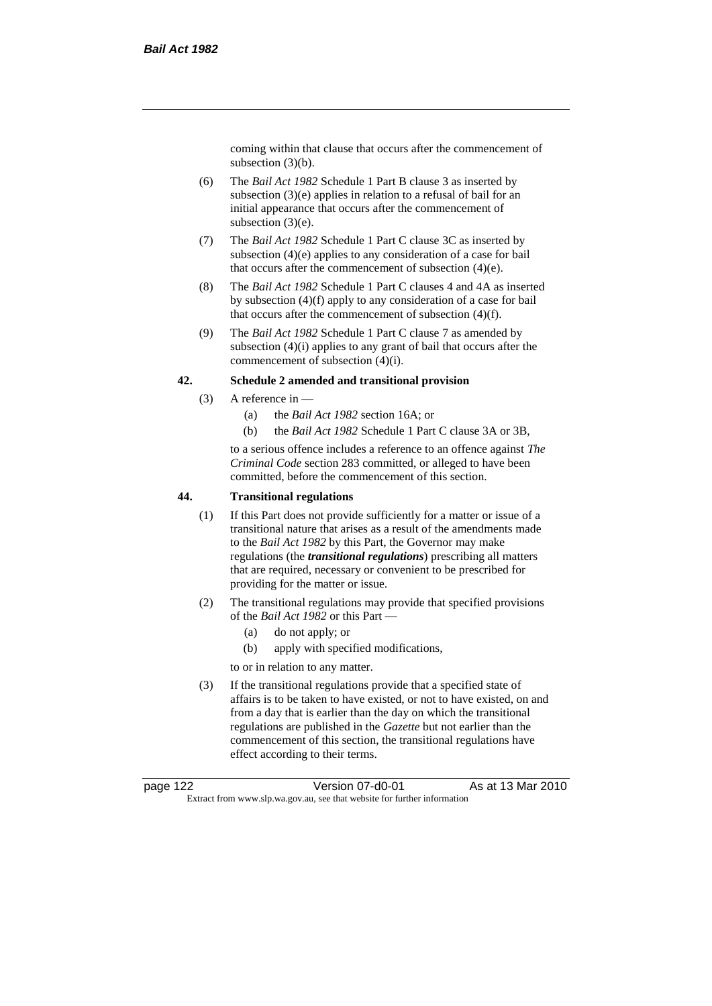coming within that clause that occurs after the commencement of subsection (3)(b).

- (6) The *Bail Act 1982* Schedule 1 Part B clause 3 as inserted by subsection (3)(e) applies in relation to a refusal of bail for an initial appearance that occurs after the commencement of subsection (3)(e).
- (7) The *Bail Act 1982* Schedule 1 Part C clause 3C as inserted by subsection (4)(e) applies to any consideration of a case for bail that occurs after the commencement of subsection (4)(e).
- (8) The *Bail Act 1982* Schedule 1 Part C clauses 4 and 4A as inserted by subsection (4)(f) apply to any consideration of a case for bail that occurs after the commencement of subsection (4)(f).
- (9) The *Bail Act 1982* Schedule 1 Part C clause 7 as amended by subsection (4)(i) applies to any grant of bail that occurs after the commencement of subsection (4)(i).

#### **42. Schedule 2 amended and transitional provision**

- (3) A reference in
	- (a) the *Bail Act 1982* section 16A; or
	- (b) the *Bail Act 1982* Schedule 1 Part C clause 3A or 3B,

to a serious offence includes a reference to an offence against *The Criminal Code* section 283 committed, or alleged to have been committed, before the commencement of this section.

#### **44. Transitional regulations**

- (1) If this Part does not provide sufficiently for a matter or issue of a transitional nature that arises as a result of the amendments made to the *Bail Act 1982* by this Part, the Governor may make regulations (the *transitional regulations*) prescribing all matters that are required, necessary or convenient to be prescribed for providing for the matter or issue.
- (2) The transitional regulations may provide that specified provisions of the *Bail Act 1982* or this Part —
	- (a) do not apply; or
	- (b) apply with specified modifications,
	- to or in relation to any matter.
- (3) If the transitional regulations provide that a specified state of affairs is to be taken to have existed, or not to have existed, on and from a day that is earlier than the day on which the transitional regulations are published in the *Gazette* but not earlier than the commencement of this section, the transitional regulations have effect according to their terms.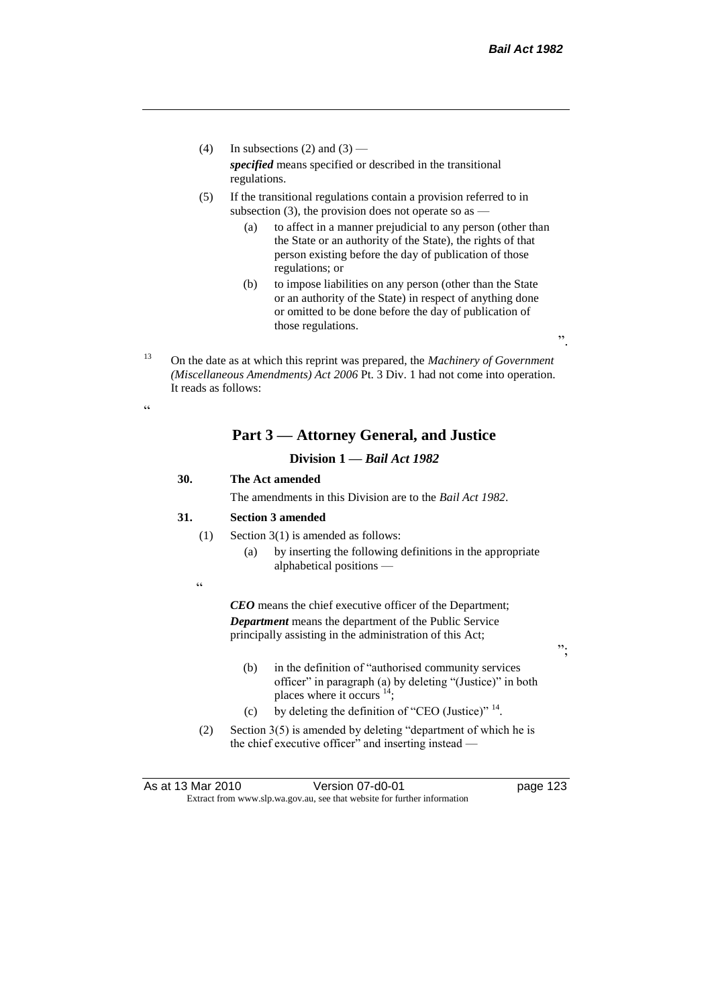".

";

- (4) In subsections (2) and (3) *specified* means specified or described in the transitional regulations.
- (5) If the transitional regulations contain a provision referred to in subsection  $(3)$ , the provision does not operate so as  $-$ 
	- (a) to affect in a manner prejudicial to any person (other than the State or an authority of the State), the rights of that person existing before the day of publication of those regulations; or
	- (b) to impose liabilities on any person (other than the State or an authority of the State) in respect of anything done or omitted to be done before the day of publication of those regulations.

<sup>13</sup> On the date as at which this reprint was prepared, the *Machinery of Government (Miscellaneous Amendments) Act 2006* Pt. 3 Div. 1 had not come into operation. It reads as follows:

## **Part 3 — Attorney General, and Justice**

## **Division 1 —** *Bail Act 1982*

# **30. The Act amended**

The amendments in this Division are to the *Bail Act 1982*.

#### **31. Section 3 amended**

- (1) Section 3(1) is amended as follows:
	- (a) by inserting the following definitions in the appropriate alphabetical positions —
- .<br>.

.<br>44

*CEO* means the chief executive officer of the Department; *Department* means the department of the Public Service principally assisting in the administration of this Act;

- (b) in the definition of "authorised community services officer" in paragraph (a) by deleting "(Justice)" in both places where it occurs  $14$ ;
- (c) by deleting the definition of "CEO (Justice)"  $14$ .
- (2) Section 3(5) is amended by deleting "department of which he is the chief executive officer" and inserting instead —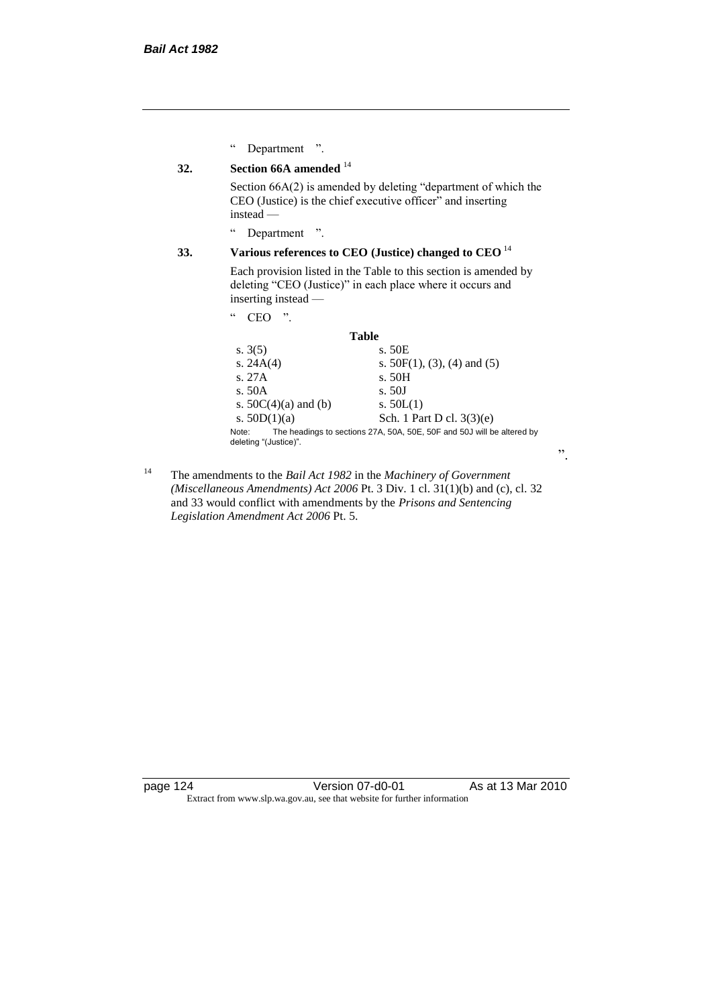" Department ".

# **32. Section 66A amended** <sup>14</sup>

Section 66A(2) is amended by deleting "department of which the CEO (Justice) is the chief executive officer" and inserting instead —

" Department ".

# **33. Various references to CEO (Justice) changed to CEO** <sup>14</sup>

Each provision listed in the Table to this section is amended by deleting "CEO (Justice)" in each place where it occurs and inserting instead —

" CEO ".

#### **Table**

| s. $3(5)$                      | s. 50E                                                                 |
|--------------------------------|------------------------------------------------------------------------|
| s. $24A(4)$                    | s. $50F(1)$ , (3), (4) and (5)                                         |
| s. 27A                         | s. 50H                                                                 |
| s. 50A                         | s.50J                                                                  |
| s. $50C(4)(a)$ and (b)         | s. $50L(1)$                                                            |
| s. $50D(1)(a)$                 | Sch. 1 Part D cl. $3(3)(e)$                                            |
| Note:<br>deleting "(Justice)". | The headings to sections 27A, 50A, 50E, 50F and 50J will be altered by |

".

<sup>14</sup> The amendments to the *Bail Act 1982* in the *Machinery of Government (Miscellaneous Amendments) Act 2006* Pt. 3 Div. 1 cl. 31(1)(b) and (c), cl. 32 and 33 would conflict with amendments by the *Prisons and Sentencing Legislation Amendment Act 2006* Pt. 5.

page 124 Version 07-d0-01 As at 13 Mar 2010 Extract from www.slp.wa.gov.au, see that website for further information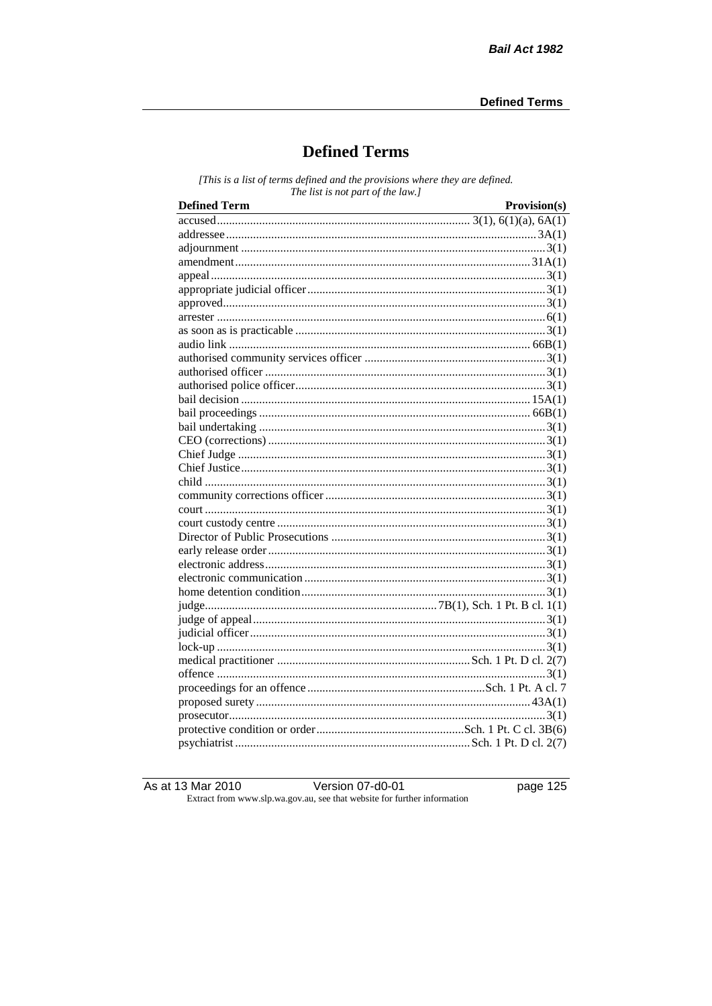# **Defined Terms**

[This is a list of terms defined and the provisions where they are defined. The list is not part of the law.]

| <b>Defined Term</b> | Provision(s) |
|---------------------|--------------|
|                     |              |
|                     |              |
|                     |              |
|                     |              |
|                     |              |
|                     |              |
|                     |              |
|                     |              |
|                     |              |
|                     |              |
|                     |              |
|                     |              |
|                     |              |
|                     |              |
|                     |              |
|                     |              |
|                     |              |
|                     |              |
|                     |              |
|                     |              |
|                     |              |
|                     |              |
|                     |              |
|                     |              |
|                     |              |
|                     |              |
|                     |              |
|                     |              |
|                     |              |
|                     |              |
|                     |              |
|                     |              |
|                     |              |
|                     |              |
|                     |              |
|                     |              |
|                     |              |
|                     |              |
|                     |              |

As at 13 Mar 2010

Version  $07$ -d0- $\overline{01}$ 

page  $125$ 

Extract from www.slp.wa.gov.au, see that website for further information